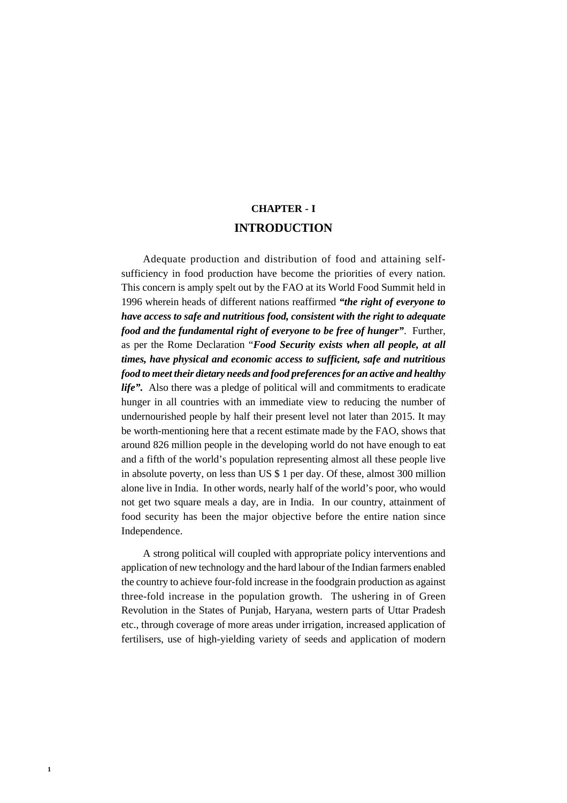# **CHAPTER - I INTRODUCTION**

Adequate production and distribution of food and attaining selfsufficiency in food production have become the priorities of every nation. This concern is amply spelt out by the FAO at its World Food Summit held in 1996 wherein heads of different nations reaffirmed *"the right of everyone to have access to safe and nutritious food, consistent with the right to adequate food and the fundamental right of everyone to be free of hunger"*. Further, as per the Rome Declaration "*Food Security exists when all people, at all times, have physical and economic access to sufficient, safe and nutritious food to meet their dietary needs and food preferences for an active and healthy life".* Also there was a pledge of political will and commitments to eradicate hunger in all countries with an immediate view to reducing the number of undernourished people by half their present level not later than 2015. It may be worth-mentioning here that a recent estimate made by the FAO, shows that around 826 million people in the developing world do not have enough to eat and a fifth of the world's population representing almost all these people live in absolute poverty, on less than US \$ 1 per day. Of these, almost 300 million alone live in India. In other words, nearly half of the world's poor, who would not get two square meals a day, are in India. In our country, attainment of food security has been the major objective before the entire nation since Independence.

A strong political will coupled with appropriate policy interventions and application of new technology and the hard labour of the Indian farmers enabled the country to achieve four-fold increase in the foodgrain production as against three-fold increase in the population growth. The ushering in of Green Revolution in the States of Punjab, Haryana, western parts of Uttar Pradesh etc., through coverage of more areas under irrigation, increased application of fertilisers, use of high-yielding variety of seeds and application of modern

**1**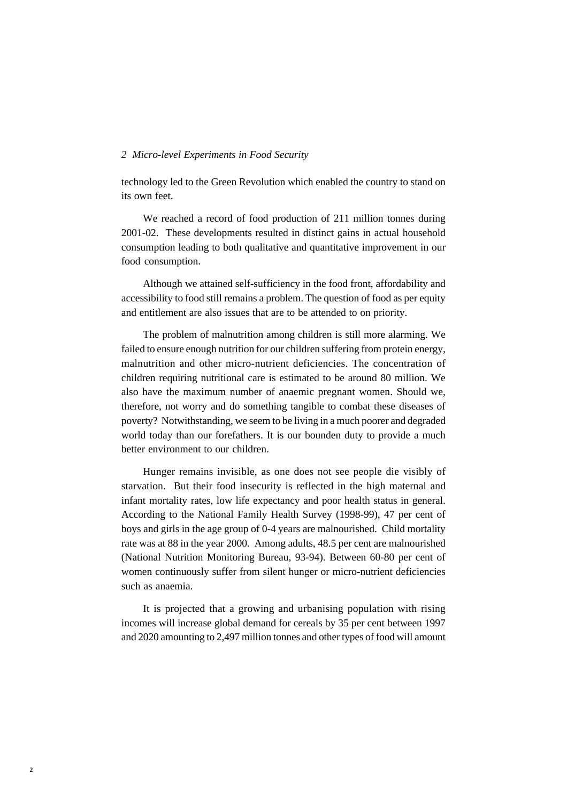technology led to the Green Revolution which enabled the country to stand on its own feet.

We reached a record of food production of 211 million tonnes during 2001-02. These developments resulted in distinct gains in actual household consumption leading to both qualitative and quantitative improvement in our food consumption.

Although we attained self-sufficiency in the food front, affordability and accessibility to food still remains a problem. The question of food as per equity and entitlement are also issues that are to be attended to on priority.

The problem of malnutrition among children is still more alarming. We failed to ensure enough nutrition for our children suffering from protein energy, malnutrition and other micro-nutrient deficiencies. The concentration of children requiring nutritional care is estimated to be around 80 million. We also have the maximum number of anaemic pregnant women. Should we, therefore, not worry and do something tangible to combat these diseases of poverty? Notwithstanding, we seem to be living in a much poorer and degraded world today than our forefathers. It is our bounden duty to provide a much better environment to our children.

Hunger remains invisible, as one does not see people die visibly of starvation. But their food insecurity is reflected in the high maternal and infant mortality rates, low life expectancy and poor health status in general. According to the National Family Health Survey (1998-99), 47 per cent of boys and girls in the age group of 0-4 years are malnourished. Child mortality rate was at 88 in the year 2000. Among adults, 48.5 per cent are malnourished (National Nutrition Monitoring Bureau, 93-94). Between 60-80 per cent of women continuously suffer from silent hunger or micro-nutrient deficiencies such as anaemia.

It is projected that a growing and urbanising population with rising incomes will increase global demand for cereals by 35 per cent between 1997 and 2020 amounting to 2,497 million tonnes and other types of food will amount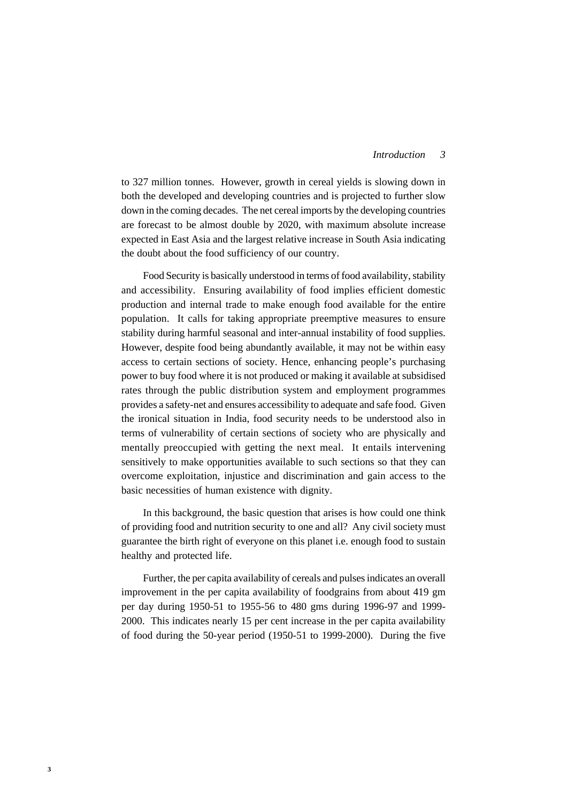#### *3 Introduction*

to 327 million tonnes. However, growth in cereal yields is slowing down in both the developed and developing countries and is projected to further slow down in the coming decades. The net cereal imports by the developing countries are forecast to be almost double by 2020, with maximum absolute increase expected in East Asia and the largest relative increase in South Asia indicating the doubt about the food sufficiency of our country.

Food Security is basically understood in terms of food availability, stability and accessibility. Ensuring availability of food implies efficient domestic production and internal trade to make enough food available for the entire population. It calls for taking appropriate preemptive measures to ensure stability during harmful seasonal and inter-annual instability of food supplies. However, despite food being abundantly available, it may not be within easy access to certain sections of society. Hence, enhancing people's purchasing power to buy food where it is not produced or making it available at subsidised rates through the public distribution system and employment programmes provides a safety-net and ensures accessibility to adequate and safe food. Given the ironical situation in India, food security needs to be understood also in terms of vulnerability of certain sections of society who are physically and mentally preoccupied with getting the next meal. It entails intervening sensitively to make opportunities available to such sections so that they can overcome exploitation, injustice and discrimination and gain access to the basic necessities of human existence with dignity.

In this background, the basic question that arises is how could one think of providing food and nutrition security to one and all? Any civil society must guarantee the birth right of everyone on this planet i.e. enough food to sustain healthy and protected life.

Further, the per capita availability of cereals and pulses indicates an overall improvement in the per capita availability of foodgrains from about 419 gm per day during 1950-51 to 1955-56 to 480 gms during 1996-97 and 1999- 2000. This indicates nearly 15 per cent increase in the per capita availability of food during the 50-year period (1950-51 to 1999-2000). During the five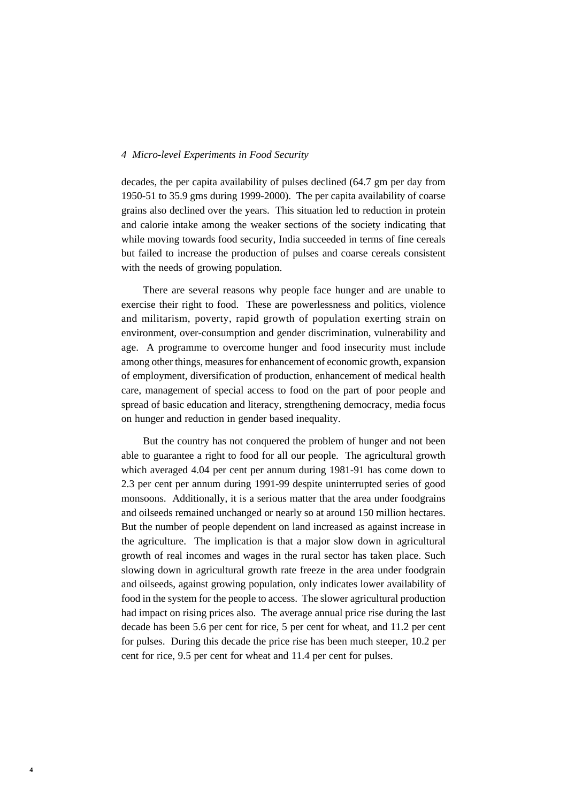decades, the per capita availability of pulses declined (64.7 gm per day from 1950-51 to 35.9 gms during 1999-2000). The per capita availability of coarse grains also declined over the years. This situation led to reduction in protein and calorie intake among the weaker sections of the society indicating that while moving towards food security, India succeeded in terms of fine cereals but failed to increase the production of pulses and coarse cereals consistent with the needs of growing population.

There are several reasons why people face hunger and are unable to exercise their right to food. These are powerlessness and politics, violence and militarism, poverty, rapid growth of population exerting strain on environment, over-consumption and gender discrimination, vulnerability and age. A programme to overcome hunger and food insecurity must include among other things, measures for enhancement of economic growth, expansion of employment, diversification of production, enhancement of medical health care, management of special access to food on the part of poor people and spread of basic education and literacy, strengthening democracy, media focus on hunger and reduction in gender based inequality.

But the country has not conquered the problem of hunger and not been able to guarantee a right to food for all our people. The agricultural growth which averaged 4.04 per cent per annum during 1981-91 has come down to 2.3 per cent per annum during 1991-99 despite uninterrupted series of good monsoons. Additionally, it is a serious matter that the area under foodgrains and oilseeds remained unchanged or nearly so at around 150 million hectares. But the number of people dependent on land increased as against increase in the agriculture. The implication is that a major slow down in agricultural growth of real incomes and wages in the rural sector has taken place. Such slowing down in agricultural growth rate freeze in the area under foodgrain and oilseeds, against growing population, only indicates lower availability of food in the system for the people to access. The slower agricultural production had impact on rising prices also. The average annual price rise during the last decade has been 5.6 per cent for rice, 5 per cent for wheat, and 11.2 per cent for pulses. During this decade the price rise has been much steeper, 10.2 per cent for rice, 9.5 per cent for wheat and 11.4 per cent for pulses.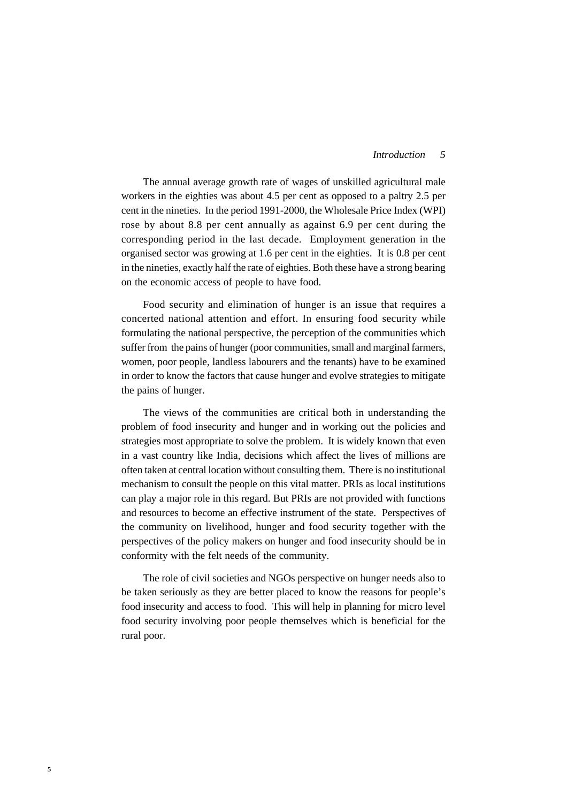The annual average growth rate of wages of unskilled agricultural male workers in the eighties was about 4.5 per cent as opposed to a paltry 2.5 per cent in the nineties. In the period 1991-2000, the Wholesale Price Index (WPI) rose by about 8.8 per cent annually as against 6.9 per cent during the corresponding period in the last decade. Employment generation in the organised sector was growing at 1.6 per cent in the eighties. It is 0.8 per cent in the nineties, exactly half the rate of eighties. Both these have a strong bearing on the economic access of people to have food.

Food security and elimination of hunger is an issue that requires a concerted national attention and effort. In ensuring food security while formulating the national perspective, the perception of the communities which suffer from the pains of hunger (poor communities, small and marginal farmers, women, poor people, landless labourers and the tenants) have to be examined in order to know the factors that cause hunger and evolve strategies to mitigate the pains of hunger.

The views of the communities are critical both in understanding the problem of food insecurity and hunger and in working out the policies and strategies most appropriate to solve the problem. It is widely known that even in a vast country like India, decisions which affect the lives of millions are often taken at central location without consulting them. There is no institutional mechanism to consult the people on this vital matter. PRIs as local institutions can play a major role in this regard. But PRIs are not provided with functions and resources to become an effective instrument of the state. Perspectives of the community on livelihood, hunger and food security together with the perspectives of the policy makers on hunger and food insecurity should be in conformity with the felt needs of the community.

The role of civil societies and NGOs perspective on hunger needs also to be taken seriously as they are better placed to know the reasons for people's food insecurity and access to food. This will help in planning for micro level food security involving poor people themselves which is beneficial for the rural poor.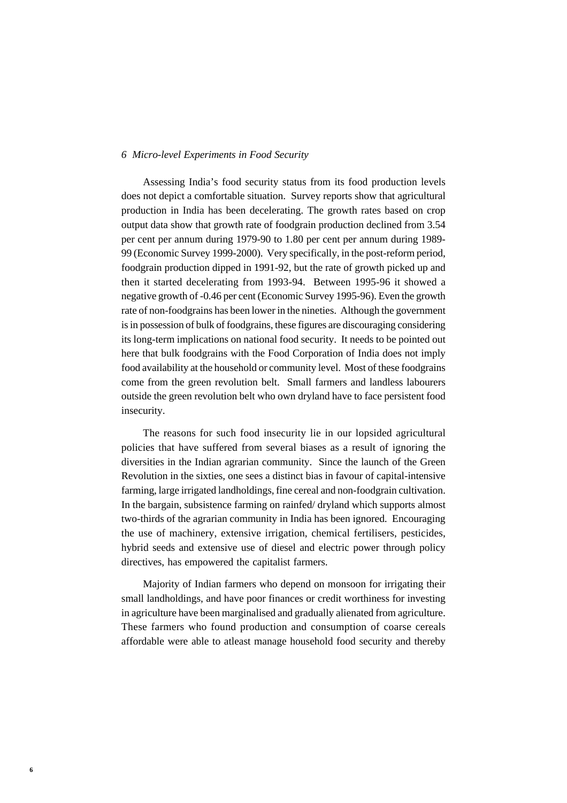Assessing India's food security status from its food production levels does not depict a comfortable situation. Survey reports show that agricultural production in India has been decelerating. The growth rates based on crop output data show that growth rate of foodgrain production declined from 3.54 per cent per annum during 1979-90 to 1.80 per cent per annum during 1989- 99 (Economic Survey 1999-2000). Very specifically, in the post-reform period, foodgrain production dipped in 1991-92, but the rate of growth picked up and then it started decelerating from 1993-94. Between 1995-96 it showed a negative growth of -0.46 per cent (Economic Survey 1995-96). Even the growth rate of non-foodgrains has been lower in the nineties. Although the government is in possession of bulk of foodgrains, these figures are discouraging considering its long-term implications on national food security. It needs to be pointed out here that bulk foodgrains with the Food Corporation of India does not imply food availability at the household or community level. Most of these foodgrains come from the green revolution belt. Small farmers and landless labourers outside the green revolution belt who own dryland have to face persistent food insecurity.

The reasons for such food insecurity lie in our lopsided agricultural policies that have suffered from several biases as a result of ignoring the diversities in the Indian agrarian community. Since the launch of the Green Revolution in the sixties, one sees a distinct bias in favour of capital-intensive farming, large irrigated landholdings, fine cereal and non-foodgrain cultivation. In the bargain, subsistence farming on rainfed/ dryland which supports almost two-thirds of the agrarian community in India has been ignored. Encouraging the use of machinery, extensive irrigation, chemical fertilisers, pesticides, hybrid seeds and extensive use of diesel and electric power through policy directives, has empowered the capitalist farmers.

Majority of Indian farmers who depend on monsoon for irrigating their small landholdings, and have poor finances or credit worthiness for investing in agriculture have been marginalised and gradually alienated from agriculture. These farmers who found production and consumption of coarse cereals affordable were able to atleast manage household food security and thereby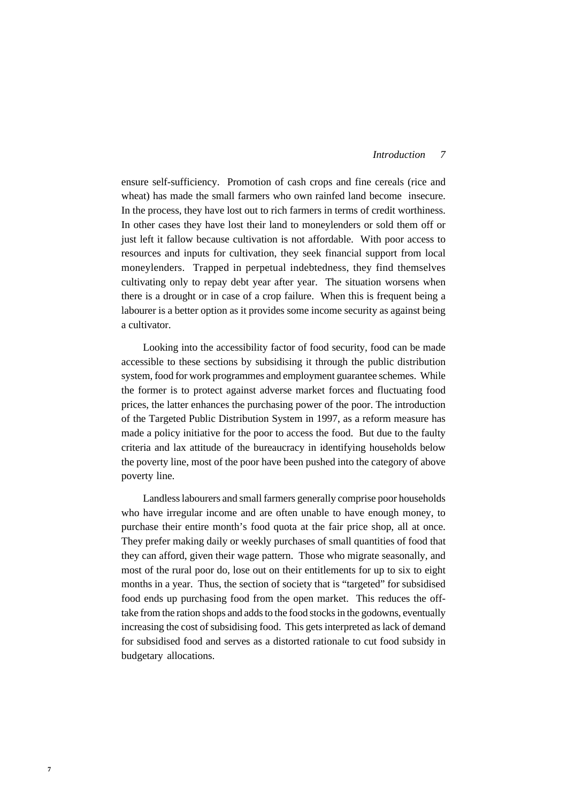#### *7 Introduction*

ensure self-sufficiency. Promotion of cash crops and fine cereals (rice and wheat) has made the small farmers who own rainfed land become insecure. In the process, they have lost out to rich farmers in terms of credit worthiness. In other cases they have lost their land to moneylenders or sold them off or just left it fallow because cultivation is not affordable. With poor access to resources and inputs for cultivation, they seek financial support from local moneylenders. Trapped in perpetual indebtedness, they find themselves cultivating only to repay debt year after year. The situation worsens when there is a drought or in case of a crop failure. When this is frequent being a labourer is a better option as it provides some income security as against being a cultivator.

Looking into the accessibility factor of food security, food can be made accessible to these sections by subsidising it through the public distribution system, food for work programmes and employment guarantee schemes. While the former is to protect against adverse market forces and fluctuating food prices, the latter enhances the purchasing power of the poor. The introduction of the Targeted Public Distribution System in 1997, as a reform measure has made a policy initiative for the poor to access the food. But due to the faulty criteria and lax attitude of the bureaucracy in identifying households below the poverty line, most of the poor have been pushed into the category of above poverty line.

Landless labourers and small farmers generally comprise poor households who have irregular income and are often unable to have enough money, to purchase their entire month's food quota at the fair price shop, all at once. They prefer making daily or weekly purchases of small quantities of food that they can afford, given their wage pattern. Those who migrate seasonally, and most of the rural poor do, lose out on their entitlements for up to six to eight months in a year. Thus, the section of society that is "targeted" for subsidised food ends up purchasing food from the open market. This reduces the offtake from the ration shops and adds to the food stocks in the godowns, eventually increasing the cost of subsidising food. This gets interpreted as lack of demand for subsidised food and serves as a distorted rationale to cut food subsidy in budgetary allocations.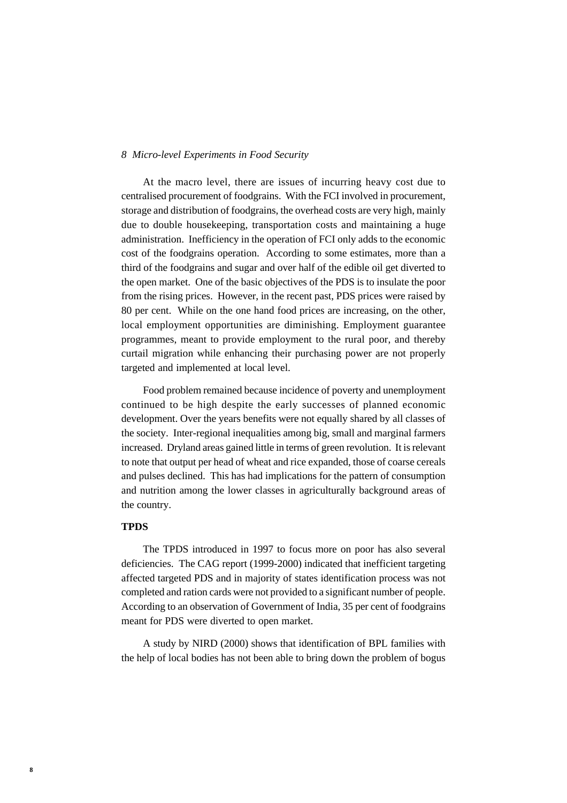At the macro level, there are issues of incurring heavy cost due to centralised procurement of foodgrains. With the FCI involved in procurement, storage and distribution of foodgrains, the overhead costs are very high, mainly due to double housekeeping, transportation costs and maintaining a huge administration. Inefficiency in the operation of FCI only adds to the economic cost of the foodgrains operation. According to some estimates, more than a third of the foodgrains and sugar and over half of the edible oil get diverted to the open market. One of the basic objectives of the PDS is to insulate the poor from the rising prices. However, in the recent past, PDS prices were raised by 80 per cent. While on the one hand food prices are increasing, on the other, local employment opportunities are diminishing. Employment guarantee programmes, meant to provide employment to the rural poor, and thereby curtail migration while enhancing their purchasing power are not properly targeted and implemented at local level.

Food problem remained because incidence of poverty and unemployment continued to be high despite the early successes of planned economic development. Over the years benefits were not equally shared by all classes of the society. Inter-regional inequalities among big, small and marginal farmers increased. Dryland areas gained little in terms of green revolution. It is relevant to note that output per head of wheat and rice expanded, those of coarse cereals and pulses declined. This has had implications for the pattern of consumption and nutrition among the lower classes in agriculturally background areas of the country.

# **TPDS**

The TPDS introduced in 1997 to focus more on poor has also several deficiencies. The CAG report (1999-2000) indicated that inefficient targeting affected targeted PDS and in majority of states identification process was not completed and ration cards were not provided to a significant number of people. According to an observation of Government of India, 35 per cent of foodgrains meant for PDS were diverted to open market.

A study by NIRD (2000) shows that identification of BPL families with the help of local bodies has not been able to bring down the problem of bogus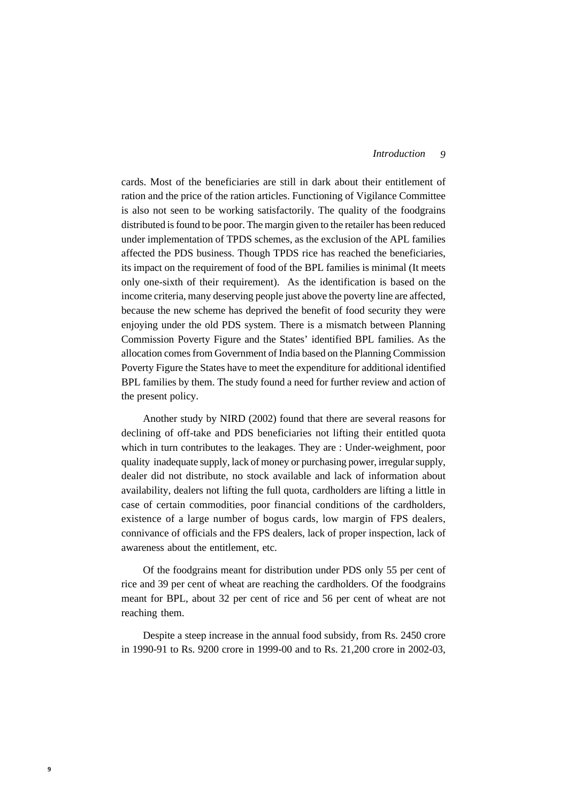cards. Most of the beneficiaries are still in dark about their entitlement of ration and the price of the ration articles. Functioning of Vigilance Committee is also not seen to be working satisfactorily. The quality of the foodgrains distributed is found to be poor. The margin given to the retailer has been reduced under implementation of TPDS schemes, as the exclusion of the APL families affected the PDS business. Though TPDS rice has reached the beneficiaries, its impact on the requirement of food of the BPL families is minimal (It meets only one-sixth of their requirement). As the identification is based on the income criteria, many deserving people just above the poverty line are affected, because the new scheme has deprived the benefit of food security they were enjoying under the old PDS system. There is a mismatch between Planning Commission Poverty Figure and the States' identified BPL families. As the allocation comes from Government of India based on the Planning Commission Poverty Figure the States have to meet the expenditure for additional identified BPL families by them. The study found a need for further review and action of the present policy.

Another study by NIRD (2002) found that there are several reasons for declining of off-take and PDS beneficiaries not lifting their entitled quota which in turn contributes to the leakages. They are : Under-weighment, poor quality inadequate supply, lack of money or purchasing power, irregular supply, dealer did not distribute, no stock available and lack of information about availability, dealers not lifting the full quota, cardholders are lifting a little in case of certain commodities, poor financial conditions of the cardholders, existence of a large number of bogus cards, low margin of FPS dealers, connivance of officials and the FPS dealers, lack of proper inspection, lack of awareness about the entitlement, etc.

Of the foodgrains meant for distribution under PDS only 55 per cent of rice and 39 per cent of wheat are reaching the cardholders. Of the foodgrains meant for BPL, about 32 per cent of rice and 56 per cent of wheat are not reaching them.

Despite a steep increase in the annual food subsidy, from Rs. 2450 crore in 1990-91 to Rs. 9200 crore in 1999-00 and to Rs. 21,200 crore in 2002-03,

**9**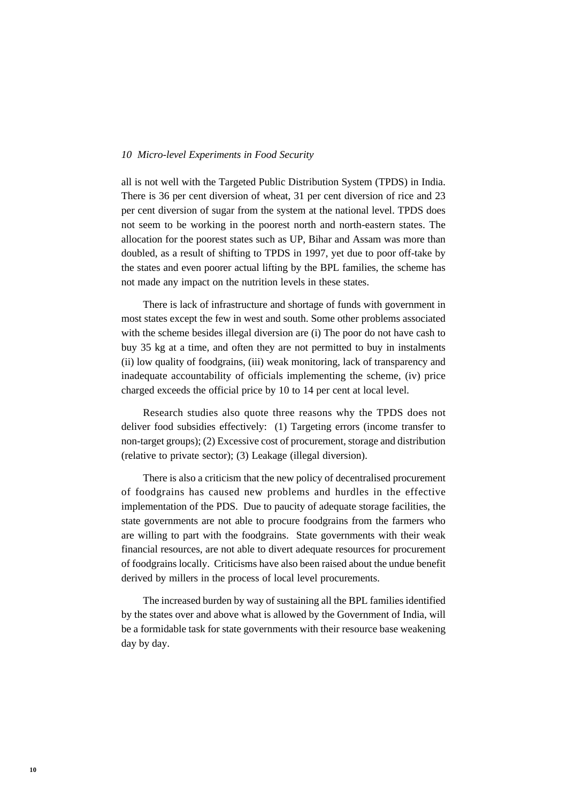all is not well with the Targeted Public Distribution System (TPDS) in India. There is 36 per cent diversion of wheat, 31 per cent diversion of rice and 23 per cent diversion of sugar from the system at the national level. TPDS does not seem to be working in the poorest north and north-eastern states. The allocation for the poorest states such as UP, Bihar and Assam was more than doubled, as a result of shifting to TPDS in 1997, yet due to poor off-take by the states and even poorer actual lifting by the BPL families, the scheme has not made any impact on the nutrition levels in these states.

There is lack of infrastructure and shortage of funds with government in most states except the few in west and south. Some other problems associated with the scheme besides illegal diversion are (i) The poor do not have cash to buy 35 kg at a time, and often they are not permitted to buy in instalments (ii) low quality of foodgrains, (iii) weak monitoring, lack of transparency and inadequate accountability of officials implementing the scheme, (iv) price charged exceeds the official price by 10 to 14 per cent at local level.

Research studies also quote three reasons why the TPDS does not deliver food subsidies effectively: (1) Targeting errors (income transfer to non-target groups); (2) Excessive cost of procurement, storage and distribution (relative to private sector); (3) Leakage (illegal diversion).

There is also a criticism that the new policy of decentralised procurement of foodgrains has caused new problems and hurdles in the effective implementation of the PDS. Due to paucity of adequate storage facilities, the state governments are not able to procure foodgrains from the farmers who are willing to part with the foodgrains. State governments with their weak financial resources, are not able to divert adequate resources for procurement of foodgrains locally. Criticisms have also been raised about the undue benefit derived by millers in the process of local level procurements.

The increased burden by way of sustaining all the BPL families identified by the states over and above what is allowed by the Government of India, will be a formidable task for state governments with their resource base weakening day by day.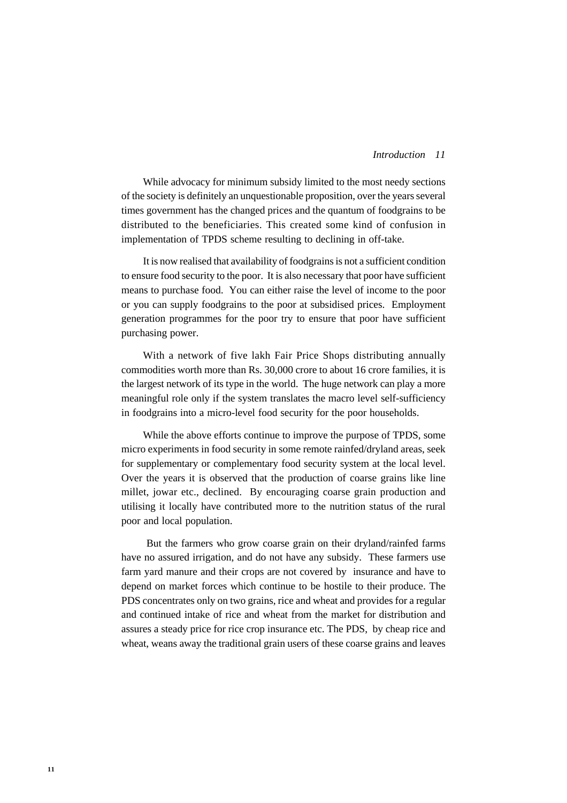### *11 Introduction*

While advocacy for minimum subsidy limited to the most needy sections of the society is definitely an unquestionable proposition, over the years several times government has the changed prices and the quantum of foodgrains to be distributed to the beneficiaries. This created some kind of confusion in implementation of TPDS scheme resulting to declining in off-take.

It is now realised that availability of foodgrains is not a sufficient condition to ensure food security to the poor. It is also necessary that poor have sufficient means to purchase food. You can either raise the level of income to the poor or you can supply foodgrains to the poor at subsidised prices. Employment generation programmes for the poor try to ensure that poor have sufficient purchasing power.

With a network of five lakh Fair Price Shops distributing annually commodities worth more than Rs. 30,000 crore to about 16 crore families, it is the largest network of its type in the world. The huge network can play a more meaningful role only if the system translates the macro level self-sufficiency in foodgrains into a micro-level food security for the poor households.

While the above efforts continue to improve the purpose of TPDS, some micro experiments in food security in some remote rainfed/dryland areas, seek for supplementary or complementary food security system at the local level. Over the years it is observed that the production of coarse grains like line millet, jowar etc., declined. By encouraging coarse grain production and utilising it locally have contributed more to the nutrition status of the rural poor and local population.

 But the farmers who grow coarse grain on their dryland/rainfed farms have no assured irrigation, and do not have any subsidy. These farmers use farm yard manure and their crops are not covered by insurance and have to depend on market forces which continue to be hostile to their produce. The PDS concentrates only on two grains, rice and wheat and provides for a regular and continued intake of rice and wheat from the market for distribution and assures a steady price for rice crop insurance etc. The PDS, by cheap rice and wheat, weans away the traditional grain users of these coarse grains and leaves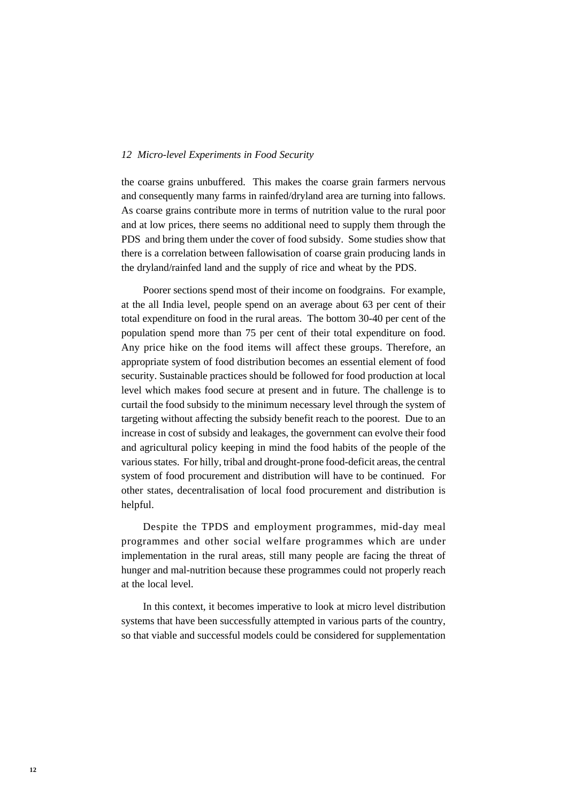the coarse grains unbuffered. This makes the coarse grain farmers nervous and consequently many farms in rainfed/dryland area are turning into fallows. As coarse grains contribute more in terms of nutrition value to the rural poor and at low prices, there seems no additional need to supply them through the PDS and bring them under the cover of food subsidy. Some studies show that there is a correlation between fallowisation of coarse grain producing lands in the dryland/rainfed land and the supply of rice and wheat by the PDS.

Poorer sections spend most of their income on foodgrains. For example, at the all India level, people spend on an average about 63 per cent of their total expenditure on food in the rural areas. The bottom 30-40 per cent of the population spend more than 75 per cent of their total expenditure on food. Any price hike on the food items will affect these groups. Therefore, an appropriate system of food distribution becomes an essential element of food security. Sustainable practices should be followed for food production at local level which makes food secure at present and in future. The challenge is to curtail the food subsidy to the minimum necessary level through the system of targeting without affecting the subsidy benefit reach to the poorest. Due to an increase in cost of subsidy and leakages, the government can evolve their food and agricultural policy keeping in mind the food habits of the people of the various states. For hilly, tribal and drought-prone food-deficit areas, the central system of food procurement and distribution will have to be continued. For other states, decentralisation of local food procurement and distribution is helpful.

Despite the TPDS and employment programmes, mid-day meal programmes and other social welfare programmes which are under implementation in the rural areas, still many people are facing the threat of hunger and mal-nutrition because these programmes could not properly reach at the local level.

In this context, it becomes imperative to look at micro level distribution systems that have been successfully attempted in various parts of the country, so that viable and successful models could be considered for supplementation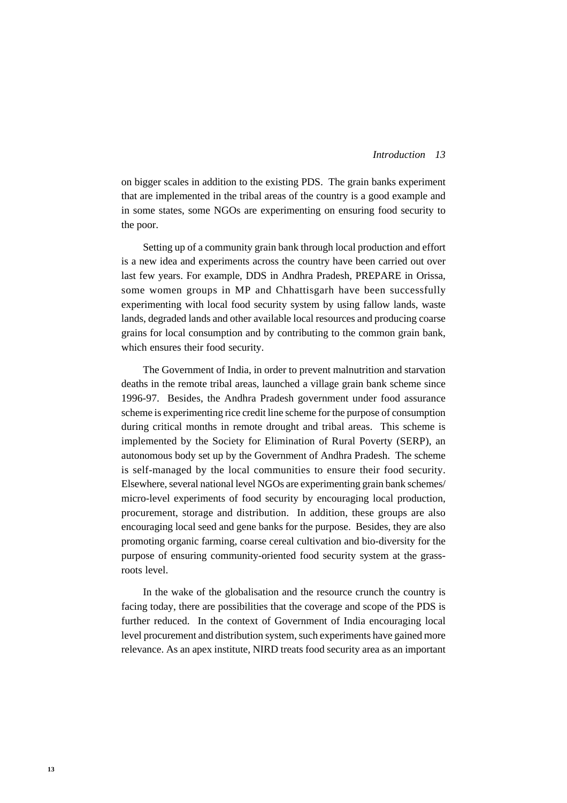### *13 Introduction*

on bigger scales in addition to the existing PDS. The grain banks experiment that are implemented in the tribal areas of the country is a good example and in some states, some NGOs are experimenting on ensuring food security to the poor.

Setting up of a community grain bank through local production and effort is a new idea and experiments across the country have been carried out over last few years. For example, DDS in Andhra Pradesh, PREPARE in Orissa, some women groups in MP and Chhattisgarh have been successfully experimenting with local food security system by using fallow lands, waste lands, degraded lands and other available local resources and producing coarse grains for local consumption and by contributing to the common grain bank, which ensures their food security.

The Government of India, in order to prevent malnutrition and starvation deaths in the remote tribal areas, launched a village grain bank scheme since 1996-97. Besides, the Andhra Pradesh government under food assurance scheme is experimenting rice credit line scheme for the purpose of consumption during critical months in remote drought and tribal areas. This scheme is implemented by the Society for Elimination of Rural Poverty (SERP), an autonomous body set up by the Government of Andhra Pradesh. The scheme is self-managed by the local communities to ensure their food security. Elsewhere, several national level NGOs are experimenting grain bank schemes/ micro-level experiments of food security by encouraging local production, procurement, storage and distribution. In addition, these groups are also encouraging local seed and gene banks for the purpose. Besides, they are also promoting organic farming, coarse cereal cultivation and bio-diversity for the purpose of ensuring community-oriented food security system at the grassroots level.

In the wake of the globalisation and the resource crunch the country is facing today, there are possibilities that the coverage and scope of the PDS is further reduced. In the context of Government of India encouraging local level procurement and distribution system, such experiments have gained more relevance. As an apex institute, NIRD treats food security area as an important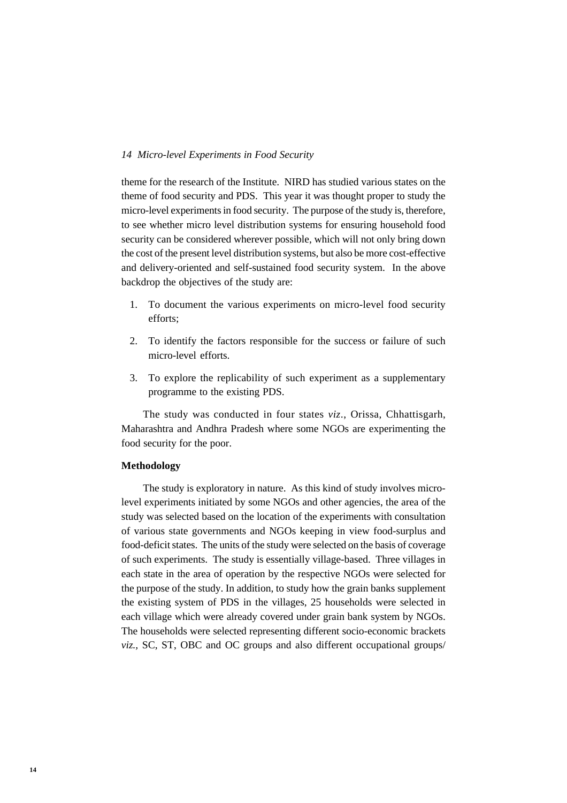theme for the research of the Institute. NIRD has studied various states on the theme of food security and PDS. This year it was thought proper to study the micro-level experiments in food security. The purpose of the study is, therefore, to see whether micro level distribution systems for ensuring household food security can be considered wherever possible, which will not only bring down the cost of the present level distribution systems, but also be more cost-effective and delivery-oriented and self-sustained food security system. In the above backdrop the objectives of the study are:

- 1. To document the various experiments on micro-level food security efforts;
- 2. To identify the factors responsible for the success or failure of such micro-level efforts.
- 3. To explore the replicability of such experiment as a supplementary programme to the existing PDS.

The study was conducted in four states *viz*., Orissa, Chhattisgarh, Maharashtra and Andhra Pradesh where some NGOs are experimenting the food security for the poor.

### **Methodology**

The study is exploratory in nature. As this kind of study involves microlevel experiments initiated by some NGOs and other agencies, the area of the study was selected based on the location of the experiments with consultation of various state governments and NGOs keeping in view food-surplus and food-deficit states. The units of the study were selected on the basis of coverage of such experiments. The study is essentially village-based. Three villages in each state in the area of operation by the respective NGOs were selected for the purpose of the study. In addition, to study how the grain banks supplement the existing system of PDS in the villages, 25 households were selected in each village which were already covered under grain bank system by NGOs. The households were selected representing different socio-economic brackets *viz.,* SC, ST, OBC and OC groups and also different occupational groups/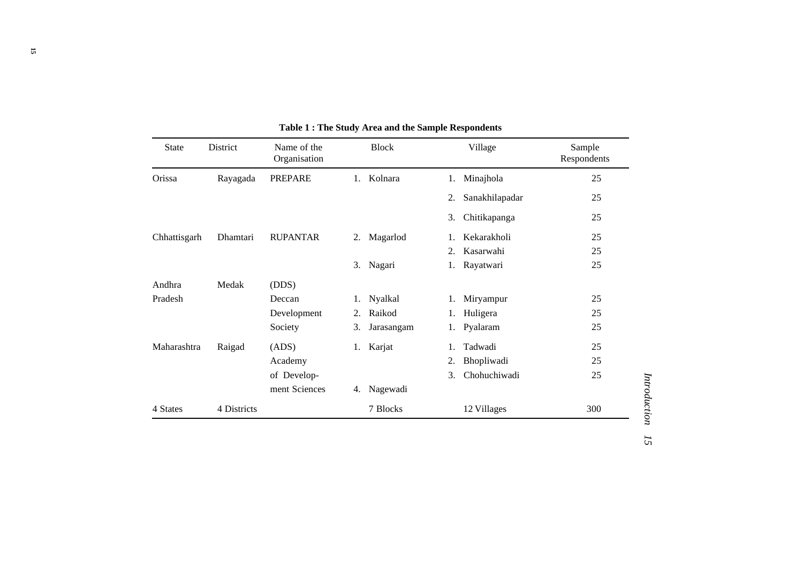| <b>State</b> | District    | Name of the<br>Organisation | <b>Block</b>     | Village                                     | Sample<br>Respondents |
|--------------|-------------|-----------------------------|------------------|---------------------------------------------|-----------------------|
| Orissa       | Rayagada    | <b>PREPARE</b>              | Kolnara<br>1.    | Minajhola<br>1.                             | 25                    |
|              |             |                             |                  | Sanakhilapadar<br>2.                        | 25                    |
|              |             |                             |                  | 3.<br>Chitikapanga                          | 25                    |
| Chhattisgarh | Dhamtari    | <b>RUPANTAR</b>             | Magarlod<br>2.   | Kekarakholi<br>1.                           | 25                    |
|              |             |                             |                  | Kasarwahi<br>2.                             | 25                    |
|              |             |                             | Nagari<br>3.     | Rayatwari<br>1.                             | 25                    |
| Andhra       | Medak       | (DDS)                       |                  |                                             |                       |
| Pradesh      |             | Deccan                      | Nyalkal<br>1.    | Miryampur<br>1.                             | 25                    |
|              |             | Development                 | Raikod<br>2.     | Huligera<br>1.                              | 25                    |
|              |             | Society                     | 3.<br>Jarasangam | Pyalaram<br>1.                              | 25                    |
| Maharashtra  | Raigad      | (ADS)                       | 1. Karjat        | Tadwadi<br>1.                               | 25                    |
|              |             | Academy                     |                  | Bhopliwadi<br>2.                            | 25                    |
|              |             | of Develop-                 |                  | Chohuchiwadi<br>$\mathcal{F}_{\mathcal{L}}$ | 25                    |
|              |             | ment Sciences               | Nagewadi<br>4.   |                                             |                       |
| 4 States     | 4 Districts |                             | 7 Blocks         | 12 Villages                                 | 300                   |

**Table 1 : The Study Area and the Sample Respondents**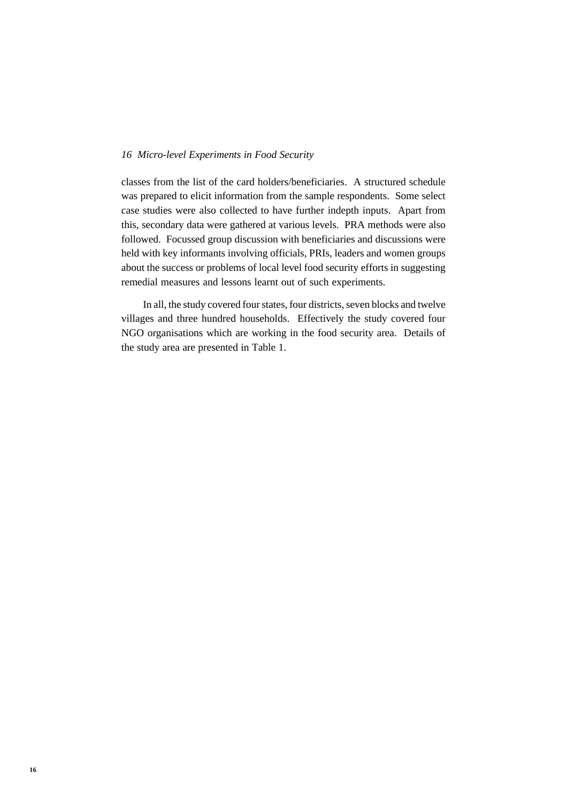classes from the list of the card holders/beneficiaries. A structured schedule was prepared to elicit information from the sample respondents. Some select case studies were also collected to have further indepth inputs. Apart from this, secondary data were gathered at various levels. PRA methods were also followed. Focussed group discussion with beneficiaries and discussions were held with key informants involving officials, PRIs, leaders and women groups about the success or problems of local level food security efforts in suggesting remedial measures and lessons learnt out of such experiments.

In all, the study covered four states, four districts, seven blocks and twelve villages and three hundred households. Effectively the study covered four NGO organisations which are working in the food security area. Details of the study area are presented in Table 1.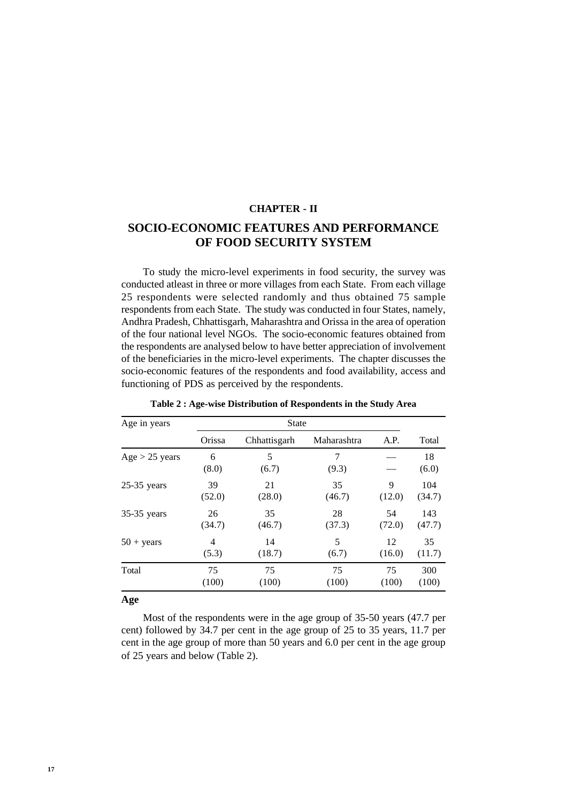### **CHAPTER - II**

# **SOCIO-ECONOMIC FEATURES AND PERFORMANCE OF FOOD SECURITY SYSTEM**

To study the micro-level experiments in food security, the survey was conducted atleast in three or more villages from each State. From each village 25 respondents were selected randomly and thus obtained 75 sample respondents from each State. The study was conducted in four States, namely, Andhra Pradesh, Chhattisgarh, Maharashtra and Orissa in the area of operation of the four national level NGOs. The socio-economic features obtained from the respondents are analysed below to have better appreciation of involvement of the beneficiaries in the micro-level experiments. The chapter discusses the socio-economic features of the respondents and food availability, access and functioning of PDS as perceived by the respondents.

| Age in years        |            | <b>State</b> |             |        |             |  |  |
|---------------------|------------|--------------|-------------|--------|-------------|--|--|
|                     | Orissa     | Chhattisgarh | Maharashtra | A.P.   | Total       |  |  |
| $Age > 25$ years    | 6<br>(8.0) | 5<br>(6.7)   | 7<br>(9.3)  |        | 18<br>(6.0) |  |  |
| $25-35$ years       | 39         | 21           | 35          | 9      | 104         |  |  |
|                     | (52.0)     | (28.0)       | (46.7)      | (12.0) | (34.7)      |  |  |
| $35-35$ years       | 26         | 35           | 28          | 54     | 143         |  |  |
|                     | (34.7)     | (46.7)       | (37.3)      | (72.0) | (47.7)      |  |  |
| $50 + \text{years}$ | 4          | 14           | 5           | 12     | 35          |  |  |
|                     | (5.3)      | (18.7)       | (6.7)       | (16.0) | (11.7)      |  |  |
| Total               | 75         | 75           | 75          | 75     | 300         |  |  |
|                     | (100)      | (100)        | (100)       | (100)  | (100)       |  |  |

**Table 2 : Age-wise Distribution of Respondents in the Study Area**

#### **Age**

Most of the respondents were in the age group of 35-50 years (47.7 per cent) followed by 34.7 per cent in the age group of 25 to 35 years, 11.7 per cent in the age group of more than 50 years and 6.0 per cent in the age group of 25 years and below (Table 2).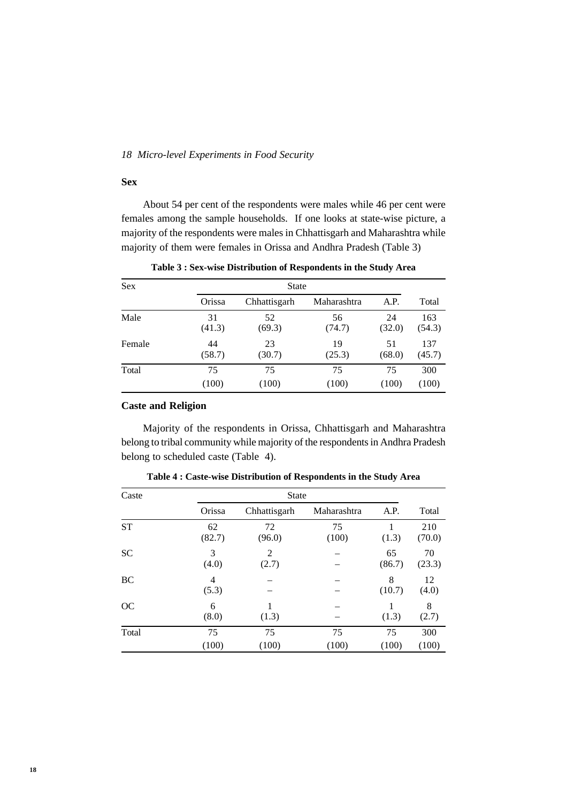### **Sex**

About 54 per cent of the respondents were males while 46 per cent were females among the sample households. If one looks at state-wise picture, a majority of the respondents were males in Chhattisgarh and Maharashtra while majority of them were females in Orissa and Andhra Pradesh (Table 3)

| <b>Sex</b> |        | <b>State</b> |             |        |        |  |  |  |
|------------|--------|--------------|-------------|--------|--------|--|--|--|
|            | Orissa | Chhattisgarh | Maharashtra | A.P.   | Total  |  |  |  |
| Male       | 31     | 52           | 56          | 24     | 163    |  |  |  |
|            | (41.3) | (69.3)       | (74.7)      | (32.0) | (54.3) |  |  |  |
| Female     | 44     | 23           | 19          | 51     | 137    |  |  |  |
|            | (58.7) | (30.7)       | (25.3)      | (68.0) | (45.7) |  |  |  |
| Total      | 75     | 75           | 75          | 75     | 300    |  |  |  |
|            | (100)  | (100)        | (100)       | (100)  | (100)  |  |  |  |

**Table 3 : Sex-wise Distribution of Respondents in the Study Area**

# **Caste and Religion**

Majority of the respondents in Orissa, Chhattisgarh and Maharashtra belong to tribal community while majority of the respondents in Andhra Pradesh belong to scheduled caste (Table 4).

| Caste     |              | <b>State</b> |             |              |               |  |  |  |
|-----------|--------------|--------------|-------------|--------------|---------------|--|--|--|
|           | Orissa       | Chhattisgarh | Maharashtra | A.P.         | Total         |  |  |  |
| <b>ST</b> | 62<br>(82.7) | 72<br>(96.0) | 75<br>(100) | (1.3)        | 210<br>(70.0) |  |  |  |
| <b>SC</b> | 3<br>(4.0)   | 2<br>(2.7)   |             | 65<br>(86.7) | 70<br>(23.3)  |  |  |  |
| BC        | 4<br>(5.3)   |              |             | 8<br>(10.7)  | 12<br>(4.0)   |  |  |  |
| OC        | 6<br>(8.0)   | (1.3)        |             | (1.3)        | 8<br>(2.7)    |  |  |  |
| Total     | 75           | 75           | 75          | 75           | 300           |  |  |  |
|           | (100)        | (100)        | (100)       | (100)        | (100)         |  |  |  |

**Table 4 : Caste-wise Distribution of Respondents in the Study Area**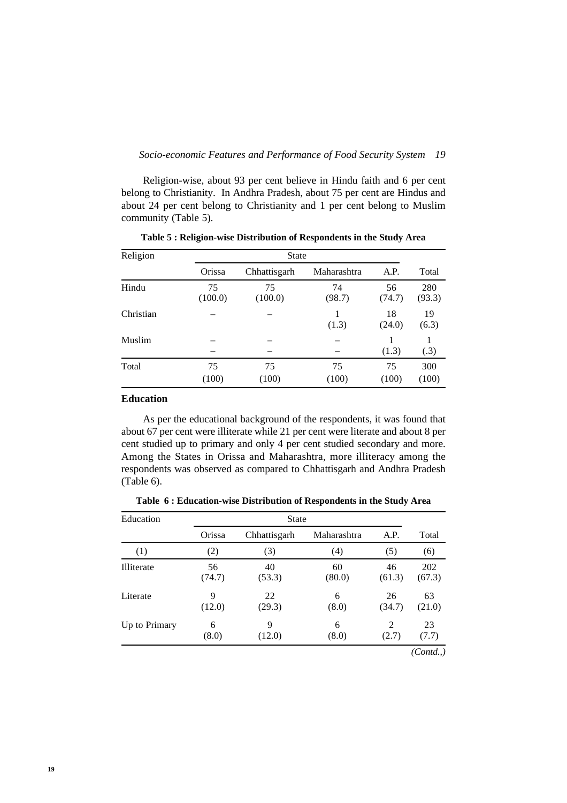Religion-wise, about 93 per cent believe in Hindu faith and 6 per cent belong to Christianity. In Andhra Pradesh, about 75 per cent are Hindus and about 24 per cent belong to Christianity and 1 per cent belong to Muslim community (Table 5).

| Religion  | <b>State</b>  |               |              |              |               |  |  |
|-----------|---------------|---------------|--------------|--------------|---------------|--|--|
|           | Orissa        | Chhattisgarh  | Maharashtra  | A.P.         | Total         |  |  |
| Hindu     | 75<br>(100.0) | 75<br>(100.0) | 74<br>(98.7) | 56<br>(74.7) | 280<br>(93.3) |  |  |
| Christian |               |               | 1<br>(1.3)   | 18<br>(24.0) | 19<br>(6.3)   |  |  |
| Muslim    |               |               |              | (1.3)        | 1<br>(.3)     |  |  |
| Total     | 75<br>(100)   | 75<br>(100)   | 75<br>(100)  | 75<br>(100)  | 300<br>(100)  |  |  |

**Table 5 : Religion-wise Distribution of Respondents in the Study Area**

### **Education**

As per the educational background of the respondents, it was found that about 67 per cent were illiterate while 21 per cent were literate and about 8 per cent studied up to primary and only 4 per cent studied secondary and more. Among the States in Orissa and Maharashtra, more illiteracy among the respondents was observed as compared to Chhattisgarh and Andhra Pradesh (Table 6).

**Table 6 : Education-wise Distribution of Respondents in the Study Area**

| Education     |              | <b>State</b> |              |              |               |  |  |  |
|---------------|--------------|--------------|--------------|--------------|---------------|--|--|--|
|               | Orissa       | Chhattisgarh | Maharashtra  | A.P.         | Total         |  |  |  |
| (1)           | (2)          | (3)          | (4)          | (5)          | (6)           |  |  |  |
| Illiterate    | 56<br>(74.7) | 40<br>(53.3) | 60<br>(80.0) | 46<br>(61.3) | 202<br>(67.3) |  |  |  |
| Literate      | 9<br>(12.0)  | 22<br>(29.3) | 6<br>(8.0)   | 26<br>(34.7) | 63<br>(21.0)  |  |  |  |
| Up to Primary | 6<br>(8.0)   | 9<br>(12.0)  | 6<br>(8.0)   | 2<br>(2.7)   | 23<br>(7.7)   |  |  |  |
|               |              |              |              |              | (Cond.,)      |  |  |  |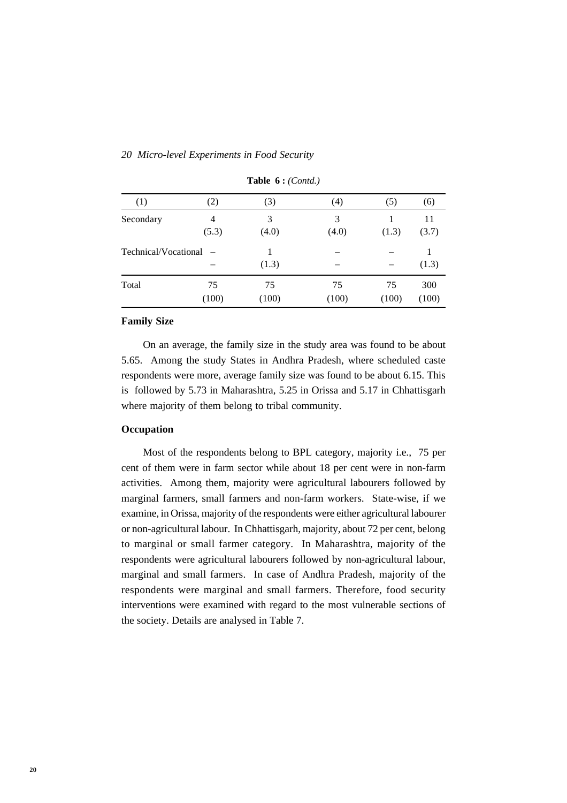| (1)                    | (2)         | (3)         | (4)         | (5)         | (6)          |
|------------------------|-------------|-------------|-------------|-------------|--------------|
| Secondary              | 4<br>(5.3)  | 3<br>(4.0)  | 3<br>(4.0)  | (1.3)       | 11<br>(3.7)  |
| Technical/Vocational – |             | (1.3)       |             |             | (1.3)        |
| Total                  | 75<br>(100) | 75<br>(100) | 75<br>(100) | 75<br>(100) | 300<br>(100) |

### **Table 6 :** *(Contd.)*

### **Family Size**

On an average, the family size in the study area was found to be about 5.65. Among the study States in Andhra Pradesh, where scheduled caste respondents were more, average family size was found to be about 6.15. This is followed by 5.73 in Maharashtra, 5.25 in Orissa and 5.17 in Chhattisgarh where majority of them belong to tribal community.

# **Occupation**

Most of the respondents belong to BPL category, majority i.e., 75 per cent of them were in farm sector while about 18 per cent were in non-farm activities. Among them, majority were agricultural labourers followed by marginal farmers, small farmers and non-farm workers. State-wise, if we examine, in Orissa, majority of the respondents were either agricultural labourer or non-agricultural labour. In Chhattisgarh, majority, about 72 per cent, belong to marginal or small farmer category. In Maharashtra, majority of the respondents were agricultural labourers followed by non-agricultural labour, marginal and small farmers. In case of Andhra Pradesh, majority of the respondents were marginal and small farmers. Therefore, food security interventions were examined with regard to the most vulnerable sections of the society. Details are analysed in Table 7.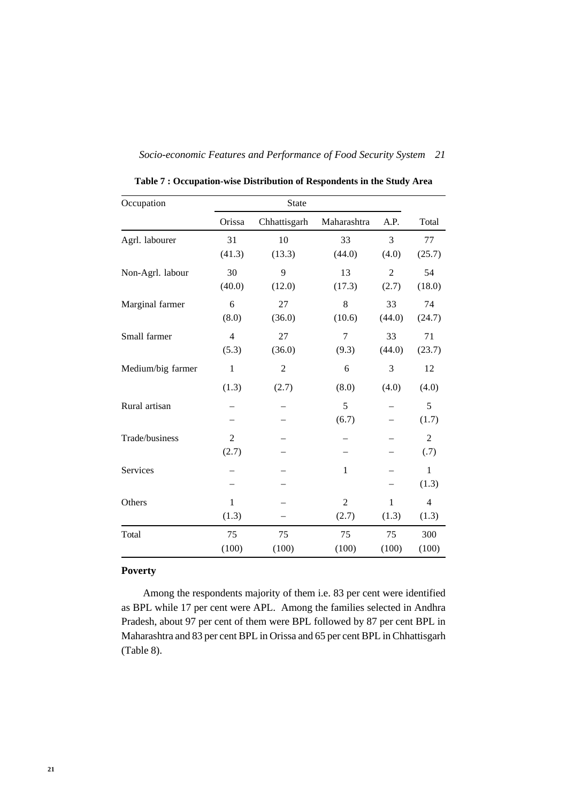|  |  | Socio-economic Features and Performance of Food Security System 21 |  |
|--|--|--------------------------------------------------------------------|--|

| Occupation        |                | State        |                |                |                |  |
|-------------------|----------------|--------------|----------------|----------------|----------------|--|
|                   | Orissa         | Chhattisgarh | Maharashtra    | A.P.           | Total          |  |
| Agrl. labourer    | 31             | 10           | 33             | 3              | 77             |  |
|                   | (41.3)         | (13.3)       | (44.0)         | (4.0)          | (25.7)         |  |
| Non-Agrl. labour  | 30             | 9            | 13             | $\mathfrak{2}$ | 54             |  |
|                   | (40.0)         | (12.0)       | (17.3)         | (2.7)          | (18.0)         |  |
| Marginal farmer   | 6              | 27           | 8              | 33             | 74             |  |
|                   | (8.0)          | (36.0)       | (10.6)         | (44.0)         | (24.7)         |  |
| Small farmer      | $\overline{4}$ | 27           | $\tau$         | 33             | 71             |  |
|                   | (5.3)          | (36.0)       | (9.3)          | (44.0)         | (23.7)         |  |
| Medium/big farmer | $\,1\,$        | $\mathbf{2}$ | 6              | 3              | 12             |  |
|                   | (1.3)          | (2.7)        | (8.0)          | (4.0)          | (4.0)          |  |
| Rural artisan     |                |              | 5              |                | 5              |  |
|                   |                |              | (6.7)          |                | (1.7)          |  |
| Trade/business    | $\overline{2}$ |              |                |                | $\overline{2}$ |  |
|                   | (2.7)          |              |                |                | (.7)           |  |
| Services          |                |              | $\mathbf{1}$   |                | $\mathbf{1}$   |  |
|                   |                |              |                |                | (1.3)          |  |
| Others            | $\mathbf{1}$   |              | $\overline{2}$ | $\mathbf{1}$   | $\overline{4}$ |  |
|                   | (1.3)          |              | (2.7)          | (1.3)          | (1.3)          |  |
| Total             | 75             | 75           | 75             | 75             | 300            |  |
|                   | (100)          | (100)        | (100)          | (100)          | (100)          |  |

**Table 7 : Occupation-wise Distribution of Respondents in the Study Area**

# **Poverty**

Among the respondents majority of them i.e. 83 per cent were identified as BPL while 17 per cent were APL. Among the families selected in Andhra Pradesh, about 97 per cent of them were BPL followed by 87 per cent BPL in Maharashtra and 83 per cent BPL in Orissa and 65 per cent BPL in Chhattisgarh (Table 8).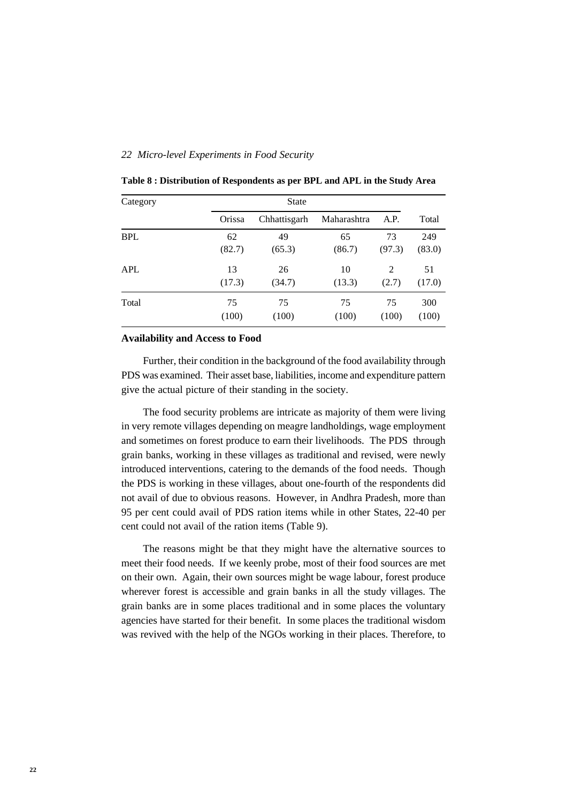| Category   |        | <b>State</b> |             |        |        |  |
|------------|--------|--------------|-------------|--------|--------|--|
|            | Orissa | Chhattisgarh | Maharashtra | A.P.   | Total  |  |
| <b>BPL</b> | 62     | 49           | 65          | 73     | 249    |  |
|            | (82.7) | (65.3)       | (86.7)      | (97.3) | (83.0) |  |
| APL        | 13     | 26           | 10          | 2      | 51     |  |
|            | (17.3) | (34.7)       | (13.3)      | (2.7)  | (17.0) |  |
| Total      | 75     | 75           | 75          | 75     | 300    |  |
|            | (100)  | (100)        | (100)       | (100)  | (100)  |  |

**Table 8 : Distribution of Respondents as per BPL and APL in the Study Area**

### **Availability and Access to Food**

Further, their condition in the background of the food availability through PDS was examined. Their asset base, liabilities, income and expenditure pattern give the actual picture of their standing in the society.

The food security problems are intricate as majority of them were living in very remote villages depending on meagre landholdings, wage employment and sometimes on forest produce to earn their livelihoods. The PDS through grain banks, working in these villages as traditional and revised, were newly introduced interventions, catering to the demands of the food needs. Though the PDS is working in these villages, about one-fourth of the respondents did not avail of due to obvious reasons. However, in Andhra Pradesh, more than 95 per cent could avail of PDS ration items while in other States, 22-40 per cent could not avail of the ration items (Table 9).

The reasons might be that they might have the alternative sources to meet their food needs. If we keenly probe, most of their food sources are met on their own. Again, their own sources might be wage labour, forest produce wherever forest is accessible and grain banks in all the study villages. The grain banks are in some places traditional and in some places the voluntary agencies have started for their benefit. In some places the traditional wisdom was revived with the help of the NGOs working in their places. Therefore, to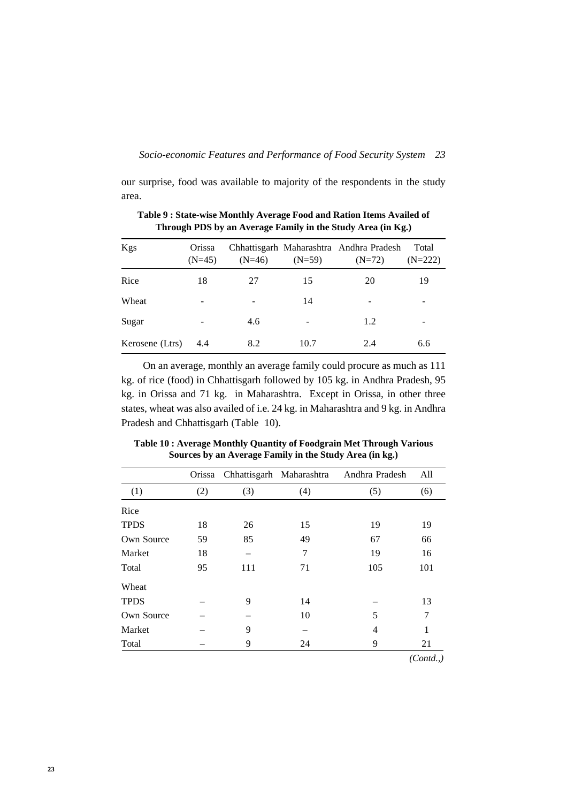our surprise, food was available to majority of the respondents in the study area.

| Kgs             | Orissa<br>$(N=45)$ | $(N=46)$ | $(N=59)$ | Chhattisgarh Maharashtra Andhra Pradesh<br>$(N=72)$ | Total<br>$(N=222)$ |
|-----------------|--------------------|----------|----------|-----------------------------------------------------|--------------------|
| Rice            | 18                 | 27       | 15       | 20                                                  | 19                 |
| Wheat           | -                  |          | 14       |                                                     |                    |
| Sugar           | ۰                  | 4.6      | ۰        | 1.2                                                 |                    |
| Kerosene (Ltrs) | 4.4                | 8.2      | 10.7     | 2.4                                                 | 6.6                |

**Table 9 : State-wise Monthly Average Food and Ration Items Availed of Through PDS by an Average Family in the Study Area (in Kg.)**

On an average, monthly an average family could procure as much as 111 kg. of rice (food) in Chhattisgarh followed by 105 kg. in Andhra Pradesh, 95 kg. in Orissa and 71 kg. in Maharashtra. Except in Orissa, in other three states, wheat was also availed of i.e. 24 kg. in Maharashtra and 9 kg. in Andhra Pradesh and Chhattisgarh (Table 10).

|             | Orissa |     | Chhattisgarh Maharashtra | Andhra Pradesh | All      |
|-------------|--------|-----|--------------------------|----------------|----------|
| (1)         | (2)    | (3) | (4)                      | (5)            | (6)      |
| Rice        |        |     |                          |                |          |
| <b>TPDS</b> | 18     | 26  | 15                       | 19             | 19       |
| Own Source  | 59     | 85  | 49                       | 67             | 66       |
| Market      | 18     |     | 7                        | 19             | 16       |
| Total       | 95     | 111 | 71                       | 105            | 101      |
| Wheat       |        |     |                          |                |          |
| <b>TPDS</b> |        | 9   | 14                       |                | 13       |
| Own Source  |        |     | 10                       | 5              | 7        |
| Market      |        | 9   |                          | 4              | 1        |
| Total       |        | 9   | 24                       | 9              | 21       |
|             |        |     |                          |                | (Cond.,) |

**Table 10 : Average Monthly Quantity of Foodgrain Met Through Various Sources by an Average Family in the Study Area (in kg.)**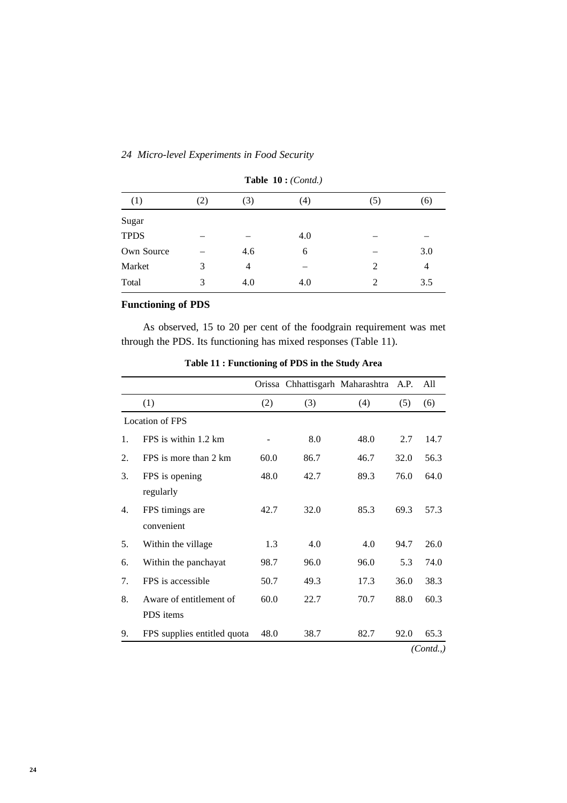| (1)         | (2) | (3) | (4) | (5)            | (6)            |
|-------------|-----|-----|-----|----------------|----------------|
| Sugar       |     |     |     |                |                |
| <b>TPDS</b> |     |     | 4.0 |                |                |
| Own Source  |     | 4.6 | 6   |                | 3.0            |
| Market      | 3   | 4   | -   | 2              | $\overline{4}$ |
| Total       | 3   | 4.0 | 4.0 | $\mathfrak{D}$ | 3.5            |

**Table 10 :** *(Contd.)*

# **Functioning of PDS**

As observed, 15 to 20 per cent of the foodgrain requirement was met through the PDS. Its functioning has mixed responses (Table 11).

|    |                             |      | Orissa Chhattisgarh Maharashtra A.P. |      |      | All      |
|----|-----------------------------|------|--------------------------------------|------|------|----------|
|    | (1)                         | (2)  | (3)                                  | (4)  | (5)  | (6)      |
|    | <b>Location of FPS</b>      |      |                                      |      |      |          |
| 1. | FPS is within 1.2 km        |      | 8.0                                  | 48.0 | 2.7  | 14.7     |
| 2. | FPS is more than 2 km       | 60.0 | 86.7                                 | 46.7 | 32.0 | 56.3     |
| 3. | FPS is opening              | 48.0 | 42.7                                 | 89.3 | 76.0 | 64.0     |
|    | regularly                   |      |                                      |      |      |          |
| 4. | FPS timings are             | 42.7 | 32.0                                 | 85.3 | 69.3 | 57.3     |
|    | convenient                  |      |                                      |      |      |          |
| 5. | Within the village          | 1.3  | 4.0                                  | 4.0  | 94.7 | 26.0     |
| 6. | Within the panchayat        | 98.7 | 96.0                                 | 96.0 | 5.3  | 74.0     |
| 7. | FPS is accessible           | 50.7 | 49.3                                 | 17.3 | 36.0 | 38.3     |
| 8. | Aware of entitlement of     | 60.0 | 22.7                                 | 70.7 | 88.0 | 60.3     |
|    | PDS items                   |      |                                      |      |      |          |
| 9. | FPS supplies entitled quota | 48.0 | 38.7                                 | 82.7 | 92.0 | 65.3     |
|    |                             |      |                                      |      |      | (Cond.,) |

**Table 11 : Functioning of PDS in the Study Area**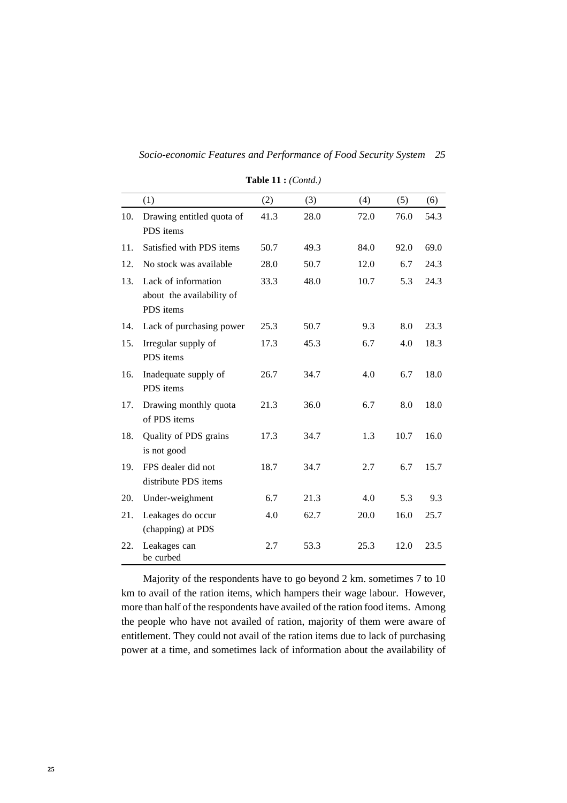|     | (1)                                                           | (2)  | (3)  | (4)  | (5)  | (6)  |
|-----|---------------------------------------------------------------|------|------|------|------|------|
| 10. | Drawing entitled quota of<br>PDS items                        | 41.3 | 28.0 | 72.0 | 76.0 | 54.3 |
| 11. | Satisfied with PDS items                                      | 50.7 | 49.3 | 84.0 | 92.0 | 69.0 |
| 12. | No stock was available                                        | 28.0 | 50.7 | 12.0 | 6.7  | 24.3 |
| 13. | Lack of information<br>about the availability of<br>PDS items | 33.3 | 48.0 | 10.7 | 5.3  | 24.3 |
| 14. | Lack of purchasing power                                      | 25.3 | 50.7 | 9.3  | 8.0  | 23.3 |
| 15. | Irregular supply of<br>PDS items                              | 17.3 | 45.3 | 6.7  | 4.0  | 18.3 |
| 16. | Inadequate supply of<br>PDS items                             | 26.7 | 34.7 | 4.0  | 6.7  | 18.0 |
| 17. | Drawing monthly quota<br>of PDS items                         | 21.3 | 36.0 | 6.7  | 8.0  | 18.0 |
| 18. | Quality of PDS grains<br>is not good                          | 17.3 | 34.7 | 1.3  | 10.7 | 16.0 |
| 19. | FPS dealer did not<br>distribute PDS items                    | 18.7 | 34.7 | 2.7  | 6.7  | 15.7 |
| 20. | Under-weighment                                               | 6.7  | 21.3 | 4.0  | 5.3  | 9.3  |
| 21. | Leakages do occur<br>(chapping) at PDS                        | 4.0  | 62.7 | 20.0 | 16.0 | 25.7 |
| 22. | Leakages can<br>be curbed                                     | 2.7  | 53.3 | 25.3 | 12.0 | 23.5 |

**Table 11 :** *(Contd.)*

Majority of the respondents have to go beyond 2 km. sometimes 7 to 10 km to avail of the ration items, which hampers their wage labour. However, more than half of the respondents have availed of the ration food items. Among the people who have not availed of ration, majority of them were aware of entitlement. They could not avail of the ration items due to lack of purchasing power at a time, and sometimes lack of information about the availability of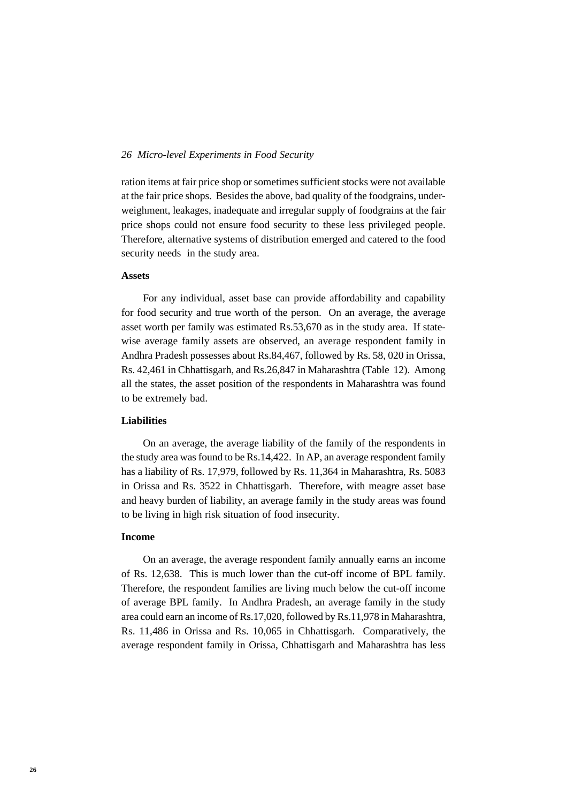ration items at fair price shop or sometimes sufficient stocks were not available at the fair price shops. Besides the above, bad quality of the foodgrains, underweighment, leakages, inadequate and irregular supply of foodgrains at the fair price shops could not ensure food security to these less privileged people. Therefore, alternative systems of distribution emerged and catered to the food security needs in the study area.

# **Assets**

For any individual, asset base can provide affordability and capability for food security and true worth of the person. On an average, the average asset worth per family was estimated Rs.53,670 as in the study area. If statewise average family assets are observed, an average respondent family in Andhra Pradesh possesses about Rs.84,467, followed by Rs. 58, 020 in Orissa, Rs. 42,461 in Chhattisgarh, and Rs.26,847 in Maharashtra (Table 12). Among all the states, the asset position of the respondents in Maharashtra was found to be extremely bad.

### **Liabilities**

On an average, the average liability of the family of the respondents in the study area was found to be Rs.14,422. In AP, an average respondent family has a liability of Rs. 17,979, followed by Rs. 11,364 in Maharashtra, Rs. 5083 in Orissa and Rs. 3522 in Chhattisgarh. Therefore, with meagre asset base and heavy burden of liability, an average family in the study areas was found to be living in high risk situation of food insecurity.

### **Income**

On an average, the average respondent family annually earns an income of Rs. 12,638. This is much lower than the cut-off income of BPL family. Therefore, the respondent families are living much below the cut-off income of average BPL family. In Andhra Pradesh, an average family in the study area could earn an income of Rs.17,020, followed by Rs.11,978 in Maharashtra, Rs. 11,486 in Orissa and Rs. 10,065 in Chhattisgarh. Comparatively, the average respondent family in Orissa, Chhattisgarh and Maharashtra has less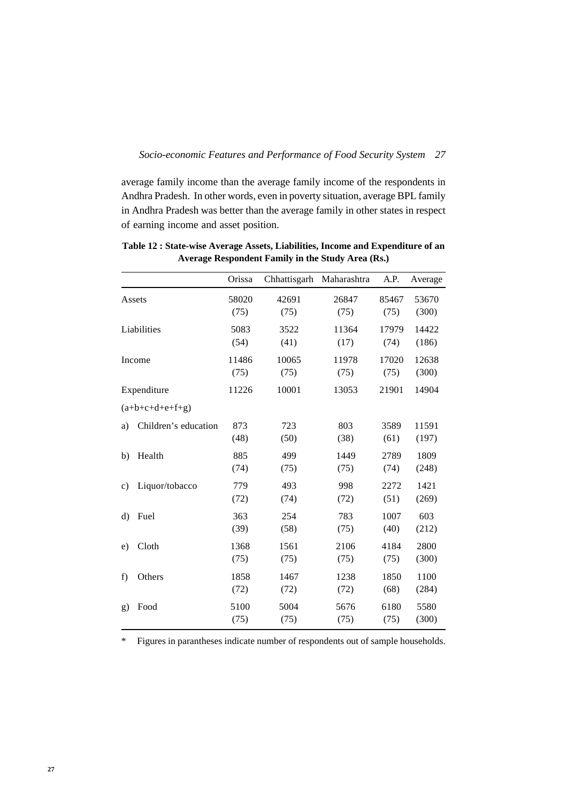average family income than the average family income of the respondents in Andhra Pradesh. In other words, even in poverty situation, average BPL family in Andhra Pradesh was better than the average family in other states in respect of earning income and asset position.

|              |                      | Orissa        | Chhattisgarh  | Maharashtra   | A.P.          | Average        |
|--------------|----------------------|---------------|---------------|---------------|---------------|----------------|
|              | Assets               | 58020<br>(75) | 42691<br>(75) | 26847<br>(75) | 85467<br>(75) | 53670<br>(300) |
|              | Liabilities          | 5083<br>(54)  | 3522<br>(41)  | 11364<br>(17) | 17979<br>(74) | 14422<br>(186) |
|              | Income               | 11486<br>(75) | 10065<br>(75) | 11978<br>(75) | 17020<br>(75) | 12638<br>(300) |
|              | Expenditure          | 11226         | 10001         | 13053         | 21901         | 14904          |
|              | $(a+b+c+d+e+f+g)$    |               |               |               |               |                |
| a)           | Children's education | 873<br>(48)   | 723<br>(50)   | 803<br>(38)   | 3589<br>(61)  | 11591<br>(197) |
| b)           | Health               | 885<br>(74)   | 499<br>(75)   | 1449<br>(75)  | 2789<br>(74)  | 1809<br>(248)  |
| $\mathbf{c}$ | Liquor/tobacco       | 779<br>(72)   | 493<br>(74)   | 998<br>(72)   | 2272<br>(51)  | 1421<br>(269)  |
| d)           | Fuel                 | 363<br>(39)   | 254<br>(58)   | 783<br>(75)   | 1007<br>(40)  | 603<br>(212)   |
| e)           | Cloth                | 1368<br>(75)  | 1561<br>(75)  | 2106<br>(75)  | 4184<br>(75)  | 2800<br>(300)  |
| f)           | Others               | 1858<br>(72)  | 1467<br>(72)  | 1238<br>(72)  | 1850<br>(68)  | 1100<br>(284)  |
| g)           | Food                 | 5100<br>(75)  | 5004<br>(75)  | 5676<br>(75)  | 6180<br>(75)  | 5580<br>(300)  |

**Table 12 : State-wise Average Assets, Liabilities, Income and Expenditure of an Average Respondent Family in the Study Area (Rs.)**

\* Figures in parantheses indicate number of respondents out of sample households.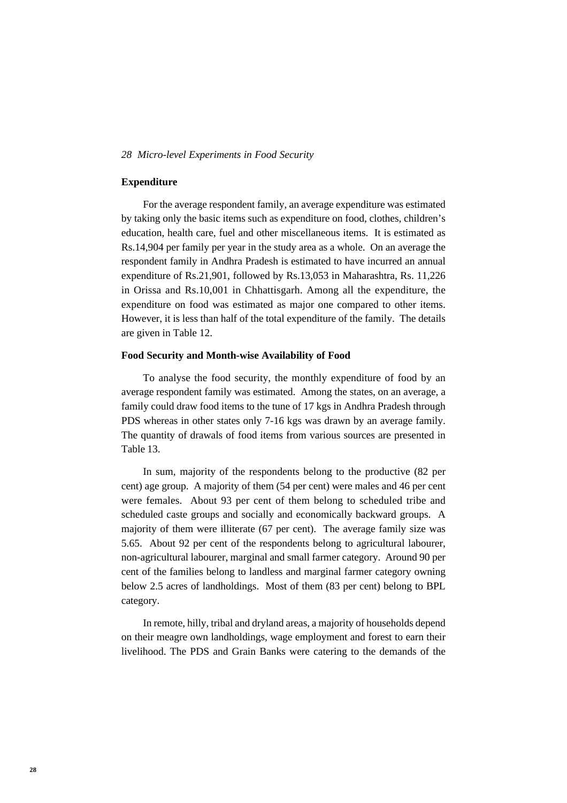### **Expenditure**

For the average respondent family, an average expenditure was estimated by taking only the basic items such as expenditure on food, clothes, children's education, health care, fuel and other miscellaneous items. It is estimated as Rs.14,904 per family per year in the study area as a whole. On an average the respondent family in Andhra Pradesh is estimated to have incurred an annual expenditure of Rs.21,901, followed by Rs.13,053 in Maharashtra, Rs. 11,226 in Orissa and Rs.10,001 in Chhattisgarh. Among all the expenditure, the expenditure on food was estimated as major one compared to other items. However, it is less than half of the total expenditure of the family. The details are given in Table 12.

### **Food Security and Month-wise Availability of Food**

To analyse the food security, the monthly expenditure of food by an average respondent family was estimated. Among the states, on an average, a family could draw food items to the tune of 17 kgs in Andhra Pradesh through PDS whereas in other states only 7-16 kgs was drawn by an average family. The quantity of drawals of food items from various sources are presented in Table 13.

In sum, majority of the respondents belong to the productive (82 per cent) age group. A majority of them (54 per cent) were males and 46 per cent were females. About 93 per cent of them belong to scheduled tribe and scheduled caste groups and socially and economically backward groups. A majority of them were illiterate (67 per cent). The average family size was 5.65. About 92 per cent of the respondents belong to agricultural labourer, non-agricultural labourer, marginal and small farmer category. Around 90 per cent of the families belong to landless and marginal farmer category owning below 2.5 acres of landholdings. Most of them (83 per cent) belong to BPL category.

In remote, hilly, tribal and dryland areas, a majority of households depend on their meagre own landholdings, wage employment and forest to earn their livelihood. The PDS and Grain Banks were catering to the demands of the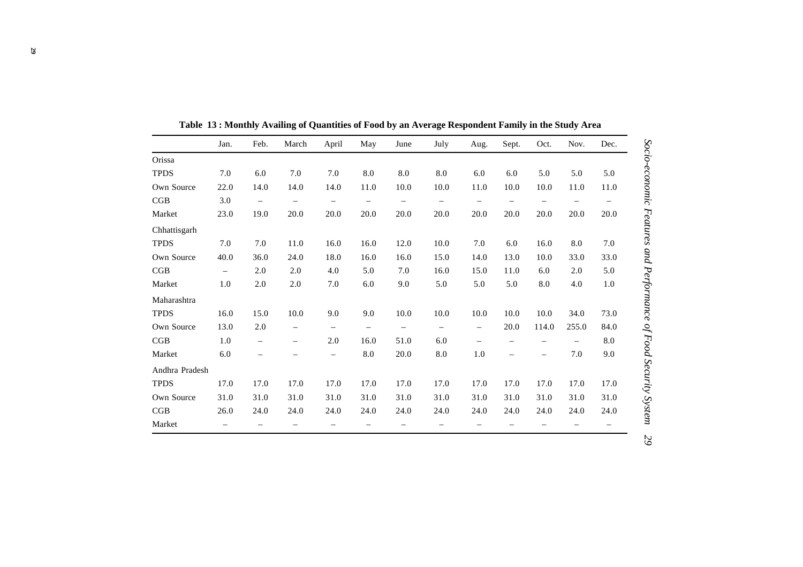|                | Jan.                     | Feb.                     | March                    | April                    | May                      | June                     | July                     | Aug.                     | Sept.                    | Oct.                     | Nov.  | Dec.                     |
|----------------|--------------------------|--------------------------|--------------------------|--------------------------|--------------------------|--------------------------|--------------------------|--------------------------|--------------------------|--------------------------|-------|--------------------------|
| Orissa         |                          |                          |                          |                          |                          |                          |                          |                          |                          |                          |       |                          |
| <b>TPDS</b>    | 7.0                      | 6.0                      | 7.0                      | 7.0                      | $\ \, 8.0$               | 8.0                      | 8.0                      | 6.0                      | 6.0                      | 5.0                      | 5.0   | 5.0                      |
| Own Source     | 22.0                     | 14.0                     | 14.0                     | 14.0                     | 11.0                     | 10.0                     | 10.0                     | 11.0                     | 10.0                     | 10.0                     | 11.0  | 11.0                     |
| CGB            | 3.0                      | $\overline{\phantom{m}}$ | $\overline{\phantom{0}}$ |                          | $\overline{\phantom{0}}$ | $\overline{\phantom{0}}$ | $\qquad \qquad -$        |                          | $\overline{\phantom{m}}$ |                          |       | $\overline{\phantom{m}}$ |
| Market         | 23.0                     | 19.0                     | 20.0                     | 20.0                     | 20.0                     | 20.0                     | 20.0                     | 20.0                     | 20.0                     | 20.0                     | 20.0  | 20.0                     |
| Chhattisgarh   |                          |                          |                          |                          |                          |                          |                          |                          |                          |                          |       |                          |
| <b>TPDS</b>    | 7.0                      | 7.0                      | 11.0                     | 16.0                     | 16.0                     | 12.0                     | 10.0                     | 7.0                      | 6.0                      | 16.0                     | 8.0   | 7.0                      |
| Own Source     | 40.0                     | 36.0                     | 24.0                     | 18.0                     | 16.0                     | 16.0                     | 15.0                     | 14.0                     | 13.0                     | 10.0                     | 33.0  | 33.0                     |
| CGB            | $\equiv$                 | 2.0                      | 2.0                      | 4.0                      | 5.0                      | 7.0                      | 16.0                     | 15.0                     | 11.0                     | 6.0                      | 2.0   | 5.0                      |
| Market         | 1.0                      | 2.0                      | 2.0                      | 7.0                      | 6.0                      | 9.0                      | 5.0                      | 5.0                      | 5.0                      | 8.0                      | 4.0   | $1.0\,$                  |
| Maharashtra    |                          |                          |                          |                          |                          |                          |                          |                          |                          |                          |       |                          |
| <b>TPDS</b>    | 16.0                     | 15.0                     | 10.0                     | 9.0                      | 9.0                      | 10.0                     | 10.0                     | 10.0                     | 10.0                     | 10.0                     | 34.0  | 73.0                     |
| Own Source     | 13.0                     | 2.0                      | $\overline{\phantom{0}}$ | $\overline{\phantom{m}}$ | $\overline{\phantom{m}}$ | $\overline{\phantom{m}}$ | $\overline{\phantom{0}}$ | $\overline{\phantom{m}}$ | 20.0                     | 114.0                    | 255.0 | 84.0                     |
| CGB            | 1.0                      | $\qquad \qquad -$        | $\overline{\phantom{0}}$ | 2.0                      | 16.0                     | 51.0                     | 6.0                      | $\overline{\phantom{0}}$ |                          | $\qquad \qquad -$        |       | 8.0                      |
| Market         | 6.0                      | $\overline{\phantom{m}}$ | $\overline{\phantom{0}}$ | $\overline{\phantom{m}}$ | 8.0                      | 20.0                     | 8.0                      | 1.0                      | $\overline{\phantom{m}}$ | $\overline{\phantom{0}}$ | 7.0   | 9.0                      |
| Andhra Pradesh |                          |                          |                          |                          |                          |                          |                          |                          |                          |                          |       |                          |
| <b>TPDS</b>    | 17.0                     | 17.0                     | 17.0                     | 17.0                     | 17.0                     | 17.0                     | 17.0                     | 17.0                     | 17.0                     | 17.0                     | 17.0  | 17.0                     |
| Own Source     | 31.0                     | 31.0                     | 31.0                     | 31.0                     | 31.0                     | 31.0                     | 31.0                     | 31.0                     | 31.0                     | 31.0                     | 31.0  | 31.0                     |
| CGB            | 26.0                     | 24.0                     | 24.0                     | 24.0                     | 24.0                     | 24.0                     | 24.0                     | 24.0                     | 24.0                     | 24.0                     | 24.0  | 24.0                     |
| Market         | $\overline{\phantom{0}}$ |                          |                          |                          |                          |                          |                          |                          |                          |                          |       |                          |

**Table 13 : Monthly Availing of Quantities of Food by an Average Respondent Family in the Study Area**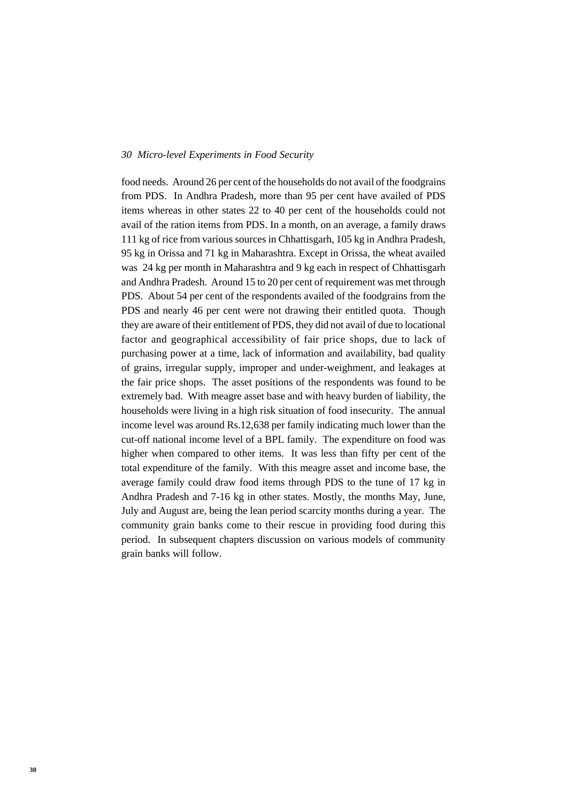food needs. Around 26 per cent of the households do not avail of the foodgrains from PDS. In Andhra Pradesh, more than 95 per cent have availed of PDS items whereas in other states 22 to 40 per cent of the households could not avail of the ration items from PDS. In a month, on an average, a family draws 111 kg of rice from various sources in Chhattisgarh, 105 kg in Andhra Pradesh, 95 kg in Orissa and 71 kg in Maharashtra. Except in Orissa, the wheat availed was 24 kg per month in Maharashtra and 9 kg each in respect of Chhattisgarh and Andhra Pradesh. Around 15 to 20 per cent of requirement was met through PDS. About 54 per cent of the respondents availed of the foodgrains from the PDS and nearly 46 per cent were not drawing their entitled quota. Though they are aware of their entitlement of PDS, they did not avail of due to locational factor and geographical accessibility of fair price shops, due to lack of purchasing power at a time, lack of information and availability, bad quality of grains, irregular supply, improper and under-weighment, and leakages at the fair price shops. The asset positions of the respondents was found to be extremely bad. With meagre asset base and with heavy burden of liability, the households were living in a high risk situation of food insecurity. The annual income level was around Rs.12,638 per family indicating much lower than the cut-off national income level of a BPL family. The expenditure on food was higher when compared to other items. It was less than fifty per cent of the total expenditure of the family. With this meagre asset and income base, the average family could draw food items through PDS to the tune of 17 kg in Andhra Pradesh and 7-16 kg in other states. Mostly, the months May, June, July and August are, being the lean period scarcity months during a year. The community grain banks come to their rescue in providing food during this period. In subsequent chapters discussion on various models of community grain banks will follow.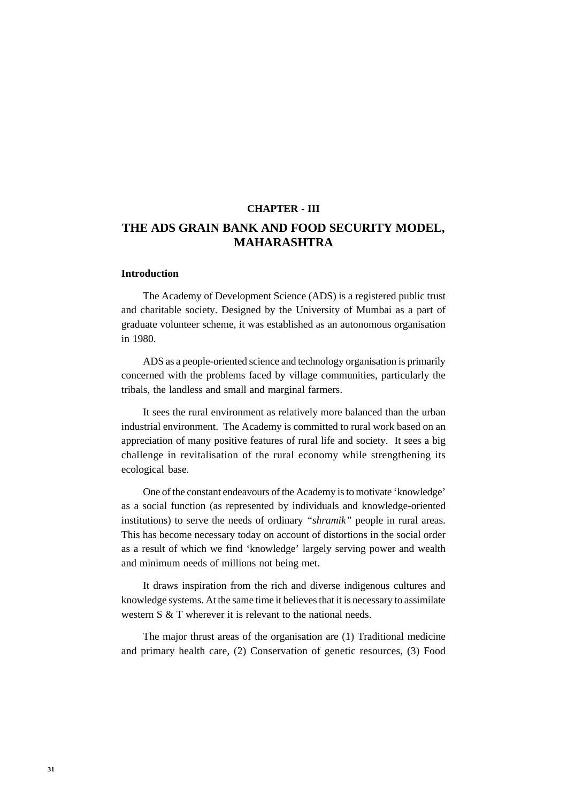### **CHAPTER - III**

# **THE ADS GRAIN BANK AND FOOD SECURITY MODEL, MAHARASHTRA**

### **Introduction**

The Academy of Development Science (ADS) is a registered public trust and charitable society. Designed by the University of Mumbai as a part of graduate volunteer scheme, it was established as an autonomous organisation in 1980.

ADS as a people-oriented science and technology organisation is primarily concerned with the problems faced by village communities, particularly the tribals, the landless and small and marginal farmers.

It sees the rural environment as relatively more balanced than the urban industrial environment. The Academy is committed to rural work based on an appreciation of many positive features of rural life and society. It sees a big challenge in revitalisation of the rural economy while strengthening its ecological base.

One of the constant endeavours of the Academy is to motivate 'knowledge' as a social function (as represented by individuals and knowledge-oriented institutions) to serve the needs of ordinary *"shramik"* people in rural areas. This has become necessary today on account of distortions in the social order as a result of which we find 'knowledge' largely serving power and wealth and minimum needs of millions not being met.

It draws inspiration from the rich and diverse indigenous cultures and knowledge systems. At the same time it believes that it is necessary to assimilate western S & T wherever it is relevant to the national needs.

The major thrust areas of the organisation are (1) Traditional medicine and primary health care, (2) Conservation of genetic resources, (3) Food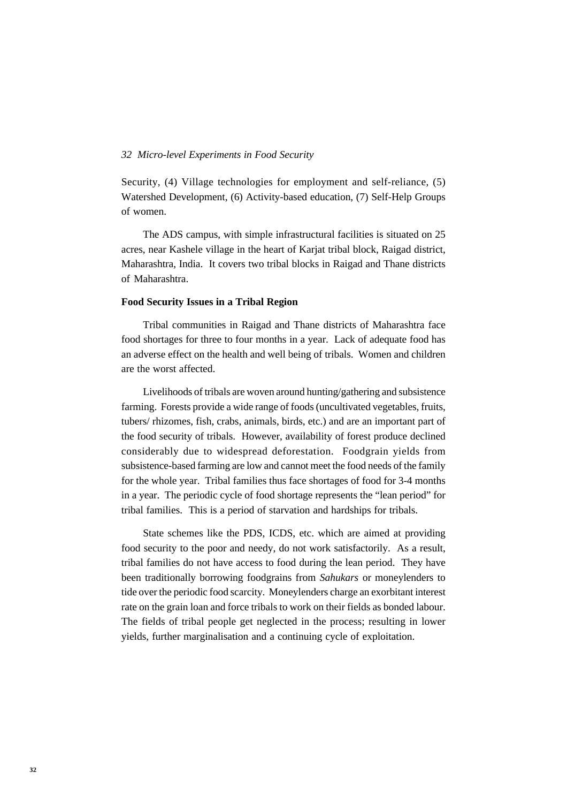Security, (4) Village technologies for employment and self-reliance, (5) Watershed Development, (6) Activity-based education, (7) Self-Help Groups of women.

The ADS campus, with simple infrastructural facilities is situated on 25 acres, near Kashele village in the heart of Karjat tribal block, Raigad district, Maharashtra, India. It covers two tribal blocks in Raigad and Thane districts of Maharashtra.

### **Food Security Issues in a Tribal Region**

Tribal communities in Raigad and Thane districts of Maharashtra face food shortages for three to four months in a year. Lack of adequate food has an adverse effect on the health and well being of tribals. Women and children are the worst affected.

Livelihoods of tribals are woven around hunting/gathering and subsistence farming. Forests provide a wide range of foods (uncultivated vegetables, fruits, tubers/ rhizomes, fish, crabs, animals, birds, etc.) and are an important part of the food security of tribals. However, availability of forest produce declined considerably due to widespread deforestation. Foodgrain yields from subsistence-based farming are low and cannot meet the food needs of the family for the whole year. Tribal families thus face shortages of food for 3-4 months in a year. The periodic cycle of food shortage represents the "lean period" for tribal families. This is a period of starvation and hardships for tribals.

State schemes like the PDS, ICDS, etc. which are aimed at providing food security to the poor and needy, do not work satisfactorily. As a result, tribal families do not have access to food during the lean period. They have been traditionally borrowing foodgrains from *Sahukars* or moneylenders to tide over the periodic food scarcity. Moneylenders charge an exorbitant interest rate on the grain loan and force tribals to work on their fields as bonded labour. The fields of tribal people get neglected in the process; resulting in lower yields, further marginalisation and a continuing cycle of exploitation.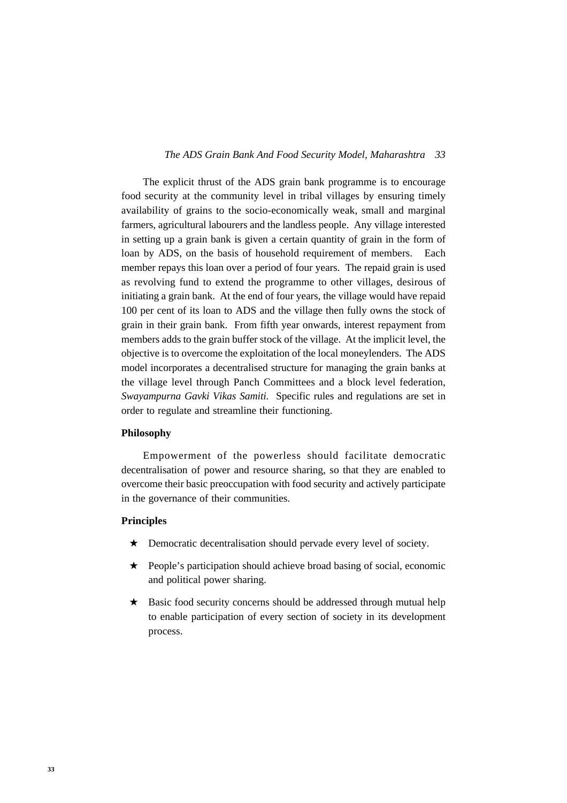# *33 The ADS Grain Bank And Food Security Model, Maharashtra*

The explicit thrust of the ADS grain bank programme is to encourage food security at the community level in tribal villages by ensuring timely availability of grains to the socio-economically weak, small and marginal farmers, agricultural labourers and the landless people. Any village interested in setting up a grain bank is given a certain quantity of grain in the form of loan by ADS, on the basis of household requirement of members. Each member repays this loan over a period of four years. The repaid grain is used as revolving fund to extend the programme to other villages, desirous of initiating a grain bank. At the end of four years, the village would have repaid 100 per cent of its loan to ADS and the village then fully owns the stock of grain in their grain bank. From fifth year onwards, interest repayment from members adds to the grain buffer stock of the village. At the implicit level, the objective is to overcome the exploitation of the local moneylenders. The ADS model incorporates a decentralised structure for managing the grain banks at the village level through Panch Committees and a block level federation, *Swayampurna Gavki Vikas Samiti.* Specific rules and regulations are set in order to regulate and streamline their functioning.

### **Philosophy**

Empowerment of the powerless should facilitate democratic decentralisation of power and resource sharing, so that they are enabled to overcome their basic preoccupation with food security and actively participate in the governance of their communities.

# **Principles**

- ★ Democratic decentralisation should pervade every level of society.
- ★ People's participation should achieve broad basing of social, economic and political power sharing.
- ★ Basic food security concerns should be addressed through mutual help to enable participation of every section of society in its development process.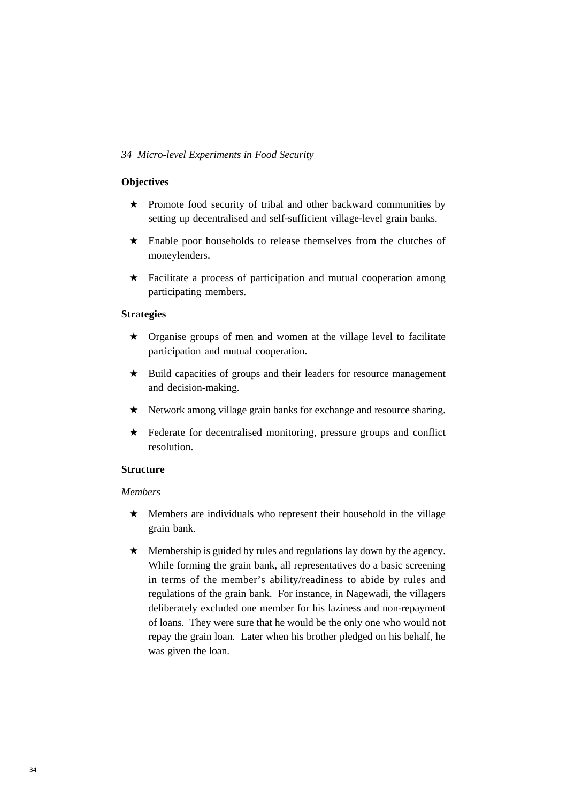# **Objectives**

- ★ Promote food security of tribal and other backward communities by setting up decentralised and self-sufficient village-level grain banks.
- ★ Enable poor households to release themselves from the clutches of moneylenders.
- $\star$  Facilitate a process of participation and mutual cooperation among participating members.

# **Strategies**

- ★ Organise groups of men and women at the village level to facilitate participation and mutual cooperation.
- ★ Build capacities of groups and their leaders for resource management and decision-making.
- ★ Network among village grain banks for exchange and resource sharing.
- ★ Federate for decentralised monitoring, pressure groups and conflict resolution.

# **Structure**

# *Members*

- ★ Members are individuals who represent their household in the village grain bank.
- ★ Membership is guided by rules and regulations lay down by the agency. While forming the grain bank, all representatives do a basic screening in terms of the member's ability/readiness to abide by rules and regulations of the grain bank. For instance, in Nagewadi, the villagers deliberately excluded one member for his laziness and non-repayment of loans. They were sure that he would be the only one who would not repay the grain loan. Later when his brother pledged on his behalf, he was given the loan.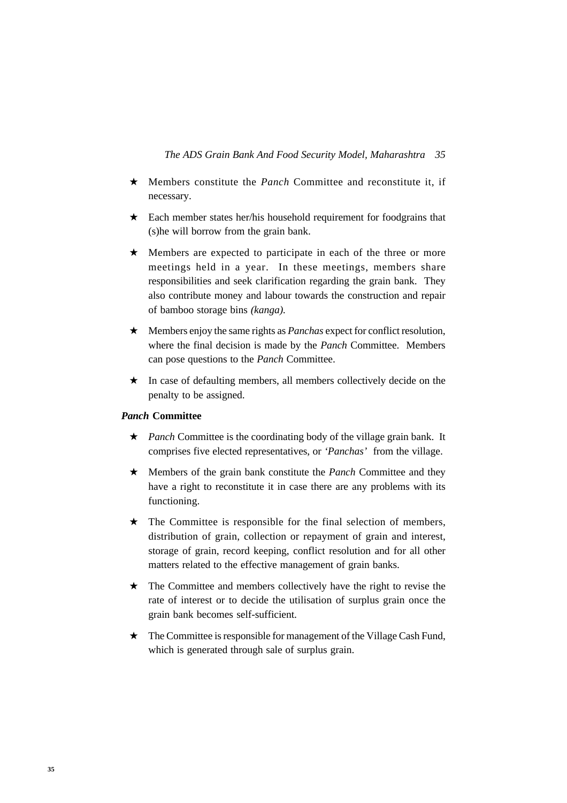- ★ Members constitute the *Panch* Committee and reconstitute it, if necessary.
- ★ Each member states her/his household requirement for foodgrains that (s)he will borrow from the grain bank.
- ★ Members are expected to participate in each of the three or more meetings held in a year. In these meetings, members share responsibilities and seek clarification regarding the grain bank. They also contribute money and labour towards the construction and repair of bamboo storage bins *(kanga).*
- ★ Members enjoy the same rights as *Panchas* expect for conflict resolution, where the final decision is made by the *Panch* Committee. Members can pose questions to the *Panch* Committee.
- ★ In case of defaulting members, all members collectively decide on the penalty to be assigned.

# *Panch* **Committee**

- ★ *Panch* Committee is the coordinating body of the village grain bank. It comprises five elected representatives, or *'Panchas'* from the village.
- ★ Members of the grain bank constitute the *Panch* Committee and they have a right to reconstitute it in case there are any problems with its functioning.
- $\star$  The Committee is responsible for the final selection of members, distribution of grain, collection or repayment of grain and interest, storage of grain, record keeping, conflict resolution and for all other matters related to the effective management of grain banks.
- ★ The Committee and members collectively have the right to revise the rate of interest or to decide the utilisation of surplus grain once the grain bank becomes self-sufficient.
- ★ The Committee is responsible for management of the Village Cash Fund, which is generated through sale of surplus grain.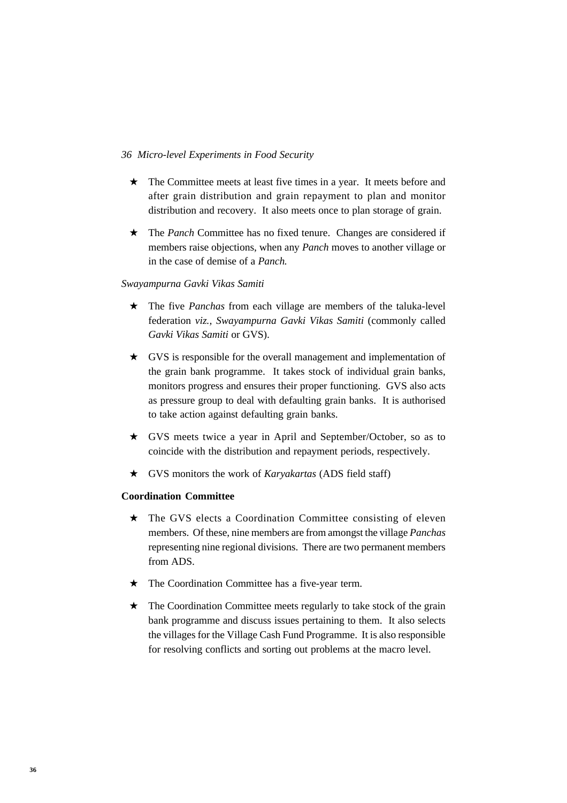- ★ The Committee meets at least five times in a year. It meets before and after grain distribution and grain repayment to plan and monitor distribution and recovery. It also meets once to plan storage of grain.
- ★ The *Panch* Committee has no fixed tenure. Changes are considered if members raise objections, when any *Panch* moves to another village or in the case of demise of a *Panch.*

# *Swayampurna Gavki Vikas Samiti*

- ★ The five *Panchas* from each village are members of the taluka-level federation *viz., Swayampurna Gavki Vikas Samiti* (commonly called *Gavki Vikas Samiti* or GVS).
- ★ GVS is responsible for the overall management and implementation of the grain bank programme. It takes stock of individual grain banks, monitors progress and ensures their proper functioning. GVS also acts as pressure group to deal with defaulting grain banks. It is authorised to take action against defaulting grain banks.
- ★ GVS meets twice a year in April and September/October, so as to coincide with the distribution and repayment periods, respectively.
- ★ GVS monitors the work of *Karyakartas* (ADS field staff)

# **Coordination Committee**

- ★ The GVS elects a Coordination Committee consisting of eleven members. Of these, nine members are from amongst the village *Panchas* representing nine regional divisions. There are two permanent members from ADS.
- ★ The Coordination Committee has a five-year term.
- ★ The Coordination Committee meets regularly to take stock of the grain bank programme and discuss issues pertaining to them. It also selects the villages for the Village Cash Fund Programme. It is also responsible for resolving conflicts and sorting out problems at the macro level.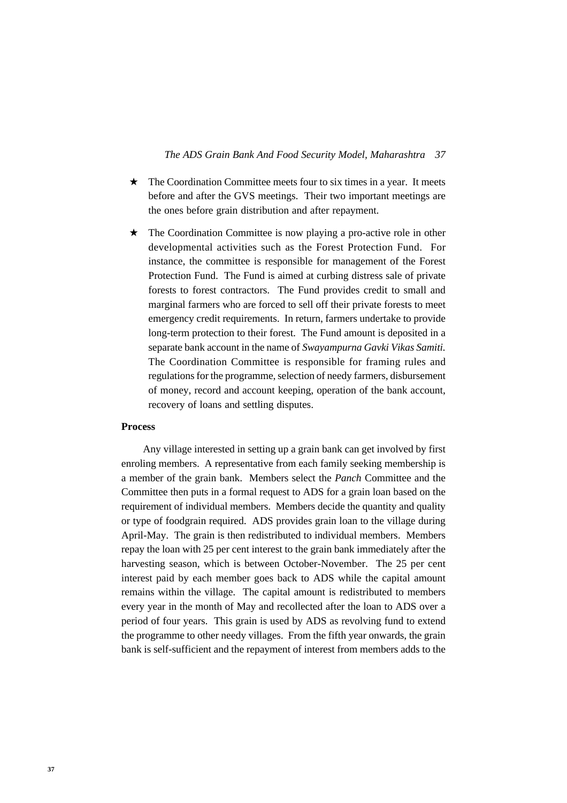#### *37 The ADS Grain Bank And Food Security Model, Maharashtra*

- ★ The Coordination Committee meets four to six times in a year. It meets before and after the GVS meetings. Their two important meetings are the ones before grain distribution and after repayment.
- ★ The Coordination Committee is now playing a pro-active role in other developmental activities such as the Forest Protection Fund. For instance, the committee is responsible for management of the Forest Protection Fund. The Fund is aimed at curbing distress sale of private forests to forest contractors. The Fund provides credit to small and marginal farmers who are forced to sell off their private forests to meet emergency credit requirements. In return, farmers undertake to provide long-term protection to their forest. The Fund amount is deposited in a separate bank account in the name of *Swayampurna Gavki Vikas Samiti.* The Coordination Committee is responsible for framing rules and regulations for the programme, selection of needy farmers, disbursement of money, record and account keeping, operation of the bank account, recovery of loans and settling disputes.

#### **Process**

Any village interested in setting up a grain bank can get involved by first enroling members. A representative from each family seeking membership is a member of the grain bank. Members select the *Panch* Committee and the Committee then puts in a formal request to ADS for a grain loan based on the requirement of individual members. Members decide the quantity and quality or type of foodgrain required. ADS provides grain loan to the village during April-May. The grain is then redistributed to individual members. Members repay the loan with 25 per cent interest to the grain bank immediately after the harvesting season, which is between October-November. The 25 per cent interest paid by each member goes back to ADS while the capital amount remains within the village. The capital amount is redistributed to members every year in the month of May and recollected after the loan to ADS over a period of four years. This grain is used by ADS as revolving fund to extend the programme to other needy villages. From the fifth year onwards, the grain bank is self-sufficient and the repayment of interest from members adds to the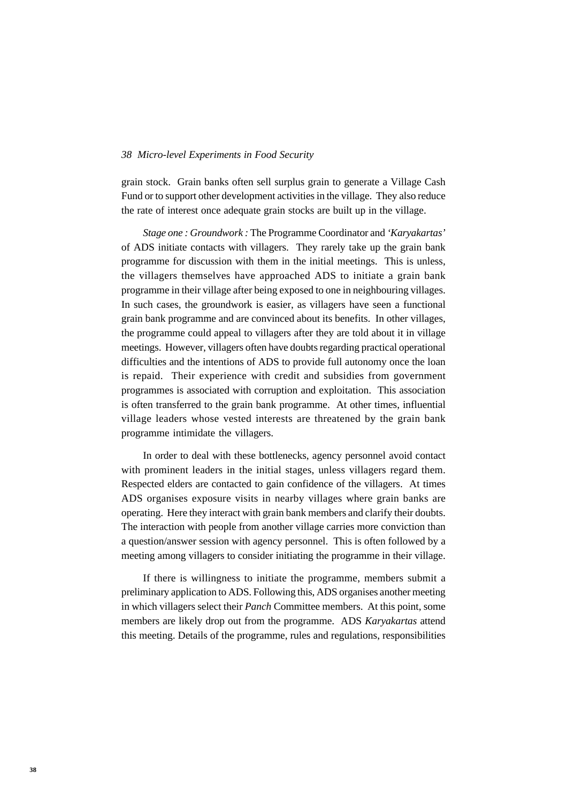grain stock. Grain banks often sell surplus grain to generate a Village Cash Fund or to support other development activities in the village. They also reduce the rate of interest once adequate grain stocks are built up in the village.

*Stage one : Groundwork :* The Programme Coordinator and *'Karyakartas'* of ADS initiate contacts with villagers. They rarely take up the grain bank programme for discussion with them in the initial meetings. This is unless, the villagers themselves have approached ADS to initiate a grain bank programme in their village after being exposed to one in neighbouring villages. In such cases, the groundwork is easier, as villagers have seen a functional grain bank programme and are convinced about its benefits. In other villages, the programme could appeal to villagers after they are told about it in village meetings. However, villagers often have doubts regarding practical operational difficulties and the intentions of ADS to provide full autonomy once the loan is repaid. Their experience with credit and subsidies from government programmes is associated with corruption and exploitation. This association is often transferred to the grain bank programme. At other times, influential village leaders whose vested interests are threatened by the grain bank programme intimidate the villagers.

In order to deal with these bottlenecks, agency personnel avoid contact with prominent leaders in the initial stages, unless villagers regard them. Respected elders are contacted to gain confidence of the villagers. At times ADS organises exposure visits in nearby villages where grain banks are operating. Here they interact with grain bank members and clarify their doubts. The interaction with people from another village carries more conviction than a question/answer session with agency personnel. This is often followed by a meeting among villagers to consider initiating the programme in their village.

If there is willingness to initiate the programme, members submit a preliminary application to ADS. Following this, ADS organises another meeting in which villagers select their *Panch* Committee members. At this point, some members are likely drop out from the programme. ADS *Karyakartas* attend this meeting. Details of the programme, rules and regulations, responsibilities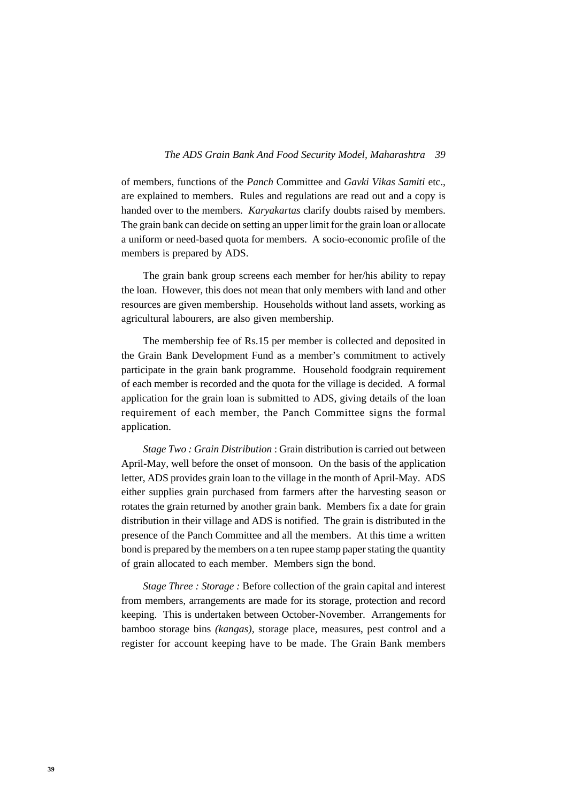of members, functions of the *Panch* Committee and *Gavki Vikas Samiti* etc., are explained to members. Rules and regulations are read out and a copy is handed over to the members. *Karyakartas* clarify doubts raised by members. The grain bank can decide on setting an upper limit for the grain loan or allocate a uniform or need-based quota for members. A socio-economic profile of the members is prepared by ADS.

The grain bank group screens each member for her/his ability to repay the loan. However, this does not mean that only members with land and other resources are given membership. Households without land assets, working as agricultural labourers, are also given membership.

The membership fee of Rs.15 per member is collected and deposited in the Grain Bank Development Fund as a member's commitment to actively participate in the grain bank programme. Household foodgrain requirement of each member is recorded and the quota for the village is decided. A formal application for the grain loan is submitted to ADS, giving details of the loan requirement of each member, the Panch Committee signs the formal application.

*Stage Two : Grain Distribution* : Grain distribution is carried out between April-May, well before the onset of monsoon. On the basis of the application letter, ADS provides grain loan to the village in the month of April-May. ADS either supplies grain purchased from farmers after the harvesting season or rotates the grain returned by another grain bank. Members fix a date for grain distribution in their village and ADS is notified. The grain is distributed in the presence of the Panch Committee and all the members. At this time a written bond is prepared by the members on a ten rupee stamp paper stating the quantity of grain allocated to each member. Members sign the bond.

*Stage Three : Storage :* Before collection of the grain capital and interest from members, arrangements are made for its storage, protection and record keeping. This is undertaken between October-November. Arrangements for bamboo storage bins *(kangas),* storage place, measures, pest control and a register for account keeping have to be made. The Grain Bank members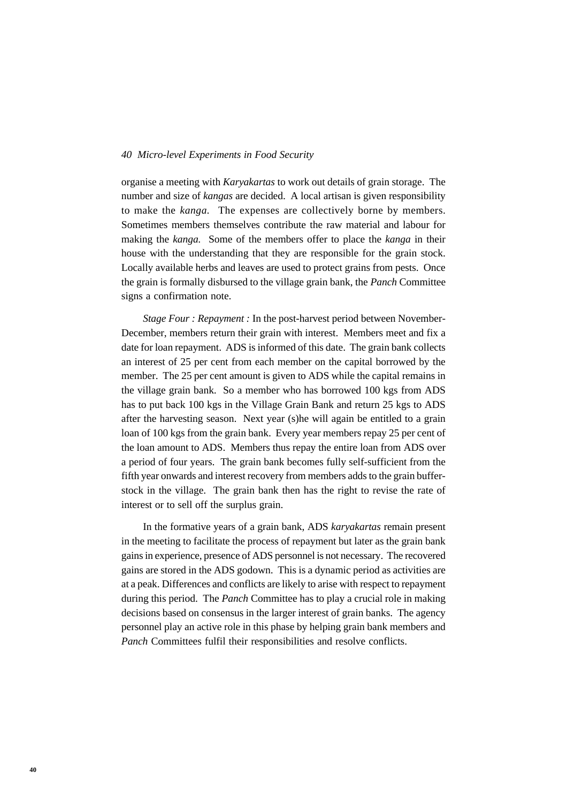organise a meeting with *Karyakartas* to work out details of grain storage. The number and size of *kangas* are decided. A local artisan is given responsibility to make the *kanga.* The expenses are collectively borne by members. Sometimes members themselves contribute the raw material and labour for making the *kanga.* Some of the members offer to place the *kanga* in their house with the understanding that they are responsible for the grain stock. Locally available herbs and leaves are used to protect grains from pests. Once the grain is formally disbursed to the village grain bank, the *Panch* Committee signs a confirmation note.

*Stage Four : Repayment :* In the post-harvest period between November-December, members return their grain with interest. Members meet and fix a date for loan repayment. ADS is informed of this date. The grain bank collects an interest of 25 per cent from each member on the capital borrowed by the member. The 25 per cent amount is given to ADS while the capital remains in the village grain bank. So a member who has borrowed 100 kgs from ADS has to put back 100 kgs in the Village Grain Bank and return 25 kgs to ADS after the harvesting season. Next year (s)he will again be entitled to a grain loan of 100 kgs from the grain bank. Every year members repay 25 per cent of the loan amount to ADS. Members thus repay the entire loan from ADS over a period of four years. The grain bank becomes fully self-sufficient from the fifth year onwards and interest recovery from members adds to the grain bufferstock in the village. The grain bank then has the right to revise the rate of interest or to sell off the surplus grain.

In the formative years of a grain bank, ADS *karyakartas* remain present in the meeting to facilitate the process of repayment but later as the grain bank gains in experience, presence of ADS personnel is not necessary. The recovered gains are stored in the ADS godown. This is a dynamic period as activities are at a peak. Differences and conflicts are likely to arise with respect to repayment during this period. The *Panch* Committee has to play a crucial role in making decisions based on consensus in the larger interest of grain banks. The agency personnel play an active role in this phase by helping grain bank members and *Panch* Committees fulfil their responsibilities and resolve conflicts.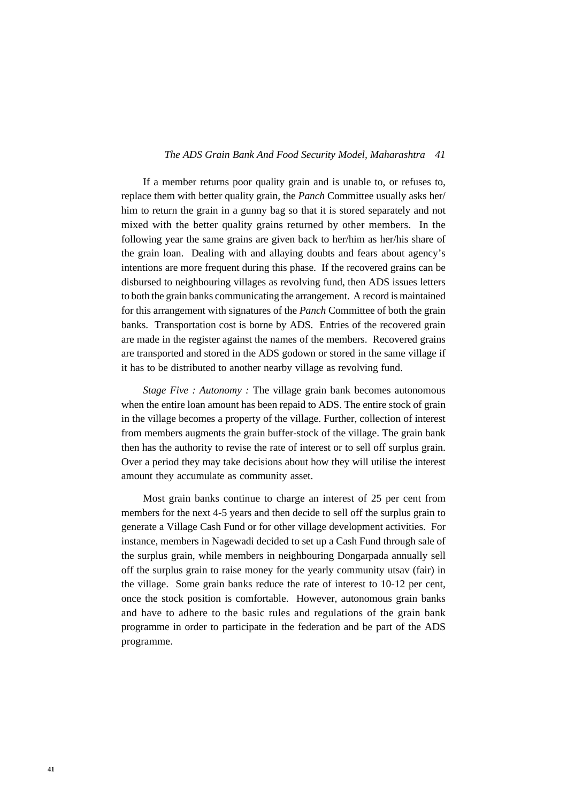#### *41 The ADS Grain Bank And Food Security Model, Maharashtra*

If a member returns poor quality grain and is unable to, or refuses to, replace them with better quality grain, the *Panch* Committee usually asks her/ him to return the grain in a gunny bag so that it is stored separately and not mixed with the better quality grains returned by other members. In the following year the same grains are given back to her/him as her/his share of the grain loan. Dealing with and allaying doubts and fears about agency's intentions are more frequent during this phase. If the recovered grains can be disbursed to neighbouring villages as revolving fund, then ADS issues letters to both the grain banks communicating the arrangement. A record is maintained for this arrangement with signatures of the *Panch* Committee of both the grain banks. Transportation cost is borne by ADS. Entries of the recovered grain are made in the register against the names of the members. Recovered grains are transported and stored in the ADS godown or stored in the same village if it has to be distributed to another nearby village as revolving fund.

*Stage Five : Autonomy :* The village grain bank becomes autonomous when the entire loan amount has been repaid to ADS. The entire stock of grain in the village becomes a property of the village. Further, collection of interest from members augments the grain buffer-stock of the village. The grain bank then has the authority to revise the rate of interest or to sell off surplus grain. Over a period they may take decisions about how they will utilise the interest amount they accumulate as community asset.

Most grain banks continue to charge an interest of 25 per cent from members for the next 4-5 years and then decide to sell off the surplus grain to generate a Village Cash Fund or for other village development activities. For instance, members in Nagewadi decided to set up a Cash Fund through sale of the surplus grain, while members in neighbouring Dongarpada annually sell off the surplus grain to raise money for the yearly community utsav (fair) in the village. Some grain banks reduce the rate of interest to 10-12 per cent, once the stock position is comfortable. However, autonomous grain banks and have to adhere to the basic rules and regulations of the grain bank programme in order to participate in the federation and be part of the ADS programme.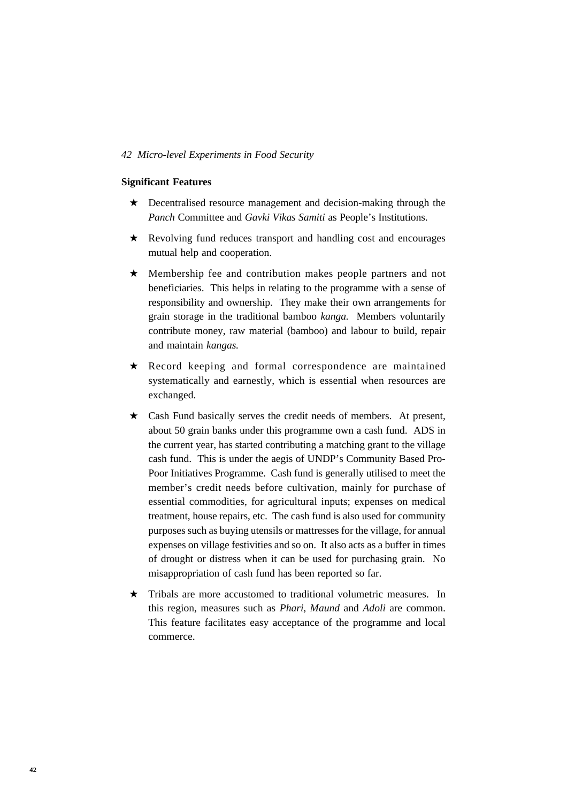#### **Significant Features**

- ★ Decentralised resource management and decision-making through the *Panch* Committee and *Gavki Vikas Samiti* as People's Institutions.
- ★ Revolving fund reduces transport and handling cost and encourages mutual help and cooperation.
- ★ Membership fee and contribution makes people partners and not beneficiaries. This helps in relating to the programme with a sense of responsibility and ownership. They make their own arrangements for grain storage in the traditional bamboo *kanga.* Members voluntarily contribute money, raw material (bamboo) and labour to build, repair and maintain *kangas.*
- ★ Record keeping and formal correspondence are maintained systematically and earnestly, which is essential when resources are exchanged.
- ★ Cash Fund basically serves the credit needs of members. At present, about 50 grain banks under this programme own a cash fund. ADS in the current year, has started contributing a matching grant to the village cash fund. This is under the aegis of UNDP's Community Based Pro-Poor Initiatives Programme. Cash fund is generally utilised to meet the member's credit needs before cultivation, mainly for purchase of essential commodities, for agricultural inputs; expenses on medical treatment, house repairs, etc. The cash fund is also used for community purposes such as buying utensils or mattresses for the village, for annual expenses on village festivities and so on. It also acts as a buffer in times of drought or distress when it can be used for purchasing grain. No misappropriation of cash fund has been reported so far.
- $\star$  Tribals are more accustomed to traditional volumetric measures. In this region, measures such as *Phari, Maund* and *Adoli* are common. This feature facilitates easy acceptance of the programme and local commerce.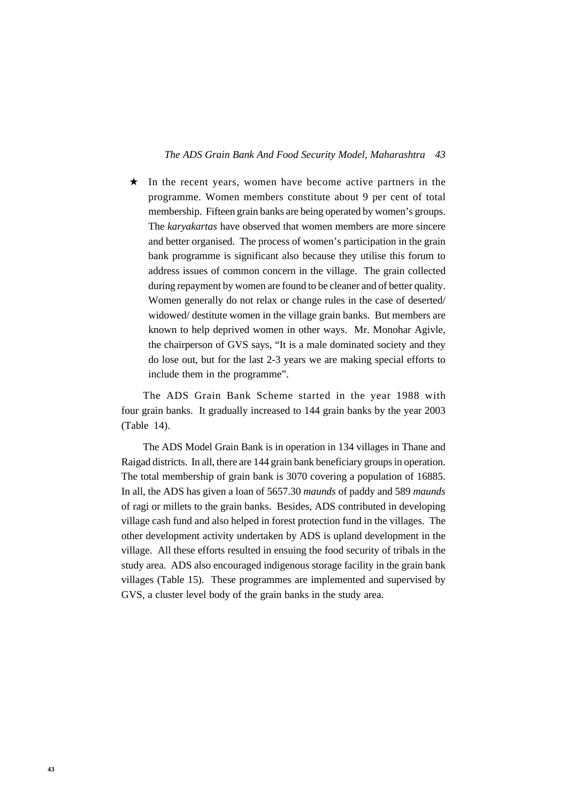#### *43 The ADS Grain Bank And Food Security Model, Maharashtra*

★ In the recent years, women have become active partners in the programme. Women members constitute about 9 per cent of total membership. Fifteen grain banks are being operated by women's groups. The *karyakartas* have observed that women members are more sincere and better organised. The process of women's participation in the grain bank programme is significant also because they utilise this forum to address issues of common concern in the village. The grain collected during repayment by women are found to be cleaner and of better quality. Women generally do not relax or change rules in the case of deserted/ widowed/ destitute women in the village grain banks. But members are known to help deprived women in other ways. Mr. Monohar Agivle, the chairperson of GVS says, "It is a male dominated society and they do lose out, but for the last 2-3 years we are making special efforts to include them in the programme".

The ADS Grain Bank Scheme started in the year 1988 with four grain banks. It gradually increased to 144 grain banks by the year 2003 (Table 14).

The ADS Model Grain Bank is in operation in 134 villages in Thane and Raigad districts. In all, there are 144 grain bank beneficiary groups in operation. The total membership of grain bank is 3070 covering a population of 16885. In all, the ADS has given a loan of 5657.30 *maunds* of paddy and 589 *maunds* of ragi or millets to the grain banks. Besides, ADS contributed in developing village cash fund and also helped in forest protection fund in the villages. The other development activity undertaken by ADS is upland development in the village. All these efforts resulted in ensuing the food security of tribals in the study area. ADS also encouraged indigenous storage facility in the grain bank villages (Table 15). These programmes are implemented and supervised by GVS, a cluster level body of the grain banks in the study area.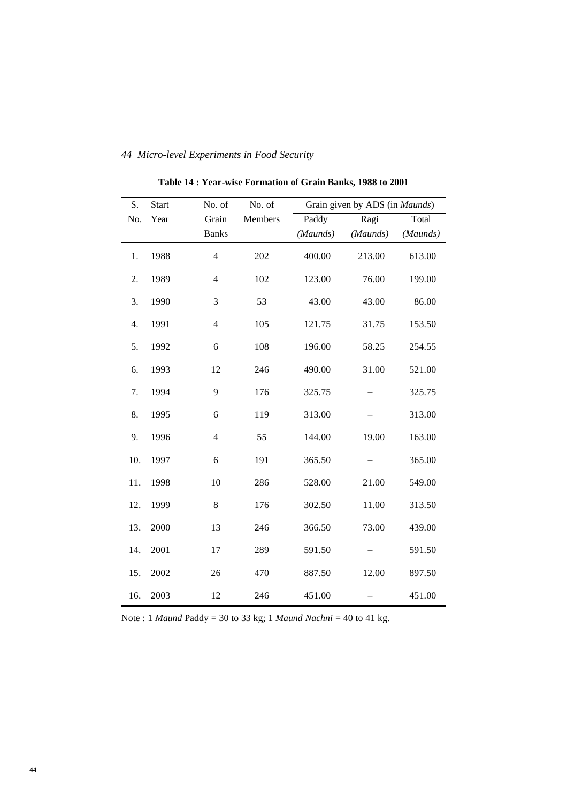| S.  | <b>Start</b> | No. of                  | No. of  |          | Grain given by ADS (in <i>Maunds</i> ) |          |
|-----|--------------|-------------------------|---------|----------|----------------------------------------|----------|
| No. | Year         | Grain                   | Members | Paddy    | Ragi                                   | Total    |
|     |              | <b>Banks</b>            |         | (Maunds) | (Maunds)                               | (Maunds) |
| 1.  | 1988         | $\overline{\mathbf{4}}$ | 202     | 400.00   | 213.00                                 | 613.00   |
| 2.  | 1989         | $\overline{4}$          | 102     | 123.00   | 76.00                                  | 199.00   |
| 3.  | 1990         | 3                       | 53      | 43.00    | 43.00                                  | 86.00    |
| 4.  | 1991         | $\overline{4}$          | 105     | 121.75   | 31.75                                  | 153.50   |
| 5.  | 1992         | 6                       | 108     | 196.00   | 58.25                                  | 254.55   |
| 6.  | 1993         | 12                      | 246     | 490.00   | 31.00                                  | 521.00   |
| 7.  | 1994         | 9                       | 176     | 325.75   |                                        | 325.75   |
| 8.  | 1995         | 6                       | 119     | 313.00   |                                        | 313.00   |
| 9.  | 1996         | $\overline{4}$          | 55      | 144.00   | 19.00                                  | 163.00   |
| 10. | 1997         | 6                       | 191     | 365.50   |                                        | 365.00   |
| 11. | 1998         | 10                      | 286     | 528.00   | 21.00                                  | 549.00   |
| 12. | 1999         | 8                       | 176     | 302.50   | 11.00                                  | 313.50   |
| 13. | 2000         | 13                      | 246     | 366.50   | 73.00                                  | 439.00   |
| 14. | 2001         | 17                      | 289     | 591.50   |                                        | 591.50   |
| 15. | 2002         | 26                      | 470     | 887.50   | 12.00                                  | 897.50   |
| 16. | 2003         | 12                      | 246     | 451.00   |                                        | 451.00   |

**Table 14 : Year-wise Formation of Grain Banks, 1988 to 2001**

Note : 1 *Maund* Paddy = 30 to 33 kg; 1 *Maund Nachni* = 40 to 41 kg.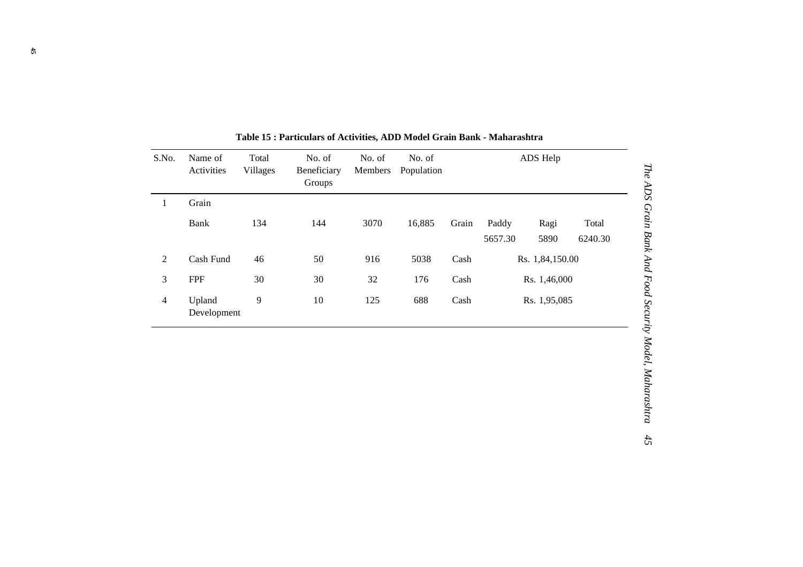| S.No.          | Name of<br>Activities | Total<br><b>Villages</b> | No. of<br>Beneficiary<br>Groups | No. of<br>Members | No. of<br>Population |       |                  | ADS Help     |                  |
|----------------|-----------------------|--------------------------|---------------------------------|-------------------|----------------------|-------|------------------|--------------|------------------|
| 1              | Grain                 |                          |                                 |                   |                      |       |                  |              |                  |
|                | Bank                  | 134                      | 144                             | 3070              | 16,885               | Grain | Paddy<br>5657.30 | Ragi<br>5890 | Total<br>6240.30 |
| 2              | Cash Fund             | 46                       | 50                              | 916               | 5038                 | Cash  | Rs. 1,84,150.00  |              |                  |
| 3              | <b>FPF</b>            | 30                       | 30                              | 32                | 176                  | Cash  |                  | Rs. 1,46,000 |                  |
| $\overline{4}$ | Upland<br>Development | 9                        | 10                              | 125               | 688                  | Cash  |                  | Rs. 1,95,085 |                  |

**Table 15 : Particulars of Activities, ADD Model Grain Bank - Maharashtra**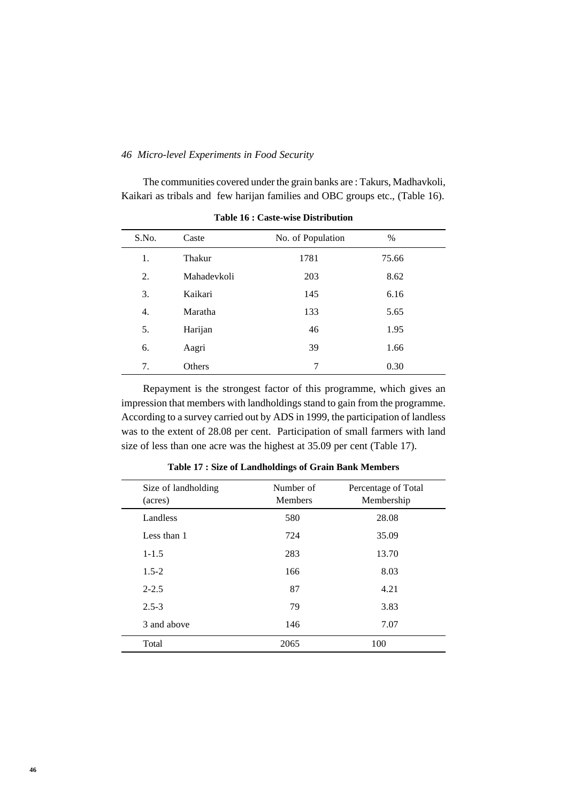The communities covered under the grain banks are : Takurs, Madhavkoli, Kaikari as tribals and few harijan families and OBC groups etc., (Table 16).

| S.No. | Caste       | No. of Population | $\%$  |  |
|-------|-------------|-------------------|-------|--|
|       |             |                   |       |  |
| 1.    | Thakur      | 1781              | 75.66 |  |
| 2.    | Mahadevkoli | 203               | 8.62  |  |
| 3.    | Kaikari     | 145               | 6.16  |  |
| 4.    | Maratha     | 133               | 5.65  |  |
| 5.    | Harijan     | 46                | 1.95  |  |
| 6.    | Aagri       | 39                | 1.66  |  |
| 7.    | Others      | 7                 | 0.30  |  |

**Table 16 : Caste-wise Distribution**

Repayment is the strongest factor of this programme, which gives an impression that members with landholdings stand to gain from the programme. According to a survey carried out by ADS in 1999, the participation of landless was to the extent of 28.08 per cent. Participation of small farmers with land size of less than one acre was the highest at 35.09 per cent (Table 17).

| Size of landholding<br>(acres) | Number of<br><b>Members</b> | Percentage of Total<br>Membership |
|--------------------------------|-----------------------------|-----------------------------------|
| Landless                       | 580                         | 28.08                             |
| Less than 1                    | 724                         | 35.09                             |
| $1 - 1.5$                      | 283                         | 13.70                             |
| $1.5 - 2$                      | 166                         | 8.03                              |
| $2 - 2.5$                      | 87                          | 4.21                              |
| $2.5 - 3$                      | 79                          | 3.83                              |
| 3 and above                    | 146                         | 7.07                              |
| Total                          | 2065                        | 100                               |

**Table 17 : Size of Landholdings of Grain Bank Members**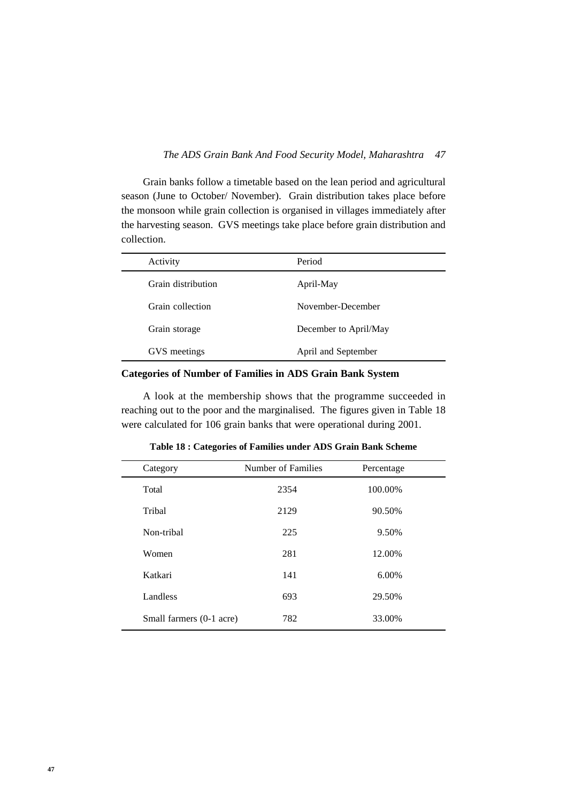Grain banks follow a timetable based on the lean period and agricultural season (June to October/ November). Grain distribution takes place before the monsoon while grain collection is organised in villages immediately after the harvesting season. GVS meetings take place before grain distribution and collection.

| Activity           | Period                |
|--------------------|-----------------------|
| Grain distribution | April-May             |
| Grain collection   | November-December     |
| Grain storage      | December to April/May |
| GVS meetings       | April and September   |

**Categories of Number of Families in ADS Grain Bank System**

A look at the membership shows that the programme succeeded in reaching out to the poor and the marginalised. The figures given in Table 18 were calculated for 106 grain banks that were operational during 2001.

| Category                 | Number of Families | Percentage |  |
|--------------------------|--------------------|------------|--|
| Total                    | 2354               | 100.00%    |  |
| Tribal                   | 2129               | 90.50%     |  |
| Non-tribal               | 225                | 9.50%      |  |
| Women                    | 281                | 12.00%     |  |
| Katkari                  | 141                | 6.00%      |  |
| Landless                 | 693                | 29.50%     |  |
| Small farmers (0-1 acre) | 782                | 33.00%     |  |
|                          |                    |            |  |

**Table 18 : Categories of Families under ADS Grain Bank Scheme**

L,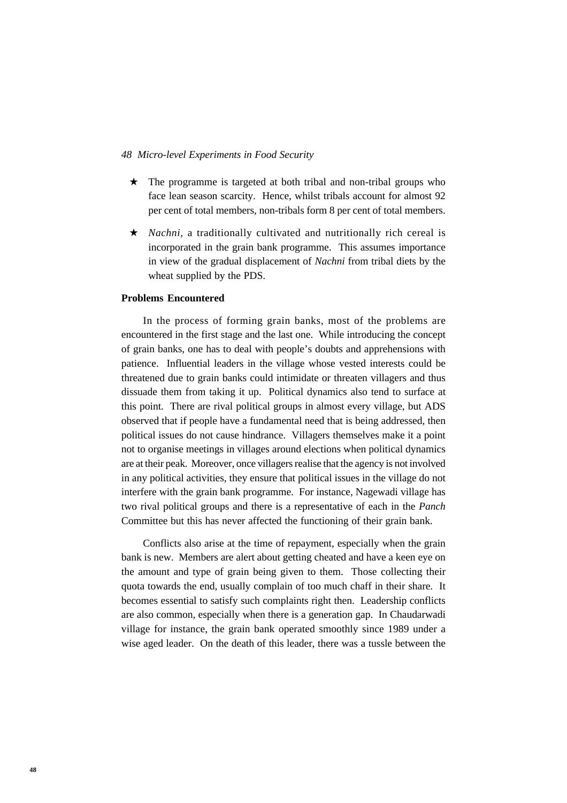- ★ The programme is targeted at both tribal and non-tribal groups who face lean season scarcity. Hence, whilst tribals account for almost 92 per cent of total members, non-tribals form 8 per cent of total members.
- ★ *Nachni,* a traditionally cultivated and nutritionally rich cereal is incorporated in the grain bank programme. This assumes importance in view of the gradual displacement of *Nachni* from tribal diets by the wheat supplied by the PDS.

## **Problems Encountered**

In the process of forming grain banks, most of the problems are encountered in the first stage and the last one. While introducing the concept of grain banks, one has to deal with people's doubts and apprehensions with patience. Influential leaders in the village whose vested interests could be threatened due to grain banks could intimidate or threaten villagers and thus dissuade them from taking it up. Political dynamics also tend to surface at this point. There are rival political groups in almost every village, but ADS observed that if people have a fundamental need that is being addressed, then political issues do not cause hindrance. Villagers themselves make it a point not to organise meetings in villages around elections when political dynamics are at their peak. Moreover, once villagers realise that the agency is not involved in any political activities, they ensure that political issues in the village do not interfere with the grain bank programme. For instance, Nagewadi village has two rival political groups and there is a representative of each in the *Panch* Committee but this has never affected the functioning of their grain bank.

Conflicts also arise at the time of repayment, especially when the grain bank is new. Members are alert about getting cheated and have a keen eye on the amount and type of grain being given to them. Those collecting their quota towards the end, usually complain of too much chaff in their share. It becomes essential to satisfy such complaints right then. Leadership conflicts are also common, especially when there is a generation gap. In Chaudarwadi village for instance, the grain bank operated smoothly since 1989 under a wise aged leader. On the death of this leader, there was a tussle between the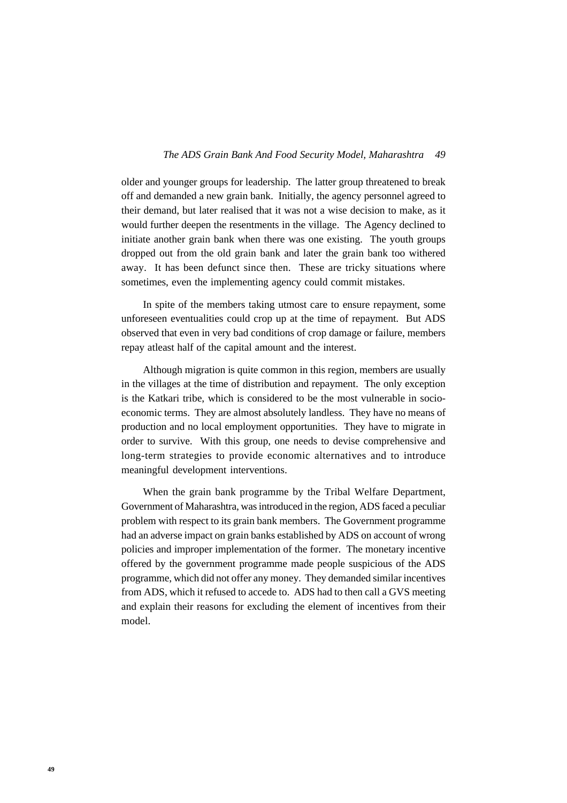older and younger groups for leadership. The latter group threatened to break off and demanded a new grain bank. Initially, the agency personnel agreed to their demand, but later realised that it was not a wise decision to make, as it would further deepen the resentments in the village. The Agency declined to initiate another grain bank when there was one existing. The youth groups dropped out from the old grain bank and later the grain bank too withered away. It has been defunct since then. These are tricky situations where sometimes, even the implementing agency could commit mistakes.

In spite of the members taking utmost care to ensure repayment, some unforeseen eventualities could crop up at the time of repayment. But ADS observed that even in very bad conditions of crop damage or failure, members repay atleast half of the capital amount and the interest.

Although migration is quite common in this region, members are usually in the villages at the time of distribution and repayment. The only exception is the Katkari tribe, which is considered to be the most vulnerable in socioeconomic terms. They are almost absolutely landless. They have no means of production and no local employment opportunities. They have to migrate in order to survive. With this group, one needs to devise comprehensive and long-term strategies to provide economic alternatives and to introduce meaningful development interventions.

When the grain bank programme by the Tribal Welfare Department, Government of Maharashtra, was introduced in the region, ADS faced a peculiar problem with respect to its grain bank members. The Government programme had an adverse impact on grain banks established by ADS on account of wrong policies and improper implementation of the former. The monetary incentive offered by the government programme made people suspicious of the ADS programme, which did not offer any money. They demanded similar incentives from ADS, which it refused to accede to. ADS had to then call a GVS meeting and explain their reasons for excluding the element of incentives from their model.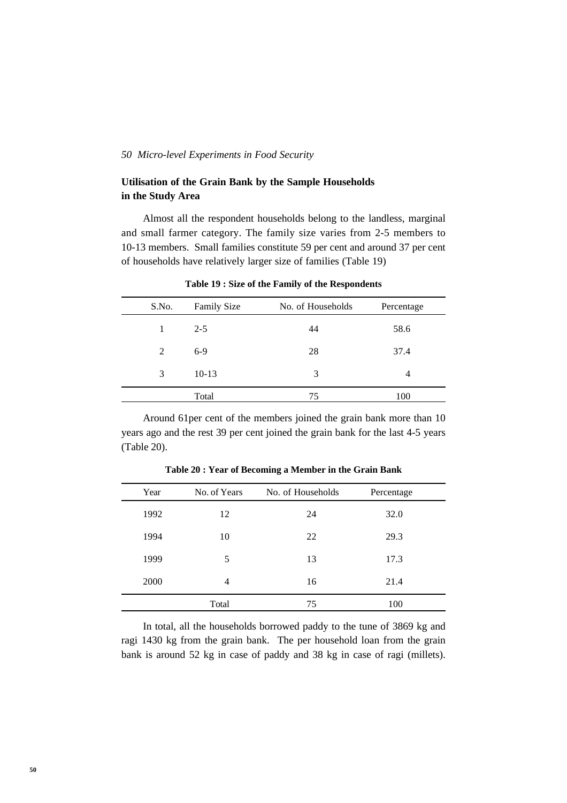## **Utilisation of the Grain Bank by the Sample Households in the Study Area**

Almost all the respondent households belong to the landless, marginal and small farmer category. The family size varies from 2-5 members to 10-13 members. Small families constitute 59 per cent and around 37 per cent of households have relatively larger size of families (Table 19)

| S.No. | <b>Family Size</b> | No. of Households | Percentage |
|-------|--------------------|-------------------|------------|
|       | $2 - 5$            | 44                | 58.6       |
| 2     | $6-9$              | 28                | 37.4       |
| 3     | $10-13$            | 3                 | 4          |
|       | Total              | 75                | 100        |

**Table 19 : Size of the Family of the Respondents**

Around 61per cent of the members joined the grain bank more than 10 years ago and the rest 39 per cent joined the grain bank for the last 4-5 years (Table 20).

| Year | No. of Years | No. of Households | Percentage |  |
|------|--------------|-------------------|------------|--|
| 1992 | 12           | 24                | 32.0       |  |
| 1994 | 10           | 22                | 29.3       |  |
| 1999 | 5            | 13                | 17.3       |  |
| 2000 | 4            | 16                | 21.4       |  |
|      | Total        | 75                | 100        |  |

**Table 20 : Year of Becoming a Member in the Grain Bank**

In total, all the households borrowed paddy to the tune of 3869 kg and ragi 1430 kg from the grain bank. The per household loan from the grain bank is around 52 kg in case of paddy and 38 kg in case of ragi (millets).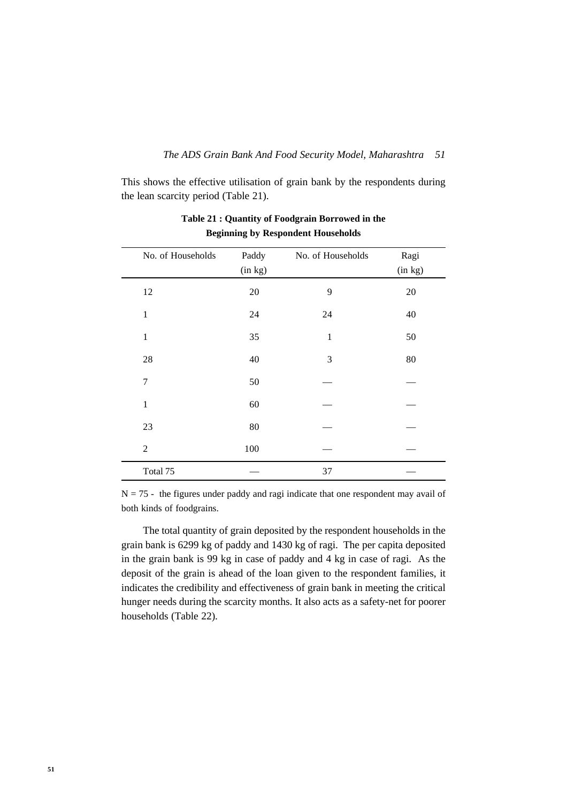This shows the effective utilisation of grain bank by the respondents during the lean scarcity period (Table 21).

| No. of Households | Paddy<br>(in kg) | No. of Households | Ragi<br>(in kg) |
|-------------------|------------------|-------------------|-----------------|
| 12                | $20\,$           | 9                 | 20              |
| $\mathbf{1}$      | 24               | 24                | 40              |
| $\mathbf{1}$      | 35               | $\mathbf{1}$      | 50              |
| 28                | 40               | 3                 | 80              |
| $\tau$            | 50               |                   |                 |
| $\mathbf{1}$      | 60               |                   |                 |
| 23                | $80\,$           |                   |                 |
| 2                 | 100              |                   |                 |
| Total 75          |                  | 37                |                 |

## **Table 21 : Quantity of Foodgrain Borrowed in the Beginning by Respondent Households**

 $N = 75$  - the figures under paddy and ragi indicate that one respondent may avail of both kinds of foodgrains.

The total quantity of grain deposited by the respondent households in the grain bank is 6299 kg of paddy and 1430 kg of ragi. The per capita deposited in the grain bank is 99 kg in case of paddy and 4 kg in case of ragi. As the deposit of the grain is ahead of the loan given to the respondent families, it indicates the credibility and effectiveness of grain bank in meeting the critical hunger needs during the scarcity months. It also acts as a safety-net for poorer households (Table 22).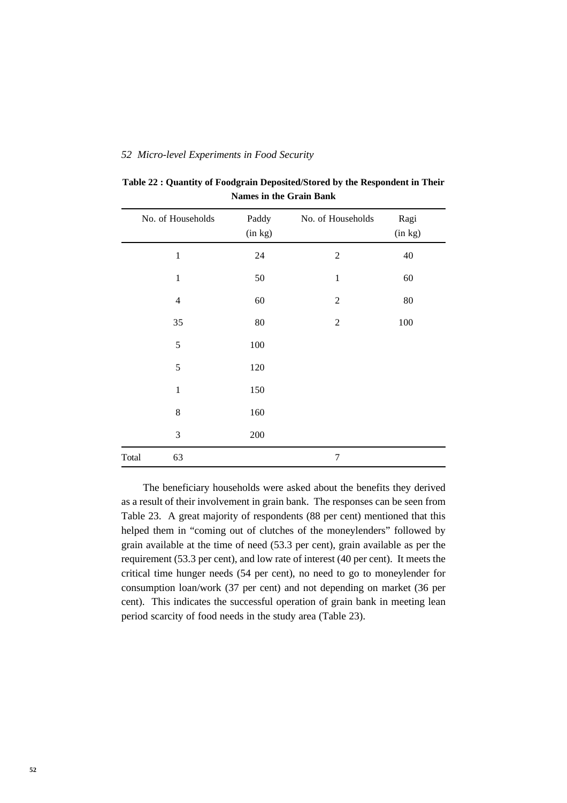|       | No. of Households | Paddy   | No. of Households | Ragi    |
|-------|-------------------|---------|-------------------|---------|
|       |                   | (in kg) |                   | (in kg) |
|       | $\mathbf{1}$      | 24      | $\overline{2}$    | 40      |
|       | $\mathbf{1}$      | 50      | $\,1$             | 60      |
|       | $\overline{4}$    | 60      | $\mathfrak 2$     | 80      |
|       | 35                | 80      | $\mathfrak 2$     | 100     |
|       | 5                 | $100\,$ |                   |         |
|       | 5                 | 120     |                   |         |
|       | $\mathbf{1}$      | 150     |                   |         |
|       | 8                 | 160     |                   |         |
|       | 3                 | 200     |                   |         |
| Total | 63                |         | $\overline{7}$    |         |

**Table 22 : Quantity of Foodgrain Deposited/Stored by the Respondent in Their Names in the Grain Bank**

The beneficiary households were asked about the benefits they derived as a result of their involvement in grain bank. The responses can be seen from Table 23. A great majority of respondents (88 per cent) mentioned that this helped them in "coming out of clutches of the moneylenders" followed by grain available at the time of need (53.3 per cent), grain available as per the requirement (53.3 per cent), and low rate of interest (40 per cent). It meets the critical time hunger needs (54 per cent), no need to go to moneylender for consumption loan/work (37 per cent) and not depending on market (36 per cent). This indicates the successful operation of grain bank in meeting lean period scarcity of food needs in the study area (Table 23).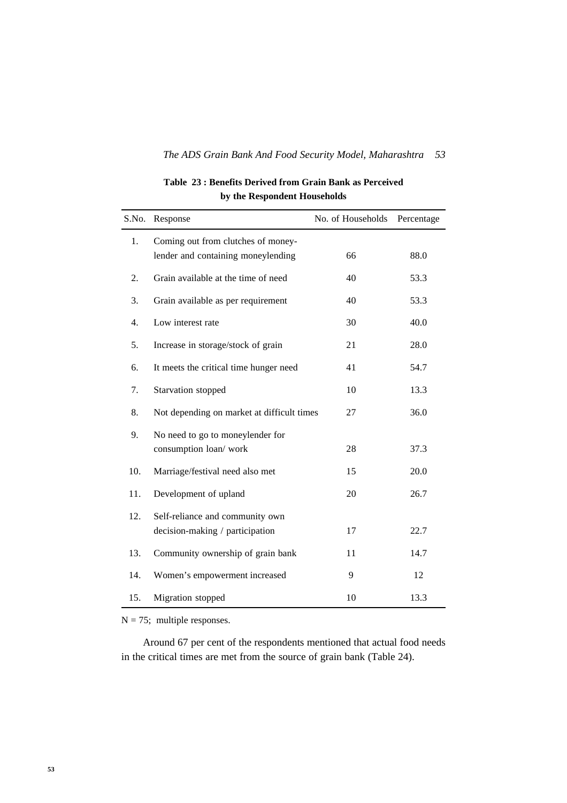## **Table 23 : Benefits Derived from Grain Bank as Perceived by the Respondent Households**

| S.No.            | Response                                                                 | No. of Households | Percentage |
|------------------|--------------------------------------------------------------------------|-------------------|------------|
| 1.               | Coming out from clutches of money-<br>lender and containing moneylending | 66                | 88.0       |
| 2.               | Grain available at the time of need                                      | 40                | 53.3       |
| 3.               | Grain available as per requirement                                       | 40                | 53.3       |
| $\overline{4}$ . | Low interest rate                                                        | 30                | 40.0       |
| 5.               | Increase in storage/stock of grain                                       | 21                | 28.0       |
| 6.               | It meets the critical time hunger need                                   | 41                | 54.7       |
| 7.               | Starvation stopped                                                       | 10                | 13.3       |
| 8.               | Not depending on market at difficult times                               | 27                | 36.0       |
| 9.               | No need to go to moneylender for<br>consumption loan/work                | 28                | 37.3       |
| 10.              | Marriage/festival need also met                                          | 15                | 20.0       |
| 11.              | Development of upland                                                    | 20                | 26.7       |
| 12.              | Self-reliance and community own<br>decision-making / participation       | 17                | 22.7       |
| 13.              | Community ownership of grain bank                                        | 11                | 14.7       |
| 14.              | Women's empowerment increased                                            | 9                 | 12         |
| 15.              | Migration stopped                                                        | 10                | 13.3       |

 $N = 75$ ; multiple responses.

Around 67 per cent of the respondents mentioned that actual food needs in the critical times are met from the source of grain bank (Table 24).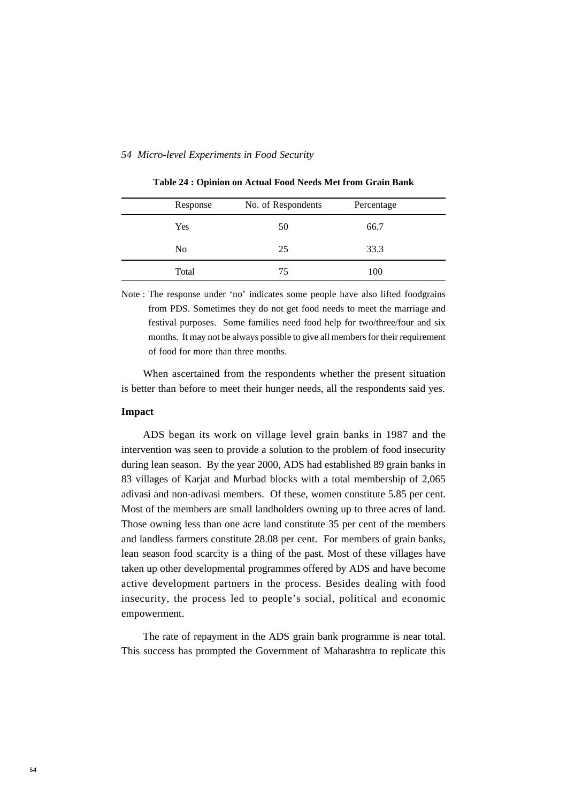| Response       | No. of Respondents | Percentage |  |
|----------------|--------------------|------------|--|
| Yes            | 50                 | 66.7       |  |
| N <sub>0</sub> | 25                 | 33.3       |  |
| Total          | 75                 | 100        |  |

**Table 24 : Opinion on Actual Food Needs Met from Grain Bank**

Note : The response under 'no' indicates some people have also lifted foodgrains from PDS. Sometimes they do not get food needs to meet the marriage and festival purposes. Some families need food help for two/three/four and six months. It may not be always possible to give all members for their requirement of food for more than three months.

When ascertained from the respondents whether the present situation is better than before to meet their hunger needs, all the respondents said yes.

#### **Impact**

ADS began its work on village level grain banks in 1987 and the intervention was seen to provide a solution to the problem of food insecurity during lean season. By the year 2000, ADS had established 89 grain banks in 83 villages of Karjat and Murbad blocks with a total membership of 2,065 adivasi and non-adivasi members. Of these, women constitute 5.85 per cent. Most of the members are small landholders owning up to three acres of land. Those owning less than one acre land constitute 35 per cent of the members and landless farmers constitute 28.08 per cent. For members of grain banks, lean season food scarcity is a thing of the past. Most of these villages have taken up other developmental programmes offered by ADS and have become active development partners in the process. Besides dealing with food insecurity, the process led to people's social, political and economic empowerment.

The rate of repayment in the ADS grain bank programme is near total. This success has prompted the Government of Maharashtra to replicate this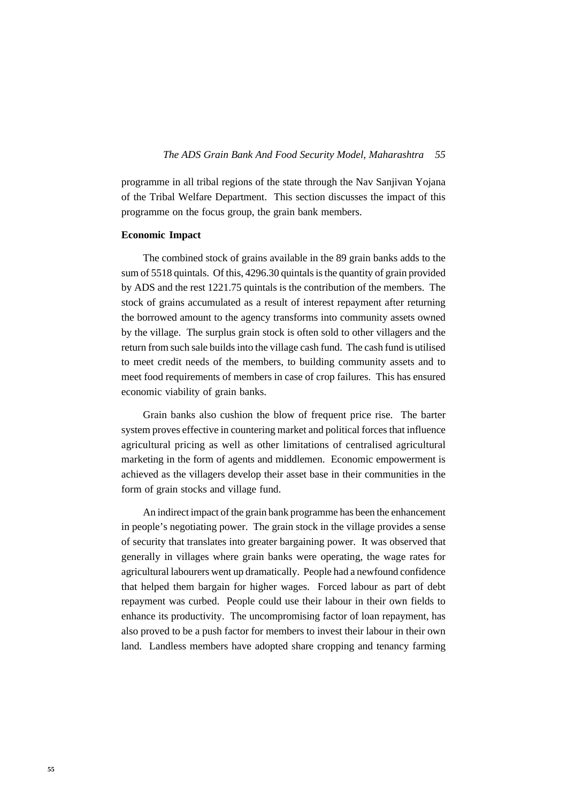programme in all tribal regions of the state through the Nav Sanjivan Yojana of the Tribal Welfare Department. This section discusses the impact of this programme on the focus group, the grain bank members.

#### **Economic Impact**

The combined stock of grains available in the 89 grain banks adds to the sum of 5518 quintals. Of this, 4296.30 quintals is the quantity of grain provided by ADS and the rest 1221.75 quintals is the contribution of the members. The stock of grains accumulated as a result of interest repayment after returning the borrowed amount to the agency transforms into community assets owned by the village. The surplus grain stock is often sold to other villagers and the return from such sale builds into the village cash fund. The cash fund is utilised to meet credit needs of the members, to building community assets and to meet food requirements of members in case of crop failures. This has ensured economic viability of grain banks.

Grain banks also cushion the blow of frequent price rise. The barter system proves effective in countering market and political forces that influence agricultural pricing as well as other limitations of centralised agricultural marketing in the form of agents and middlemen. Economic empowerment is achieved as the villagers develop their asset base in their communities in the form of grain stocks and village fund.

An indirect impact of the grain bank programme has been the enhancement in people's negotiating power. The grain stock in the village provides a sense of security that translates into greater bargaining power. It was observed that generally in villages where grain banks were operating, the wage rates for agricultural labourers went up dramatically. People had a newfound confidence that helped them bargain for higher wages. Forced labour as part of debt repayment was curbed. People could use their labour in their own fields to enhance its productivity. The uncompromising factor of loan repayment, has also proved to be a push factor for members to invest their labour in their own land. Landless members have adopted share cropping and tenancy farming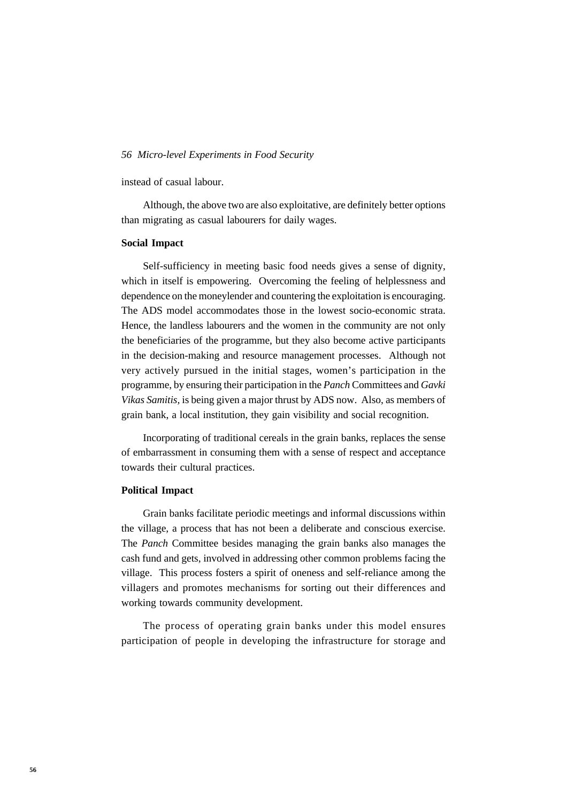instead of casual labour.

Although, the above two are also exploitative, are definitely better options than migrating as casual labourers for daily wages.

#### **Social Impact**

Self-sufficiency in meeting basic food needs gives a sense of dignity, which in itself is empowering. Overcoming the feeling of helplessness and dependence on the moneylender and countering the exploitation is encouraging. The ADS model accommodates those in the lowest socio-economic strata. Hence, the landless labourers and the women in the community are not only the beneficiaries of the programme, but they also become active participants in the decision-making and resource management processes. Although not very actively pursued in the initial stages, women's participation in the programme, by ensuring their participation in the *Panch* Committees and *Gavki Vikas Samitis,* is being given a major thrust by ADS now. Also, as members of grain bank, a local institution, they gain visibility and social recognition.

Incorporating of traditional cereals in the grain banks, replaces the sense of embarrassment in consuming them with a sense of respect and acceptance towards their cultural practices.

#### **Political Impact**

Grain banks facilitate periodic meetings and informal discussions within the village, a process that has not been a deliberate and conscious exercise. The *Panch* Committee besides managing the grain banks also manages the cash fund and gets, involved in addressing other common problems facing the village. This process fosters a spirit of oneness and self-reliance among the villagers and promotes mechanisms for sorting out their differences and working towards community development.

The process of operating grain banks under this model ensures participation of people in developing the infrastructure for storage and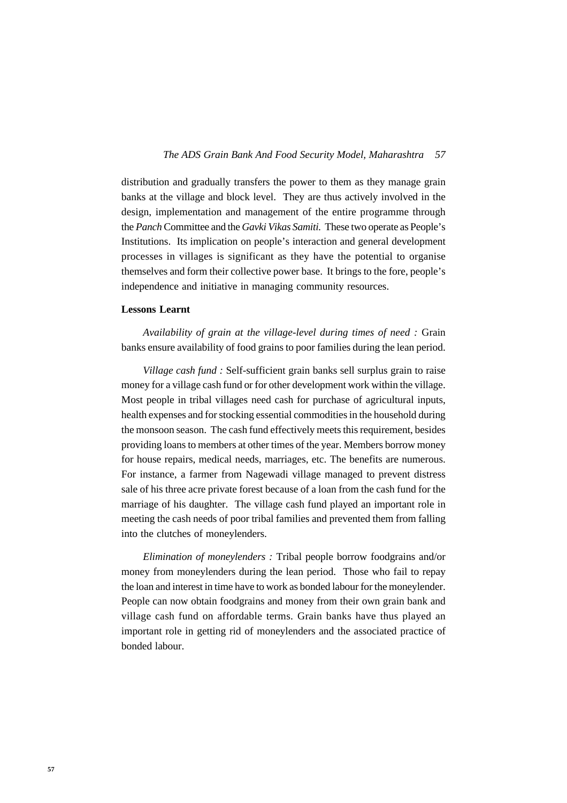distribution and gradually transfers the power to them as they manage grain banks at the village and block level. They are thus actively involved in the design, implementation and management of the entire programme through the *Panch* Committee and the *Gavki Vikas Samiti.* These two operate as People's Institutions. Its implication on people's interaction and general development processes in villages is significant as they have the potential to organise themselves and form their collective power base. It brings to the fore, people's independence and initiative in managing community resources.

#### **Lessons Learnt**

*Availability of grain at the village-level during times of need :* Grain banks ensure availability of food grains to poor families during the lean period.

*Village cash fund :* Self-sufficient grain banks sell surplus grain to raise money for a village cash fund or for other development work within the village. Most people in tribal villages need cash for purchase of agricultural inputs, health expenses and for stocking essential commodities in the household during the monsoon season. The cash fund effectively meets this requirement, besides providing loans to members at other times of the year. Members borrow money for house repairs, medical needs, marriages, etc. The benefits are numerous. For instance, a farmer from Nagewadi village managed to prevent distress sale of his three acre private forest because of a loan from the cash fund for the marriage of his daughter. The village cash fund played an important role in meeting the cash needs of poor tribal families and prevented them from falling into the clutches of moneylenders.

*Elimination of moneylenders :* Tribal people borrow foodgrains and/or money from moneylenders during the lean period. Those who fail to repay the loan and interest in time have to work as bonded labour for the moneylender. People can now obtain foodgrains and money from their own grain bank and village cash fund on affordable terms. Grain banks have thus played an important role in getting rid of moneylenders and the associated practice of bonded labour.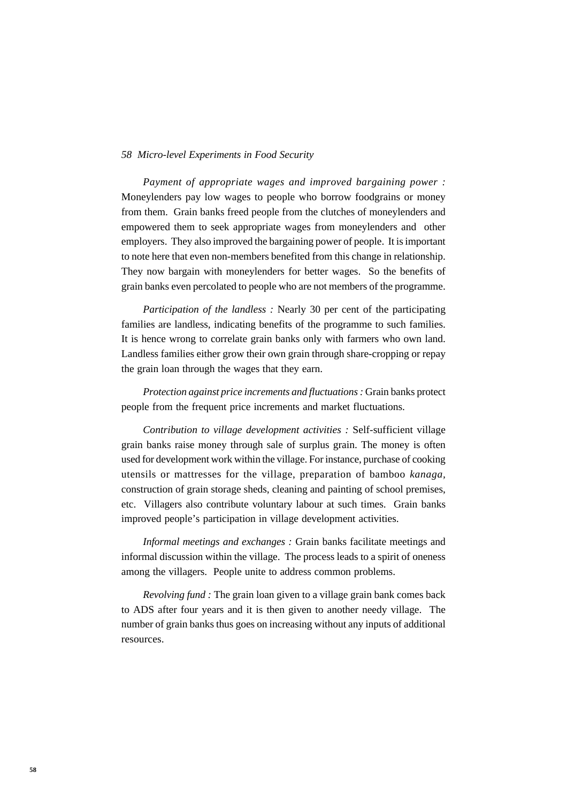*Payment of appropriate wages and improved bargaining power :* Moneylenders pay low wages to people who borrow foodgrains or money from them. Grain banks freed people from the clutches of moneylenders and empowered them to seek appropriate wages from moneylenders and other employers. They also improved the bargaining power of people. It is important to note here that even non-members benefited from this change in relationship. They now bargain with moneylenders for better wages. So the benefits of grain banks even percolated to people who are not members of the programme.

*Participation of the landless :* Nearly 30 per cent of the participating families are landless, indicating benefits of the programme to such families. It is hence wrong to correlate grain banks only with farmers who own land. Landless families either grow their own grain through share-cropping or repay the grain loan through the wages that they earn.

*Protection against price increments and fluctuations :* Grain banks protect people from the frequent price increments and market fluctuations.

*Contribution to village development activities :* Self-sufficient village grain banks raise money through sale of surplus grain. The money is often used for development work within the village. For instance, purchase of cooking utensils or mattresses for the village, preparation of bamboo *kanaga,* construction of grain storage sheds, cleaning and painting of school premises, etc. Villagers also contribute voluntary labour at such times. Grain banks improved people's participation in village development activities.

*Informal meetings and exchanges :* Grain banks facilitate meetings and informal discussion within the village. The process leads to a spirit of oneness among the villagers. People unite to address common problems.

*Revolving fund :* The grain loan given to a village grain bank comes back to ADS after four years and it is then given to another needy village. The number of grain banks thus goes on increasing without any inputs of additional resources.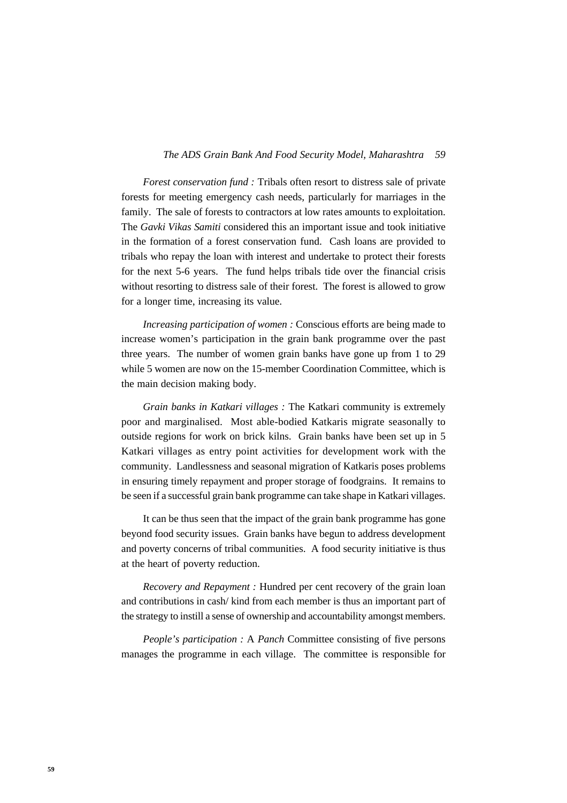#### *59 The ADS Grain Bank And Food Security Model, Maharashtra*

*Forest conservation fund :* Tribals often resort to distress sale of private forests for meeting emergency cash needs, particularly for marriages in the family. The sale of forests to contractors at low rates amounts to exploitation. The *Gavki Vikas Samiti* considered this an important issue and took initiative in the formation of a forest conservation fund. Cash loans are provided to tribals who repay the loan with interest and undertake to protect their forests for the next 5-6 years. The fund helps tribals tide over the financial crisis without resorting to distress sale of their forest. The forest is allowed to grow for a longer time, increasing its value.

*Increasing participation of women :* Conscious efforts are being made to increase women's participation in the grain bank programme over the past three years. The number of women grain banks have gone up from 1 to 29 while 5 women are now on the 15-member Coordination Committee, which is the main decision making body.

*Grain banks in Katkari villages :* The Katkari community is extremely poor and marginalised. Most able-bodied Katkaris migrate seasonally to outside regions for work on brick kilns. Grain banks have been set up in 5 Katkari villages as entry point activities for development work with the community. Landlessness and seasonal migration of Katkaris poses problems in ensuring timely repayment and proper storage of foodgrains. It remains to be seen if a successful grain bank programme can take shape in Katkari villages.

It can be thus seen that the impact of the grain bank programme has gone beyond food security issues. Grain banks have begun to address development and poverty concerns of tribal communities. A food security initiative is thus at the heart of poverty reduction.

*Recovery and Repayment :* Hundred per cent recovery of the grain loan and contributions in cash/ kind from each member is thus an important part of the strategy to instill a sense of ownership and accountability amongst members.

*People's participation :* A *Panch* Committee consisting of five persons manages the programme in each village. The committee is responsible for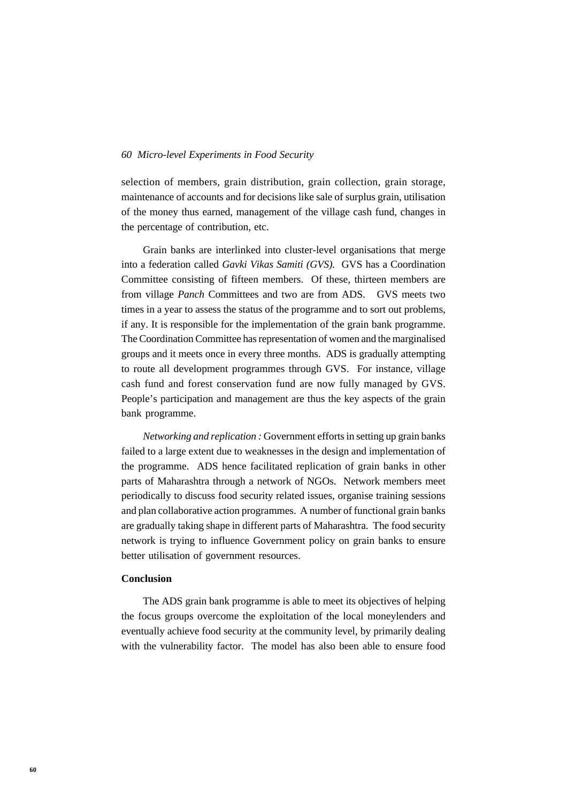selection of members, grain distribution, grain collection, grain storage, maintenance of accounts and for decisions like sale of surplus grain, utilisation of the money thus earned, management of the village cash fund, changes in the percentage of contribution, etc.

Grain banks are interlinked into cluster-level organisations that merge into a federation called *Gavki Vikas Samiti (GVS).* GVS has a Coordination Committee consisting of fifteen members. Of these, thirteen members are from village *Panch* Committees and two are from ADS. GVS meets two times in a year to assess the status of the programme and to sort out problems, if any. It is responsible for the implementation of the grain bank programme. The Coordination Committee has representation of women and the marginalised groups and it meets once in every three months. ADS is gradually attempting to route all development programmes through GVS. For instance, village cash fund and forest conservation fund are now fully managed by GVS. People's participation and management are thus the key aspects of the grain bank programme.

*Networking and replication :* Government efforts in setting up grain banks failed to a large extent due to weaknesses in the design and implementation of the programme. ADS hence facilitated replication of grain banks in other parts of Maharashtra through a network of NGOs. Network members meet periodically to discuss food security related issues, organise training sessions and plan collaborative action programmes. A number of functional grain banks are gradually taking shape in different parts of Maharashtra. The food security network is trying to influence Government policy on grain banks to ensure better utilisation of government resources.

## **Conclusion**

The ADS grain bank programme is able to meet its objectives of helping the focus groups overcome the exploitation of the local moneylenders and eventually achieve food security at the community level, by primarily dealing with the vulnerability factor. The model has also been able to ensure food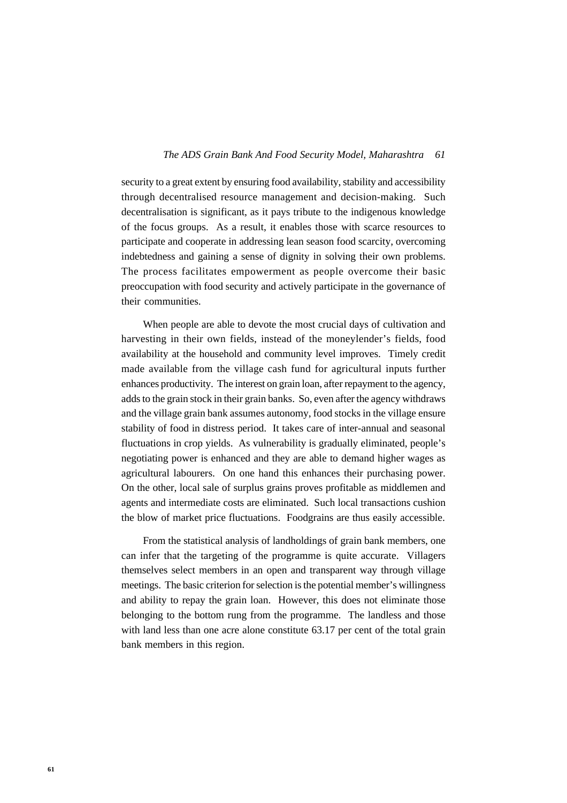#### *61 The ADS Grain Bank And Food Security Model, Maharashtra*

security to a great extent by ensuring food availability, stability and accessibility through decentralised resource management and decision-making. Such decentralisation is significant, as it pays tribute to the indigenous knowledge of the focus groups. As a result, it enables those with scarce resources to participate and cooperate in addressing lean season food scarcity, overcoming indebtedness and gaining a sense of dignity in solving their own problems. The process facilitates empowerment as people overcome their basic preoccupation with food security and actively participate in the governance of their communities.

When people are able to devote the most crucial days of cultivation and harvesting in their own fields, instead of the moneylender's fields, food availability at the household and community level improves. Timely credit made available from the village cash fund for agricultural inputs further enhances productivity. The interest on grain loan, after repayment to the agency, adds to the grain stock in their grain banks. So, even after the agency withdraws and the village grain bank assumes autonomy, food stocks in the village ensure stability of food in distress period. It takes care of inter-annual and seasonal fluctuations in crop yields. As vulnerability is gradually eliminated, people's negotiating power is enhanced and they are able to demand higher wages as agricultural labourers. On one hand this enhances their purchasing power. On the other, local sale of surplus grains proves profitable as middlemen and agents and intermediate costs are eliminated. Such local transactions cushion the blow of market price fluctuations. Foodgrains are thus easily accessible.

From the statistical analysis of landholdings of grain bank members, one can infer that the targeting of the programme is quite accurate. Villagers themselves select members in an open and transparent way through village meetings. The basic criterion for selection is the potential member's willingness and ability to repay the grain loan. However, this does not eliminate those belonging to the bottom rung from the programme. The landless and those with land less than one acre alone constitute 63.17 per cent of the total grain bank members in this region.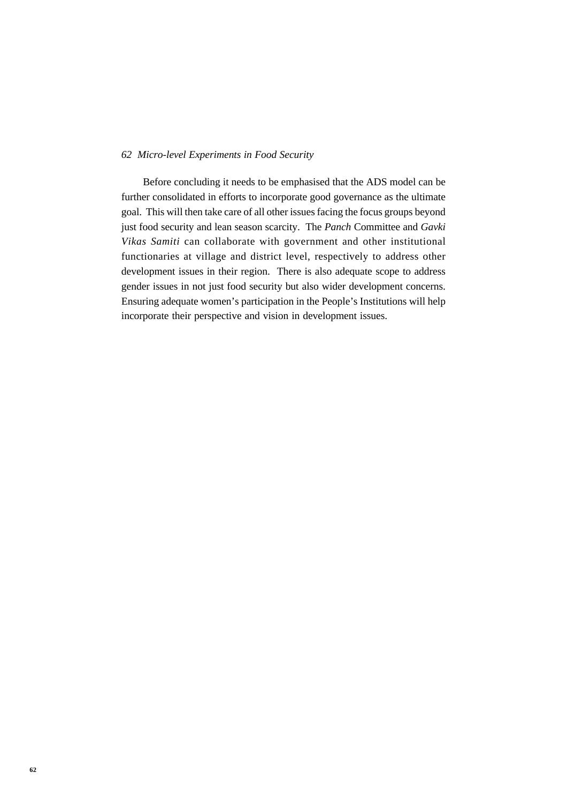Before concluding it needs to be emphasised that the ADS model can be further consolidated in efforts to incorporate good governance as the ultimate goal. This will then take care of all other issues facing the focus groups beyond just food security and lean season scarcity. The *Panch* Committee and *Gavki Vikas Samiti* can collaborate with government and other institutional functionaries at village and district level, respectively to address other development issues in their region. There is also adequate scope to address gender issues in not just food security but also wider development concerns. Ensuring adequate women's participation in the People's Institutions will help incorporate their perspective and vision in development issues.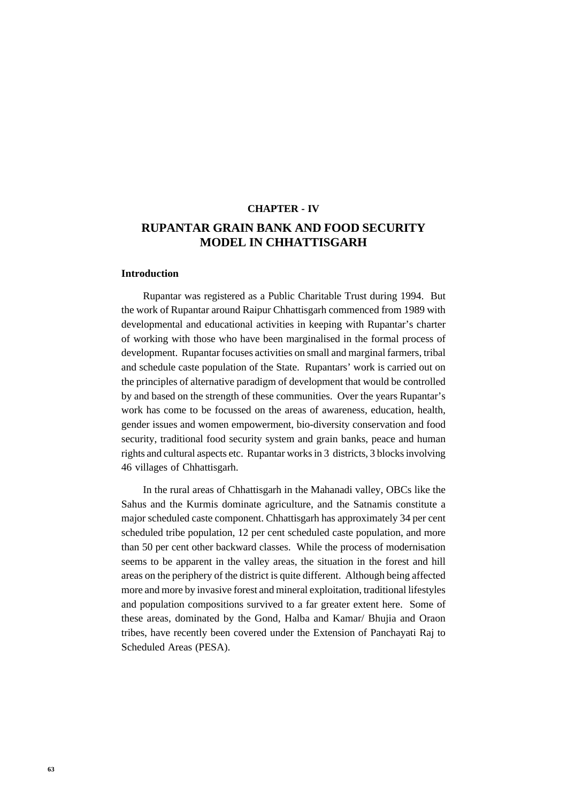# **CHAPTER - IV RUPANTAR GRAIN BANK AND FOOD SECURITY MODEL IN CHHATTISGARH**

#### **Introduction**

Rupantar was registered as a Public Charitable Trust during 1994. But the work of Rupantar around Raipur Chhattisgarh commenced from 1989 with developmental and educational activities in keeping with Rupantar's charter of working with those who have been marginalised in the formal process of development. Rupantar focuses activities on small and marginal farmers, tribal and schedule caste population of the State. Rupantars' work is carried out on the principles of alternative paradigm of development that would be controlled by and based on the strength of these communities. Over the years Rupantar's work has come to be focussed on the areas of awareness, education, health, gender issues and women empowerment, bio-diversity conservation and food security, traditional food security system and grain banks, peace and human rights and cultural aspects etc. Rupantar works in 3 districts, 3 blocks involving 46 villages of Chhattisgarh.

In the rural areas of Chhattisgarh in the Mahanadi valley, OBCs like the Sahus and the Kurmis dominate agriculture, and the Satnamis constitute a major scheduled caste component. Chhattisgarh has approximately 34 per cent scheduled tribe population, 12 per cent scheduled caste population, and more than 50 per cent other backward classes. While the process of modernisation seems to be apparent in the valley areas, the situation in the forest and hill areas on the periphery of the district is quite different. Although being affected more and more by invasive forest and mineral exploitation, traditional lifestyles and population compositions survived to a far greater extent here. Some of these areas, dominated by the Gond, Halba and Kamar/ Bhujia and Oraon tribes, have recently been covered under the Extension of Panchayati Raj to Scheduled Areas (PESA).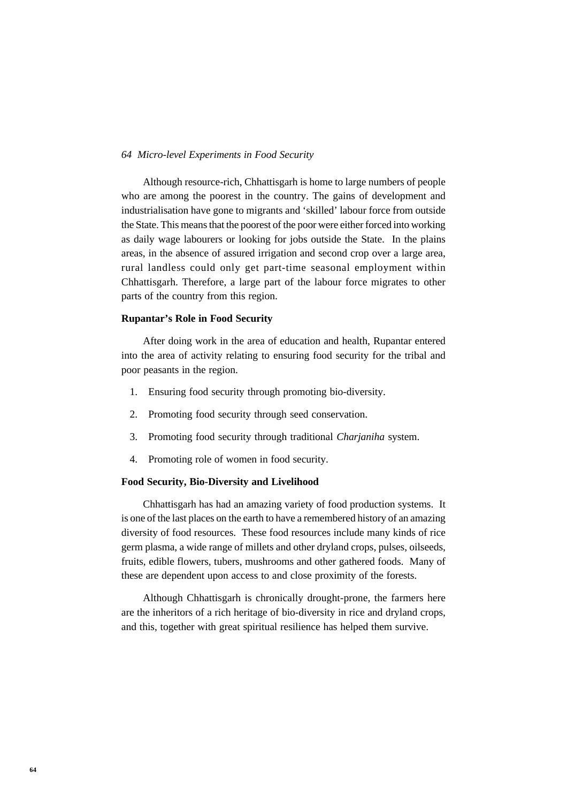Although resource-rich, Chhattisgarh is home to large numbers of people who are among the poorest in the country. The gains of development and industrialisation have gone to migrants and 'skilled' labour force from outside the State. This means that the poorest of the poor were either forced into working as daily wage labourers or looking for jobs outside the State. In the plains areas, in the absence of assured irrigation and second crop over a large area, rural landless could only get part-time seasonal employment within Chhattisgarh. Therefore, a large part of the labour force migrates to other parts of the country from this region.

#### **Rupantar's Role in Food Security**

After doing work in the area of education and health, Rupantar entered into the area of activity relating to ensuring food security for the tribal and poor peasants in the region.

- 1. Ensuring food security through promoting bio-diversity.
- 2. Promoting food security through seed conservation.
- 3. Promoting food security through traditional *Charjaniha* system.
- 4. Promoting role of women in food security.

#### **Food Security, Bio-Diversity and Livelihood**

Chhattisgarh has had an amazing variety of food production systems. It is one of the last places on the earth to have a remembered history of an amazing diversity of food resources. These food resources include many kinds of rice germ plasma, a wide range of millets and other dryland crops, pulses, oilseeds, fruits, edible flowers, tubers, mushrooms and other gathered foods. Many of these are dependent upon access to and close proximity of the forests.

Although Chhattisgarh is chronically drought-prone, the farmers here are the inheritors of a rich heritage of bio-diversity in rice and dryland crops, and this, together with great spiritual resilience has helped them survive.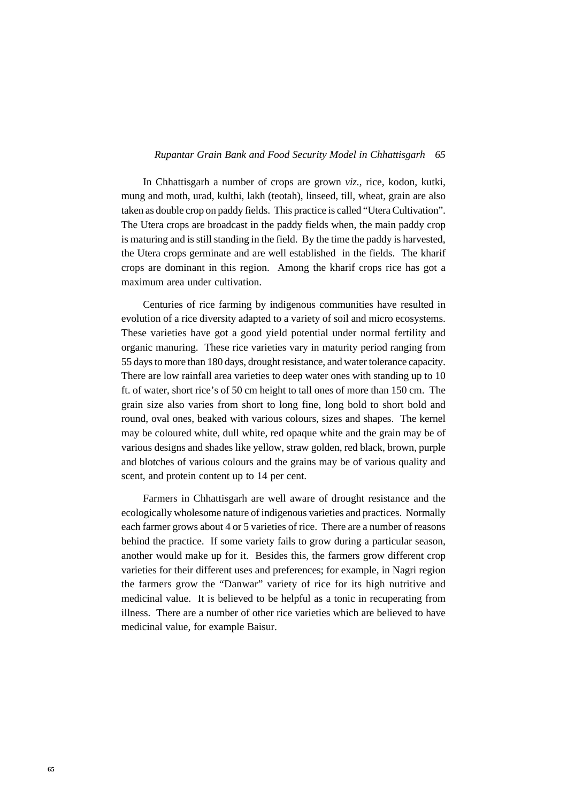#### *65 Rupantar Grain Bank and Food Security Model in Chhattisgarh*

In Chhattisgarh a number of crops are grown *viz.,* rice, kodon, kutki, mung and moth, urad, kulthi, lakh (teotah), linseed, till, wheat, grain are also taken as double crop on paddy fields. This practice is called "Utera Cultivation". The Utera crops are broadcast in the paddy fields when, the main paddy crop is maturing and is still standing in the field. By the time the paddy is harvested, the Utera crops germinate and are well established in the fields. The kharif crops are dominant in this region. Among the kharif crops rice has got a maximum area under cultivation.

Centuries of rice farming by indigenous communities have resulted in evolution of a rice diversity adapted to a variety of soil and micro ecosystems. These varieties have got a good yield potential under normal fertility and organic manuring. These rice varieties vary in maturity period ranging from 55 days to more than 180 days, drought resistance, and water tolerance capacity. There are low rainfall area varieties to deep water ones with standing up to 10 ft. of water, short rice's of 50 cm height to tall ones of more than 150 cm. The grain size also varies from short to long fine, long bold to short bold and round, oval ones, beaked with various colours, sizes and shapes. The kernel may be coloured white, dull white, red opaque white and the grain may be of various designs and shades like yellow, straw golden, red black, brown, purple and blotches of various colours and the grains may be of various quality and scent, and protein content up to 14 per cent.

Farmers in Chhattisgarh are well aware of drought resistance and the ecologically wholesome nature of indigenous varieties and practices. Normally each farmer grows about 4 or 5 varieties of rice. There are a number of reasons behind the practice. If some variety fails to grow during a particular season, another would make up for it. Besides this, the farmers grow different crop varieties for their different uses and preferences; for example, in Nagri region the farmers grow the "Danwar" variety of rice for its high nutritive and medicinal value. It is believed to be helpful as a tonic in recuperating from illness. There are a number of other rice varieties which are believed to have medicinal value, for example Baisur.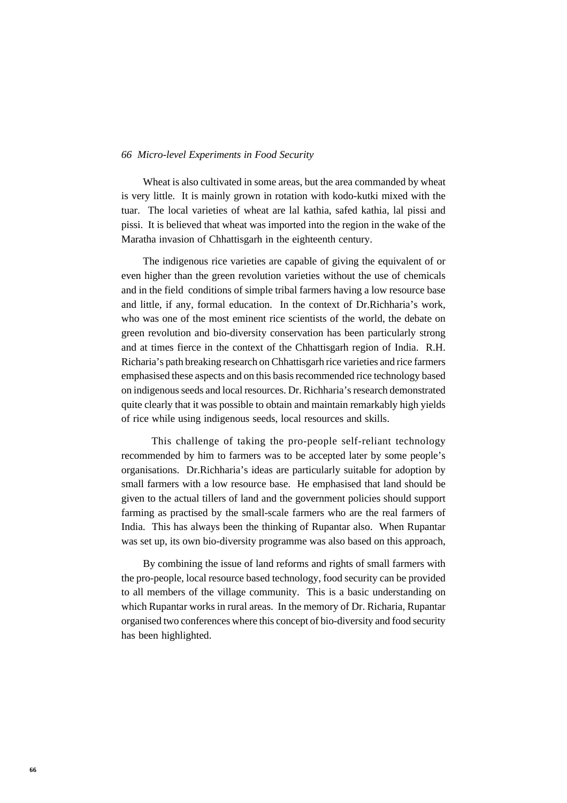Wheat is also cultivated in some areas, but the area commanded by wheat is very little. It is mainly grown in rotation with kodo-kutki mixed with the tuar. The local varieties of wheat are lal kathia, safed kathia, lal pissi and pissi. It is believed that wheat was imported into the region in the wake of the Maratha invasion of Chhattisgarh in the eighteenth century.

The indigenous rice varieties are capable of giving the equivalent of or even higher than the green revolution varieties without the use of chemicals and in the field conditions of simple tribal farmers having a low resource base and little, if any, formal education. In the context of Dr.Richharia's work, who was one of the most eminent rice scientists of the world, the debate on green revolution and bio-diversity conservation has been particularly strong and at times fierce in the context of the Chhattisgarh region of India. R.H. Richaria's path breaking research on Chhattisgarh rice varieties and rice farmers emphasised these aspects and on this basis recommended rice technology based on indigenous seeds and local resources. Dr. Richharia's research demonstrated quite clearly that it was possible to obtain and maintain remarkably high yields of rice while using indigenous seeds, local resources and skills.

 This challenge of taking the pro-people self-reliant technology recommended by him to farmers was to be accepted later by some people's organisations. Dr.Richharia's ideas are particularly suitable for adoption by small farmers with a low resource base. He emphasised that land should be given to the actual tillers of land and the government policies should support farming as practised by the small-scale farmers who are the real farmers of India. This has always been the thinking of Rupantar also. When Rupantar was set up, its own bio-diversity programme was also based on this approach,

By combining the issue of land reforms and rights of small farmers with the pro-people, local resource based technology, food security can be provided to all members of the village community. This is a basic understanding on which Rupantar works in rural areas. In the memory of Dr. Richaria, Rupantar organised two conferences where this concept of bio-diversity and food security has been highlighted.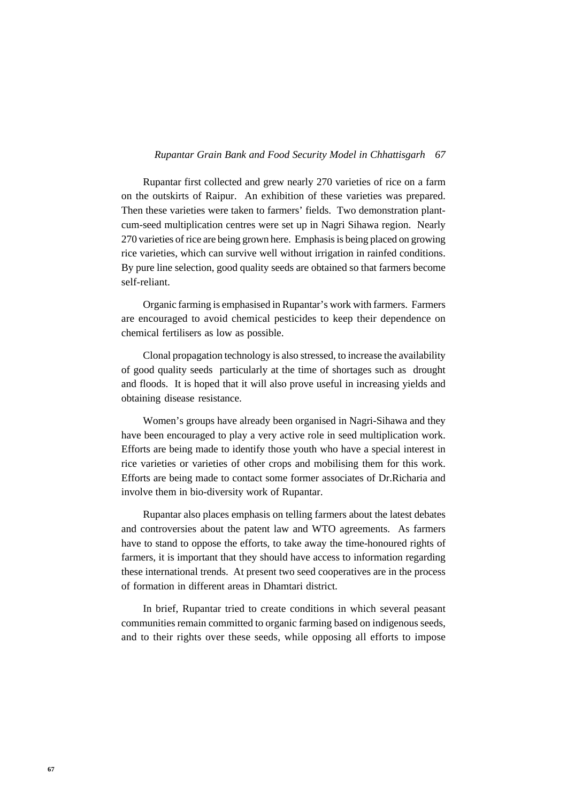#### *67 Rupantar Grain Bank and Food Security Model in Chhattisgarh*

Rupantar first collected and grew nearly 270 varieties of rice on a farm on the outskirts of Raipur. An exhibition of these varieties was prepared. Then these varieties were taken to farmers' fields. Two demonstration plantcum-seed multiplication centres were set up in Nagri Sihawa region. Nearly 270 varieties of rice are being grown here. Emphasis is being placed on growing rice varieties, which can survive well without irrigation in rainfed conditions. By pure line selection, good quality seeds are obtained so that farmers become self-reliant.

Organic farming is emphasised in Rupantar's work with farmers. Farmers are encouraged to avoid chemical pesticides to keep their dependence on chemical fertilisers as low as possible.

Clonal propagation technology is also stressed, to increase the availability of good quality seeds particularly at the time of shortages such as drought and floods. It is hoped that it will also prove useful in increasing yields and obtaining disease resistance.

Women's groups have already been organised in Nagri-Sihawa and they have been encouraged to play a very active role in seed multiplication work. Efforts are being made to identify those youth who have a special interest in rice varieties or varieties of other crops and mobilising them for this work. Efforts are being made to contact some former associates of Dr.Richaria and involve them in bio-diversity work of Rupantar.

Rupantar also places emphasis on telling farmers about the latest debates and controversies about the patent law and WTO agreements. As farmers have to stand to oppose the efforts, to take away the time-honoured rights of farmers, it is important that they should have access to information regarding these international trends. At present two seed cooperatives are in the process of formation in different areas in Dhamtari district.

In brief, Rupantar tried to create conditions in which several peasant communities remain committed to organic farming based on indigenous seeds, and to their rights over these seeds, while opposing all efforts to impose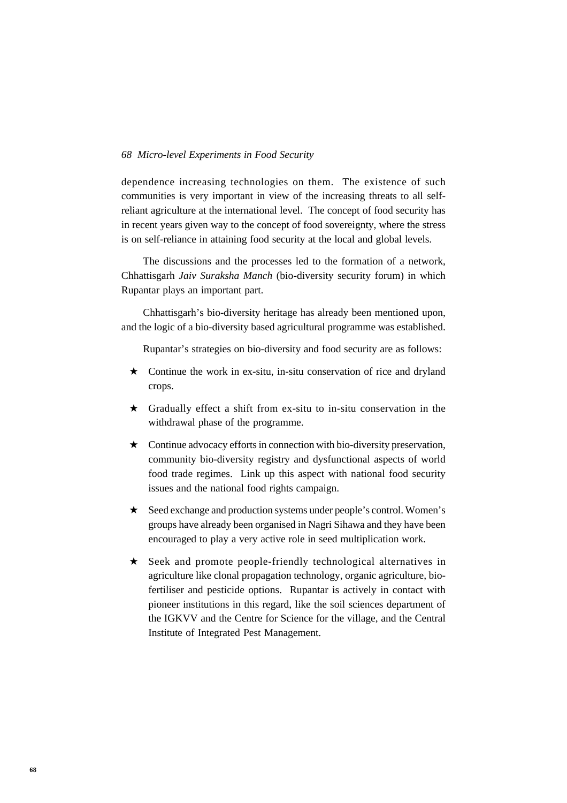dependence increasing technologies on them. The existence of such communities is very important in view of the increasing threats to all selfreliant agriculture at the international level. The concept of food security has in recent years given way to the concept of food sovereignty, where the stress is on self-reliance in attaining food security at the local and global levels.

The discussions and the processes led to the formation of a network, Chhattisgarh *Jaiv Suraksha Manch* (bio-diversity security forum) in which Rupantar plays an important part.

Chhattisgarh's bio-diversity heritage has already been mentioned upon, and the logic of a bio-diversity based agricultural programme was established.

Rupantar's strategies on bio-diversity and food security are as follows:

- $\star$  Continue the work in ex-situ, in-situ conservation of rice and dryland crops.
- ★ Gradually effect a shift from ex-situ to in-situ conservation in the withdrawal phase of the programme.
- $\star$  Continue advocacy efforts in connection with bio-diversity preservation, community bio-diversity registry and dysfunctional aspects of world food trade regimes. Link up this aspect with national food security issues and the national food rights campaign.
- ★ Seed exchange and production systems under people's control. Women's groups have already been organised in Nagri Sihawa and they have been encouraged to play a very active role in seed multiplication work.
- ★ Seek and promote people-friendly technological alternatives in agriculture like clonal propagation technology, organic agriculture, biofertiliser and pesticide options. Rupantar is actively in contact with pioneer institutions in this regard, like the soil sciences department of the IGKVV and the Centre for Science for the village, and the Central Institute of Integrated Pest Management.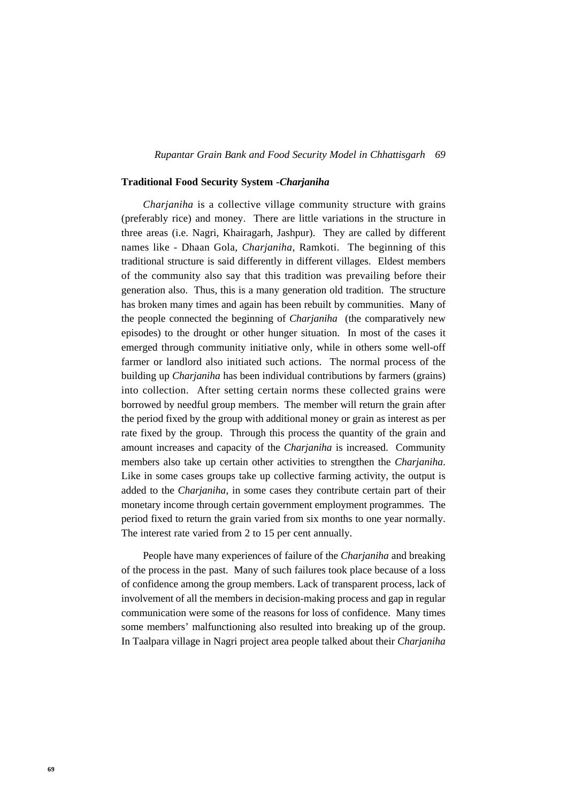#### *69 Rupantar Grain Bank and Food Security Model in Chhattisgarh*

#### **Traditional Food Security System -***Charjaniha*

*Charjaniha* is a collective village community structure with grains (preferably rice) and money. There are little variations in the structure in three areas (i.e. Nagri, Khairagarh, Jashpur). They are called by different names like - Dhaan Gola, *Charjaniha*, Ramkoti. The beginning of this traditional structure is said differently in different villages. Eldest members of the community also say that this tradition was prevailing before their generation also. Thus, this is a many generation old tradition. The structure has broken many times and again has been rebuilt by communities. Many of the people connected the beginning of *Charjaniha* (the comparatively new episodes) to the drought or other hunger situation. In most of the cases it emerged through community initiative only, while in others some well-off farmer or landlord also initiated such actions. The normal process of the building up *Charjaniha* has been individual contributions by farmers (grains) into collection. After setting certain norms these collected grains were borrowed by needful group members. The member will return the grain after the period fixed by the group with additional money or grain as interest as per rate fixed by the group. Through this process the quantity of the grain and amount increases and capacity of the *Charjaniha* is increased. Community members also take up certain other activities to strengthen the *Charjaniha*. Like in some cases groups take up collective farming activity, the output is added to the *Charjaniha*, in some cases they contribute certain part of their monetary income through certain government employment programmes. The period fixed to return the grain varied from six months to one year normally. The interest rate varied from 2 to 15 per cent annually.

People have many experiences of failure of the *Charjaniha* and breaking of the process in the past. Many of such failures took place because of a loss of confidence among the group members. Lack of transparent process, lack of involvement of all the members in decision-making process and gap in regular communication were some of the reasons for loss of confidence. Many times some members' malfunctioning also resulted into breaking up of the group. In Taalpara village in Nagri project area people talked about their *Charjaniha*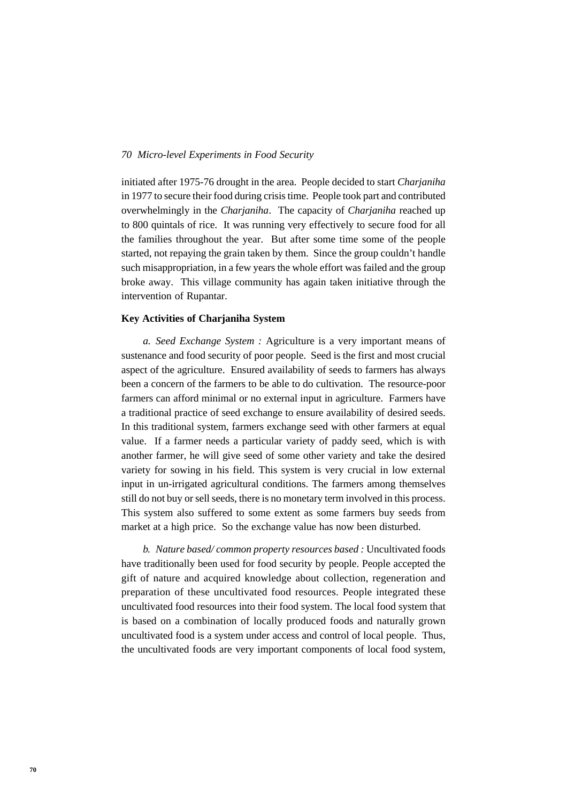initiated after 1975-76 drought in the area. People decided to start *Charjaniha* in 1977 to secure their food during crisis time. People took part and contributed overwhelmingly in the *Charjaniha*. The capacity of *Charjaniha* reached up to 800 quintals of rice. It was running very effectively to secure food for all the families throughout the year. But after some time some of the people started, not repaying the grain taken by them. Since the group couldn't handle such misappropriation, in a few years the whole effort was failed and the group broke away. This village community has again taken initiative through the intervention of Rupantar.

## **Key Activities of Charjaniha System**

*a. Seed Exchange System :* Agriculture is a very important means of sustenance and food security of poor people. Seed is the first and most crucial aspect of the agriculture. Ensured availability of seeds to farmers has always been a concern of the farmers to be able to do cultivation. The resource-poor farmers can afford minimal or no external input in agriculture. Farmers have a traditional practice of seed exchange to ensure availability of desired seeds. In this traditional system, farmers exchange seed with other farmers at equal value. If a farmer needs a particular variety of paddy seed, which is with another farmer, he will give seed of some other variety and take the desired variety for sowing in his field. This system is very crucial in low external input in un-irrigated agricultural conditions. The farmers among themselves still do not buy or sell seeds, there is no monetary term involved in this process. This system also suffered to some extent as some farmers buy seeds from market at a high price. So the exchange value has now been disturbed.

*b. Nature based/ common property resources based :* Uncultivated foods have traditionally been used for food security by people. People accepted the gift of nature and acquired knowledge about collection, regeneration and preparation of these uncultivated food resources. People integrated these uncultivated food resources into their food system. The local food system that is based on a combination of locally produced foods and naturally grown uncultivated food is a system under access and control of local people. Thus, the uncultivated foods are very important components of local food system,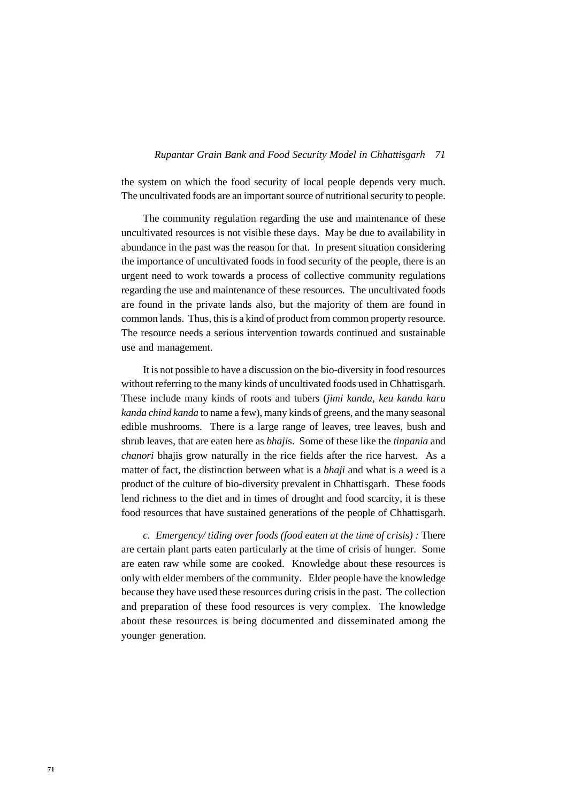#### *71 Rupantar Grain Bank and Food Security Model in Chhattisgarh*

the system on which the food security of local people depends very much. The uncultivated foods are an important source of nutritional security to people.

The community regulation regarding the use and maintenance of these uncultivated resources is not visible these days. May be due to availability in abundance in the past was the reason for that. In present situation considering the importance of uncultivated foods in food security of the people, there is an urgent need to work towards a process of collective community regulations regarding the use and maintenance of these resources. The uncultivated foods are found in the private lands also, but the majority of them are found in common lands. Thus, this is a kind of product from common property resource. The resource needs a serious intervention towards continued and sustainable use and management.

It is not possible to have a discussion on the bio-diversity in food resources without referring to the many kinds of uncultivated foods used in Chhattisgarh. These include many kinds of roots and tubers (*jimi kanda, keu kanda karu kanda chind kanda* to name a few), many kinds of greens, and the many seasonal edible mushrooms. There is a large range of leaves, tree leaves, bush and shrub leaves, that are eaten here as *bhaji*s. Some of these like the *tinpania* and *chanori* bhajis grow naturally in the rice fields after the rice harvest. As a matter of fact, the distinction between what is a *bhaji* and what is a weed is a product of the culture of bio-diversity prevalent in Chhattisgarh. These foods lend richness to the diet and in times of drought and food scarcity, it is these food resources that have sustained generations of the people of Chhattisgarh.

*c. Emergency/ tiding over foods (food eaten at the time of crisis) :* There are certain plant parts eaten particularly at the time of crisis of hunger. Some are eaten raw while some are cooked. Knowledge about these resources is only with elder members of the community. Elder people have the knowledge because they have used these resources during crisis in the past. The collection and preparation of these food resources is very complex. The knowledge about these resources is being documented and disseminated among the younger generation.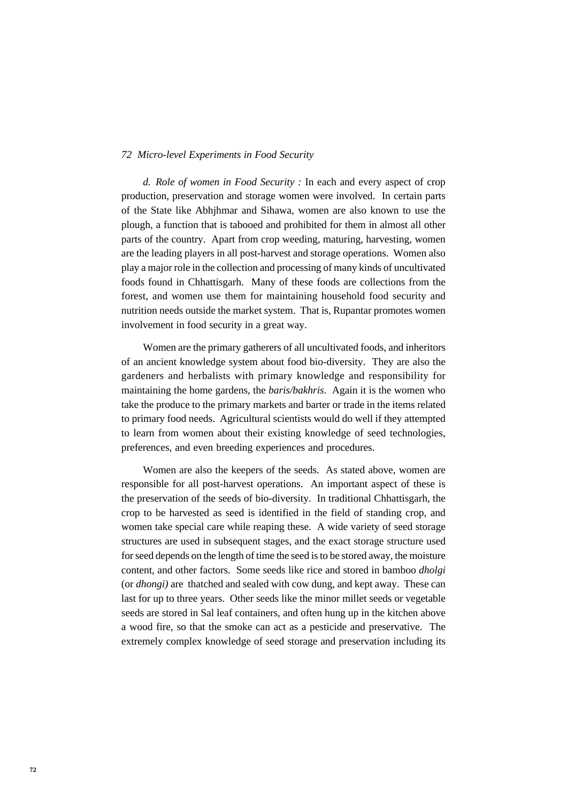*d. Role of women in Food Security :* In each and every aspect of crop production, preservation and storage women were involved. In certain parts of the State like Abhjhmar and Sihawa, women are also known to use the plough, a function that is tabooed and prohibited for them in almost all other parts of the country. Apart from crop weeding, maturing, harvesting, women are the leading players in all post-harvest and storage operations. Women also play a major role in the collection and processing of many kinds of uncultivated foods found in Chhattisgarh. Many of these foods are collections from the forest, and women use them for maintaining household food security and nutrition needs outside the market system. That is, Rupantar promotes women involvement in food security in a great way.

Women are the primary gatherers of all uncultivated foods, and inheritors of an ancient knowledge system about food bio-diversity. They are also the gardeners and herbalists with primary knowledge and responsibility for maintaining the home gardens, the *baris/bakhris*. Again it is the women who take the produce to the primary markets and barter or trade in the items related to primary food needs. Agricultural scientists would do well if they attempted to learn from women about their existing knowledge of seed technologies, preferences, and even breeding experiences and procedures.

Women are also the keepers of the seeds. As stated above, women are responsible for all post-harvest operations. An important aspect of these is the preservation of the seeds of bio-diversity. In traditional Chhattisgarh, the crop to be harvested as seed is identified in the field of standing crop, and women take special care while reaping these. A wide variety of seed storage structures are used in subsequent stages, and the exact storage structure used for seed depends on the length of time the seed is to be stored away, the moisture content, and other factors. Some seeds like rice and stored in bamboo *dholgi* (or *dhongi)* are thatched and sealed with cow dung, and kept away. These can last for up to three years. Other seeds like the minor millet seeds or vegetable seeds are stored in Sal leaf containers, and often hung up in the kitchen above a wood fire, so that the smoke can act as a pesticide and preservative. The extremely complex knowledge of seed storage and preservation including its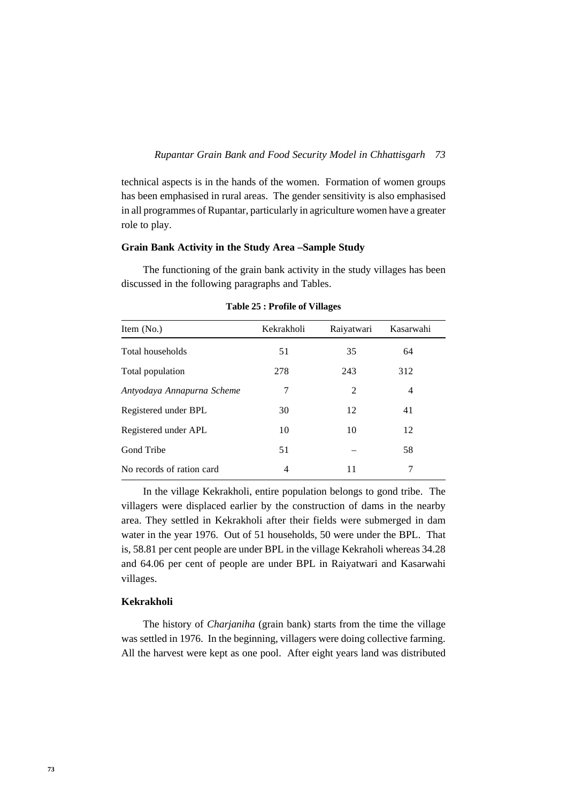technical aspects is in the hands of the women. Formation of women groups has been emphasised in rural areas. The gender sensitivity is also emphasised in all programmes of Rupantar, particularly in agriculture women have a greater role to play.

## **Grain Bank Activity in the Study Area –Sample Study**

The functioning of the grain bank activity in the study villages has been discussed in the following paragraphs and Tables.

| Item (No.)                 | Kekrakholi | Raiyatwari | Kasarwahi      |
|----------------------------|------------|------------|----------------|
| Total households           | 51         | 35         | 64             |
| Total population           | 278        | 243        | 312            |
| Antyodaya Annapurna Scheme | 7          | 2          | $\overline{4}$ |
| Registered under BPL       | 30         | 12         | 41             |
| Registered under APL       | 10         | 10         | 12             |
| Gond Tribe                 | 51         |            | 58             |
| No records of ration card  | 4          | 11         | 7              |

**Table 25 : Profile of Villages**

In the village Kekrakholi, entire population belongs to gond tribe. The villagers were displaced earlier by the construction of dams in the nearby area. They settled in Kekrakholi after their fields were submerged in dam water in the year 1976. Out of 51 households, 50 were under the BPL. That is, 58.81 per cent people are under BPL in the village Kekraholi whereas 34.28 and 64.06 per cent of people are under BPL in Raiyatwari and Kasarwahi villages.

## **Kekrakholi**

The history of *Charjaniha* (grain bank) starts from the time the village was settled in 1976. In the beginning, villagers were doing collective farming. All the harvest were kept as one pool. After eight years land was distributed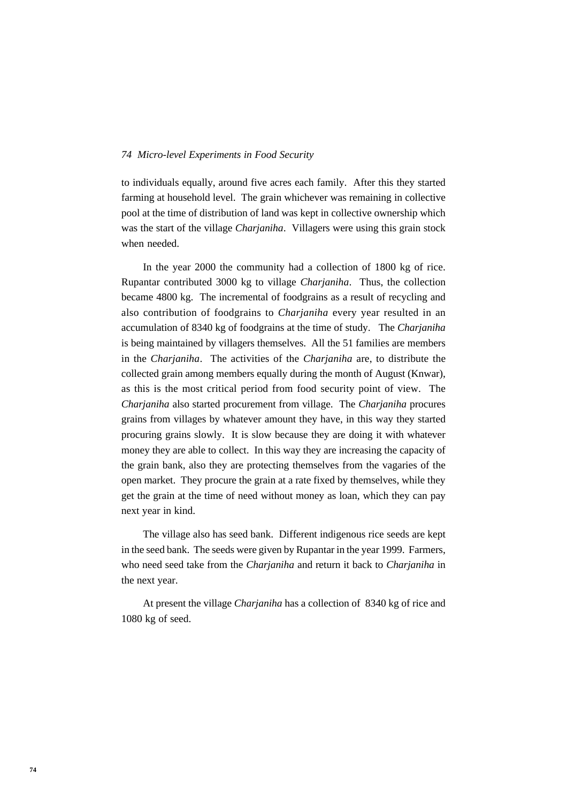to individuals equally, around five acres each family. After this they started farming at household level. The grain whichever was remaining in collective pool at the time of distribution of land was kept in collective ownership which was the start of the village *Charjaniha*. Villagers were using this grain stock when needed.

In the year 2000 the community had a collection of 1800 kg of rice. Rupantar contributed 3000 kg to village *Charjaniha*. Thus, the collection became 4800 kg. The incremental of foodgrains as a result of recycling and also contribution of foodgrains to *Charjaniha* every year resulted in an accumulation of 8340 kg of foodgrains at the time of study. The *Charjaniha* is being maintained by villagers themselves. All the 51 families are members in the *Charjaniha*. The activities of the *Charjaniha* are, to distribute the collected grain among members equally during the month of August (Knwar), as this is the most critical period from food security point of view. The *Charjaniha* also started procurement from village. The *Charjaniha* procures grains from villages by whatever amount they have, in this way they started procuring grains slowly. It is slow because they are doing it with whatever money they are able to collect. In this way they are increasing the capacity of the grain bank, also they are protecting themselves from the vagaries of the open market. They procure the grain at a rate fixed by themselves, while they get the grain at the time of need without money as loan, which they can pay next year in kind.

The village also has seed bank. Different indigenous rice seeds are kept in the seed bank. The seeds were given by Rupantar in the year 1999. Farmers, who need seed take from the *Charjaniha* and return it back to *Charjaniha* in the next year.

At present the village *Charjaniha* has a collection of 8340 kg of rice and 1080 kg of seed.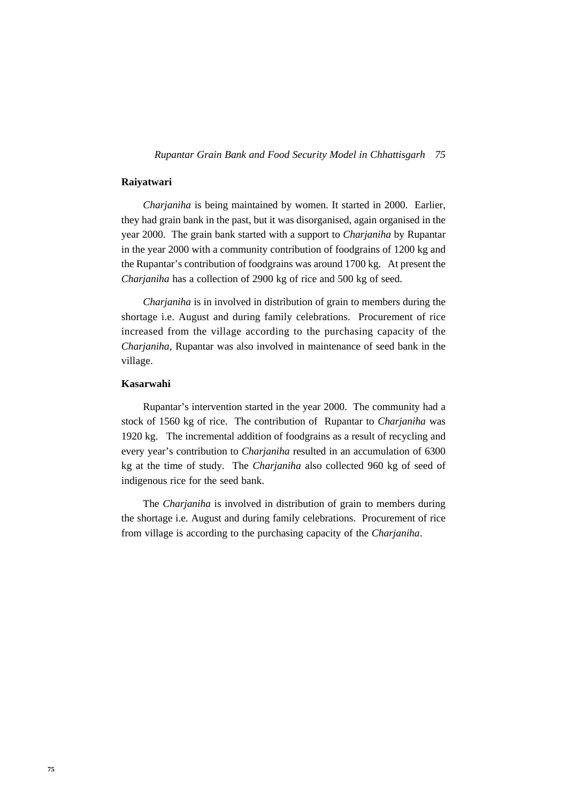#### *75 Rupantar Grain Bank and Food Security Model in Chhattisgarh*

## **Raiyatwari**

*Charjaniha* is being maintained by women. It started in 2000. Earlier, they had grain bank in the past, but it was disorganised, again organised in the year 2000. The grain bank started with a support to *Charjaniha* by Rupantar in the year 2000 with a community contribution of foodgrains of 1200 kg and the Rupantar's contribution of foodgrains was around 1700 kg. At present the *Charjaniha* has a collection of 2900 kg of rice and 500 kg of seed.

*Charjaniha* is in involved in distribution of grain to members during the shortage i.e. August and during family celebrations. Procurement of rice increased from the village according to the purchasing capacity of the *Charjaniha*, Rupantar was also involved in maintenance of seed bank in the village.

## **Kasarwahi**

Rupantar's intervention started in the year 2000. The community had a stock of 1560 kg of rice. The contribution of Rupantar to *Charjaniha* was 1920 kg. The incremental addition of foodgrains as a result of recycling and every year's contribution to *Charjaniha* resulted in an accumulation of 6300 kg at the time of study. The *Charjaniha* also collected 960 kg of seed of indigenous rice for the seed bank.

The *Charjaniha* is involved in distribution of grain to members during the shortage i.e. August and during family celebrations. Procurement of rice from village is according to the purchasing capacity of the *Charjaniha*.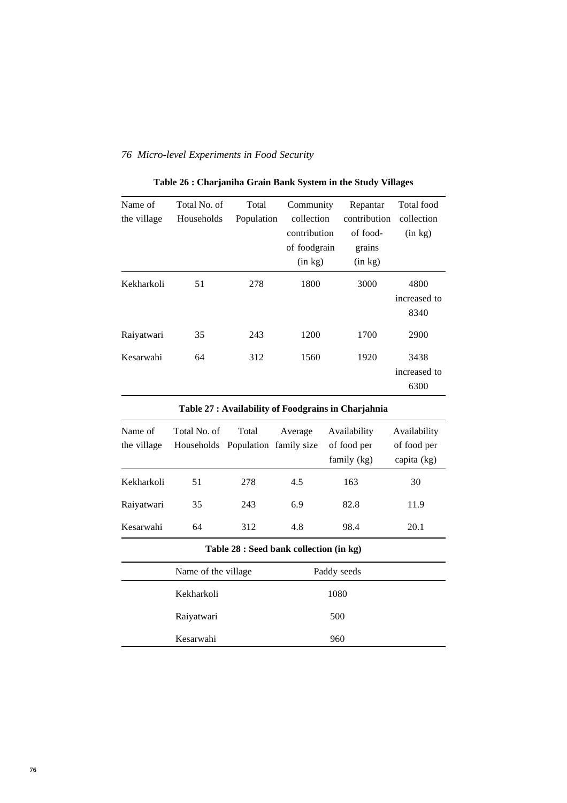| Name of     | Total No. of | Total      | Community    | Repantar     | Total food   |
|-------------|--------------|------------|--------------|--------------|--------------|
| the village | Households   | Population | collection   | contribution | collection   |
|             |              |            | contribution | of food-     | (in kg)      |
|             |              |            | of foodgrain | grains       |              |
|             |              |            | (in kg)      | (in kg)      |              |
| Kekharkoli  | 51           | 278        | 1800         | 3000         | 4800         |
|             |              |            |              |              | increased to |
|             |              |            |              |              | 8340         |
| Raiyatwari  | 35           | 243        | 1200         | 1700         | 2900         |
| Kesarwahi   | 64           | 312        | 1560         | 1920         | 3438         |
|             |              |            |              |              | increased to |
|             |              |            |              |              | 6300         |
|             |              |            |              |              |              |

**Table 26 : Charjaniha Grain Bank System in the Study Villages**

| Table 27 : Availability of Foodgrains in Charjahnia |                                                   |       |                                         |                                            |                                            |
|-----------------------------------------------------|---------------------------------------------------|-------|-----------------------------------------|--------------------------------------------|--------------------------------------------|
| Name of<br>the village                              | Total No. of<br>Households Population family size | Total | Average                                 | Availability<br>of food per<br>family (kg) | Availability<br>of food per<br>capita (kg) |
| Kekharkoli                                          | 51                                                | 278   | 4.5                                     | 163                                        | 30                                         |
| Raiyatwari                                          | 35                                                | 243   | 6.9                                     | 82.8                                       | 11.9                                       |
| Kesarwahi                                           | 64                                                | 312   | 4.8                                     | 98.4                                       | 20.1                                       |
|                                                     |                                                   |       | Table 28 : Seed bank collection (in kg) |                                            |                                            |
|                                                     | Name of the village.                              |       |                                         | Paddy seeds                                |                                            |
|                                                     | Kekharkoli                                        |       |                                         | 1080                                       |                                            |
|                                                     | Raiyatwari                                        |       |                                         | 500                                        |                                            |
|                                                     | Kesarwahi                                         |       |                                         | 960                                        |                                            |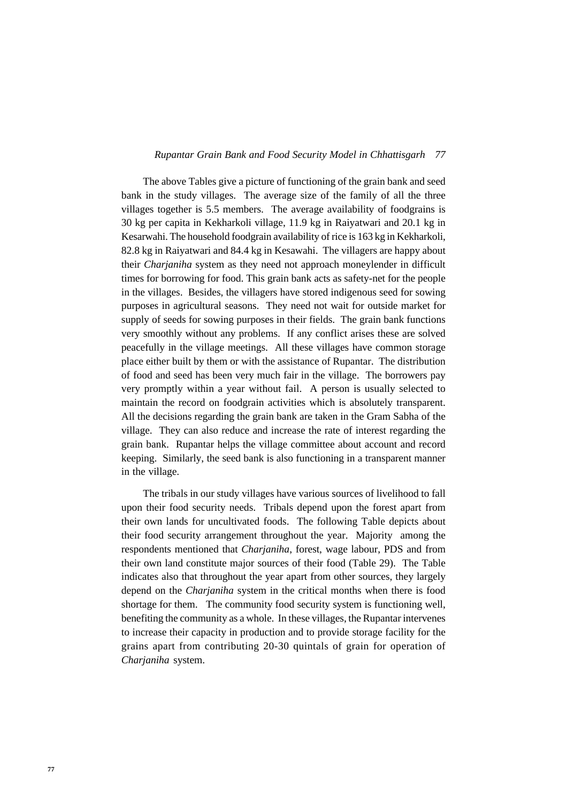#### *77 Rupantar Grain Bank and Food Security Model in Chhattisgarh*

The above Tables give a picture of functioning of the grain bank and seed bank in the study villages. The average size of the family of all the three villages together is 5.5 members. The average availability of foodgrains is 30 kg per capita in Kekharkoli village, 11.9 kg in Raiyatwari and 20.1 kg in Kesarwahi. The household foodgrain availability of rice is 163 kg in Kekharkoli, 82.8 kg in Raiyatwari and 84.4 kg in Kesawahi. The villagers are happy about their *Charjaniha* system as they need not approach moneylender in difficult times for borrowing for food. This grain bank acts as safety-net for the people in the villages. Besides, the villagers have stored indigenous seed for sowing purposes in agricultural seasons. They need not wait for outside market for supply of seeds for sowing purposes in their fields. The grain bank functions very smoothly without any problems. If any conflict arises these are solved peacefully in the village meetings. All these villages have common storage place either built by them or with the assistance of Rupantar. The distribution of food and seed has been very much fair in the village. The borrowers pay very promptly within a year without fail. A person is usually selected to maintain the record on foodgrain activities which is absolutely transparent. All the decisions regarding the grain bank are taken in the Gram Sabha of the village. They can also reduce and increase the rate of interest regarding the grain bank. Rupantar helps the village committee about account and record keeping. Similarly, the seed bank is also functioning in a transparent manner in the village.

The tribals in our study villages have various sources of livelihood to fall upon their food security needs. Tribals depend upon the forest apart from their own lands for uncultivated foods. The following Table depicts about their food security arrangement throughout the year. Majority among the respondents mentioned that *Charjaniha*, forest, wage labour, PDS and from their own land constitute major sources of their food (Table 29). The Table indicates also that throughout the year apart from other sources, they largely depend on the *Charjaniha* system in the critical months when there is food shortage for them. The community food security system is functioning well, benefiting the community as a whole. In these villages, the Rupantar intervenes to increase their capacity in production and to provide storage facility for the grains apart from contributing 20-30 quintals of grain for operation of *Charjaniha* system.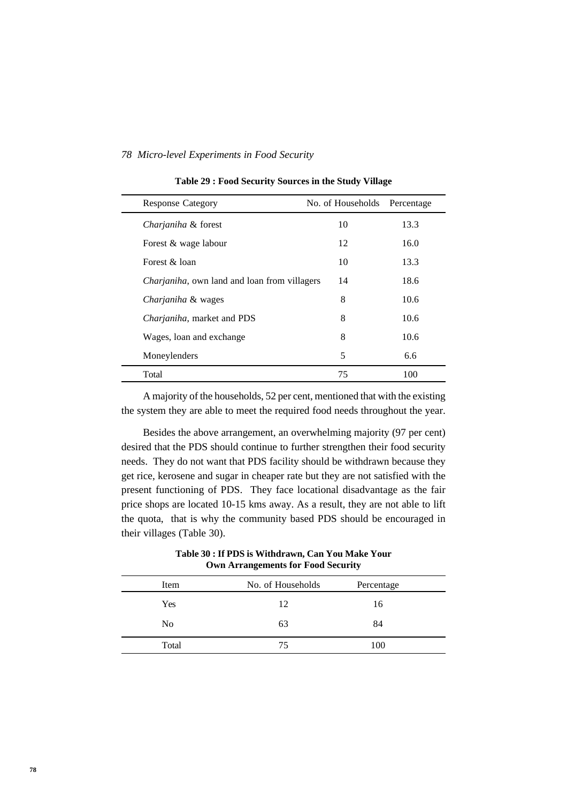| <b>Response Category</b>                             | No. of Households | Percentage |  |
|------------------------------------------------------|-------------------|------------|--|
| Charjaniha & forest                                  | 10                | 13.3       |  |
| Forest & wage labour                                 | 12                | 16.0       |  |
| Forest & loan                                        | 10                | 13.3       |  |
| <i>Charjaniha</i> , own land and loan from villagers | 14                | 18.6       |  |
| Charjaniha & wages                                   | 8                 | 10.6       |  |
| <i>Charjaniha</i> , market and PDS                   | 8                 | 10.6       |  |
| Wages, loan and exchange                             | 8                 | 10.6       |  |
| Moneylenders                                         | 5                 | 6.6        |  |
| Total                                                | 75                | 100        |  |

#### **Table 29 : Food Security Sources in the Study Village**

A majority of the households, 52 per cent, mentioned that with the existing the system they are able to meet the required food needs throughout the year.

Besides the above arrangement, an overwhelming majority (97 per cent) desired that the PDS should continue to further strengthen their food security needs. They do not want that PDS facility should be withdrawn because they get rice, kerosene and sugar in cheaper rate but they are not satisfied with the present functioning of PDS. They face locational disadvantage as the fair price shops are located 10-15 kms away. As a result, they are not able to lift the quota, that is why the community based PDS should be encouraged in their villages (Table 30).

**Table 30 : If PDS is Withdrawn, Can You Make Your Own Arrangements for Food Security**

| Item           | No. of Households | Percentage |  |
|----------------|-------------------|------------|--|
| Yes            | 12                | 16         |  |
| N <sub>0</sub> | 63                | 84         |  |
| Total          | 75                | 100        |  |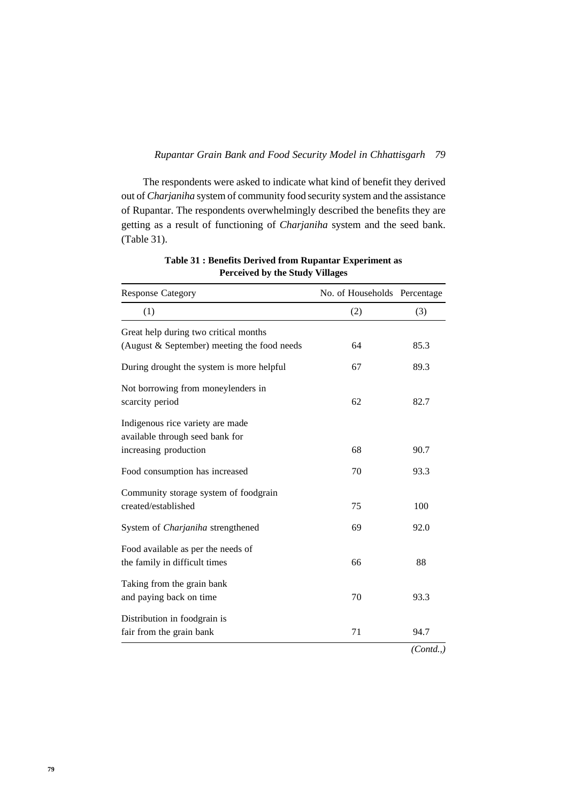#### *79 Rupantar Grain Bank and Food Security Model in Chhattisgarh*

The respondents were asked to indicate what kind of benefit they derived out of *Charjaniha* system of community food security system and the assistance of Rupantar. The respondents overwhelmingly described the benefits they are getting as a result of functioning of *Charjaniha* system and the seed bank. (Table 31).

| <b>Response Category</b>                                            | No. of Households Percentage |            |  |
|---------------------------------------------------------------------|------------------------------|------------|--|
| (1)                                                                 | (2)                          | (3)        |  |
| Great help during two critical months                               |                              |            |  |
| (August & September) meeting the food needs                         | 64                           | 85.3       |  |
| During drought the system is more helpful                           | 67                           | 89.3       |  |
| Not borrowing from moneylenders in<br>scarcity period               | 62                           | 82.7       |  |
| Indigenous rice variety are made<br>available through seed bank for |                              |            |  |
| increasing production                                               | 68                           | 90.7       |  |
| Food consumption has increased                                      | 70                           | 93.3       |  |
| Community storage system of foodgrain                               |                              |            |  |
| created/established                                                 | 75                           | 100        |  |
| System of Charjaniha strengthened                                   | 69                           | 92.0       |  |
| Food available as per the needs of                                  |                              |            |  |
| the family in difficult times                                       | 66                           | 88         |  |
| Taking from the grain bank                                          |                              |            |  |
| and paying back on time                                             | 70                           | 93.3       |  |
| Distribution in foodgrain is                                        |                              |            |  |
| fair from the grain bank                                            | 71                           | 94.7       |  |
|                                                                     |                              | (Contd., ) |  |

**Table 31 : Benefits Derived from Rupantar Experiment as Perceived by the Study Villages**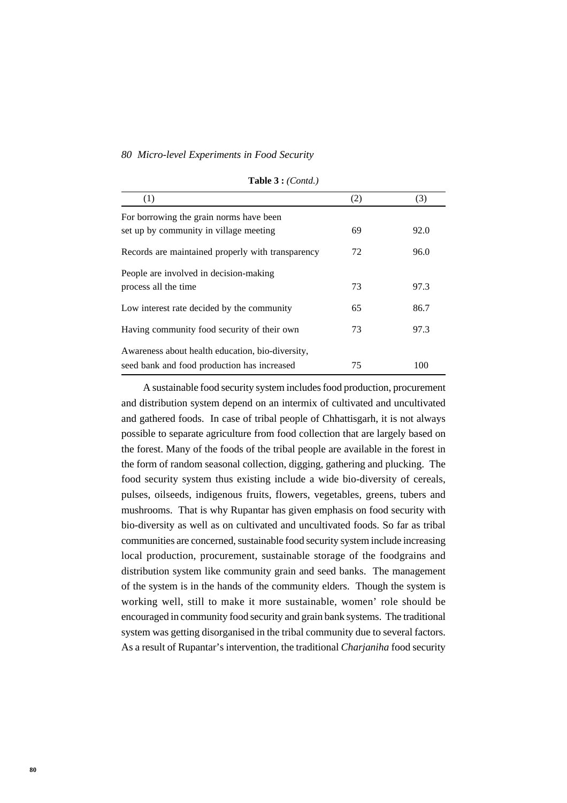| 1.451221.001101.7                                 |     |      |  |  |
|---------------------------------------------------|-----|------|--|--|
| (1)                                               | (2) | (3)  |  |  |
| For borrowing the grain norms have been           |     |      |  |  |
| set up by community in village meeting            | 69  | 92.0 |  |  |
| Records are maintained properly with transparency | 72  | 96.0 |  |  |
| People are involved in decision-making            |     |      |  |  |
| process all the time                              | 73  | 97.3 |  |  |
| Low interest rate decided by the community        | 65  | 86.7 |  |  |
| Having community food security of their own       | 73  | 97.3 |  |  |
| Awareness about health education, bio-diversity,  |     |      |  |  |
| seed bank and food production has increased       | 75  | 100  |  |  |

**Table 3 :** *(Contd.)*

A sustainable food security system includes food production, procurement and distribution system depend on an intermix of cultivated and uncultivated and gathered foods. In case of tribal people of Chhattisgarh, it is not always possible to separate agriculture from food collection that are largely based on the forest. Many of the foods of the tribal people are available in the forest in the form of random seasonal collection, digging, gathering and plucking. The food security system thus existing include a wide bio-diversity of cereals, pulses, oilseeds, indigenous fruits, flowers, vegetables, greens, tubers and mushrooms. That is why Rupantar has given emphasis on food security with bio-diversity as well as on cultivated and uncultivated foods. So far as tribal communities are concerned, sustainable food security system include increasing local production, procurement, sustainable storage of the foodgrains and distribution system like community grain and seed banks. The management of the system is in the hands of the community elders. Though the system is working well, still to make it more sustainable, women' role should be encouraged in community food security and grain bank systems. The traditional system was getting disorganised in the tribal community due to several factors. As a result of Rupantar's intervention, the traditional *Charjaniha* food security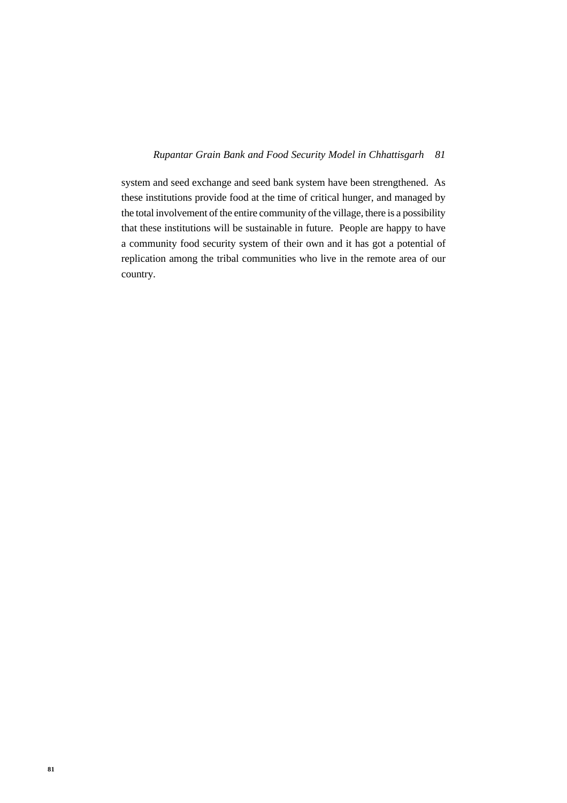#### *81 Rupantar Grain Bank and Food Security Model in Chhattisgarh*

system and seed exchange and seed bank system have been strengthened. As these institutions provide food at the time of critical hunger, and managed by the total involvement of the entire community of the village, there is a possibility that these institutions will be sustainable in future. People are happy to have a community food security system of their own and it has got a potential of replication among the tribal communities who live in the remote area of our country.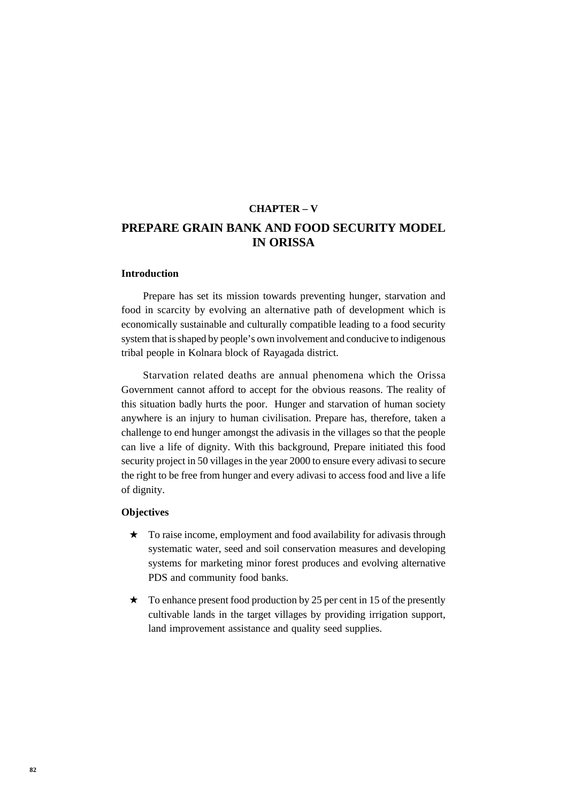# **CHAPTER – V PREPARE GRAIN BANK AND FOOD SECURITY MODEL IN ORISSA**

#### **Introduction**

Prepare has set its mission towards preventing hunger, starvation and food in scarcity by evolving an alternative path of development which is economically sustainable and culturally compatible leading to a food security system that is shaped by people's own involvement and conducive to indigenous tribal people in Kolnara block of Rayagada district.

Starvation related deaths are annual phenomena which the Orissa Government cannot afford to accept for the obvious reasons. The reality of this situation badly hurts the poor. Hunger and starvation of human society anywhere is an injury to human civilisation. Prepare has, therefore, taken a challenge to end hunger amongst the adivasis in the villages so that the people can live a life of dignity. With this background, Prepare initiated this food security project in 50 villages in the year 2000 to ensure every adivasi to secure the right to be free from hunger and every adivasi to access food and live a life of dignity.

### **Objectives**

- ★ To raise income, employment and food availability for adivasis through systematic water, seed and soil conservation measures and developing systems for marketing minor forest produces and evolving alternative PDS and community food banks.
- $\star$  To enhance present food production by 25 per cent in 15 of the presently cultivable lands in the target villages by providing irrigation support, land improvement assistance and quality seed supplies.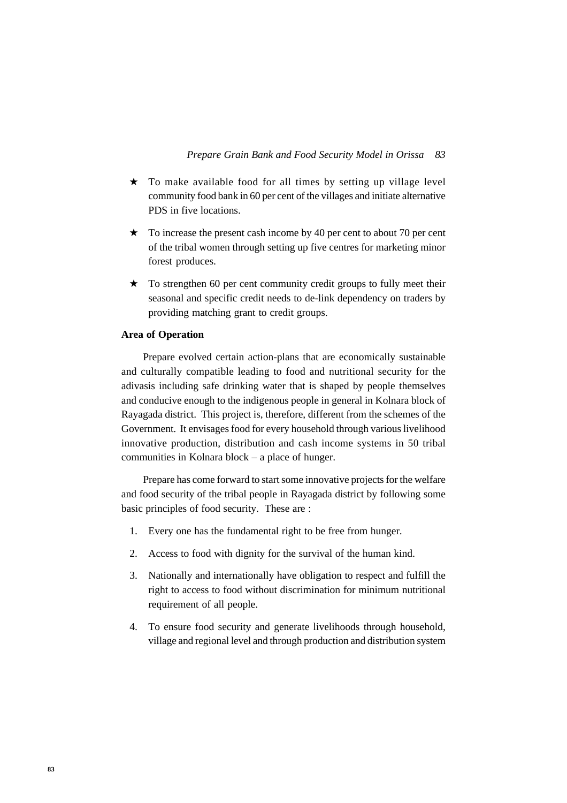- ★ To make available food for all times by setting up village level community food bank in 60 per cent of the villages and initiate alternative PDS in five locations.
- ★ To increase the present cash income by 40 per cent to about 70 per cent of the tribal women through setting up five centres for marketing minor forest produces.
- $\star$  To strengthen 60 per cent community credit groups to fully meet their seasonal and specific credit needs to de-link dependency on traders by providing matching grant to credit groups.

## **Area of Operation**

Prepare evolved certain action-plans that are economically sustainable and culturally compatible leading to food and nutritional security for the adivasis including safe drinking water that is shaped by people themselves and conducive enough to the indigenous people in general in Kolnara block of Rayagada district. This project is, therefore, different from the schemes of the Government. It envisages food for every household through various livelihood innovative production, distribution and cash income systems in 50 tribal communities in Kolnara block – a place of hunger.

Prepare has come forward to start some innovative projects for the welfare and food security of the tribal people in Rayagada district by following some basic principles of food security. These are :

- 1. Every one has the fundamental right to be free from hunger.
- 2. Access to food with dignity for the survival of the human kind.
- 3. Nationally and internationally have obligation to respect and fulfill the right to access to food without discrimination for minimum nutritional requirement of all people.
- 4. To ensure food security and generate livelihoods through household, village and regional level and through production and distribution system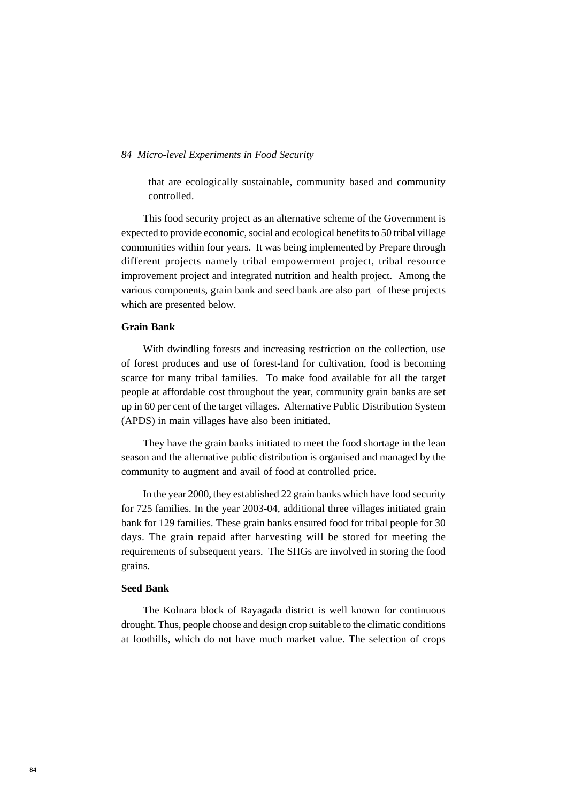that are ecologically sustainable, community based and community controlled.

This food security project as an alternative scheme of the Government is expected to provide economic, social and ecological benefits to 50 tribal village communities within four years. It was being implemented by Prepare through different projects namely tribal empowerment project, tribal resource improvement project and integrated nutrition and health project. Among the various components, grain bank and seed bank are also part of these projects which are presented below.

#### **Grain Bank**

With dwindling forests and increasing restriction on the collection, use of forest produces and use of forest-land for cultivation, food is becoming scarce for many tribal families. To make food available for all the target people at affordable cost throughout the year, community grain banks are set up in 60 per cent of the target villages. Alternative Public Distribution System (APDS) in main villages have also been initiated.

They have the grain banks initiated to meet the food shortage in the lean season and the alternative public distribution is organised and managed by the community to augment and avail of food at controlled price.

In the year 2000, they established 22 grain banks which have food security for 725 families. In the year 2003-04, additional three villages initiated grain bank for 129 families. These grain banks ensured food for tribal people for 30 days. The grain repaid after harvesting will be stored for meeting the requirements of subsequent years. The SHGs are involved in storing the food grains.

### **Seed Bank**

The Kolnara block of Rayagada district is well known for continuous drought. Thus, people choose and design crop suitable to the climatic conditions at foothills, which do not have much market value. The selection of crops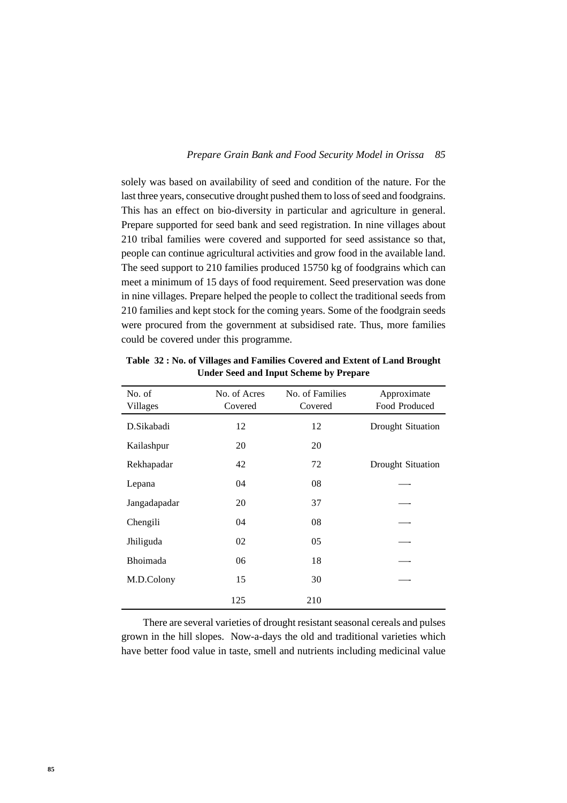solely was based on availability of seed and condition of the nature. For the last three years, consecutive drought pushed them to loss of seed and foodgrains. This has an effect on bio-diversity in particular and agriculture in general. Prepare supported for seed bank and seed registration. In nine villages about 210 tribal families were covered and supported for seed assistance so that, people can continue agricultural activities and grow food in the available land. The seed support to 210 families produced 15750 kg of foodgrains which can meet a minimum of 15 days of food requirement. Seed preservation was done in nine villages. Prepare helped the people to collect the traditional seeds from 210 families and kept stock for the coming years. Some of the foodgrain seeds were procured from the government at subsidised rate. Thus, more families could be covered under this programme.

| No. of<br>Villages | No. of Acres<br>Covered | No. of Families<br>Covered | Approximate<br>Food Produced |
|--------------------|-------------------------|----------------------------|------------------------------|
| D.Sikabadi         | 12                      | 12                         | Drought Situation            |
| Kailashpur         | 20                      | 20                         |                              |
| Rekhapadar         | 42                      | 72                         | Drought Situation            |
| Lepana             | 04                      | 08                         |                              |
| Jangadapadar       | 20                      | 37                         |                              |
| Chengili           | 04                      | 08                         |                              |
| Jhiliguda          | 02                      | 05                         |                              |
| <b>Bhoimada</b>    | 06                      | 18                         |                              |
| M.D.Colony         | 15                      | 30                         |                              |
|                    | 125                     | 210                        |                              |

**Table 32 : No. of Villages and Families Covered and Extent of Land Brought Under Seed and Input Scheme by Prepare**

There are several varieties of drought resistant seasonal cereals and pulses grown in the hill slopes. Now-a-days the old and traditional varieties which have better food value in taste, smell and nutrients including medicinal value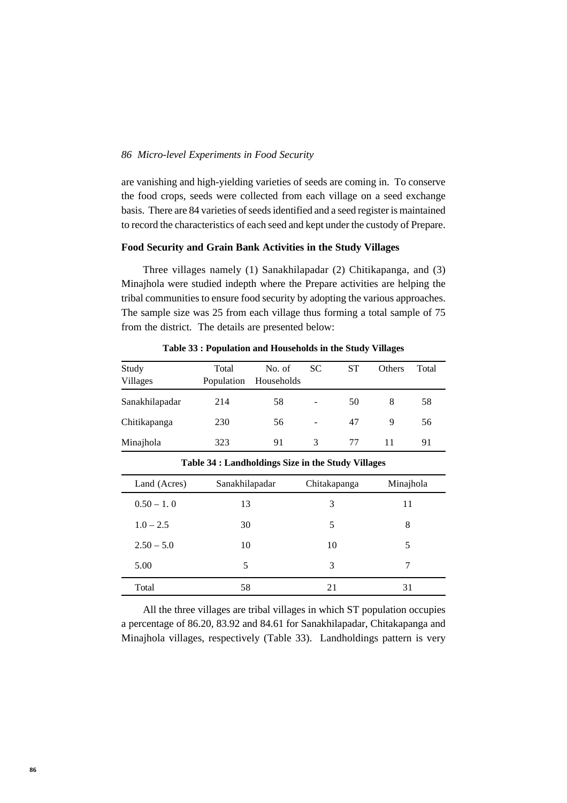are vanishing and high-yielding varieties of seeds are coming in. To conserve the food crops, seeds were collected from each village on a seed exchange basis. There are 84 varieties of seeds identified and a seed register is maintained to record the characteristics of each seed and kept under the custody of Prepare.

## **Food Security and Grain Bank Activities in the Study Villages**

Three villages namely (1) Sanakhilapadar (2) Chitikapanga, and (3) Minajhola were studied indepth where the Prepare activities are helping the tribal communities to ensure food security by adopting the various approaches. The sample size was 25 from each village thus forming a total sample of 75 from the district. The details are presented below:

| Study<br>Villages | Total<br>Population | No. of<br>Households | SC.           | SТ | <b>Others</b> | Total |
|-------------------|---------------------|----------------------|---------------|----|---------------|-------|
| Sanakhilapadar    | 214                 | 58                   |               | 50 | 8             | 58    |
| Chitikapanga      | 230                 | 56                   |               | 47 | 9             | 56    |
| Minajhola         | 323                 | 91                   | $\mathcal{R}$ | 77 | 11            | 91    |

**Table 33 : Population and Households in the Study Villages**

| . <del>.</del> |                |              |           |  |  |
|----------------|----------------|--------------|-----------|--|--|
| Land (Acres)   | Sanakhilapadar | Chitakapanga | Minajhola |  |  |
| $0.50 - 1.0$   | 13             | 3            | 11        |  |  |
| $1.0 - 2.5$    | 30             | 5            | 8         |  |  |
| $2.50 - 5.0$   | 10             | 10           | 5         |  |  |
| 5.00           | 5              | 3            | 7         |  |  |
| Total          | 58             | 21           | 31        |  |  |

**Table 34 : Landholdings Size in the Study Villages**

All the three villages are tribal villages in which ST population occupies a percentage of 86.20, 83.92 and 84.61 for Sanakhilapadar, Chitakapanga and Minajhola villages, respectively (Table 33). Landholdings pattern is very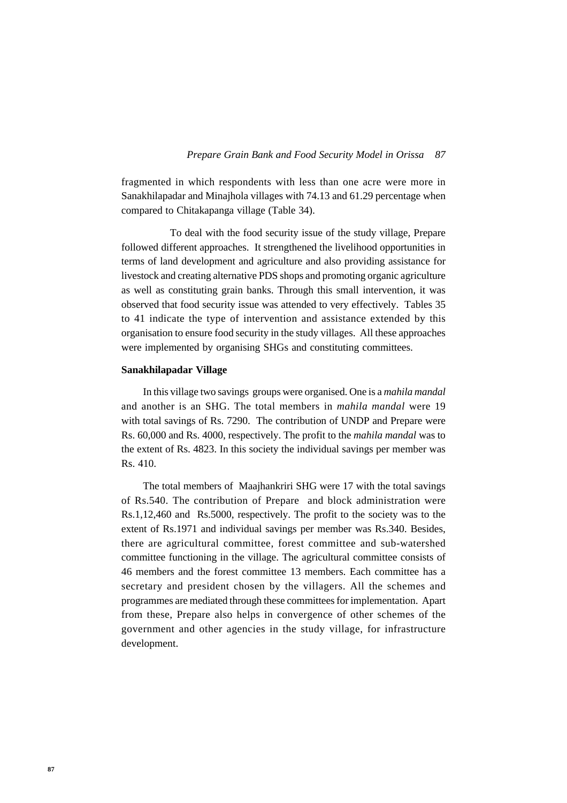fragmented in which respondents with less than one acre were more in Sanakhilapadar and Minajhola villages with 74.13 and 61.29 percentage when compared to Chitakapanga village (Table 34).

 To deal with the food security issue of the study village, Prepare followed different approaches. It strengthened the livelihood opportunities in terms of land development and agriculture and also providing assistance for livestock and creating alternative PDS shops and promoting organic agriculture as well as constituting grain banks. Through this small intervention, it was observed that food security issue was attended to very effectively. Tables 35 to 41 indicate the type of intervention and assistance extended by this organisation to ensure food security in the study villages. All these approaches were implemented by organising SHGs and constituting committees.

#### **Sanakhilapadar Village**

In this village two savings groups were organised. One is a *mahila mandal* and another is an SHG. The total members in *mahila mandal* were 19 with total savings of Rs. 7290. The contribution of UNDP and Prepare were Rs. 60,000 and Rs. 4000, respectively. The profit to the *mahila mandal* was to the extent of Rs. 4823. In this society the individual savings per member was Rs. 410.

The total members of Maajhankriri SHG were 17 with the total savings of Rs.540. The contribution of Prepare and block administration were Rs.1,12,460 and Rs.5000, respectively. The profit to the society was to the extent of Rs.1971 and individual savings per member was Rs.340. Besides, there are agricultural committee, forest committee and sub-watershed committee functioning in the village. The agricultural committee consists of 46 members and the forest committee 13 members. Each committee has a secretary and president chosen by the villagers. All the schemes and programmes are mediated through these committees for implementation. Apart from these, Prepare also helps in convergence of other schemes of the government and other agencies in the study village, for infrastructure development.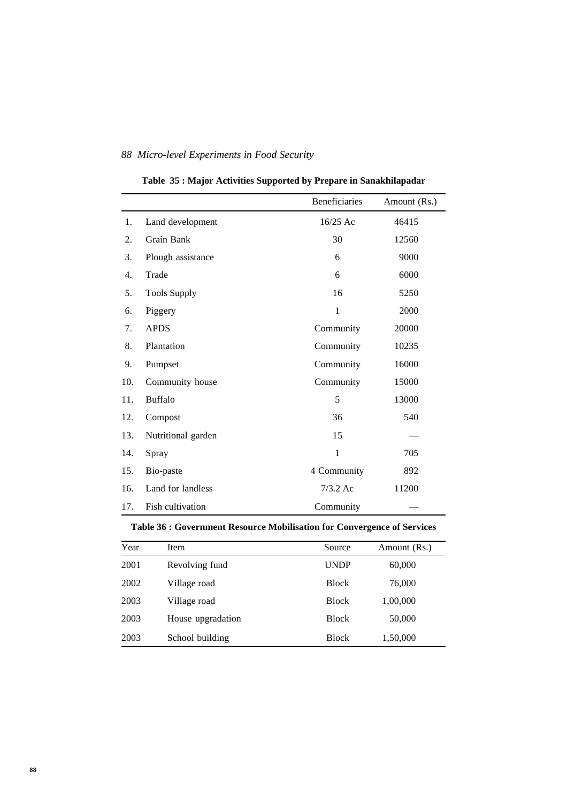|     |                     | <b>Beneficiaries</b> | Amount (Rs.) |
|-----|---------------------|----------------------|--------------|
| 1.  | Land development    | $16/25$ Ac           | 46415        |
| 2.  | Grain Bank          | 30                   | 12560        |
| 3.  | Plough assistance   | 6                    | 9000         |
| 4.  | Trade               | 6                    | 6000         |
| 5.  | <b>Tools Supply</b> | 16                   | 5250         |
| 6.  | Piggery             | $\mathbf{1}$         | 2000         |
| 7.  | <b>APDS</b>         | Community            | 20000        |
| 8.  | Plantation          | Community            | 10235        |
| 9.  | Pumpset             | Community            | 16000        |
| 10. | Community house     | Community            | 15000        |
| 11. | <b>Buffalo</b>      | 5                    | 13000        |
| 12. | Compost             | 36                   | 540          |
| 13. | Nutritional garden  | 15                   |              |
| 14. | Spray               | $\mathbf{1}$         | 705          |
| 15. | Bio-paste           | 4 Community          | 892          |
| 16. | Land for landless   | $7/3.2$ Ac           | 11200        |
| 17. | Fish cultivation    | Community            |              |

**Table 35 : Major Activities Supported by Prepare in Sanakhilapadar**

## **Table 36 : Government Resource Mobilisation for Convergence of Services**

| Year | Item              | Source       | Amount (Rs.) |
|------|-------------------|--------------|--------------|
| 2001 | Revolving fund    | <b>UNDP</b>  | 60,000       |
| 2002 | Village road      | <b>Block</b> | 76,000       |
| 2003 | Village road      | <b>Block</b> | 1,00,000     |
| 2003 | House upgradation | <b>Block</b> | 50,000       |
| 2003 | School building   | <b>Block</b> | 1,50,000     |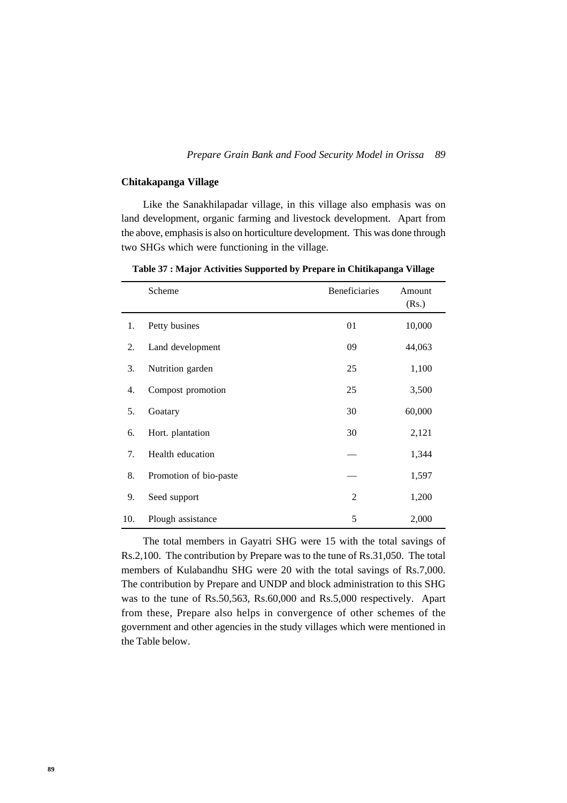#### **Chitakapanga Village**

Like the Sanakhilapadar village, in this village also emphasis was on land development, organic farming and livestock development. Apart from the above, emphasis is also on horticulture development. This was done through two SHGs which were functioning in the village.

Scheme Beneficiaries Amount (Rs.) 1. Petty busines 01 10,000 2. Land development 09 44,063 3. Nutrition garden 25 1,100 4. Compost promotion 25 3,500 5. Goatary 30 60,000 6. Hort. plantation 30 2,121 7. Health education **1,344** 8. Promotion of bio-paste — 1,597 9. Seed support 2 1,200 10. Plough assistance 5 2,000

**Table 37 : Major Activities Supported by Prepare in Chitikapanga Village**

The total members in Gayatri SHG were 15 with the total savings of Rs.2,100. The contribution by Prepare was to the tune of Rs.31,050. The total members of Kulabandhu SHG were 20 with the total savings of Rs.7,000. The contribution by Prepare and UNDP and block administration to this SHG was to the tune of Rs.50,563, Rs.60,000 and Rs.5,000 respectively. Apart from these, Prepare also helps in convergence of other schemes of the government and other agencies in the study villages which were mentioned in the Table below.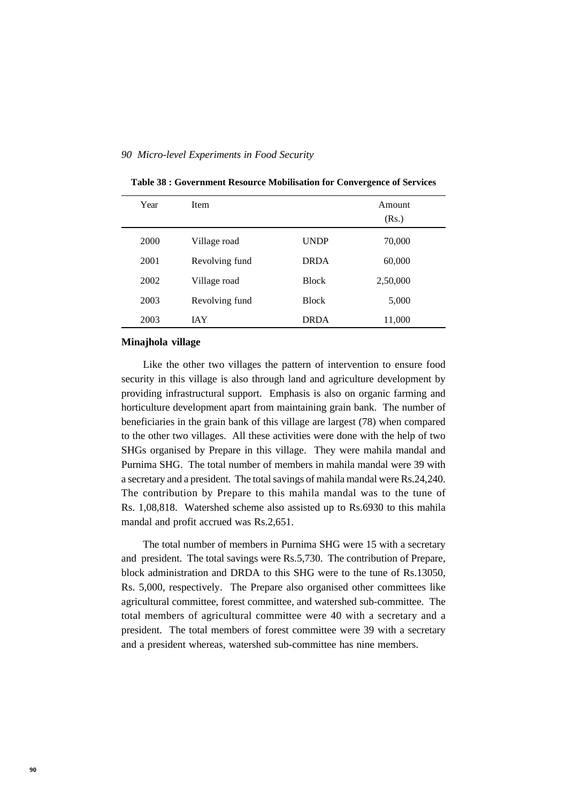| Year | <b>Item</b>    |              | Amount<br>(Rs.) |
|------|----------------|--------------|-----------------|
| 2000 | Village road   | <b>UNDP</b>  | 70,000          |
| 2001 | Revolving fund | <b>DRDA</b>  | 60,000          |
| 2002 | Village road   | <b>Block</b> | 2,50,000        |
| 2003 | Revolving fund | <b>Block</b> | 5,000           |
| 2003 | <b>JAY</b>     | <b>DRDA</b>  | 11,000          |

**Table 38 : Government Resource Mobilisation for Convergence of Services**

#### **Minajhola village**

Like the other two villages the pattern of intervention to ensure food security in this village is also through land and agriculture development by providing infrastructural support. Emphasis is also on organic farming and horticulture development apart from maintaining grain bank. The number of beneficiaries in the grain bank of this village are largest (78) when compared to the other two villages. All these activities were done with the help of two SHGs organised by Prepare in this village. They were mahila mandal and Purnima SHG. The total number of members in mahila mandal were 39 with a secretary and a president. The total savings of mahila mandal were Rs.24,240. The contribution by Prepare to this mahila mandal was to the tune of Rs. 1,08,818. Watershed scheme also assisted up to Rs.6930 to this mahila mandal and profit accrued was Rs.2,651.

The total number of members in Purnima SHG were 15 with a secretary and president. The total savings were Rs.5,730. The contribution of Prepare, block administration and DRDA to this SHG were to the tune of Rs.13050, Rs. 5,000, respectively. The Prepare also organised other committees like agricultural committee, forest committee, and watershed sub-committee. The total members of agricultural committee were 40 with a secretary and a president. The total members of forest committee were 39 with a secretary and a president whereas, watershed sub-committee has nine members.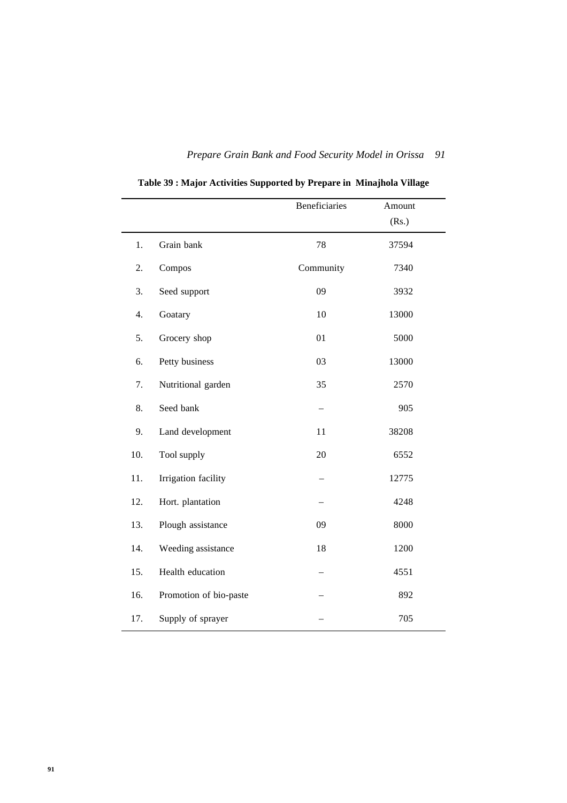|     |                        | Beneficiaries | Amount |
|-----|------------------------|---------------|--------|
|     |                        |               | (Rs.)  |
| 1.  | Grain bank             | 78            | 37594  |
| 2.  | Compos                 | Community     | 7340   |
| 3.  | Seed support           | 09            | 3932   |
| 4.  | Goatary                | 10            | 13000  |
| 5.  | Grocery shop           | 01            | 5000   |
| 6.  | Petty business         | 03            | 13000  |
| 7.  | Nutritional garden     | 35            | 2570   |
| 8.  | Seed bank              |               | 905    |
| 9.  | Land development       | 11            | 38208  |
| 10. | Tool supply            | 20            | 6552   |
| 11. | Irrigation facility    |               | 12775  |
| 12. | Hort. plantation       |               | 4248   |
| 13. | Plough assistance      | 09            | 8000   |
| 14. | Weeding assistance     | 18            | 1200   |
| 15. | Health education       |               | 4551   |
| 16. | Promotion of bio-paste |               | 892    |
| 17. | Supply of sprayer      |               | 705    |

**Table 39 : Major Activities Supported by Prepare in Minajhola Village**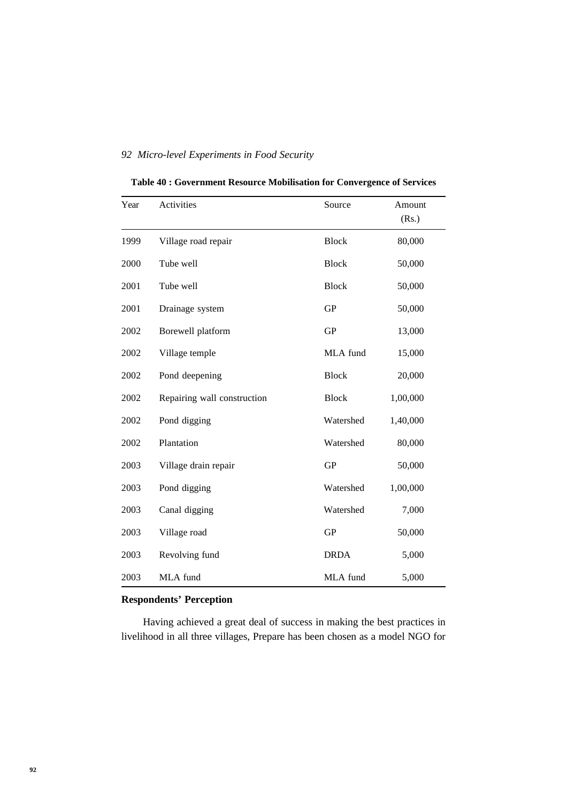| Table 40 : Government Resource Mobilisation for Convergence of Services |  |  |  |  |  |
|-------------------------------------------------------------------------|--|--|--|--|--|
|-------------------------------------------------------------------------|--|--|--|--|--|

| Year | Activities                  | Source       | Amount<br>(Rs.) |
|------|-----------------------------|--------------|-----------------|
| 1999 | Village road repair         | <b>Block</b> | 80,000          |
| 2000 | Tube well                   | <b>Block</b> | 50,000          |
| 2001 | Tube well                   | <b>Block</b> | 50,000          |
| 2001 | Drainage system             | <b>GP</b>    | 50,000          |
| 2002 | Borewell platform           | GP           | 13,000          |
| 2002 | Village temple              | MLA fund     | 15,000          |
| 2002 | Pond deepening              | <b>Block</b> | 20,000          |
| 2002 | Repairing wall construction | <b>Block</b> | 1,00,000        |
| 2002 | Pond digging                | Watershed    | 1,40,000        |
| 2002 | Plantation                  | Watershed    | 80,000          |
| 2003 | Village drain repair        | <b>GP</b>    | 50,000          |
| 2003 | Pond digging                | Watershed    | 1,00,000        |
| 2003 | Canal digging               | Watershed    | 7,000           |
| 2003 | Village road                | <b>GP</b>    | 50,000          |
| 2003 | Revolving fund              | <b>DRDA</b>  | 5,000           |
| 2003 | MLA fund                    | MLA fund     | 5,000           |

# **Respondents' Perception**

Having achieved a great deal of success in making the best practices in livelihood in all three villages, Prepare has been chosen as a model NGO for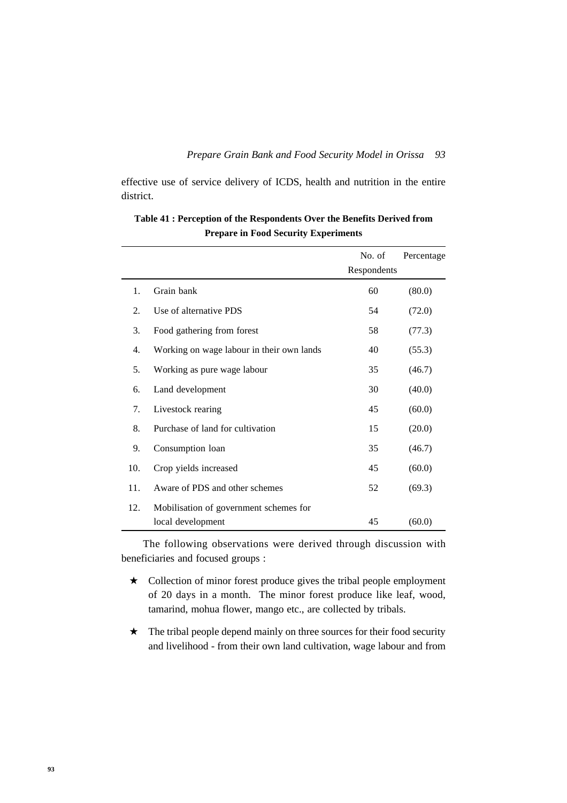effective use of service delivery of ICDS, health and nutrition in the entire district.

|     |                                           | No. of      | Percentage |
|-----|-------------------------------------------|-------------|------------|
|     |                                           | Respondents |            |
| 1.  | Grain bank                                | 60          | (80.0)     |
| 2.  | Use of alternative PDS                    | 54          | (72.0)     |
| 3.  | Food gathering from forest                | 58          | (77.3)     |
| 4.  | Working on wage labour in their own lands | 40          | (55.3)     |
| 5.  | Working as pure wage labour               | 35          | (46.7)     |
| 6.  | Land development                          | 30          | (40.0)     |
| 7.  | Livestock rearing                         | 45          | (60.0)     |
| 8.  | Purchase of land for cultivation          | 15          | (20.0)     |
| 9.  | Consumption loan                          | 35          | (46.7)     |
| 10. | Crop yields increased                     | 45          | (60.0)     |
| 11. | Aware of PDS and other schemes            | 52          | (69.3)     |
| 12. | Mobilisation of government schemes for    |             |            |
|     | local development                         | 45          | (60.0)     |

**Table 41 : Perception of the Respondents Over the Benefits Derived from Prepare in Food Security Experiments**

The following observations were derived through discussion with beneficiaries and focused groups :

- ★ Collection of minor forest produce gives the tribal people employment of 20 days in a month. The minor forest produce like leaf, wood, tamarind, mohua flower, mango etc., are collected by tribals.
- $\star$  The tribal people depend mainly on three sources for their food security and livelihood - from their own land cultivation, wage labour and from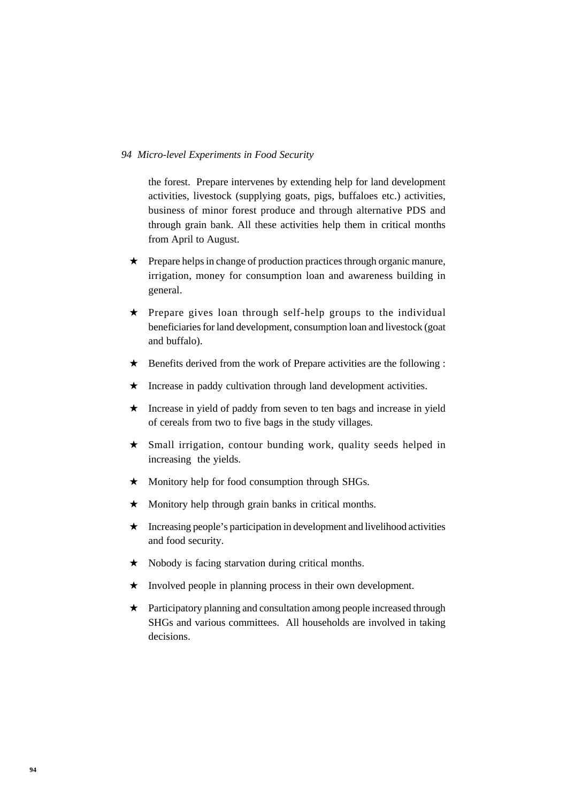the forest. Prepare intervenes by extending help for land development activities, livestock (supplying goats, pigs, buffaloes etc.) activities, business of minor forest produce and through alternative PDS and through grain bank. All these activities help them in critical months from April to August.

- ★ Prepare helps in change of production practices through organic manure, irrigation, money for consumption loan and awareness building in general.
- ★ Prepare gives loan through self-help groups to the individual beneficiaries for land development, consumption loan and livestock (goat and buffalo).
- $\star$  Benefits derived from the work of Prepare activities are the following :
- ★ Increase in paddy cultivation through land development activities.
- ★ Increase in yield of paddy from seven to ten bags and increase in yield of cereals from two to five bags in the study villages.
- ★ Small irrigation, contour bunding work, quality seeds helped in increasing the yields.
- ★ Monitory help for food consumption through SHGs.
- ★ Monitory help through grain banks in critical months.
- $\star$  Increasing people's participation in development and livelihood activities and food security.
- ★ Nobody is facing starvation during critical months.
- ★ Involved people in planning process in their own development.
- ★ Participatory planning and consultation among people increased through SHGs and various committees. All households are involved in taking decisions.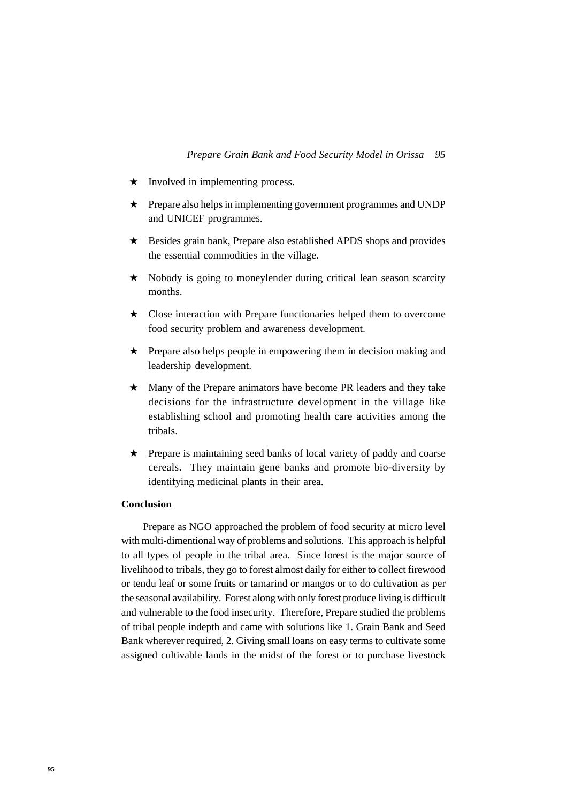- ★ Involved in implementing process.
- ★ Prepare also helps in implementing government programmes and UNDP and UNICEF programmes.
- ★ Besides grain bank, Prepare also established APDS shops and provides the essential commodities in the village.
- ★ Nobody is going to moneylender during critical lean season scarcity months.
- ★ Close interaction with Prepare functionaries helped them to overcome food security problem and awareness development.
- ★ Prepare also helps people in empowering them in decision making and leadership development.
- ★ Many of the Prepare animators have become PR leaders and they take decisions for the infrastructure development in the village like establishing school and promoting health care activities among the tribals.
- ★ Prepare is maintaining seed banks of local variety of paddy and coarse cereals. They maintain gene banks and promote bio-diversity by identifying medicinal plants in their area.

#### **Conclusion**

Prepare as NGO approached the problem of food security at micro level with multi-dimentional way of problems and solutions. This approach is helpful to all types of people in the tribal area. Since forest is the major source of livelihood to tribals, they go to forest almost daily for either to collect firewood or tendu leaf or some fruits or tamarind or mangos or to do cultivation as per the seasonal availability. Forest along with only forest produce living is difficult and vulnerable to the food insecurity. Therefore, Prepare studied the problems of tribal people indepth and came with solutions like 1. Grain Bank and Seed Bank wherever required, 2. Giving small loans on easy terms to cultivate some assigned cultivable lands in the midst of the forest or to purchase livestock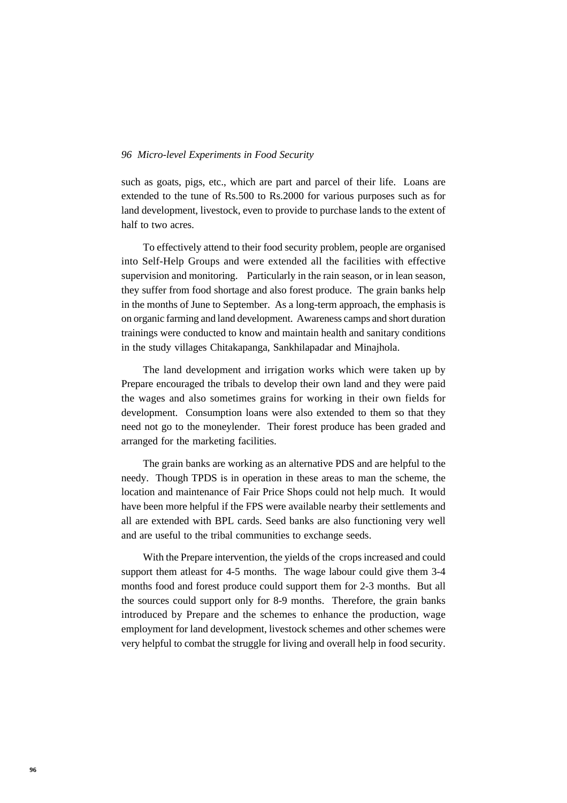such as goats, pigs, etc., which are part and parcel of their life. Loans are extended to the tune of Rs.500 to Rs.2000 for various purposes such as for land development, livestock, even to provide to purchase lands to the extent of half to two acres.

To effectively attend to their food security problem, people are organised into Self-Help Groups and were extended all the facilities with effective supervision and monitoring. Particularly in the rain season, or in lean season, they suffer from food shortage and also forest produce. The grain banks help in the months of June to September. As a long-term approach, the emphasis is on organic farming and land development. Awareness camps and short duration trainings were conducted to know and maintain health and sanitary conditions in the study villages Chitakapanga, Sankhilapadar and Minajhola.

The land development and irrigation works which were taken up by Prepare encouraged the tribals to develop their own land and they were paid the wages and also sometimes grains for working in their own fields for development. Consumption loans were also extended to them so that they need not go to the moneylender. Their forest produce has been graded and arranged for the marketing facilities.

The grain banks are working as an alternative PDS and are helpful to the needy. Though TPDS is in operation in these areas to man the scheme, the location and maintenance of Fair Price Shops could not help much. It would have been more helpful if the FPS were available nearby their settlements and all are extended with BPL cards. Seed banks are also functioning very well and are useful to the tribal communities to exchange seeds.

With the Prepare intervention, the yields of the crops increased and could support them atleast for 4-5 months. The wage labour could give them 3-4 months food and forest produce could support them for 2-3 months. But all the sources could support only for 8-9 months. Therefore, the grain banks introduced by Prepare and the schemes to enhance the production, wage employment for land development, livestock schemes and other schemes were very helpful to combat the struggle for living and overall help in food security.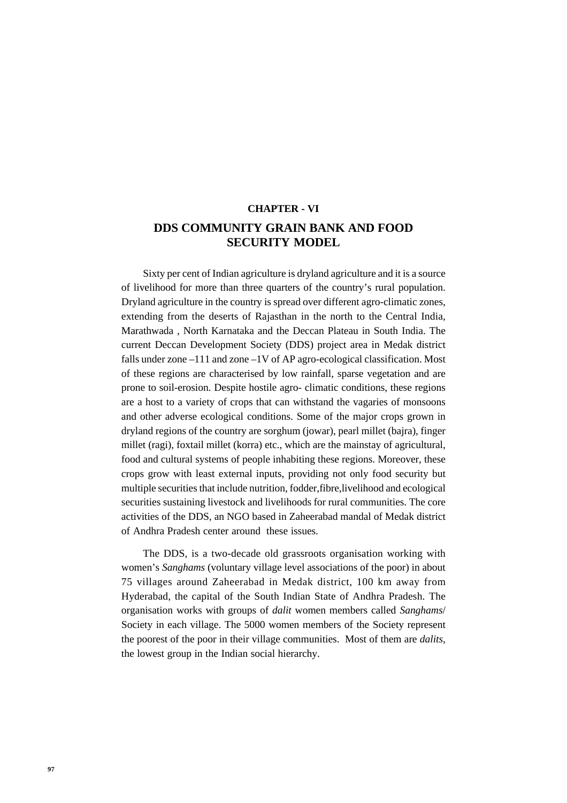# **CHAPTER - VI DDS COMMUNITY GRAIN BANK AND FOOD SECURITY MODEL**

Sixty per cent of Indian agriculture is dryland agriculture and it is a source of livelihood for more than three quarters of the country's rural population. Dryland agriculture in the country is spread over different agro-climatic zones, extending from the deserts of Rajasthan in the north to the Central India, Marathwada , North Karnataka and the Deccan Plateau in South India. The current Deccan Development Society (DDS) project area in Medak district falls under zone –111 and zone –1V of AP agro-ecological classification. Most of these regions are characterised by low rainfall, sparse vegetation and are prone to soil-erosion. Despite hostile agro- climatic conditions, these regions are a host to a variety of crops that can withstand the vagaries of monsoons and other adverse ecological conditions. Some of the major crops grown in dryland regions of the country are sorghum (jowar), pearl millet (bajra), finger millet (ragi), foxtail millet (korra) etc., which are the mainstay of agricultural, food and cultural systems of people inhabiting these regions. Moreover, these crops grow with least external inputs, providing not only food security but multiple securities that include nutrition, fodder,fibre,livelihood and ecological securities sustaining livestock and livelihoods for rural communities. The core activities of the DDS, an NGO based in Zaheerabad mandal of Medak district of Andhra Pradesh center around these issues.

The DDS, is a two-decade old grassroots organisation working with women's *Sanghams* (voluntary village level associations of the poor) in about 75 villages around Zaheerabad in Medak district, 100 km away from Hyderabad, the capital of the South Indian State of Andhra Pradesh. The organisation works with groups of *dalit* women members called *Sanghams*/ Society in each village. The 5000 women members of the Society represent the poorest of the poor in their village communities. Most of them are *dalits,* the lowest group in the Indian social hierarchy.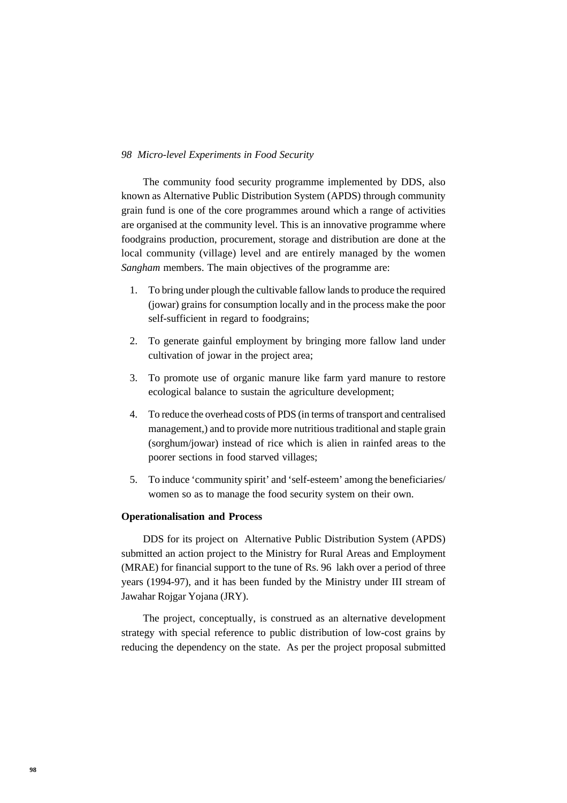The community food security programme implemented by DDS, also known as Alternative Public Distribution System (APDS) through community grain fund is one of the core programmes around which a range of activities are organised at the community level. This is an innovative programme where foodgrains production, procurement, storage and distribution are done at the local community (village) level and are entirely managed by the women *Sangham* members. The main objectives of the programme are:

- 1. To bring under plough the cultivable fallow lands to produce the required (jowar) grains for consumption locally and in the process make the poor self-sufficient in regard to foodgrains;
- 2. To generate gainful employment by bringing more fallow land under cultivation of jowar in the project area;
- 3. To promote use of organic manure like farm yard manure to restore ecological balance to sustain the agriculture development;
- 4. To reduce the overhead costs of PDS (in terms of transport and centralised management,) and to provide more nutritious traditional and staple grain (sorghum/jowar) instead of rice which is alien in rainfed areas to the poorer sections in food starved villages;
- 5. To induce 'community spirit' and 'self-esteem' among the beneficiaries/ women so as to manage the food security system on their own.

#### **Operationalisation and Process**

DDS for its project on Alternative Public Distribution System (APDS) submitted an action project to the Ministry for Rural Areas and Employment (MRAE) for financial support to the tune of Rs. 96 lakh over a period of three years (1994-97), and it has been funded by the Ministry under III stream of Jawahar Rojgar Yojana (JRY).

The project, conceptually, is construed as an alternative development strategy with special reference to public distribution of low-cost grains by reducing the dependency on the state. As per the project proposal submitted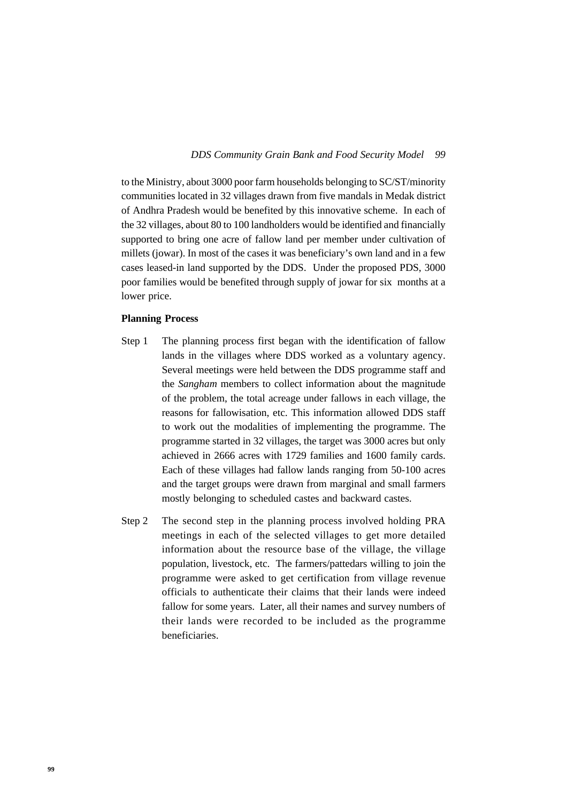to the Ministry, about 3000 poor farm households belonging to SC/ST/minority communities located in 32 villages drawn from five mandals in Medak district of Andhra Pradesh would be benefited by this innovative scheme. In each of the 32 villages, about 80 to 100 landholders would be identified and financially supported to bring one acre of fallow land per member under cultivation of millets (jowar). In most of the cases it was beneficiary's own land and in a few cases leased-in land supported by the DDS. Under the proposed PDS, 3000 poor families would be benefited through supply of jowar for six months at a lower price.

## **Planning Process**

- Step 1 The planning process first began with the identification of fallow lands in the villages where DDS worked as a voluntary agency. Several meetings were held between the DDS programme staff and the *Sangham* members to collect information about the magnitude of the problem, the total acreage under fallows in each village, the reasons for fallowisation, etc. This information allowed DDS staff to work out the modalities of implementing the programme. The programme started in 32 villages, the target was 3000 acres but only achieved in 2666 acres with 1729 families and 1600 family cards. Each of these villages had fallow lands ranging from 50-100 acres and the target groups were drawn from marginal and small farmers mostly belonging to scheduled castes and backward castes.
- Step 2 The second step in the planning process involved holding PRA meetings in each of the selected villages to get more detailed information about the resource base of the village, the village population, livestock, etc. The farmers/pattedars willing to join the programme were asked to get certification from village revenue officials to authenticate their claims that their lands were indeed fallow for some years. Later, all their names and survey numbers of their lands were recorded to be included as the programme beneficiaries.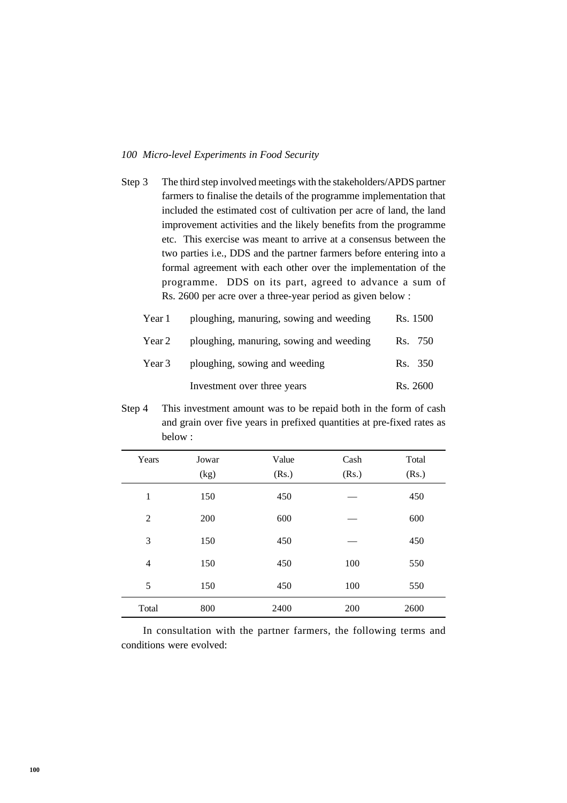Step 3 The third step involved meetings with the stakeholders/APDS partner farmers to finalise the details of the programme implementation that included the estimated cost of cultivation per acre of land, the land improvement activities and the likely benefits from the programme etc. This exercise was meant to arrive at a consensus between the two parties i.e., DDS and the partner farmers before entering into a formal agreement with each other over the implementation of the programme. DDS on its part, agreed to advance a sum of Rs. 2600 per acre over a three-year period as given below :

| Year 1 | ploughing, manuring, sowing and weeding | Rs. 1500 |
|--------|-----------------------------------------|----------|
| Year 2 | ploughing, manuring, sowing and weeding | Rs. 750  |
| Year 3 | ploughing, sowing and weeding           | Rs. 350  |
|        | Investment over three years             | Rs. 2600 |

Step 4 This investment amount was to be repaid both in the form of cash and grain over five years in prefixed quantities at pre-fixed rates as below :

| Years          | Jowar<br>(kg) | Value<br>(Rs.) | Cash<br>(Rs.) | Total<br>(Rs.) |
|----------------|---------------|----------------|---------------|----------------|
| 1              | 150           | 450            |               | 450            |
| $\overline{2}$ | 200           | 600            |               | 600            |
| 3              | 150           | 450            |               | 450            |
| $\overline{4}$ | 150           | 450            | 100           | 550            |
| 5              | 150           | 450            | 100           | 550            |
| Total          | 800           | 2400           | 200           | 2600           |

In consultation with the partner farmers, the following terms and conditions were evolved: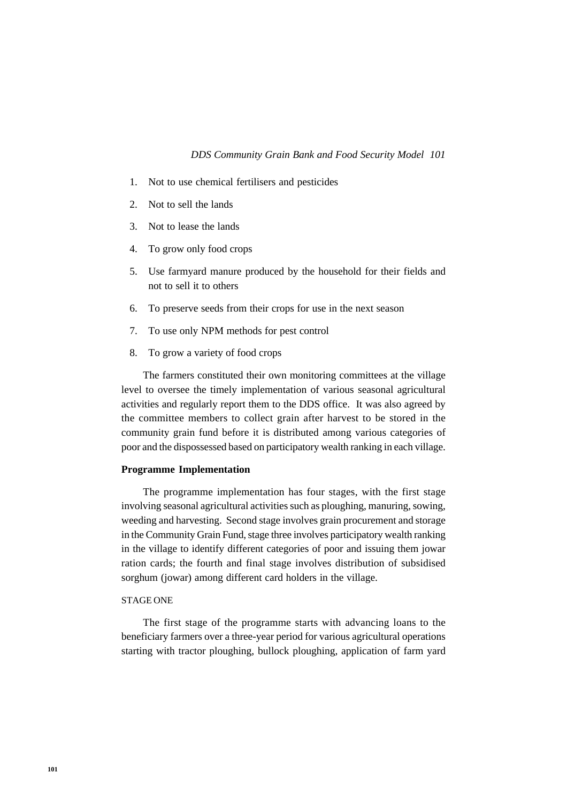- 1. Not to use chemical fertilisers and pesticides
- 2. Not to sell the lands
- 3. Not to lease the lands
- 4. To grow only food crops
- 5. Use farmyard manure produced by the household for their fields and not to sell it to others
- 6. To preserve seeds from their crops for use in the next season
- 7. To use only NPM methods for pest control
- 8. To grow a variety of food crops

The farmers constituted their own monitoring committees at the village level to oversee the timely implementation of various seasonal agricultural activities and regularly report them to the DDS office. It was also agreed by the committee members to collect grain after harvest to be stored in the community grain fund before it is distributed among various categories of poor and the dispossessed based on participatory wealth ranking in each village.

### **Programme Implementation**

The programme implementation has four stages, with the first stage involving seasonal agricultural activities such as ploughing, manuring, sowing, weeding and harvesting. Second stage involves grain procurement and storage in the Community Grain Fund, stage three involves participatory wealth ranking in the village to identify different categories of poor and issuing them jowar ration cards; the fourth and final stage involves distribution of subsidised sorghum (jowar) among different card holders in the village.

### STAGE ONE

The first stage of the programme starts with advancing loans to the beneficiary farmers over a three-year period for various agricultural operations starting with tractor ploughing, bullock ploughing, application of farm yard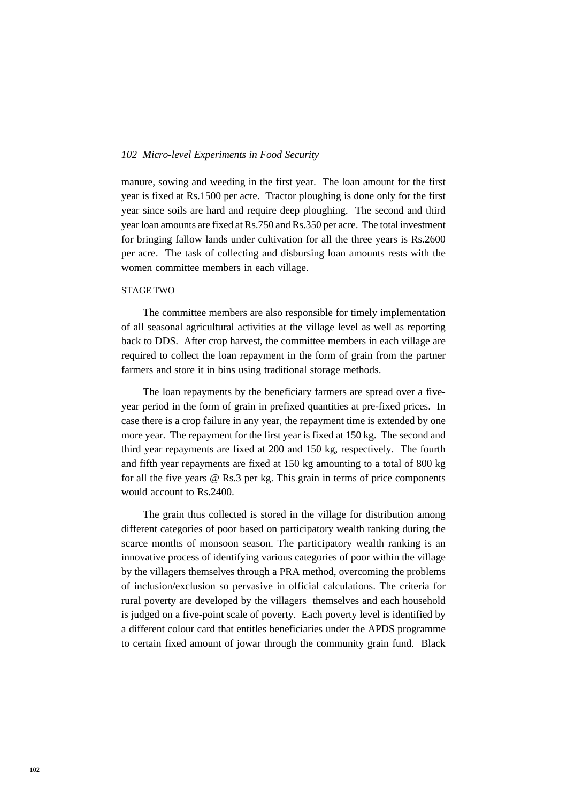manure, sowing and weeding in the first year. The loan amount for the first year is fixed at Rs.1500 per acre. Tractor ploughing is done only for the first year since soils are hard and require deep ploughing. The second and third year loan amounts are fixed at Rs.750 and Rs.350 per acre. The total investment for bringing fallow lands under cultivation for all the three years is Rs.2600 per acre. The task of collecting and disbursing loan amounts rests with the women committee members in each village.

#### STAGE TWO

The committee members are also responsible for timely implementation of all seasonal agricultural activities at the village level as well as reporting back to DDS. After crop harvest, the committee members in each village are required to collect the loan repayment in the form of grain from the partner farmers and store it in bins using traditional storage methods.

The loan repayments by the beneficiary farmers are spread over a fiveyear period in the form of grain in prefixed quantities at pre-fixed prices. In case there is a crop failure in any year, the repayment time is extended by one more year. The repayment for the first year is fixed at 150 kg. The second and third year repayments are fixed at 200 and 150 kg, respectively. The fourth and fifth year repayments are fixed at 150 kg amounting to a total of 800 kg for all the five years @ Rs.3 per kg. This grain in terms of price components would account to Rs.2400.

The grain thus collected is stored in the village for distribution among different categories of poor based on participatory wealth ranking during the scarce months of monsoon season. The participatory wealth ranking is an innovative process of identifying various categories of poor within the village by the villagers themselves through a PRA method, overcoming the problems of inclusion/exclusion so pervasive in official calculations. The criteria for rural poverty are developed by the villagers themselves and each household is judged on a five-point scale of poverty. Each poverty level is identified by a different colour card that entitles beneficiaries under the APDS programme to certain fixed amount of jowar through the community grain fund. Black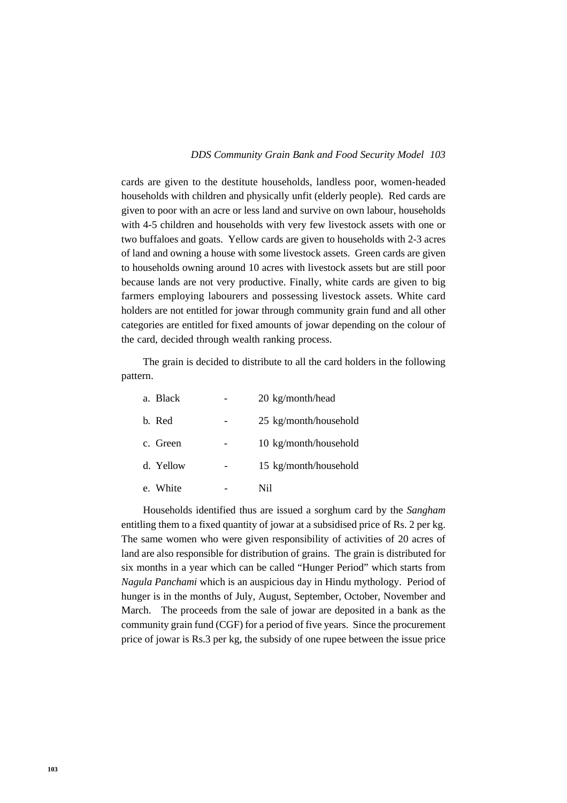#### *103 DDS Community Grain Bank and Food Security Model*

cards are given to the destitute households, landless poor, women-headed households with children and physically unfit (elderly people). Red cards are given to poor with an acre or less land and survive on own labour, households with 4-5 children and households with very few livestock assets with one or two buffaloes and goats. Yellow cards are given to households with 2-3 acres of land and owning a house with some livestock assets. Green cards are given to households owning around 10 acres with livestock assets but are still poor because lands are not very productive. Finally, white cards are given to big farmers employing labourers and possessing livestock assets. White card holders are not entitled for jowar through community grain fund and all other categories are entitled for fixed amounts of jowar depending on the colour of the card, decided through wealth ranking process.

The grain is decided to distribute to all the card holders in the following pattern.

| a. Black  | 20 kg/month/head      |
|-----------|-----------------------|
| b. Red    | 25 kg/month/household |
| c. Green  | 10 kg/month/household |
| d. Yellow | 15 kg/month/household |
| e. White  | Ni1                   |

Households identified thus are issued a sorghum card by the *Sangham* entitling them to a fixed quantity of jowar at a subsidised price of Rs. 2 per kg. The same women who were given responsibility of activities of 20 acres of land are also responsible for distribution of grains. The grain is distributed for six months in a year which can be called "Hunger Period" which starts from *Nagula Panchami* which is an auspicious day in Hindu mythology. Period of hunger is in the months of July, August, September, October, November and March. The proceeds from the sale of jowar are deposited in a bank as the community grain fund (CGF) for a period of five years. Since the procurement price of jowar is Rs.3 per kg, the subsidy of one rupee between the issue price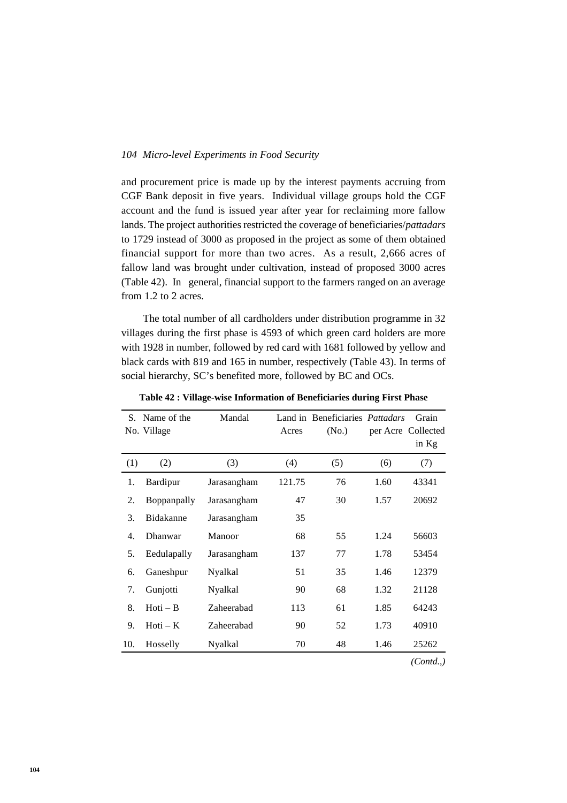and procurement price is made up by the interest payments accruing from CGF Bank deposit in five years. Individual village groups hold the CGF account and the fund is issued year after year for reclaiming more fallow lands. The project authorities restricted the coverage of beneficiaries/*pattadars* to 1729 instead of 3000 as proposed in the project as some of them obtained financial support for more than two acres. As a result, 2,666 acres of fallow land was brought under cultivation, instead of proposed 3000 acres (Table 42). In general, financial support to the farmers ranged on an average from 1.2 to 2 acres.

The total number of all cardholders under distribution programme in 32 villages during the first phase is 4593 of which green card holders are more with 1928 in number, followed by red card with 1681 followed by yellow and black cards with 819 and 165 in number, respectively (Table 43). In terms of social hierarchy, SC's benefited more, followed by BC and OCs.

|     | S. Name of the<br>No. Village | Mandal      | Acres  | Land in Beneficiaries Pattadars<br>(N <sub>0</sub> ) |      | Grain<br>per Acre Collected<br>in Kg |
|-----|-------------------------------|-------------|--------|------------------------------------------------------|------|--------------------------------------|
| (1) | (2)                           | (3)         | (4)    | (5)                                                  | (6)  | (7)                                  |
| 1.  | Bardipur                      | Jarasangham | 121.75 | 76                                                   | 1.60 | 43341                                |
| 2.  | Boppanpally                   | Jarasangham | 47     | 30                                                   | 1.57 | 20692                                |
| 3.  | Bidakanne                     | Jarasangham | 35     |                                                      |      |                                      |
| 4.  | Dhanwar                       | Manoor      | 68     | 55                                                   | 1.24 | 56603                                |
| 5.  | Eedulapally                   | Jarasangham | 137    | 77                                                   | 1.78 | 53454                                |
| 6.  | Ganeshpur                     | Nyalkal     | 51     | 35                                                   | 1.46 | 12379                                |
| 7.  | Gunjotti                      | Nyalkal     | 90     | 68                                                   | 1.32 | 21128                                |
| 8.  | $Hot - B$                     | Zaheerabad  | 113    | 61                                                   | 1.85 | 64243                                |
| 9.  | $Hot - K$                     | Zaheerabad  | 90     | 52                                                   | 1.73 | 40910                                |
| 10. | Hosselly                      | Nyalkal     | 70     | 48                                                   | 1.46 | 25262                                |
|     |                               |             |        |                                                      |      | (Cond.,)                             |

**Table 42 : Village-wise Information of Beneficiaries during First Phase**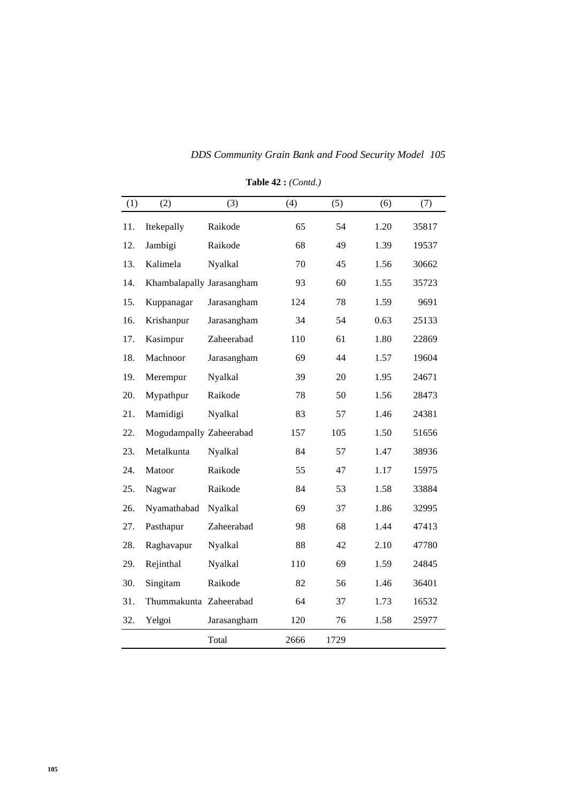| (1) | (2)                       | (3)         | (4)  | (5)  | (6)  | (7)   |
|-----|---------------------------|-------------|------|------|------|-------|
| 11. | Itekepally                | Raikode     | 65   | 54   | 1.20 | 35817 |
| 12. | Jambigi                   | Raikode     | 68   | 49   | 1.39 | 19537 |
| 13. | Kalimela                  | Nyalkal     | 70   | 45   | 1.56 | 30662 |
| 14. | Khambalapally Jarasangham |             | 93   | 60   | 1.55 | 35723 |
| 15. | Kuppanagar                | Jarasangham | 124  | 78   | 1.59 | 9691  |
| 16. | Krishanpur                | Jarasangham | 34   | 54   | 0.63 | 25133 |
| 17. | Kasimpur                  | Zaheerabad  | 110  | 61   | 1.80 | 22869 |
| 18. | Machnoor                  | Jarasangham | 69   | 44   | 1.57 | 19604 |
| 19. | Merempur                  | Nyalkal     | 39   | 20   | 1.95 | 24671 |
| 20. | Mypathpur                 | Raikode     | 78   | 50   | 1.56 | 28473 |
| 21. | Mamidigi                  | Nyalkal     | 83   | 57   | 1.46 | 24381 |
| 22. | Mogudampally Zaheerabad   |             | 157  | 105  | 1.50 | 51656 |
| 23. | Metalkunta                | Nyalkal     | 84   | 57   | 1.47 | 38936 |
| 24. | Matoor                    | Raikode     | 55   | 47   | 1.17 | 15975 |
| 25. | Nagwar                    | Raikode     | 84   | 53   | 1.58 | 33884 |
| 26. | Nyamathabad               | Nyalkal     | 69   | 37   | 1.86 | 32995 |
| 27. | Pasthapur                 | Zaheerabad  | 98   | 68   | 1.44 | 47413 |
| 28. | Raghavapur                | Nyalkal     | 88   | 42   | 2.10 | 47780 |
| 29. | Rejinthal                 | Nyalkal     | 110  | 69   | 1.59 | 24845 |
| 30. | Singitam                  | Raikode     | 82   | 56   | 1.46 | 36401 |
| 31. | Thummakunta Zaheerabad    |             | 64   | 37   | 1.73 | 16532 |
| 32. | Yelgoi                    | Jarasangham | 120  | 76   | 1.58 | 25977 |
|     |                           | Total       | 2666 | 1729 |      |       |

**Table 42 :** *(Contd.)*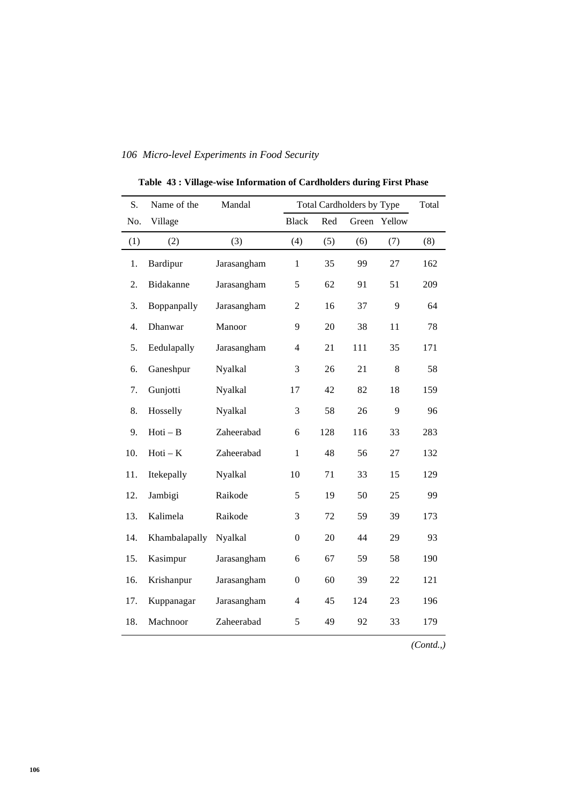| S.  | Name of the   | Mandal      |                  |     | <b>Total Cardholders by Type</b> |         | Total |
|-----|---------------|-------------|------------------|-----|----------------------------------|---------|-------|
| No. | Village       |             | <b>Black</b>     | Red | Green                            | Yellow  |       |
| (1) | (2)           | (3)         | (4)              | (5) | (6)                              | (7)     | (8)   |
| 1.  | Bardipur      | Jarasangham | $\mathbf{1}$     | 35  | 99                               | 27      | 162   |
| 2.  | Bidakanne     | Jarasangham | 5                | 62  | 91                               | 51      | 209   |
| 3.  | Boppanpally   | Jarasangham | $\overline{2}$   | 16  | 37                               | 9       | 64    |
| 4.  | Dhanwar       | Manoor      | 9                | 20  | 38                               | 11      | 78    |
| 5.  | Eedulapally   | Jarasangham | $\overline{4}$   | 21  | 111                              | 35      | 171   |
| 6.  | Ganeshpur     | Nyalkal     | 3                | 26  | 21                               | $\,8\,$ | 58    |
| 7.  | Gunjotti      | Nyalkal     | 17               | 42  | 82                               | 18      | 159   |
| 8.  | Hosselly      | Nyalkal     | 3                | 58  | 26                               | 9       | 96    |
| 9.  | $Hoti - B$    | Zaheerabad  | 6                | 128 | 116                              | 33      | 283   |
| 10. | $Hoti - K$    | Zaheerabad  | $\mathbf{1}$     | 48  | 56                               | 27      | 132   |
| 11. | Itekepally    | Nyalkal     | 10               | 71  | 33                               | 15      | 129   |
| 12. | Jambigi       | Raikode     | 5                | 19  | 50                               | 25      | 99    |
| 13. | Kalimela      | Raikode     | 3                | 72  | 59                               | 39      | 173   |
| 14. | Khambalapally | Nyalkal     | $\boldsymbol{0}$ | 20  | 44                               | 29      | 93    |
| 15. | Kasimpur      | Jarasangham | 6                | 67  | 59                               | 58      | 190   |
| 16. | Krishanpur    | Jarasangham | $\boldsymbol{0}$ | 60  | 39                               | 22      | 121   |
| 17. | Kuppanagar    | Jarasangham | 4                | 45  | 124                              | 23      | 196   |
| 18. | Machnoor      | Zaheerabad  | 5                | 49  | 92                               | 33      | 179   |

**Table 43 : Village-wise Information of Cardholders during First Phase**

*(Contd.,)*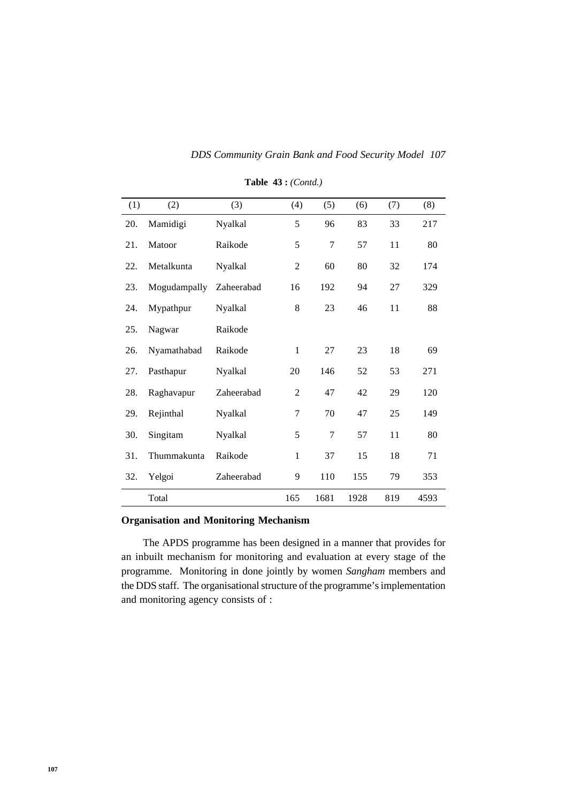| (1) | (2)          | (3)        | (4)            | (5)  | (6)  | (7) | (8)  |
|-----|--------------|------------|----------------|------|------|-----|------|
| 20. | Mamidigi     | Nyalkal    | 5              | 96   | 83   | 33  | 217  |
| 21. | Matoor       | Raikode    | 5              | 7    | 57   | 11  | 80   |
| 22. | Metalkunta   | Nyalkal    | $\overline{c}$ | 60   | 80   | 32  | 174  |
| 23. | Mogudampally | Zaheerabad | 16             | 192  | 94   | 27  | 329  |
| 24. | Mypathpur    | Nyalkal    | 8              | 23   | 46   | 11  | 88   |
| 25. | Nagwar       | Raikode    |                |      |      |     |      |
| 26. | Nyamathabad  | Raikode    | $\mathbf{1}$   | 27   | 23   | 18  | 69   |
| 27. | Pasthapur    | Nyalkal    | 20             | 146  | 52   | 53  | 271  |
| 28. | Raghavapur   | Zaheerabad | $\overline{2}$ | 47   | 42   | 29  | 120  |
| 29. | Rejinthal    | Nyalkal    | 7              | 70   | 47   | 25  | 149  |
| 30. | Singitam     | Nyalkal    | 5              | 7    | 57   | 11  | 80   |
| 31. | Thummakunta  | Raikode    | $\mathbf{1}$   | 37   | 15   | 18  | 71   |
| 32. | Yelgoi       | Zaheerabad | 9              | 110  | 155  | 79  | 353  |
|     | Total        |            | 165            | 1681 | 1928 | 819 | 4593 |

**Table 43 :** *(Contd.)*

## **Organisation and Monitoring Mechanism**

The APDS programme has been designed in a manner that provides for an inbuilt mechanism for monitoring and evaluation at every stage of the programme. Monitoring in done jointly by women *Sangham* members and the DDS staff. The organisational structure of the programme's implementation and monitoring agency consists of :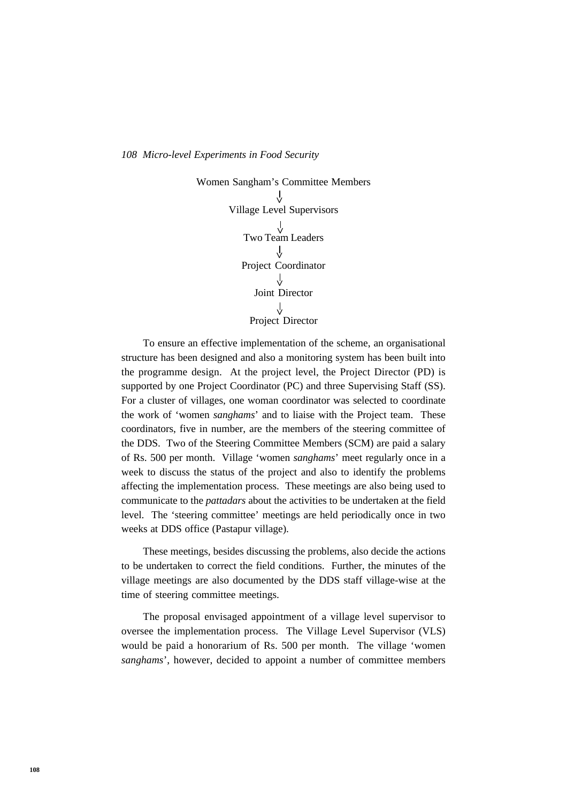Women Sangham's Committee Members Village Level Supervisors Two Team Leaders **>** Project Coordinator Joint Director Project Director **> > > >**

To ensure an effective implementation of the scheme, an organisational structure has been designed and also a monitoring system has been built into the programme design. At the project level, the Project Director (PD) is supported by one Project Coordinator (PC) and three Supervising Staff (SS). For a cluster of villages, one woman coordinator was selected to coordinate the work of 'women *sanghams*' and to liaise with the Project team. These coordinators, five in number, are the members of the steering committee of the DDS. Two of the Steering Committee Members (SCM) are paid a salary of Rs. 500 per month. Village 'women *sanghams*' meet regularly once in a week to discuss the status of the project and also to identify the problems affecting the implementation process. These meetings are also being used to communicate to the *pattadars* about the activities to be undertaken at the field level. The 'steering committee' meetings are held periodically once in two weeks at DDS office (Pastapur village).

These meetings, besides discussing the problems, also decide the actions to be undertaken to correct the field conditions. Further, the minutes of the village meetings are also documented by the DDS staff village-wise at the time of steering committee meetings.

The proposal envisaged appointment of a village level supervisor to oversee the implementation process. The Village Level Supervisor (VLS) would be paid a honorarium of Rs. 500 per month. The village 'women *sanghams*', however, decided to appoint a number of committee members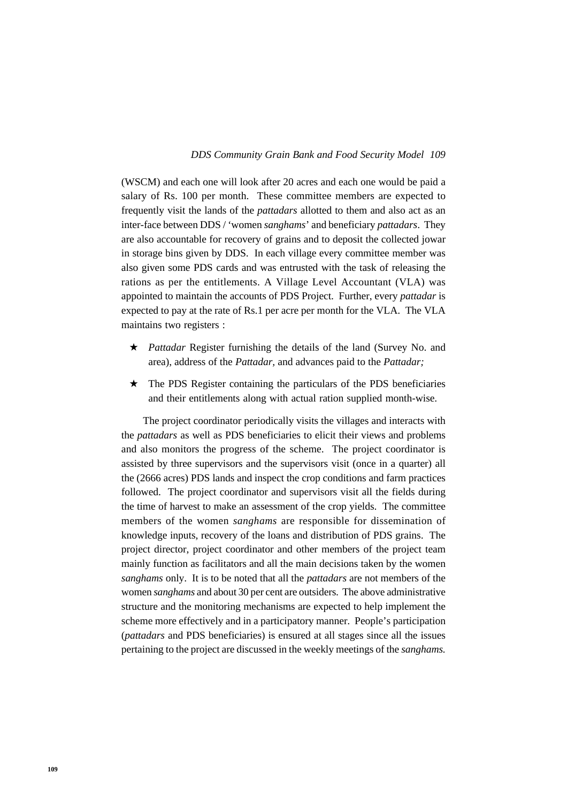#### *109 DDS Community Grain Bank and Food Security Model*

(WSCM) and each one will look after 20 acres and each one would be paid a salary of Rs. 100 per month. These committee members are expected to frequently visit the lands of the *pattadars* allotted to them and also act as an inter-face between DDS / 'women *sanghams*' and beneficiary *pattadars*. They are also accountable for recovery of grains and to deposit the collected jowar in storage bins given by DDS. In each village every committee member was also given some PDS cards and was entrusted with the task of releasing the rations as per the entitlements. A Village Level Accountant (VLA) was appointed to maintain the accounts of PDS Project. Further, every *pattadar* is expected to pay at the rate of Rs.1 per acre per month for the VLA. The VLA maintains two registers :

- ★ *Pattadar* Register furnishing the details of the land (Survey No. and area), address of the *Pattadar,* and advances paid to the *Pattadar;*
- $\star$  The PDS Register containing the particulars of the PDS beneficiaries and their entitlements along with actual ration supplied month-wise.

The project coordinator periodically visits the villages and interacts with the *pattadars* as well as PDS beneficiaries to elicit their views and problems and also monitors the progress of the scheme. The project coordinator is assisted by three supervisors and the supervisors visit (once in a quarter) all the (2666 acres) PDS lands and inspect the crop conditions and farm practices followed. The project coordinator and supervisors visit all the fields during the time of harvest to make an assessment of the crop yields. The committee members of the women *sanghams* are responsible for dissemination of knowledge inputs, recovery of the loans and distribution of PDS grains. The project director, project coordinator and other members of the project team mainly function as facilitators and all the main decisions taken by the women *sanghams* only. It is to be noted that all the *pattadars* are not members of the women *sanghams* and about 30 per cent are outsiders. The above administrative structure and the monitoring mechanisms are expected to help implement the scheme more effectively and in a participatory manner. People's participation (*pattadars* and PDS beneficiaries) is ensured at all stages since all the issues pertaining to the project are discussed in the weekly meetings of the *sanghams.*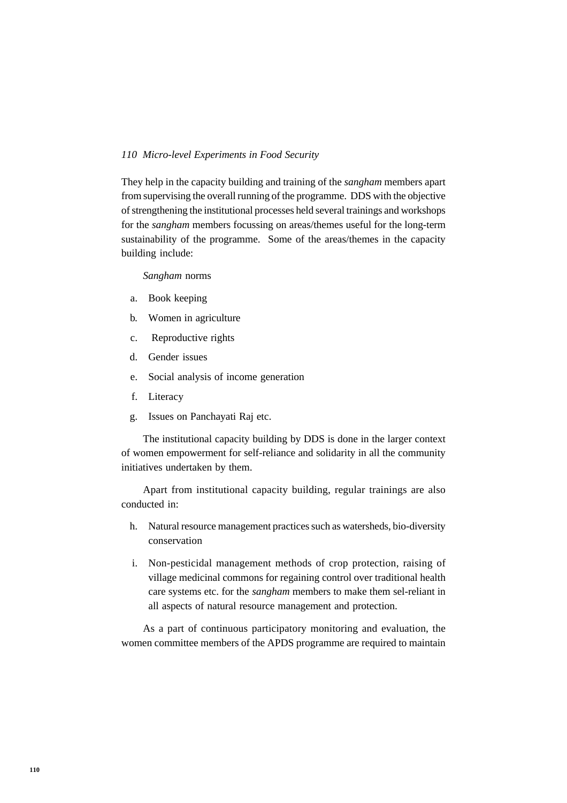They help in the capacity building and training of the *sangham* members apart from supervising the overall running of the programme. DDS with the objective of strengthening the institutional processes held several trainings and workshops for the *sangham* members focussing on areas/themes useful for the long-term sustainability of the programme. Some of the areas/themes in the capacity building include:

*Sangham* norms

- a. Book keeping
- b. Women in agriculture
- c. Reproductive rights
- d. Gender issues
- e. Social analysis of income generation
- f. Literacy
- g. Issues on Panchayati Raj etc.

The institutional capacity building by DDS is done in the larger context of women empowerment for self-reliance and solidarity in all the community initiatives undertaken by them.

Apart from institutional capacity building, regular trainings are also conducted in:

- h. Natural resource management practices such as watersheds, bio-diversity conservation
- i. Non-pesticidal management methods of crop protection, raising of village medicinal commons for regaining control over traditional health care systems etc. for the *sangham* members to make them sel-reliant in all aspects of natural resource management and protection.

As a part of continuous participatory monitoring and evaluation, the women committee members of the APDS programme are required to maintain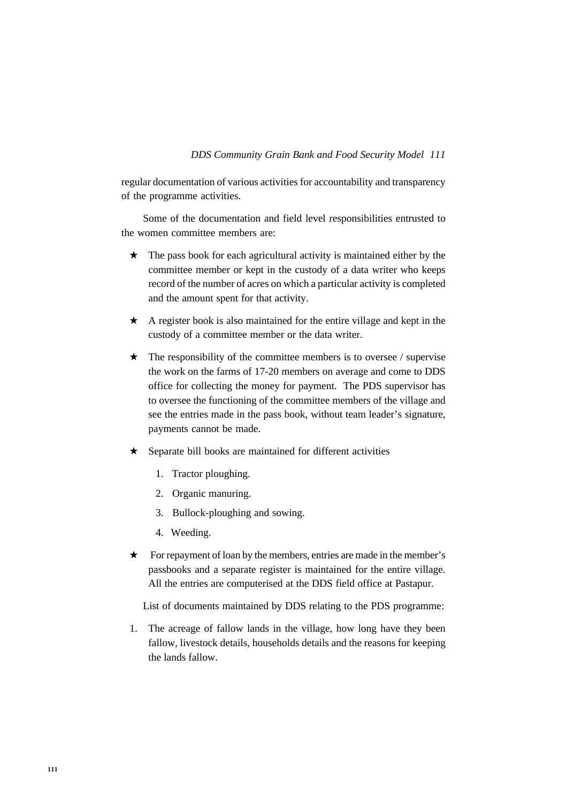## *111 DDS Community Grain Bank and Food Security Model*

regular documentation of various activities for accountability and transparency of the programme activities.

Some of the documentation and field level responsibilities entrusted to the women committee members are:

- $\star$  The pass book for each agricultural activity is maintained either by the committee member or kept in the custody of a data writer who keeps record of the number of acres on which a particular activity is completed and the amount spent for that activity.
- $\star$  A register book is also maintained for the entire village and kept in the custody of a committee member or the data writer.
- $\star$  The responsibility of the committee members is to oversee / supervise the work on the farms of 17-20 members on average and come to DDS office for collecting the money for payment. The PDS supervisor has to oversee the functioning of the committee members of the village and see the entries made in the pass book, without team leader's signature, payments cannot be made.
- ★ Separate bill books are maintained for different activities
	- 1. Tractor ploughing.
	- 2. Organic manuring.
	- 3. Bullock-ploughing and sowing.
	- 4. Weeding.
- ★ For repayment of loan by the members, entries are made in the member's passbooks and a separate register is maintained for the entire village. All the entries are computerised at the DDS field office at Pastapur.

List of documents maintained by DDS relating to the PDS programme:

1. The acreage of fallow lands in the village, how long have they been fallow, livestock details, households details and the reasons for keeping the lands fallow.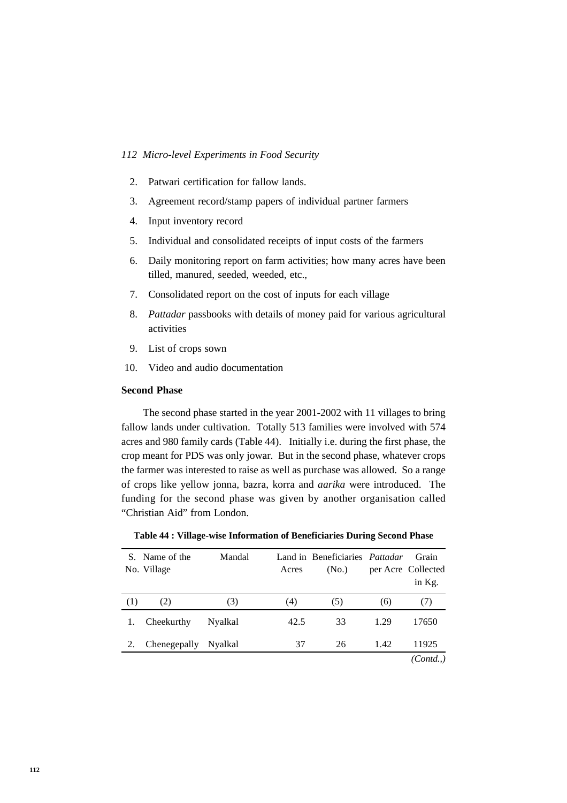- 2. Patwari certification for fallow lands.
- 3. Agreement record/stamp papers of individual partner farmers
- 4. Input inventory record
- 5. Individual and consolidated receipts of input costs of the farmers
- 6. Daily monitoring report on farm activities; how many acres have been tilled, manured, seeded, weeded, etc.,
- 7. Consolidated report on the cost of inputs for each village
- 8. *Pattadar* passbooks with details of money paid for various agricultural activities
- 9. List of crops sown
- 10. Video and audio documentation

## **Second Phase**

The second phase started in the year 2001-2002 with 11 villages to bring fallow lands under cultivation. Totally 513 families were involved with 574 acres and 980 family cards (Table 44). Initially i.e. during the first phase, the crop meant for PDS was only jowar. But in the second phase, whatever crops the farmer was interested to raise as well as purchase was allowed. So a range of crops like yellow jonna, bazra, korra and *aarika* were introduced. The funding for the second phase was given by another organisation called "Christian Aid" from London.

|     | S. Name of the<br>No. Village | Mandal  | Acres | Land in Beneficiaries <i>Pattadar</i><br>(N <sub>0</sub> ) |      | Grain<br>per Acre Collected<br>in Kg. |
|-----|-------------------------------|---------|-------|------------------------------------------------------------|------|---------------------------------------|
| (1) | (2)                           | (3)     | (4)   | (5)                                                        | (6)  | (7)                                   |
|     | Cheekurthy                    | Nyalkal | 42.5  | 33                                                         | 1.29 | 17650                                 |
|     | Chenegepally                  | Nyalkal | 37    | 26                                                         | 1.42 | 11925                                 |
|     |                               |         |       |                                                            |      | (Cond.)                               |

**Table 44 : Village-wise Information of Beneficiaries During Second Phase**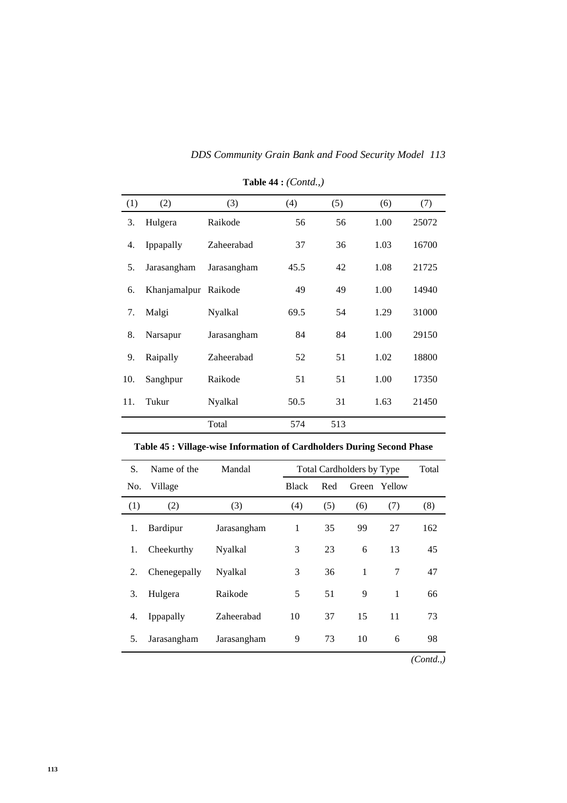| DDS Community Grain Bank and Food Security Model 113 |  |  |  |
|------------------------------------------------------|--|--|--|
|                                                      |  |  |  |

| (1) | (2)                  | (3)         | (4)  | (5) | (6)  | (7)   |
|-----|----------------------|-------------|------|-----|------|-------|
| 3.  | Hulgera              | Raikode     | 56   | 56  | 1.00 | 25072 |
| 4.  | Ippapally            | Zaheerabad  | 37   | 36  | 1.03 | 16700 |
| 5.  | Jarasangham          | Jarasangham | 45.5 | 42  | 1.08 | 21725 |
| 6.  | Khanjamalpur Raikode |             | 49   | 49  | 1.00 | 14940 |
| 7.  | Malgi                | Nyalkal     | 69.5 | 54  | 1.29 | 31000 |
| 8.  | Narsapur             | Jarasangham | 84   | 84  | 1.00 | 29150 |
| 9.  | Raipally             | Zaheerabad  | 52   | 51  | 1.02 | 18800 |
| 10. | Sanghpur             | Raikode     | 51   | 51  | 1.00 | 17350 |
| 11. | Tukur                | Nyalkal     | 50.5 | 31  | 1.63 | 21450 |
|     |                      | Total       | 574  | 513 |      |       |

**Table 44 :** *(Contd.,)*

| S.  | Name of the  | Mandal      |              |     | Total Cardholders by Type |        | Total    |
|-----|--------------|-------------|--------------|-----|---------------------------|--------|----------|
| No. | Village      |             | <b>Black</b> | Red | Green                     | Yellow |          |
| (1) | (2)          | (3)         | (4)          | (5) | (6)                       | (7)    | (8)      |
| 1.  | Bardipur     | Jarasangham | 1            | 35  | 99                        | 27     | 162      |
| 1.  | Cheekurthy   | Nyalkal     | 3            | 23  | 6                         | 13     | 45       |
| 2.  | Chenegepally | Nyalkal     | 3            | 36  | 1                         | 7      | 47       |
| 3.  | Hulgera      | Raikode     | 5            | 51  | 9                         | 1      | 66       |
| 4.  | Ippapally    | Zaheerabad  | 10           | 37  | 15                        | 11     | 73       |
| 5.  | Jarasangham  | Jarasangham | 9            | 73  | 10                        | 6      | 98       |
|     |              |             |              |     |                           |        | (Contd.) |

**Table 45 : Village-wise Information of Cardholders During Second Phase**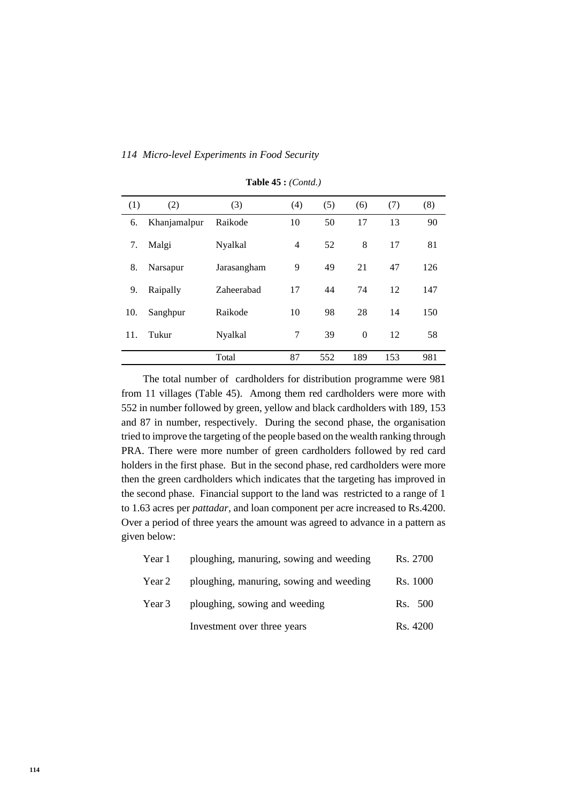|  | 114 Micro-level Experiments in Food Security |  |  |  |  |  |  |
|--|----------------------------------------------|--|--|--|--|--|--|
|--|----------------------------------------------|--|--|--|--|--|--|

| (1) | (2)          | (3)         | (4) | (5) | (6)      | (7) | (8) |
|-----|--------------|-------------|-----|-----|----------|-----|-----|
| 6.  | Khanjamalpur | Raikode     | 10  | 50  | 17       | 13  | 90  |
| 7.  | Malgi        | Nyalkal     | 4   | 52  | 8        | 17  | 81  |
| 8.  | Narsapur     | Jarasangham | 9   | 49  | 21       | 47  | 126 |
| 9.  | Raipally     | Zaheerabad  | 17  | 44  | 74       | 12  | 147 |
| 10. | Sanghpur     | Raikode     | 10  | 98  | 28       | 14  | 150 |
| 11. | Tukur        | Nyalkal     | 7   | 39  | $\theta$ | 12  | 58  |
|     |              | Total       | 87  | 552 | 189      | 153 | 981 |

**Table 45 :** *(Contd.)*

The total number of cardholders for distribution programme were 981 from 11 villages (Table 45). Among them red cardholders were more with 552 in number followed by green, yellow and black cardholders with 189, 153 and 87 in number, respectively. During the second phase, the organisation tried to improve the targeting of the people based on the wealth ranking through PRA. There were more number of green cardholders followed by red card holders in the first phase. But in the second phase, red cardholders were more then the green cardholders which indicates that the targeting has improved in the second phase. Financial support to the land was restricted to a range of 1 to 1.63 acres per *pattadar,* and loan component per acre increased to Rs.4200. Over a period of three years the amount was agreed to advance in a pattern as given below:

| Year 1 | ploughing, manuring, sowing and weeding | Rs. 2700 |
|--------|-----------------------------------------|----------|
| Year 2 | ploughing, manuring, sowing and weeding | Rs. 1000 |
| Year 3 | ploughing, sowing and weeding           | Rs. 500  |
|        | Investment over three years             | Rs. 4200 |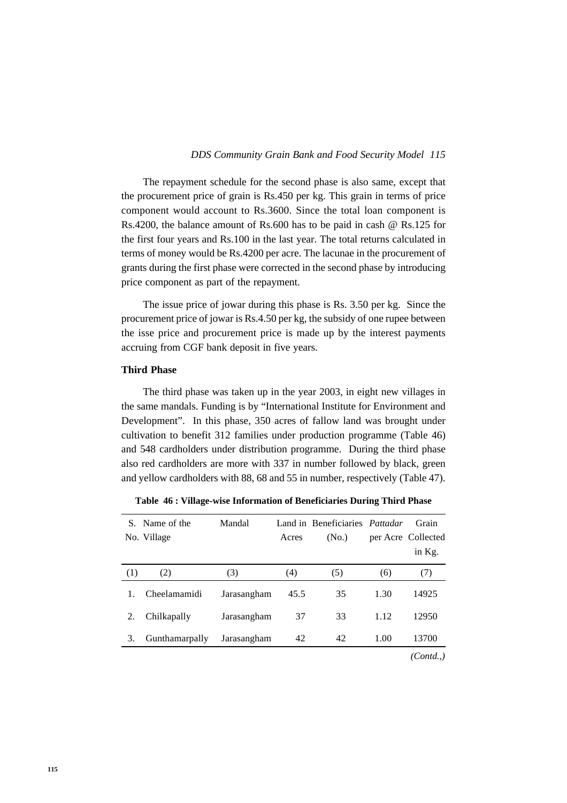### *115 DDS Community Grain Bank and Food Security Model*

The repayment schedule for the second phase is also same, except that the procurement price of grain is Rs.450 per kg. This grain in terms of price component would account to Rs.3600. Since the total loan component is Rs.4200, the balance amount of Rs.600 has to be paid in cash @ Rs.125 for the first four years and Rs.100 in the last year. The total returns calculated in terms of money would be Rs.4200 per acre. The lacunae in the procurement of grants during the first phase were corrected in the second phase by introducing price component as part of the repayment.

The issue price of jowar during this phase is Rs. 3.50 per kg. Since the procurement price of jowar is Rs.4.50 per kg, the subsidy of one rupee between the isse price and procurement price is made up by the interest payments accruing from CGF bank deposit in five years.

## **Third Phase**

The third phase was taken up in the year 2003, in eight new villages in the same mandals. Funding is by "International Institute for Environment and Development". In this phase, 350 acres of fallow land was brought under cultivation to benefit 312 families under production programme (Table 46) and 548 cardholders under distribution programme. During the third phase also red cardholders are more with 337 in number followed by black, green and yellow cardholders with 88, 68 and 55 in number, respectively (Table 47).

| S.  | Name of the    | Mandal      |       | Land in Beneficiaries Pattadar |      | Grain              |
|-----|----------------|-------------|-------|--------------------------------|------|--------------------|
|     | No. Village    |             | Acres | (N <sub>0</sub> )              |      | per Acre Collected |
|     |                |             |       |                                |      | in Kg.             |
| (1) | (2)            | (3)         | (4)   | (5)                            | (6)  | (7)                |
|     | Cheelamamidi   | Jarasangham | 45.5  | 35                             | 1.30 | 14925              |
| 2.  | Chilkapally    | Jarasangham | 37    | 33                             | 1.12 | 12950              |
| 3.  | Gunthamarpally | Jarasangham | 42    | 42                             | 1.00 | 13700              |
|     |                |             |       |                                |      | (Contd)            |

**Table 46 : Village-wise Information of Beneficiaries During Third Phase**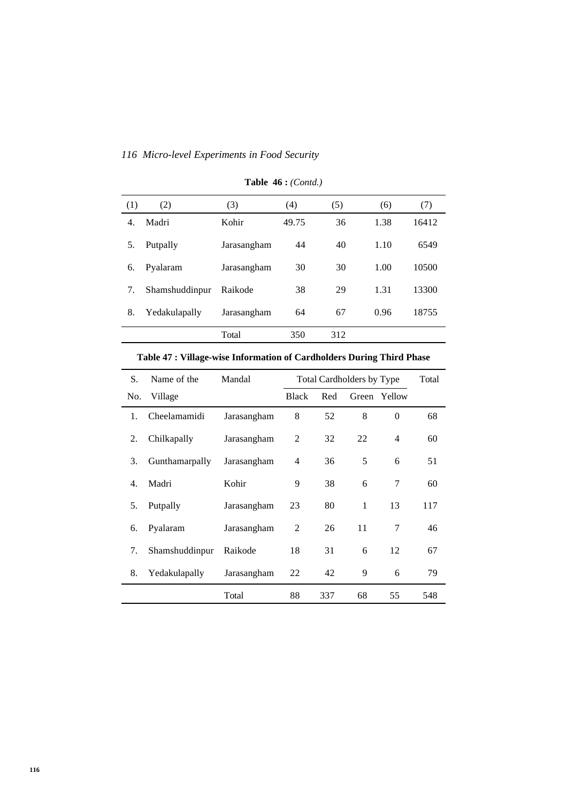| (1) | (2)            | (3)         | (4)   | (5) | (6)  | (7)   |
|-----|----------------|-------------|-------|-----|------|-------|
| 4.  | Madri          | Kohir       | 49.75 | 36  | 1.38 | 16412 |
| 5.  | Putpally       | Jarasangham | 44    | 40  | 1.10 | 6549  |
| 6.  | Pyalaram       | Jarasangham | 30    | 30  | 1.00 | 10500 |
| 7.  | Shamshuddinpur | Raikode     | 38    | 29  | 1.31 | 13300 |
| 8.  | Yedakulapally  | Jarasangham | 64    | 67  | 0.96 | 18755 |
|     |                | Total       | 350   | 312 |      |       |

## **Table 46 :** *(Contd.)*

| S.  | Name of the    | Mandal      |                | Total Cardholders by Type | Total |              |     |
|-----|----------------|-------------|----------------|---------------------------|-------|--------------|-----|
| No. | Village        |             | <b>Black</b>   | Red                       |       | Green Yellow |     |
| 1.  | Cheelamamidi   | Jarasangham | 8              | 52                        | 8     | $\theta$     | 68  |
| 2.  | Chilkapally    | Jarasangham | $\overline{2}$ | 32                        | 22    | 4            | 60  |
| 3.  | Gunthamarpally | Jarasangham | 4              | 36                        | 5     | 6            | 51  |
| 4.  | Madri          | Kohir       | 9              | 38                        | 6     | 7            | 60  |
| 5.  | Putpally       | Jarasangham | 23             | 80                        | 1     | 13           | 117 |
| 6.  | Pyalaram       | Jarasangham | 2              | 26                        | 11    | 7            | 46  |
| 7.  | Shamshuddinpur | Raikode     | 18             | 31                        | 6     | 12           | 67  |
| 8.  | Yedakulapally  | Jarasangham | 22             | 42                        | 9     | 6            | 79  |
|     |                | Total       | 88             | 337                       | 68    | 55           | 548 |

## **Table 47 : Village-wise Information of Cardholders During Third Phase**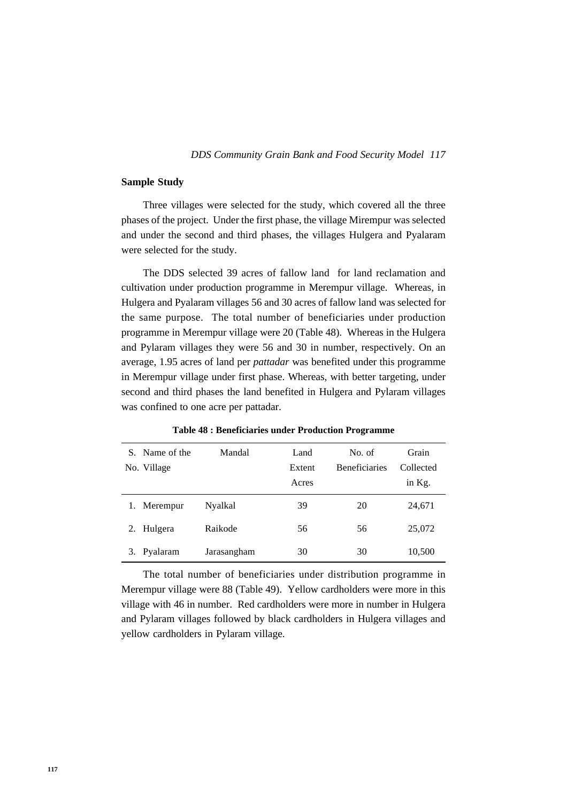#### *117 DDS Community Grain Bank and Food Security Model*

## **Sample Study**

Three villages were selected for the study, which covered all the three phases of the project. Under the first phase, the village Mirempur was selected and under the second and third phases, the villages Hulgera and Pyalaram were selected for the study.

The DDS selected 39 acres of fallow land for land reclamation and cultivation under production programme in Merempur village. Whereas, in Hulgera and Pyalaram villages 56 and 30 acres of fallow land was selected for the same purpose. The total number of beneficiaries under production programme in Merempur village were 20 (Table 48). Whereas in the Hulgera and Pylaram villages they were 56 and 30 in number, respectively. On an average, 1.95 acres of land per *pattadar* was benefited under this programme in Merempur village under first phase. Whereas, with better targeting, under second and third phases the land benefited in Hulgera and Pylaram villages was confined to one acre per pattadar.

|    | S. Name of the | Mandal      | Land   | No. of               | Grain     |
|----|----------------|-------------|--------|----------------------|-----------|
|    | No. Village    |             | Extent | <b>Beneficiaries</b> | Collected |
|    |                |             | Acres  |                      | in Kg.    |
|    | Merempur       | Nyalkal     | 39     | 20                   | 24,671    |
| 2. | Hulgera        | Raikode     | 56     | 56                   | 25,072    |
|    | Pyalaram       | Jarasangham | 30     | 30                   | 10,500    |

**Table 48 : Beneficiaries under Production Programme**

The total number of beneficiaries under distribution programme in Merempur village were 88 (Table 49). Yellow cardholders were more in this village with 46 in number. Red cardholders were more in number in Hulgera and Pylaram villages followed by black cardholders in Hulgera villages and yellow cardholders in Pylaram village.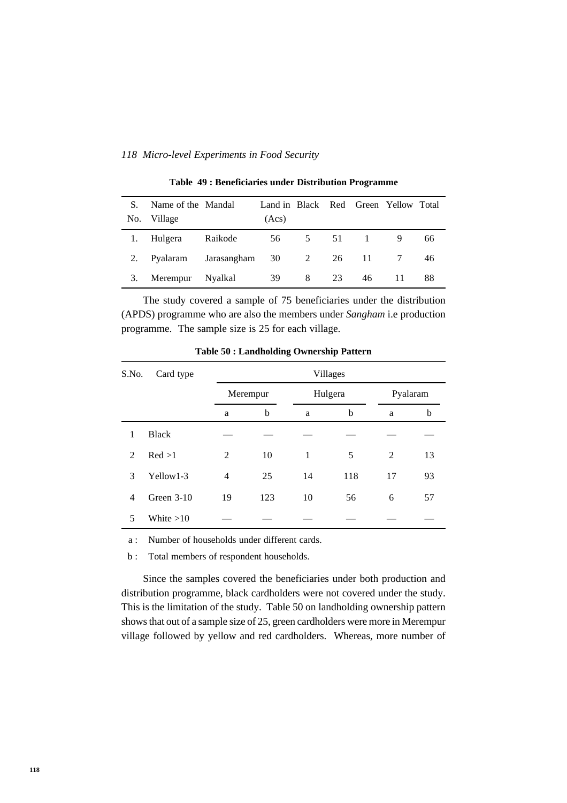| S.  | Name of the Mandal |                                   | Land in Black Red Green Yellow Total |   |    |           |    |    |
|-----|--------------------|-----------------------------------|--------------------------------------|---|----|-----------|----|----|
| No. | Village            |                                   | (Acs)                                |   |    |           |    |    |
|     | 1. Hulgera         | Raikode                           |                                      |   |    | 56 5 51 1 |    | 66 |
| 2.  |                    | Pyalaram Jarasangham 30 2 26 11 7 |                                      |   |    |           |    | 46 |
| 3.  | Merempur Nyalkal   |                                   | 39                                   | 8 | 23 | 46        | 11 | 88 |

**Table 49 : Beneficiaries under Distribution Programme**

The study covered a sample of 75 beneficiaries under the distribution (APDS) programme who are also the members under *Sangham* i.e production programme. The sample size is 25 for each village.

| S.No.          | Card type    |                |                     |    | Villages |    |    |
|----------------|--------------|----------------|---------------------|----|----------|----|----|
|                |              |                | Hulgera<br>Merempur |    | Pyalaram |    |    |
|                |              | a              | b                   | a  | b        | a  | b  |
| 1              | <b>Black</b> |                |                     |    |          |    |    |
| $\mathfrak{D}$ | Red >1       | 2              | 10                  | 1  | 5        | 2  | 13 |
| 3              | Yellow1-3    | $\overline{4}$ | 25                  | 14 | 118      | 17 | 93 |
| $\overline{4}$ | Green $3-10$ | 19             | 123                 | 10 | 56       | 6  | 57 |
| 5              | White $>10$  |                |                     |    |          |    |    |

**Table 50 : Landholding Ownership Pattern**

a : Number of households under different cards.

b : Total members of respondent households.

Since the samples covered the beneficiaries under both production and distribution programme, black cardholders were not covered under the study. This is the limitation of the study. Table 50 on landholding ownership pattern shows that out of a sample size of 25, green cardholders were more in Merempur village followed by yellow and red cardholders. Whereas, more number of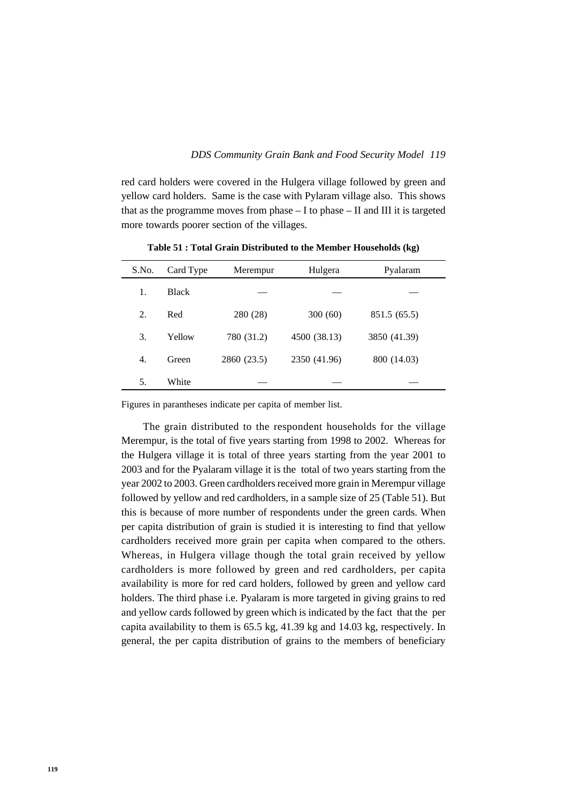red card holders were covered in the Hulgera village followed by green and yellow card holders. Same is the case with Pylaram village also. This shows that as the programme moves from phase  $-$  I to phase  $-$  II and III it is targeted more towards poorer section of the villages.

| S.No. | Card Type    | Merempur    | Hulgera      | Pyalaram     |  |
|-------|--------------|-------------|--------------|--------------|--|
| 1.    | <b>Black</b> |             |              |              |  |
| 2.    | Red          | 280 (28)    | 300(60)      | 851.5 (65.5) |  |
| 3.    | Yellow       | 780 (31.2)  | 4500 (38.13) | 3850 (41.39) |  |
| 4.    | Green        | 2860 (23.5) | 2350 (41.96) | 800 (14.03)  |  |
| 5.    | White        |             |              |              |  |

**Table 51 : Total Grain Distributed to the Member Households (kg)**

Figures in parantheses indicate per capita of member list.

The grain distributed to the respondent households for the village Merempur, is the total of five years starting from 1998 to 2002. Whereas for the Hulgera village it is total of three years starting from the year 2001 to 2003 and for the Pyalaram village it is the total of two years starting from the year 2002 to 2003. Green cardholders received more grain in Merempur village followed by yellow and red cardholders, in a sample size of 25 (Table 51). But this is because of more number of respondents under the green cards. When per capita distribution of grain is studied it is interesting to find that yellow cardholders received more grain per capita when compared to the others. Whereas, in Hulgera village though the total grain received by yellow cardholders is more followed by green and red cardholders, per capita availability is more for red card holders, followed by green and yellow card holders. The third phase i.e. Pyalaram is more targeted in giving grains to red and yellow cards followed by green which is indicated by the fact that the per capita availability to them is 65.5 kg, 41.39 kg and 14.03 kg, respectively. In general, the per capita distribution of grains to the members of beneficiary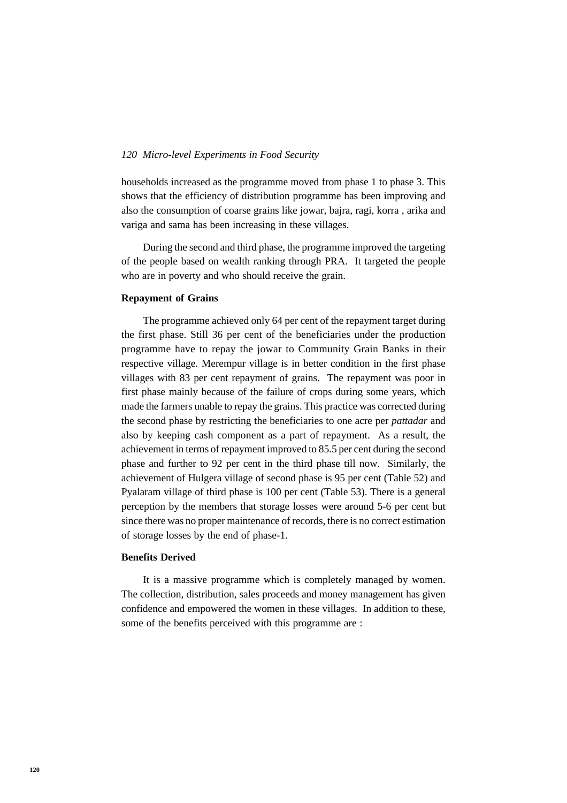households increased as the programme moved from phase 1 to phase 3. This shows that the efficiency of distribution programme has been improving and also the consumption of coarse grains like jowar, bajra, ragi, korra , arika and variga and sama has been increasing in these villages.

During the second and third phase, the programme improved the targeting of the people based on wealth ranking through PRA. It targeted the people who are in poverty and who should receive the grain.

## **Repayment of Grains**

The programme achieved only 64 per cent of the repayment target during the first phase. Still 36 per cent of the beneficiaries under the production programme have to repay the jowar to Community Grain Banks in their respective village. Merempur village is in better condition in the first phase villages with 83 per cent repayment of grains. The repayment was poor in first phase mainly because of the failure of crops during some years, which made the farmers unable to repay the grains. This practice was corrected during the second phase by restricting the beneficiaries to one acre per *pattadar* and also by keeping cash component as a part of repayment. As a result, the achievement in terms of repayment improved to 85.5 per cent during the second phase and further to 92 per cent in the third phase till now. Similarly, the achievement of Hulgera village of second phase is 95 per cent (Table 52) and Pyalaram village of third phase is 100 per cent (Table 53). There is a general perception by the members that storage losses were around 5-6 per cent but since there was no proper maintenance of records, there is no correct estimation of storage losses by the end of phase-1.

## **Benefits Derived**

It is a massive programme which is completely managed by women. The collection, distribution, sales proceeds and money management has given confidence and empowered the women in these villages. In addition to these, some of the benefits perceived with this programme are :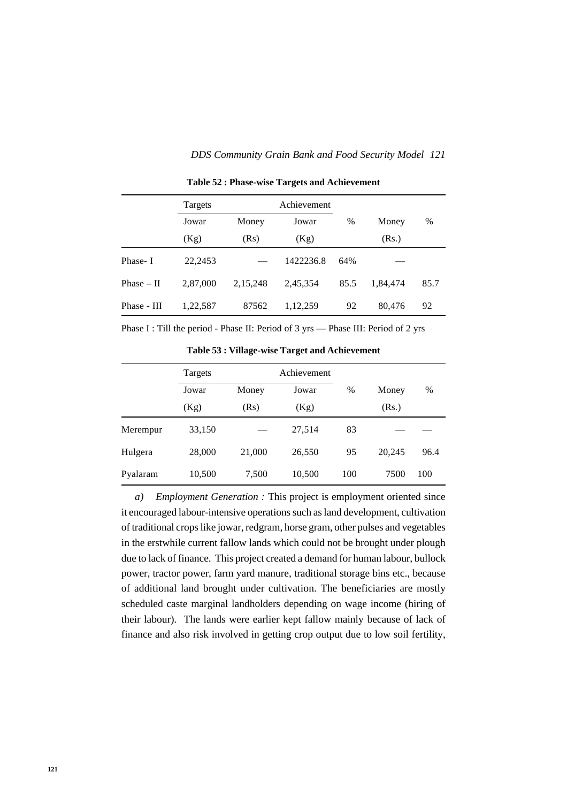#### *121 DDS Community Grain Bank and Food Security Model*

|              | Achievement<br>Targets |          |           |      |          |      |
|--------------|------------------------|----------|-----------|------|----------|------|
|              | Jowar                  | Money    | Jowar     | $\%$ | Money    | %    |
|              | (Kg)                   | (Rs)     | (Kg)      |      | (Rs.)    |      |
| Phase-I      | 22,2453                |          | 1422236.8 | 64%  |          |      |
| $Phase - II$ | 2,87,000               | 2,15,248 | 2,45,354  | 85.5 | 1,84,474 | 85.7 |
| Phase - III  | 1,22,587               | 87562    | 1,12,259  | 92   | 80,476   | 92   |

**Table 52 : Phase-wise Targets and Achievement**

Phase I : Till the period - Phase II: Period of 3 yrs — Phase III: Period of 2 yrs

**Table 53 : Village-wise Target and Achievement**

|          | Targets |        | Achievement |      |        |      |
|----------|---------|--------|-------------|------|--------|------|
|          | Jowar   | Money  | Jowar       | $\%$ | Money  | %    |
|          | (Kg)    | (Rs)   | (Kg)        |      | (Rs.)  |      |
| Merempur | 33,150  |        | 27,514      | 83   |        |      |
| Hulgera  | 28,000  | 21,000 | 26,550      | 95   | 20,245 | 96.4 |
| Pyalaram | 10,500  | 7,500  | 10,500      | 100  | 7500   | 100  |

*a) Employment Generation :* This project is employment oriented since it encouraged labour-intensive operations such as land development, cultivation of traditional crops like jowar, redgram, horse gram, other pulses and vegetables in the erstwhile current fallow lands which could not be brought under plough due to lack of finance. This project created a demand for human labour, bullock power, tractor power, farm yard manure, traditional storage bins etc., because of additional land brought under cultivation. The beneficiaries are mostly scheduled caste marginal landholders depending on wage income (hiring of their labour). The lands were earlier kept fallow mainly because of lack of finance and also risk involved in getting crop output due to low soil fertility,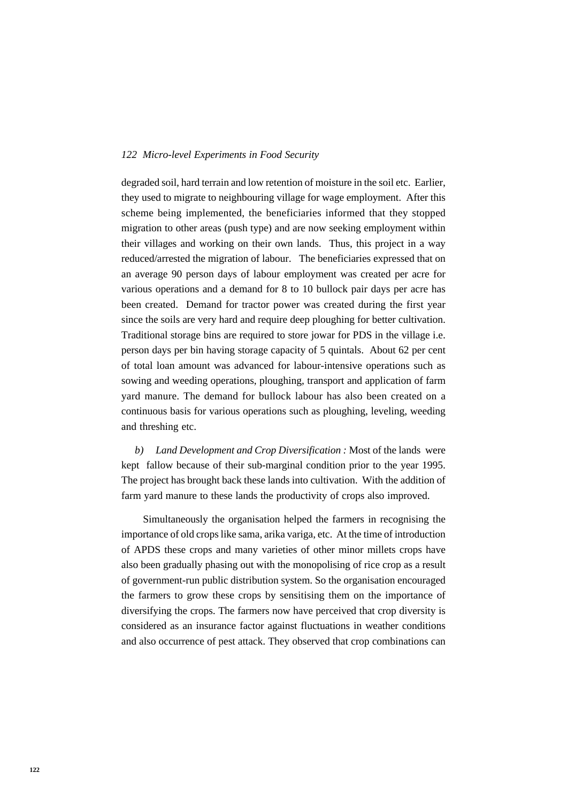degraded soil, hard terrain and low retention of moisture in the soil etc. Earlier, they used to migrate to neighbouring village for wage employment. After this scheme being implemented, the beneficiaries informed that they stopped migration to other areas (push type) and are now seeking employment within their villages and working on their own lands. Thus, this project in a way reduced/arrested the migration of labour. The beneficiaries expressed that on an average 90 person days of labour employment was created per acre for various operations and a demand for 8 to 10 bullock pair days per acre has been created. Demand for tractor power was created during the first year since the soils are very hard and require deep ploughing for better cultivation. Traditional storage bins are required to store jowar for PDS in the village i.e. person days per bin having storage capacity of 5 quintals. About 62 per cent of total loan amount was advanced for labour-intensive operations such as sowing and weeding operations, ploughing, transport and application of farm yard manure. The demand for bullock labour has also been created on a continuous basis for various operations such as ploughing, leveling, weeding and threshing etc.

*b) Land Development and Crop Diversification :* Most of the lands were kept fallow because of their sub-marginal condition prior to the year 1995. The project has brought back these lands into cultivation. With the addition of farm yard manure to these lands the productivity of crops also improved.

Simultaneously the organisation helped the farmers in recognising the importance of old crops like sama, arika variga, etc. At the time of introduction of APDS these crops and many varieties of other minor millets crops have also been gradually phasing out with the monopolising of rice crop as a result of government-run public distribution system. So the organisation encouraged the farmers to grow these crops by sensitising them on the importance of diversifying the crops. The farmers now have perceived that crop diversity is considered as an insurance factor against fluctuations in weather conditions and also occurrence of pest attack. They observed that crop combinations can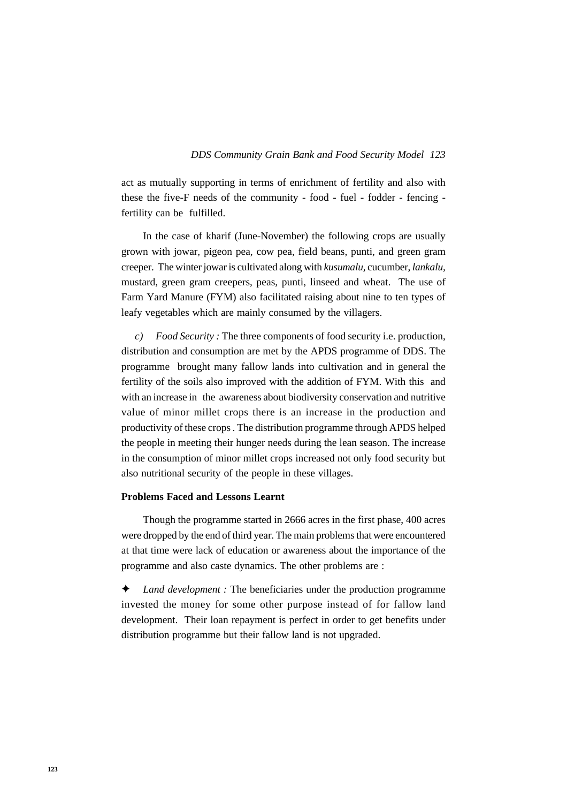act as mutually supporting in terms of enrichment of fertility and also with these the five-F needs of the community - food - fuel - fodder - fencing fertility can be fulfilled.

In the case of kharif (June-November) the following crops are usually grown with jowar, pigeon pea, cow pea, field beans, punti, and green gram creeper. The winter jowar is cultivated along with *kusumalu,* cucumber, *lankalu,* mustard, green gram creepers, peas, punti, linseed and wheat. The use of Farm Yard Manure (FYM) also facilitated raising about nine to ten types of leafy vegetables which are mainly consumed by the villagers.

*c) Food Security :* The three components of food security i.e. production, distribution and consumption are met by the APDS programme of DDS. The programme brought many fallow lands into cultivation and in general the fertility of the soils also improved with the addition of FYM. With this and with an increase in the awareness about biodiversity conservation and nutritive value of minor millet crops there is an increase in the production and productivity of these crops . The distribution programme through APDS helped the people in meeting their hunger needs during the lean season. The increase in the consumption of minor millet crops increased not only food security but also nutritional security of the people in these villages.

## **Problems Faced and Lessons Learnt**

Though the programme started in 2666 acres in the first phase, 400 acres were dropped by the end of third year. The main problems that were encountered at that time were lack of education or awareness about the importance of the programme and also caste dynamics. The other problems are :

✦ *Land development :* The beneficiaries under the production programme invested the money for some other purpose instead of for fallow land development. Their loan repayment is perfect in order to get benefits under distribution programme but their fallow land is not upgraded.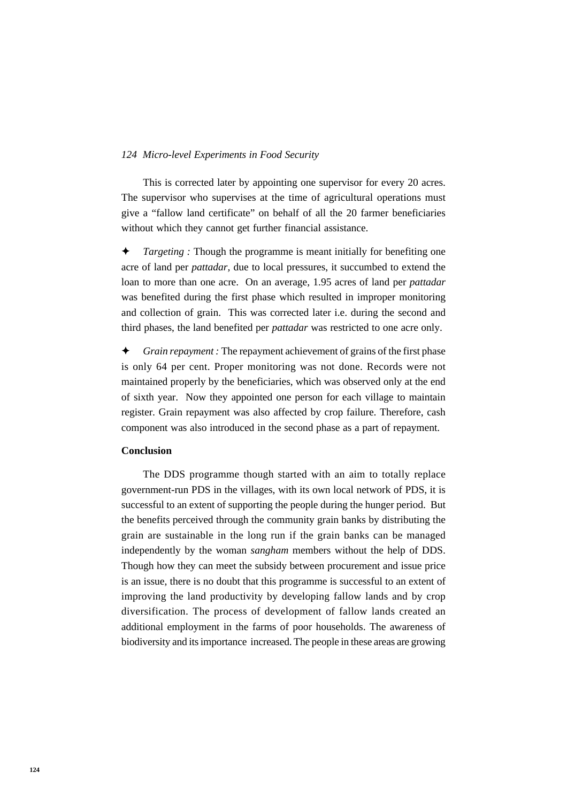This is corrected later by appointing one supervisor for every 20 acres. The supervisor who supervises at the time of agricultural operations must give a "fallow land certificate" on behalf of all the 20 farmer beneficiaries without which they cannot get further financial assistance.

*Targeting* : Though the programme is meant initially for benefiting one acre of land per *pattadar,* due to local pressures, it succumbed to extend the loan to more than one acre. On an average, 1.95 acres of land per *pattadar* was benefited during the first phase which resulted in improper monitoring and collection of grain. This was corrected later i.e. during the second and third phases, the land benefited per *pattadar* was restricted to one acre only.

✦ *Grain repayment :* The repayment achievement of grains of the first phase is only 64 per cent. Proper monitoring was not done. Records were not maintained properly by the beneficiaries, which was observed only at the end of sixth year. Now they appointed one person for each village to maintain register. Grain repayment was also affected by crop failure. Therefore, cash component was also introduced in the second phase as a part of repayment.

## **Conclusion**

The DDS programme though started with an aim to totally replace government-run PDS in the villages, with its own local network of PDS, it is successful to an extent of supporting the people during the hunger period. But the benefits perceived through the community grain banks by distributing the grain are sustainable in the long run if the grain banks can be managed independently by the woman *sangham* members without the help of DDS. Though how they can meet the subsidy between procurement and issue price is an issue, there is no doubt that this programme is successful to an extent of improving the land productivity by developing fallow lands and by crop diversification. The process of development of fallow lands created an additional employment in the farms of poor households. The awareness of biodiversity and its importance increased. The people in these areas are growing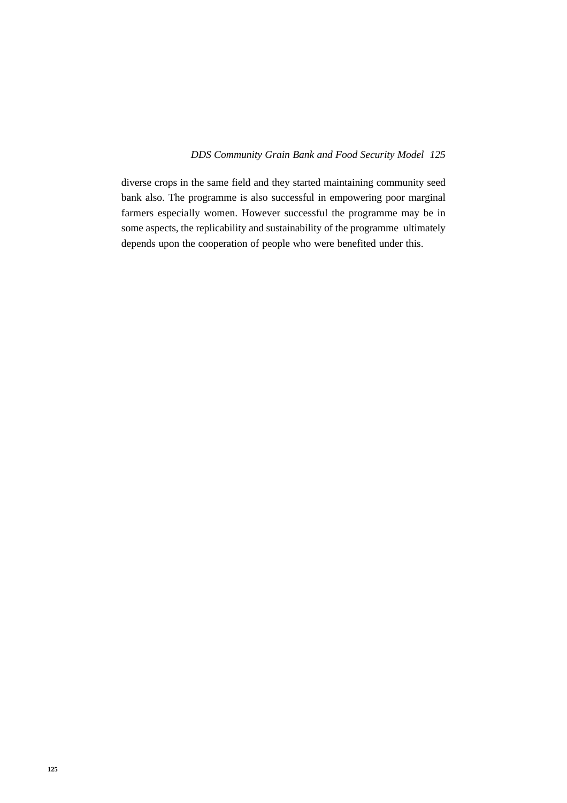#### *125 DDS Community Grain Bank and Food Security Model*

diverse crops in the same field and they started maintaining community seed bank also. The programme is also successful in empowering poor marginal farmers especially women. However successful the programme may be in some aspects, the replicability and sustainability of the programme ultimately depends upon the cooperation of people who were benefited under this.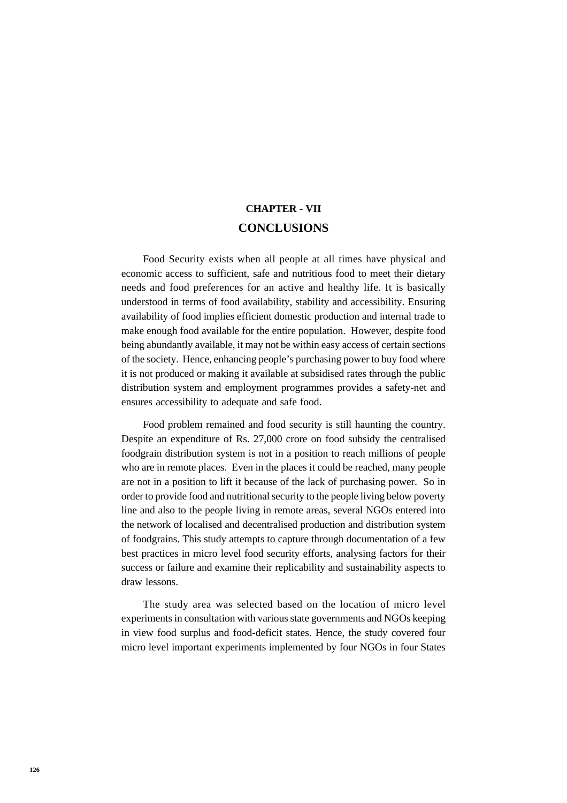# **CHAPTER - VII CONCLUSIONS**

Food Security exists when all people at all times have physical and economic access to sufficient, safe and nutritious food to meet their dietary needs and food preferences for an active and healthy life. It is basically understood in terms of food availability, stability and accessibility. Ensuring availability of food implies efficient domestic production and internal trade to make enough food available for the entire population. However, despite food being abundantly available, it may not be within easy access of certain sections of the society. Hence, enhancing people's purchasing power to buy food where it is not produced or making it available at subsidised rates through the public distribution system and employment programmes provides a safety-net and ensures accessibility to adequate and safe food.

Food problem remained and food security is still haunting the country. Despite an expenditure of Rs. 27,000 crore on food subsidy the centralised foodgrain distribution system is not in a position to reach millions of people who are in remote places. Even in the places it could be reached, many people are not in a position to lift it because of the lack of purchasing power. So in order to provide food and nutritional security to the people living below poverty line and also to the people living in remote areas, several NGOs entered into the network of localised and decentralised production and distribution system of foodgrains. This study attempts to capture through documentation of a few best practices in micro level food security efforts, analysing factors for their success or failure and examine their replicability and sustainability aspects to draw lessons.

The study area was selected based on the location of micro level experiments in consultation with various state governments and NGOs keeping in view food surplus and food-deficit states. Hence, the study covered four micro level important experiments implemented by four NGOs in four States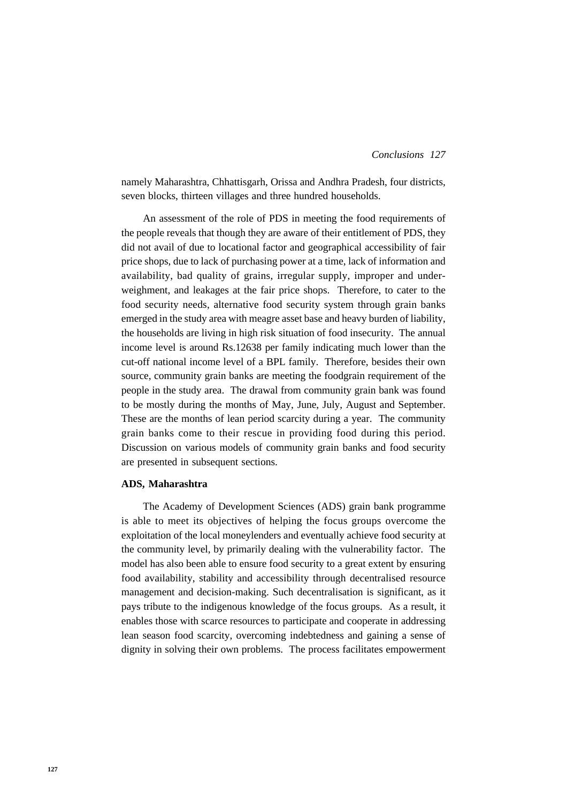namely Maharashtra, Chhattisgarh, Orissa and Andhra Pradesh, four districts, seven blocks, thirteen villages and three hundred households.

An assessment of the role of PDS in meeting the food requirements of the people reveals that though they are aware of their entitlement of PDS, they did not avail of due to locational factor and geographical accessibility of fair price shops, due to lack of purchasing power at a time, lack of information and availability, bad quality of grains, irregular supply, improper and underweighment, and leakages at the fair price shops. Therefore, to cater to the food security needs, alternative food security system through grain banks emerged in the study area with meagre asset base and heavy burden of liability, the households are living in high risk situation of food insecurity. The annual income level is around Rs.12638 per family indicating much lower than the cut-off national income level of a BPL family. Therefore, besides their own source, community grain banks are meeting the foodgrain requirement of the people in the study area. The drawal from community grain bank was found to be mostly during the months of May, June, July, August and September. These are the months of lean period scarcity during a year. The community grain banks come to their rescue in providing food during this period. Discussion on various models of community grain banks and food security are presented in subsequent sections.

#### **ADS, Maharashtra**

The Academy of Development Sciences (ADS) grain bank programme is able to meet its objectives of helping the focus groups overcome the exploitation of the local moneylenders and eventually achieve food security at the community level, by primarily dealing with the vulnerability factor. The model has also been able to ensure food security to a great extent by ensuring food availability, stability and accessibility through decentralised resource management and decision-making. Such decentralisation is significant, as it pays tribute to the indigenous knowledge of the focus groups. As a result, it enables those with scarce resources to participate and cooperate in addressing lean season food scarcity, overcoming indebtedness and gaining a sense of dignity in solving their own problems. The process facilitates empowerment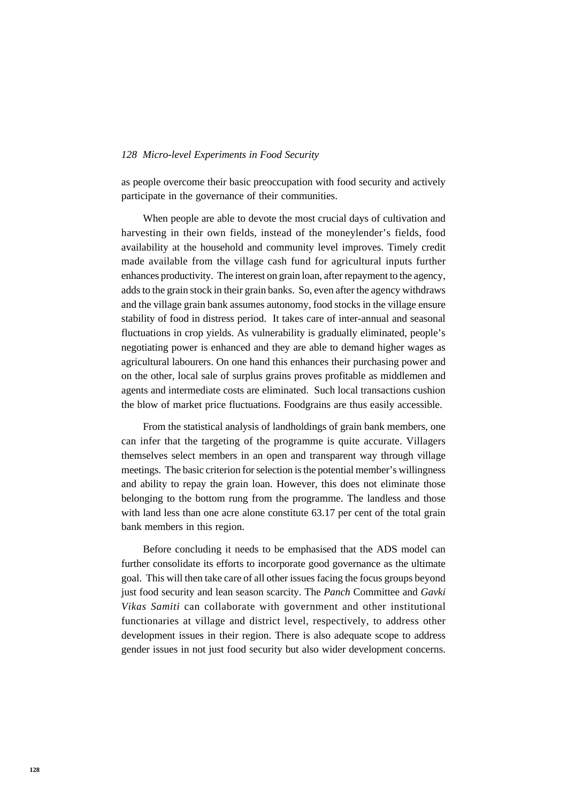as people overcome their basic preoccupation with food security and actively participate in the governance of their communities.

When people are able to devote the most crucial days of cultivation and harvesting in their own fields, instead of the moneylender's fields, food availability at the household and community level improves. Timely credit made available from the village cash fund for agricultural inputs further enhances productivity. The interest on grain loan, after repayment to the agency, adds to the grain stock in their grain banks. So, even after the agency withdraws and the village grain bank assumes autonomy, food stocks in the village ensure stability of food in distress period. It takes care of inter-annual and seasonal fluctuations in crop yields. As vulnerability is gradually eliminated, people's negotiating power is enhanced and they are able to demand higher wages as agricultural labourers. On one hand this enhances their purchasing power and on the other, local sale of surplus grains proves profitable as middlemen and agents and intermediate costs are eliminated. Such local transactions cushion the blow of market price fluctuations. Foodgrains are thus easily accessible.

From the statistical analysis of landholdings of grain bank members, one can infer that the targeting of the programme is quite accurate. Villagers themselves select members in an open and transparent way through village meetings. The basic criterion for selection is the potential member's willingness and ability to repay the grain loan. However, this does not eliminate those belonging to the bottom rung from the programme. The landless and those with land less than one acre alone constitute 63.17 per cent of the total grain bank members in this region.

Before concluding it needs to be emphasised that the ADS model can further consolidate its efforts to incorporate good governance as the ultimate goal. This will then take care of all other issues facing the focus groups beyond just food security and lean season scarcity. The *Panch* Committee and *Gavki Vikas Samiti* can collaborate with government and other institutional functionaries at village and district level, respectively, to address other development issues in their region. There is also adequate scope to address gender issues in not just food security but also wider development concerns.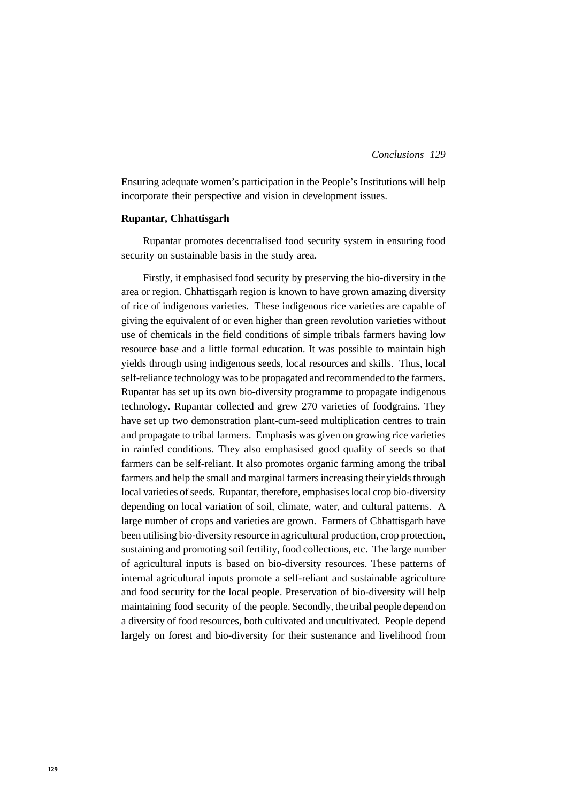Ensuring adequate women's participation in the People's Institutions will help incorporate their perspective and vision in development issues.

#### **Rupantar, Chhattisgarh**

Rupantar promotes decentralised food security system in ensuring food security on sustainable basis in the study area.

Firstly, it emphasised food security by preserving the bio-diversity in the area or region. Chhattisgarh region is known to have grown amazing diversity of rice of indigenous varieties. These indigenous rice varieties are capable of giving the equivalent of or even higher than green revolution varieties without use of chemicals in the field conditions of simple tribals farmers having low resource base and a little formal education. It was possible to maintain high yields through using indigenous seeds, local resources and skills. Thus, local self-reliance technology was to be propagated and recommended to the farmers. Rupantar has set up its own bio-diversity programme to propagate indigenous technology. Rupantar collected and grew 270 varieties of foodgrains. They have set up two demonstration plant-cum-seed multiplication centres to train and propagate to tribal farmers. Emphasis was given on growing rice varieties in rainfed conditions. They also emphasised good quality of seeds so that farmers can be self-reliant. It also promotes organic farming among the tribal farmers and help the small and marginal farmers increasing their yields through local varieties of seeds. Rupantar, therefore, emphasises local crop bio-diversity depending on local variation of soil, climate, water, and cultural patterns. A large number of crops and varieties are grown. Farmers of Chhattisgarh have been utilising bio-diversity resource in agricultural production, crop protection, sustaining and promoting soil fertility, food collections, etc. The large number of agricultural inputs is based on bio-diversity resources. These patterns of internal agricultural inputs promote a self-reliant and sustainable agriculture and food security for the local people. Preservation of bio-diversity will help maintaining food security of the people. Secondly, the tribal people depend on a diversity of food resources, both cultivated and uncultivated. People depend largely on forest and bio-diversity for their sustenance and livelihood from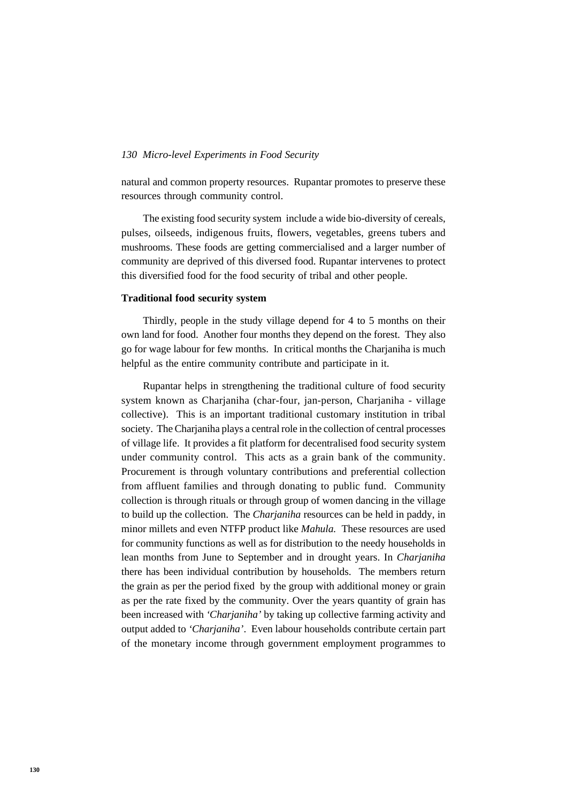natural and common property resources. Rupantar promotes to preserve these resources through community control.

The existing food security system include a wide bio-diversity of cereals, pulses, oilseeds, indigenous fruits, flowers, vegetables, greens tubers and mushrooms. These foods are getting commercialised and a larger number of community are deprived of this diversed food. Rupantar intervenes to protect this diversified food for the food security of tribal and other people.

## **Traditional food security system**

Thirdly, people in the study village depend for 4 to 5 months on their own land for food. Another four months they depend on the forest. They also go for wage labour for few months. In critical months the Charjaniha is much helpful as the entire community contribute and participate in it.

Rupantar helps in strengthening the traditional culture of food security system known as Charjaniha (char-four, jan-person, Charjaniha - village collective). This is an important traditional customary institution in tribal society. The Charjaniha plays a central role in the collection of central processes of village life. It provides a fit platform for decentralised food security system under community control. This acts as a grain bank of the community. Procurement is through voluntary contributions and preferential collection from affluent families and through donating to public fund. Community collection is through rituals or through group of women dancing in the village to build up the collection. The *Charjaniha* resources can be held in paddy, in minor millets and even NTFP product like *Mahula.* These resources are used for community functions as well as for distribution to the needy households in lean months from June to September and in drought years. In *Charjaniha* there has been individual contribution by households. The members return the grain as per the period fixed by the group with additional money or grain as per the rate fixed by the community. Over the years quantity of grain has been increased with *'Charjaniha'* by taking up collective farming activity and output added to *'Charjaniha'*. Even labour households contribute certain part of the monetary income through government employment programmes to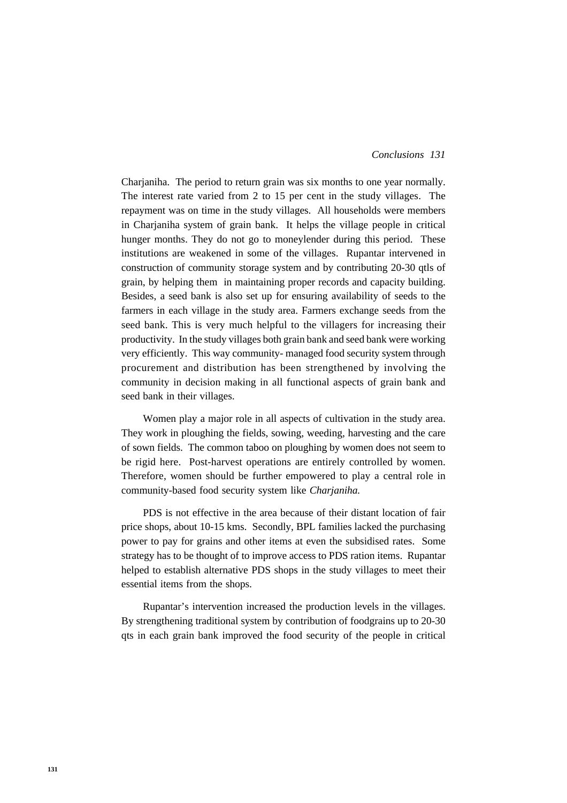#### *131 Conclusions*

Charjaniha. The period to return grain was six months to one year normally. The interest rate varied from 2 to 15 per cent in the study villages. The repayment was on time in the study villages. All households were members in Charjaniha system of grain bank. It helps the village people in critical hunger months. They do not go to moneylender during this period. These institutions are weakened in some of the villages. Rupantar intervened in construction of community storage system and by contributing 20-30 qtls of grain, by helping them in maintaining proper records and capacity building. Besides, a seed bank is also set up for ensuring availability of seeds to the farmers in each village in the study area. Farmers exchange seeds from the seed bank. This is very much helpful to the villagers for increasing their productivity. In the study villages both grain bank and seed bank were working very efficiently. This way community- managed food security system through procurement and distribution has been strengthened by involving the community in decision making in all functional aspects of grain bank and seed bank in their villages.

Women play a major role in all aspects of cultivation in the study area. They work in ploughing the fields, sowing, weeding, harvesting and the care of sown fields. The common taboo on ploughing by women does not seem to be rigid here. Post-harvest operations are entirely controlled by women. Therefore, women should be further empowered to play a central role in community-based food security system like *Charjaniha.*

PDS is not effective in the area because of their distant location of fair price shops, about 10-15 kms. Secondly, BPL families lacked the purchasing power to pay for grains and other items at even the subsidised rates. Some strategy has to be thought of to improve access to PDS ration items. Rupantar helped to establish alternative PDS shops in the study villages to meet their essential items from the shops.

Rupantar's intervention increased the production levels in the villages. By strengthening traditional system by contribution of foodgrains up to 20-30 qts in each grain bank improved the food security of the people in critical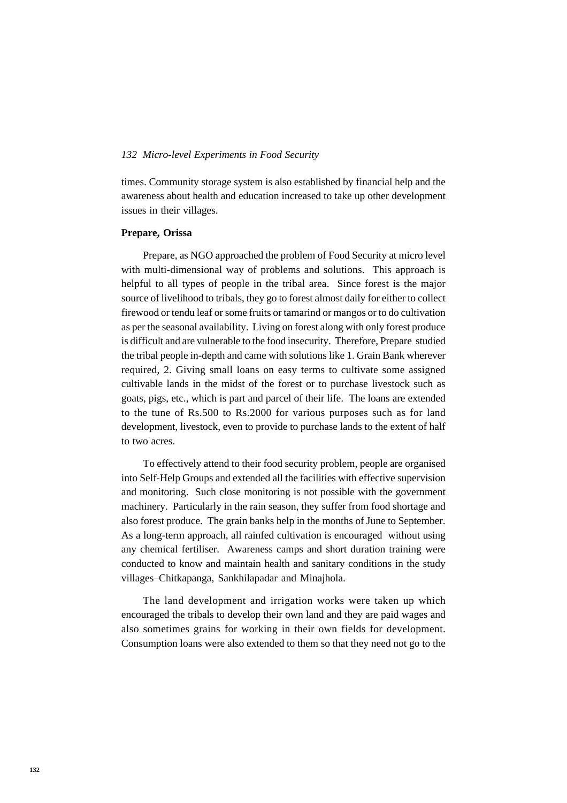times. Community storage system is also established by financial help and the awareness about health and education increased to take up other development issues in their villages.

#### **Prepare, Orissa**

Prepare, as NGO approached the problem of Food Security at micro level with multi-dimensional way of problems and solutions. This approach is helpful to all types of people in the tribal area. Since forest is the major source of livelihood to tribals, they go to forest almost daily for either to collect firewood or tendu leaf or some fruits or tamarind or mangos or to do cultivation as per the seasonal availability. Living on forest along with only forest produce is difficult and are vulnerable to the food insecurity. Therefore, Prepare studied the tribal people in-depth and came with solutions like 1. Grain Bank wherever required, 2. Giving small loans on easy terms to cultivate some assigned cultivable lands in the midst of the forest or to purchase livestock such as goats, pigs, etc., which is part and parcel of their life. The loans are extended to the tune of Rs.500 to Rs.2000 for various purposes such as for land development, livestock, even to provide to purchase lands to the extent of half to two acres.

To effectively attend to their food security problem, people are organised into Self-Help Groups and extended all the facilities with effective supervision and monitoring. Such close monitoring is not possible with the government machinery. Particularly in the rain season, they suffer from food shortage and also forest produce. The grain banks help in the months of June to September. As a long-term approach, all rainfed cultivation is encouraged without using any chemical fertiliser. Awareness camps and short duration training were conducted to know and maintain health and sanitary conditions in the study villages–Chitkapanga, Sankhilapadar and Minajhola.

The land development and irrigation works were taken up which encouraged the tribals to develop their own land and they are paid wages and also sometimes grains for working in their own fields for development. Consumption loans were also extended to them so that they need not go to the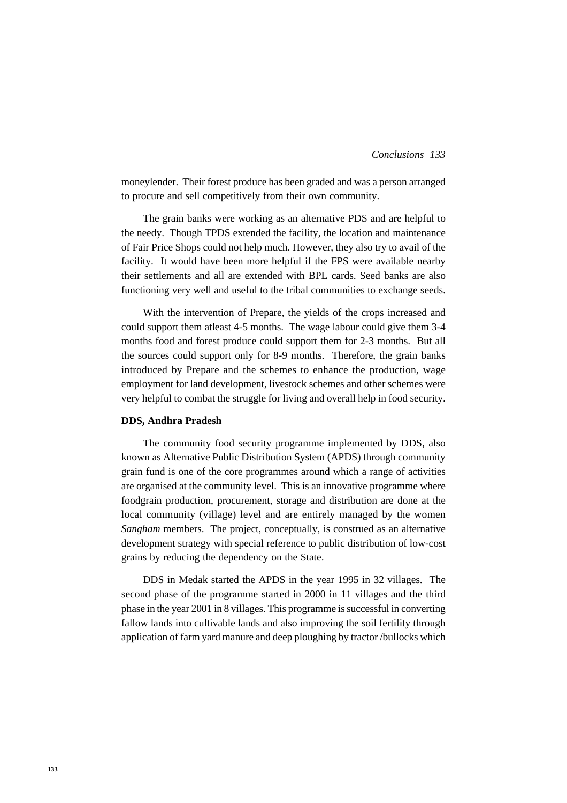#### *133 Conclusions*

moneylender. Their forest produce has been graded and was a person arranged to procure and sell competitively from their own community.

The grain banks were working as an alternative PDS and are helpful to the needy. Though TPDS extended the facility, the location and maintenance of Fair Price Shops could not help much. However, they also try to avail of the facility. It would have been more helpful if the FPS were available nearby their settlements and all are extended with BPL cards. Seed banks are also functioning very well and useful to the tribal communities to exchange seeds.

With the intervention of Prepare, the yields of the crops increased and could support them atleast 4-5 months. The wage labour could give them 3-4 months food and forest produce could support them for 2-3 months. But all the sources could support only for 8-9 months. Therefore, the grain banks introduced by Prepare and the schemes to enhance the production, wage employment for land development, livestock schemes and other schemes were very helpful to combat the struggle for living and overall help in food security.

#### **DDS, Andhra Pradesh**

The community food security programme implemented by DDS, also known as Alternative Public Distribution System (APDS) through community grain fund is one of the core programmes around which a range of activities are organised at the community level. This is an innovative programme where foodgrain production, procurement, storage and distribution are done at the local community (village) level and are entirely managed by the women *Sangham* members. The project, conceptually, is construed as an alternative development strategy with special reference to public distribution of low-cost grains by reducing the dependency on the State.

DDS in Medak started the APDS in the year 1995 in 32 villages. The second phase of the programme started in 2000 in 11 villages and the third phase in the year 2001 in 8 villages. This programme is successful in converting fallow lands into cultivable lands and also improving the soil fertility through application of farm yard manure and deep ploughing by tractor /bullocks which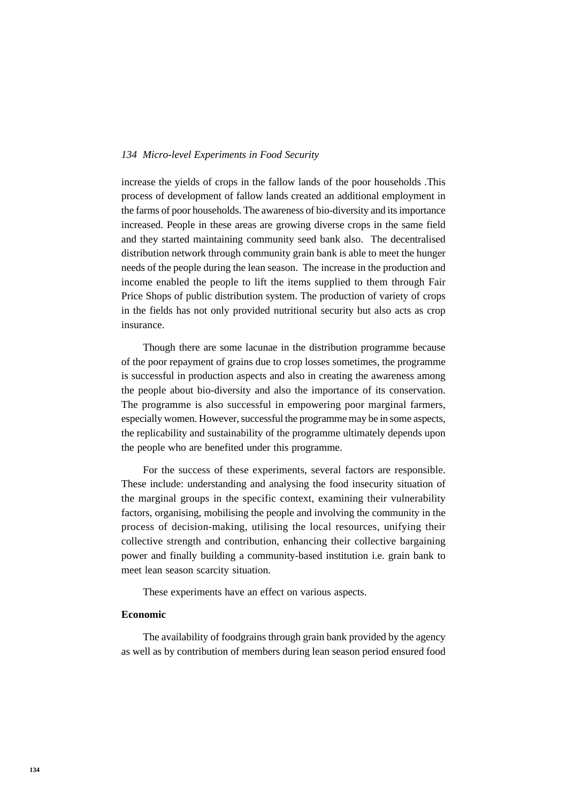increase the yields of crops in the fallow lands of the poor households .This process of development of fallow lands created an additional employment in the farms of poor households. The awareness of bio-diversity and its importance increased. People in these areas are growing diverse crops in the same field and they started maintaining community seed bank also. The decentralised distribution network through community grain bank is able to meet the hunger needs of the people during the lean season. The increase in the production and income enabled the people to lift the items supplied to them through Fair Price Shops of public distribution system. The production of variety of crops in the fields has not only provided nutritional security but also acts as crop insurance.

Though there are some lacunae in the distribution programme because of the poor repayment of grains due to crop losses sometimes, the programme is successful in production aspects and also in creating the awareness among the people about bio-diversity and also the importance of its conservation. The programme is also successful in empowering poor marginal farmers, especially women. However, successful the programme may be in some aspects, the replicability and sustainability of the programme ultimately depends upon the people who are benefited under this programme.

For the success of these experiments, several factors are responsible. These include: understanding and analysing the food insecurity situation of the marginal groups in the specific context, examining their vulnerability factors, organising, mobilising the people and involving the community in the process of decision-making, utilising the local resources, unifying their collective strength and contribution, enhancing their collective bargaining power and finally building a community-based institution i.e. grain bank to meet lean season scarcity situation.

These experiments have an effect on various aspects.

#### **Economic**

The availability of foodgrains through grain bank provided by the agency as well as by contribution of members during lean season period ensured food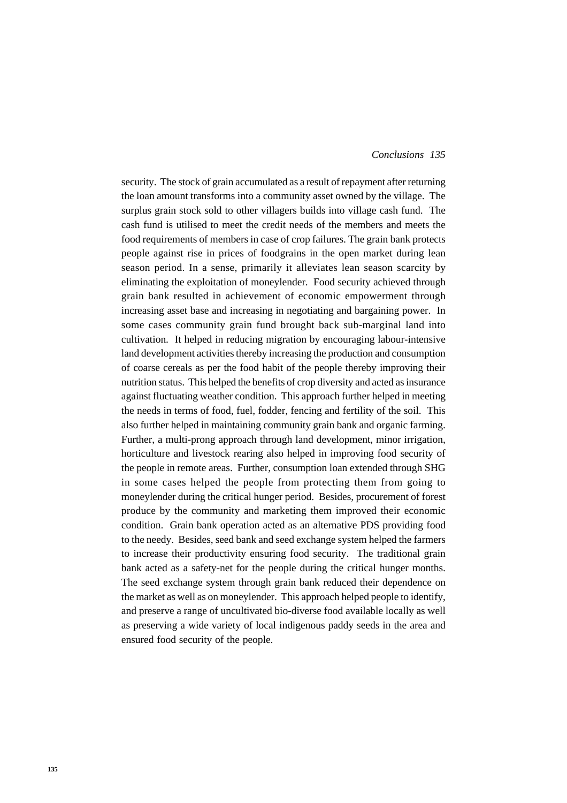#### *135 Conclusions*

security. The stock of grain accumulated as a result of repayment after returning the loan amount transforms into a community asset owned by the village. The surplus grain stock sold to other villagers builds into village cash fund. The cash fund is utilised to meet the credit needs of the members and meets the food requirements of members in case of crop failures. The grain bank protects people against rise in prices of foodgrains in the open market during lean season period. In a sense, primarily it alleviates lean season scarcity by eliminating the exploitation of moneylender. Food security achieved through grain bank resulted in achievement of economic empowerment through increasing asset base and increasing in negotiating and bargaining power. In some cases community grain fund brought back sub-marginal land into cultivation. It helped in reducing migration by encouraging labour-intensive land development activities thereby increasing the production and consumption of coarse cereals as per the food habit of the people thereby improving their nutrition status. This helped the benefits of crop diversity and acted as insurance against fluctuating weather condition. This approach further helped in meeting the needs in terms of food, fuel, fodder, fencing and fertility of the soil. This also further helped in maintaining community grain bank and organic farming. Further, a multi-prong approach through land development, minor irrigation, horticulture and livestock rearing also helped in improving food security of the people in remote areas. Further, consumption loan extended through SHG in some cases helped the people from protecting them from going to moneylender during the critical hunger period. Besides, procurement of forest produce by the community and marketing them improved their economic condition. Grain bank operation acted as an alternative PDS providing food to the needy. Besides, seed bank and seed exchange system helped the farmers to increase their productivity ensuring food security. The traditional grain bank acted as a safety-net for the people during the critical hunger months. The seed exchange system through grain bank reduced their dependence on the market as well as on moneylender. This approach helped people to identify, and preserve a range of uncultivated bio-diverse food available locally as well as preserving a wide variety of local indigenous paddy seeds in the area and ensured food security of the people.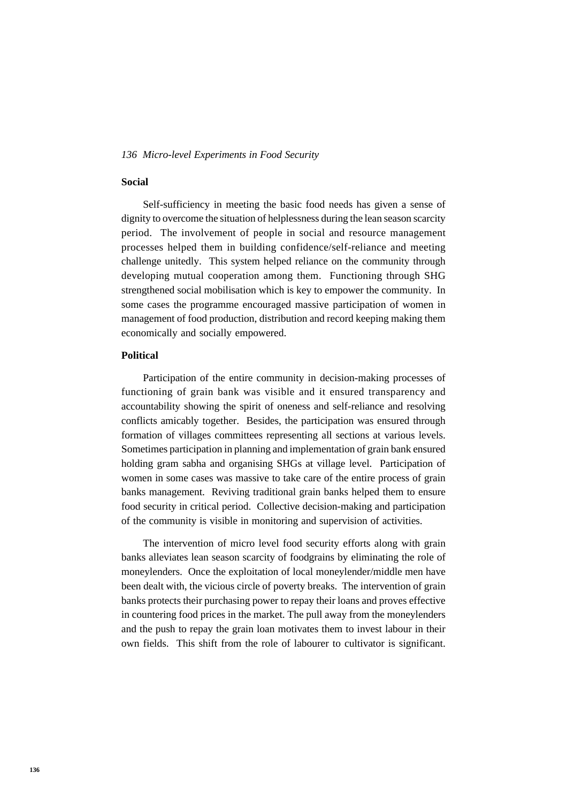## **Social**

Self-sufficiency in meeting the basic food needs has given a sense of dignity to overcome the situation of helplessness during the lean season scarcity period. The involvement of people in social and resource management processes helped them in building confidence/self-reliance and meeting challenge unitedly. This system helped reliance on the community through developing mutual cooperation among them. Functioning through SHG strengthened social mobilisation which is key to empower the community. In some cases the programme encouraged massive participation of women in management of food production, distribution and record keeping making them economically and socially empowered.

#### **Political**

Participation of the entire community in decision-making processes of functioning of grain bank was visible and it ensured transparency and accountability showing the spirit of oneness and self-reliance and resolving conflicts amicably together. Besides, the participation was ensured through formation of villages committees representing all sections at various levels. Sometimes participation in planning and implementation of grain bank ensured holding gram sabha and organising SHGs at village level. Participation of women in some cases was massive to take care of the entire process of grain banks management. Reviving traditional grain banks helped them to ensure food security in critical period. Collective decision-making and participation of the community is visible in monitoring and supervision of activities.

The intervention of micro level food security efforts along with grain banks alleviates lean season scarcity of foodgrains by eliminating the role of moneylenders. Once the exploitation of local moneylender/middle men have been dealt with, the vicious circle of poverty breaks. The intervention of grain banks protects their purchasing power to repay their loans and proves effective in countering food prices in the market. The pull away from the moneylenders and the push to repay the grain loan motivates them to invest labour in their own fields. This shift from the role of labourer to cultivator is significant.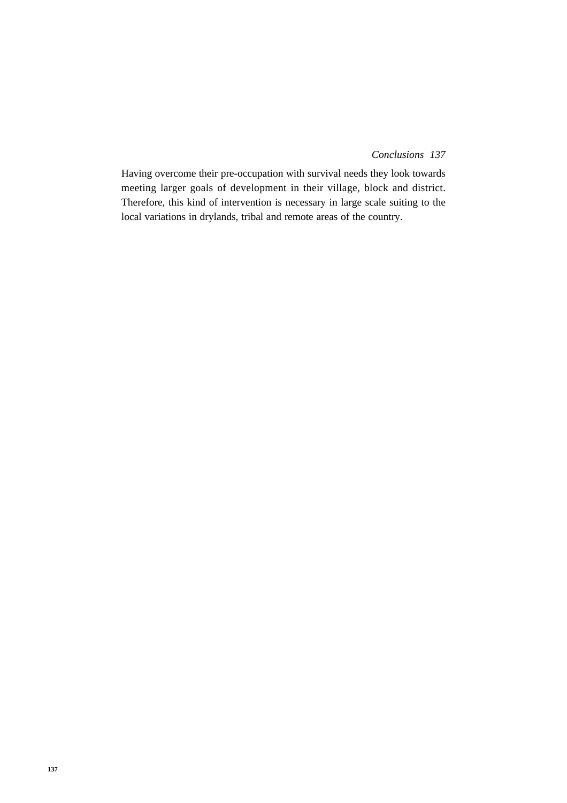#### *137 Conclusions*

Having overcome their pre-occupation with survival needs they look towards meeting larger goals of development in their village, block and district. Therefore, this kind of intervention is necessary in large scale suiting to the local variations in drylands, tribal and remote areas of the country.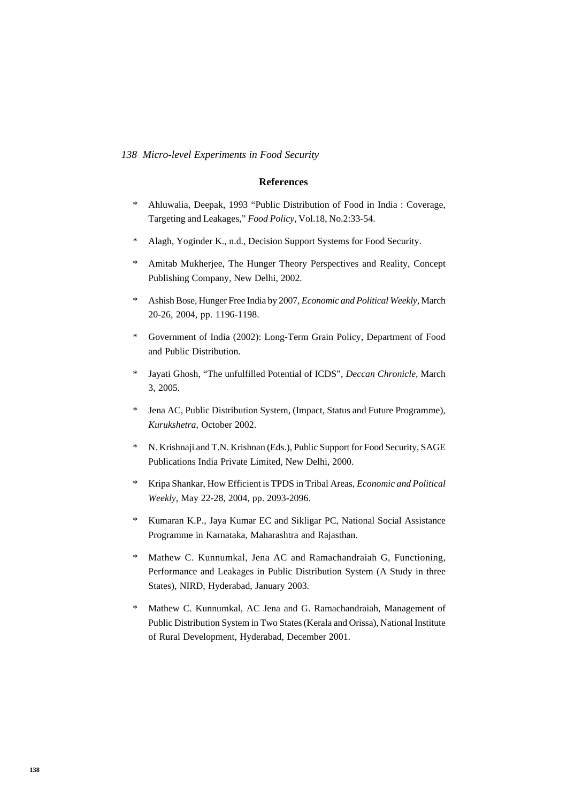#### **References**

- \* Ahluwalia, Deepak, 1993 "Public Distribution of Food in India : Coverage, Targeting and Leakages," *Food Policy,* Vol.18, No.2:33-54.
- \* Alagh, Yoginder K., n.d., Decision Support Systems for Food Security.
- Amitab Mukherjee, The Hunger Theory Perspectives and Reality, Concept Publishing Company, New Delhi, 2002.
- \* Ashish Bose, Hunger Free India by 2007, *Economic and Political Weekly,* March 20-26, 2004, pp. 1196-1198.
- \* Government of India (2002): Long-Term Grain Policy, Department of Food and Public Distribution.
- \* Jayati Ghosh, "The unfulfilled Potential of ICDS", *Deccan Chronicle,* March 3, 2005.
- Jena AC, Public Distribution System, (Impact, Status and Future Programme), *Kurukshetra,* October 2002.
- \* N. Krishnaji and T.N. Krishnan (Eds.), Public Support for Food Security, SAGE Publications India Private Limited, New Delhi, 2000.
- \* Kripa Shankar, How Efficient is TPDS in Tribal Areas, *Economic and Political Weekly,* May 22-28, 2004, pp. 2093-2096.
- \* Kumaran K.P., Jaya Kumar EC and Sikligar PC, National Social Assistance Programme in Karnataka, Maharashtra and Rajasthan.
- Mathew C. Kunnumkal, Jena AC and Ramachandraiah G, Functioning, Performance and Leakages in Public Distribution System (A Study in three States), NIRD, Hyderabad, January 2003.
- \* Mathew C. Kunnumkal, AC Jena and G. Ramachandraiah, Management of Public Distribution System in Two States (Kerala and Orissa), National Institute of Rural Development, Hyderabad, December 2001.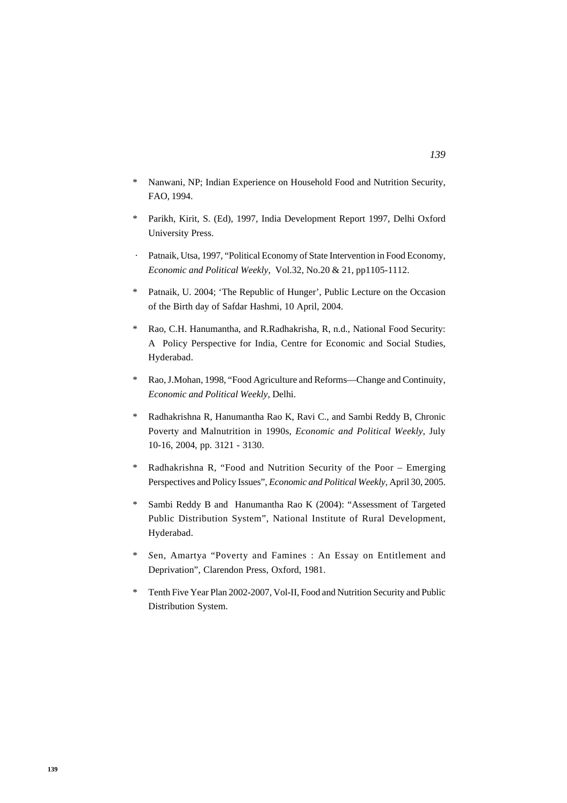- \* Nanwani, NP; Indian Experience on Household Food and Nutrition Security, FAO, 1994.
- \* Parikh, Kirit, S. (Ed), 1997, India Development Report 1997, Delhi Oxford University Press.
- Patnaik, Utsa, 1997, "Political Economy of State Intervention in Food Economy, *Economic and Political Weekly,* Vol.32, No.20 & 21, pp1105-1112.
- \* Patnaik, U. 2004; 'The Republic of Hunger', Public Lecture on the Occasion of the Birth day of Safdar Hashmi, 10 April, 2004.
- \* Rao, C.H. Hanumantha, and R.Radhakrisha, R, n.d., National Food Security: A Policy Perspective for India, Centre for Economic and Social Studies, Hyderabad.
- \* Rao, J.Mohan, 1998, "Food Agriculture and Reforms—Change and Continuity, *Economic and Political Weekly,* Delhi.
- \* Radhakrishna R, Hanumantha Rao K, Ravi C., and Sambi Reddy B, Chronic Poverty and Malnutrition in 1990s, *Economic and Political Weekly,* July 10-16, 2004, pp. 3121 - 3130.
- \* Radhakrishna R, "Food and Nutrition Security of the Poor Emerging Perspectives and Policy Issues", *Economic and Political Weekly,* April 30, 2005.
- \* Sambi Reddy B and Hanumantha Rao K (2004): "Assessment of Targeted Public Distribution System", National Institute of Rural Development, Hyderabad.
- Sen, Amartya "Poverty and Famines : An Essay on Entitlement and Deprivation", Clarendon Press, Oxford, 1981.
- \* Tenth Five Year Plan 2002-2007, Vol-II, Food and Nutrition Security and Public Distribution System.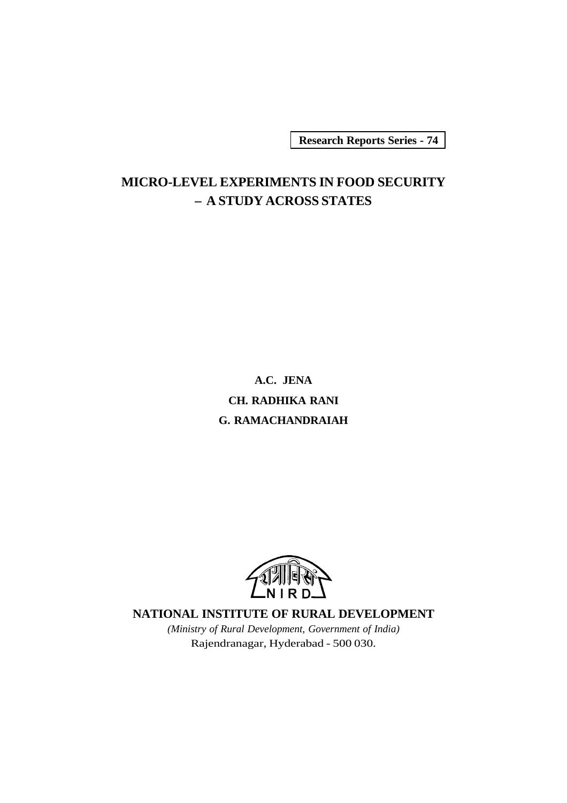**Research Reports Series - 74**

# **MICRO-LEVEL EXPERIMENTS IN FOOD SECURITY – A STUDY ACROSS STATES**

**A.C. JENA CH. RADHIKA RANI G. RAMACHANDRAIAH**



## **NATIONAL INSTITUTE OF RURAL DEVELOPMENT**

*(Ministry of Rural Development, Government of India)* Rajendranagar, Hyderabad - 500 030.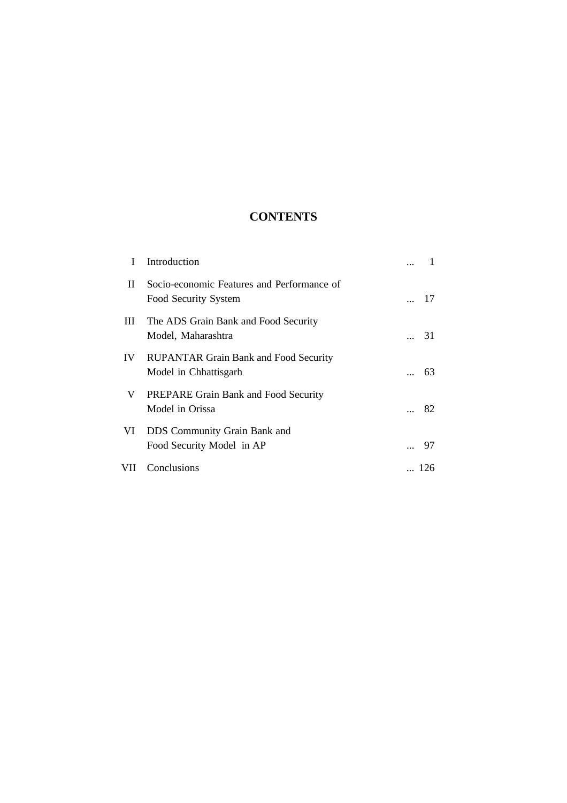# **CONTENTS**

| L        | Introduction                                                          |     |
|----------|-----------------------------------------------------------------------|-----|
| $\rm II$ | Socio-economic Features and Performance of<br>Food Security System    | 17  |
| Ш        | The ADS Grain Bank and Food Security<br>Model, Maharashtra            | 31  |
| IV.      | <b>RUPANTAR Grain Bank and Food Security</b><br>Model in Chhattisgarh | 63  |
| V        | PREPARE Grain Bank and Food Security<br>Model in Orissa               | 82  |
| VI       | DDS Community Grain Bank and<br>Food Security Model in AP             | 97  |
| VII      | Conclusions                                                           | 126 |